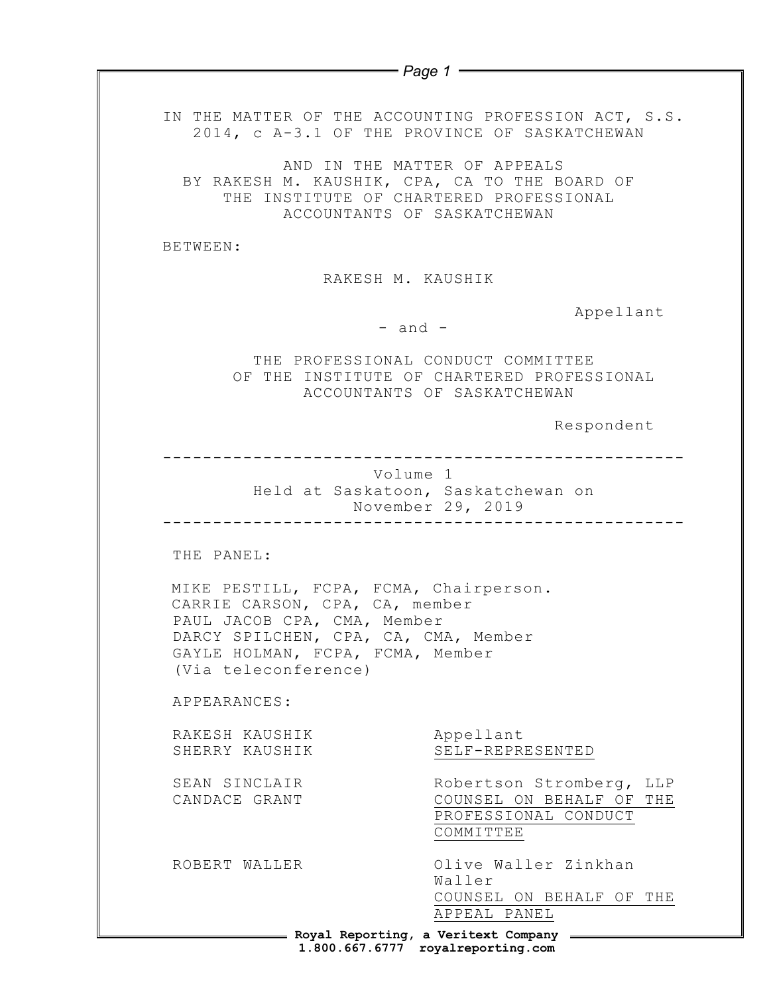|                                                                                                                                                                                                                           | $=$ Page 1 $=$                                                                                                  |
|---------------------------------------------------------------------------------------------------------------------------------------------------------------------------------------------------------------------------|-----------------------------------------------------------------------------------------------------------------|
|                                                                                                                                                                                                                           |                                                                                                                 |
| IN THE MATTER OF THE ACCOUNTING PROFESSION ACT, S.S.<br>2014, c A-3.1 OF THE PROVINCE OF SASKATCHEWAN                                                                                                                     |                                                                                                                 |
| BY RAKESH M. KAUSHIK, CPA, CA TO THE BOARD OF<br>ACCOUNTANTS OF SASKATCHEWAN                                                                                                                                              | AND IN THE MATTER OF APPEALS<br>THE INSTITUTE OF CHARTERED PROFESSIONAL                                         |
| BETWEEN:                                                                                                                                                                                                                  |                                                                                                                 |
| RAKESH M. KAUSHIK                                                                                                                                                                                                         |                                                                                                                 |
| $-$ and $-$                                                                                                                                                                                                               | Appellant                                                                                                       |
|                                                                                                                                                                                                                           | THE PROFESSIONAL CONDUCT COMMITTEE<br>OF THE INSTITUTE OF CHARTERED PROFESSIONAL<br>ACCOUNTANTS OF SASKATCHEWAN |
|                                                                                                                                                                                                                           | Respondent                                                                                                      |
|                                                                                                                                                                                                                           | Held at Saskatoon, Saskatchewan on<br>November 29, 2019                                                         |
| THE PANEL:<br>MIKE PESTILL, FCPA, FCMA, Chairperson.<br>CARRIE CARSON, CPA, CA, member<br>PAUL JACOB CPA, CMA, Member<br>DARCY SPILCHEN, CPA, CA, CMA, Member<br>GAYLE HOLMAN, FCPA, FCMA, Member<br>(Via teleconference) |                                                                                                                 |
| APPEARANCES:                                                                                                                                                                                                              |                                                                                                                 |
| RAKESH KAUSHIK<br>SHERRY KAUSHIK                                                                                                                                                                                          | Appellant<br>SELF-REPRESENTED                                                                                   |
| SEAN SINCLAIR<br>CANDACE GRANT                                                                                                                                                                                            | Robertson Stromberg,<br>LLP<br>COUNSEL ON BEHALF OF<br>THE<br>PROFESSIONAL CONDUCT<br>COMMITTEE                 |
| ROBERT WALLER                                                                                                                                                                                                             | Olive Waller Zinkhan<br>Waller<br>COUNSEL ON BEHALF OF THE                                                      |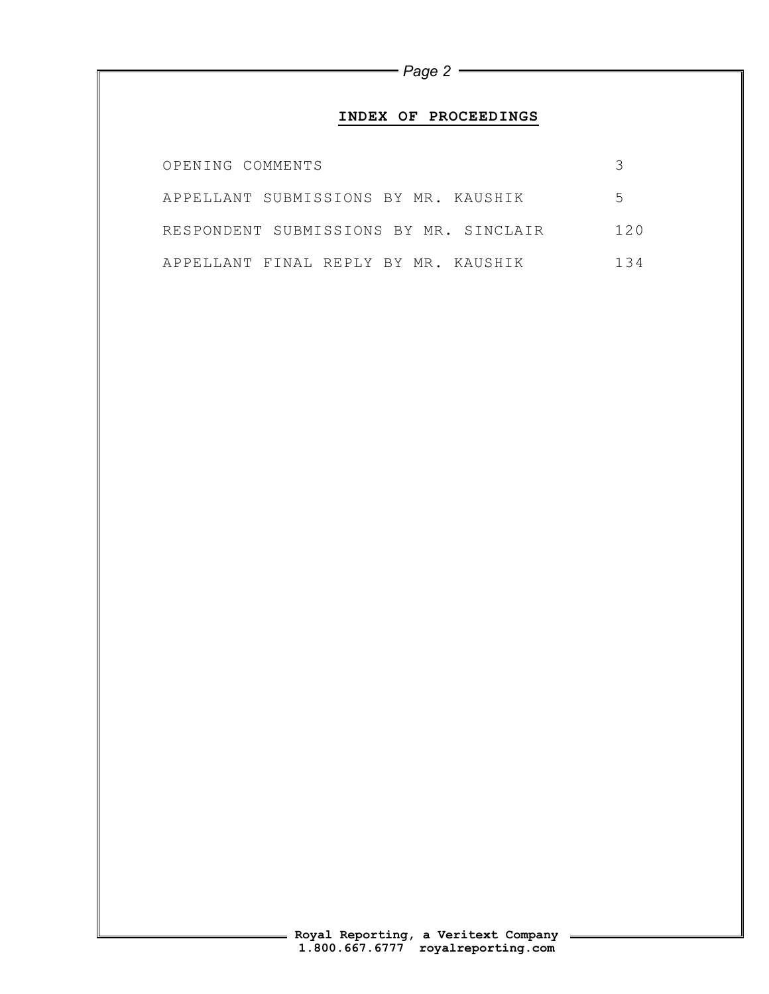## **INDEX OF PROCEEDINGS**

| OPENING COMMENTS                       |     |
|----------------------------------------|-----|
| APPELLANT SUBMISSIONS BY MR. KAUSHIK   | 5   |
| RESPONDENT SUBMISSIONS BY MR. SINCLAIR | 120 |
| APPELLANT FINAL REPLY BY MR. KAUSHIK   | 134 |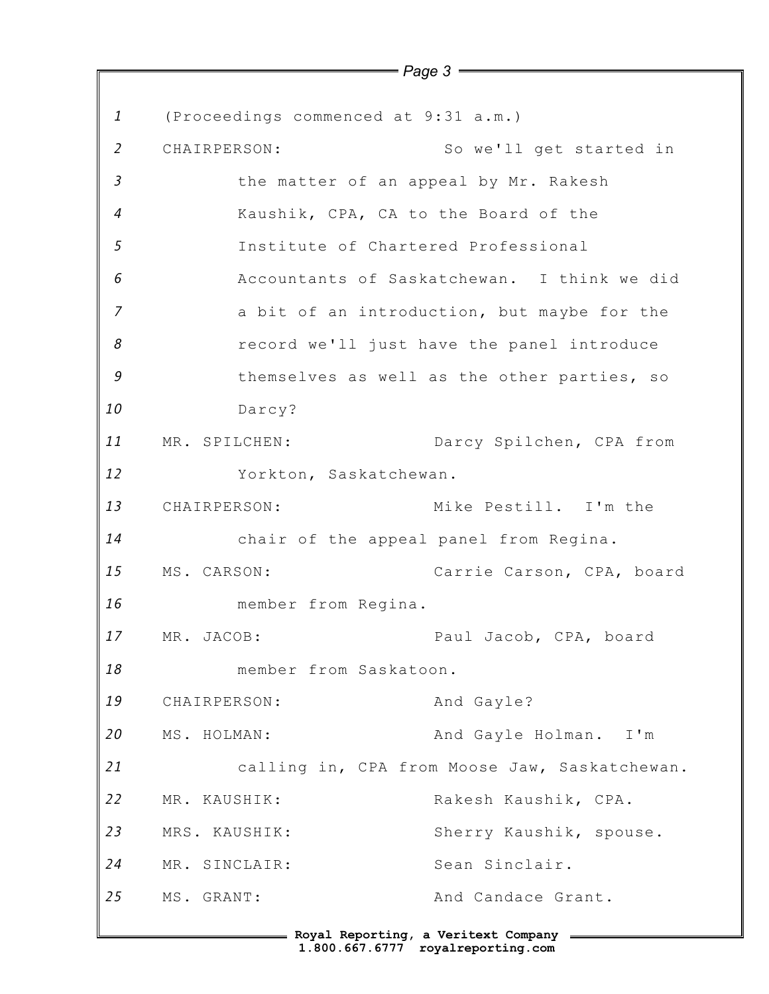*1 2 3 4 5 6 7 8 9 10 11 12 13 14 15 16 17 18 19 20 21 22 23 24 25 Page 3* (Proceedings commenced at 9:31 a.m.) CHAIRPERSON: So we'll get started in the matter of an appeal by Mr. Rakesh Kaushik, CPA, CA to the Board of the Institute of Chartered Professional Accountants of Saskatchewan. I think we did a bit of an introduction, but maybe for the record we'll just have the panel introduce themselves as well as the other parties, so Darcy? MR. SPILCHEN: Darcy Spilchen, CPA from Yorkton, Saskatchewan. CHAIRPERSON: Mike Pestill. I'm the chair of the appeal panel from Regina. MS. CARSON: Carrie Carson, CPA, board member from Regina. MR. JACOB: Paul Jacob, CPA, board member from Saskatoon. CHAIRPERSON: And Gayle? MS. HOLMAN: And Gayle Holman. I'm calling in, CPA from Moose Jaw, Saskatchewan. MR. KAUSHIK: Rakesh Kaushik, CPA. MRS. KAUSHIK: Sherry Kaushik, spouse. MR. SINCLAIR: Sean Sinclair. MS. GRANT: And Candace Grant.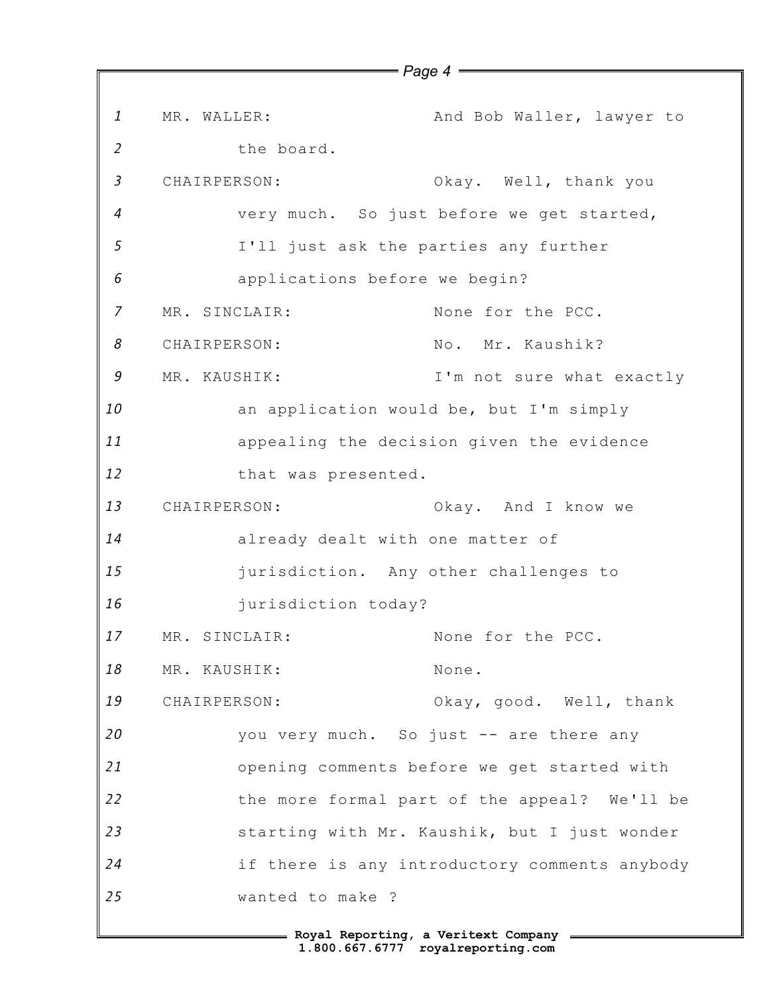*1 2 3 4 5 6 7 8 9 10 11 12 13 14 15 16 17 18 19 20 21 22 23 24 25* MR. WALLER: And Bob Waller, lawyer to the board. CHAIRPERSON: Okay. Well, thank you very much. So just before we get started, I'll just ask the parties any further applications before we begin? MR. SINCLAIR: None for the PCC. CHAIRPERSON: No. Mr. Kaushik? MR. KAUSHIK: T'm not sure what exactly an application would be, but I'm simply appealing the decision given the evidence that was presented. CHAIRPERSON: Okay. And I know we already dealt with one matter of jurisdiction. Any other challenges to jurisdiction today? MR. SINCLAIR: None for the PCC. MR. KAUSHIK: None. CHAIRPERSON: Okay, good. Well, thank you very much. So just -- are there any opening comments before we get started with the more formal part of the appeal? We'll be starting with Mr. Kaushik, but I just wonder if there is any introductory comments anybody wanted to make ?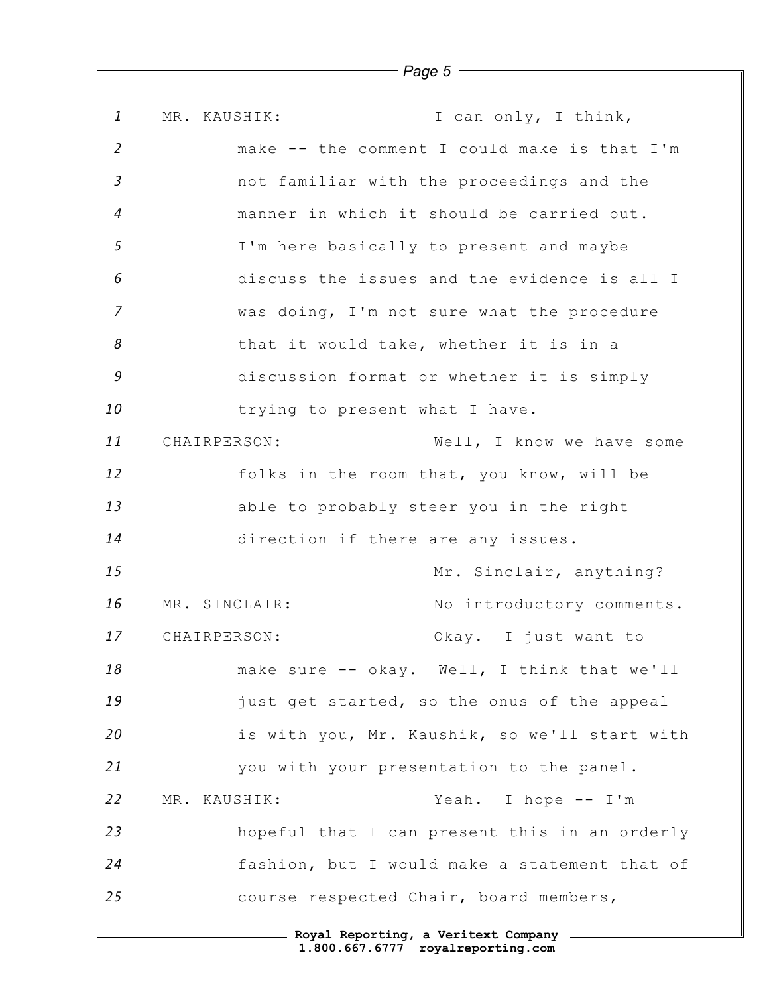*1 2 3 4 5 6 7 8 9 10 11 12 13 14 15 16 17 18 19 20 21 22 23 24 25* MR. KAUSHIK: I can only, I think, make -- the comment I could make is that I'm not familiar with the proceedings and the manner in which it should be carried out. I'm here basically to present and maybe discuss the issues and the evidence is all I was doing, I'm not sure what the procedure that it would take, whether it is in a discussion format or whether it is simply trying to present what I have. CHAIRPERSON: Well, I know we have some folks in the room that, you know, will be able to probably steer you in the right direction if there are any issues. Mr. Sinclair, anything? MR. SINCLAIR: No introductory comments. CHAIRPERSON: Okay. I just want to make sure -- okay. Well, I think that we'll just get started, so the onus of the appeal is with you, Mr. Kaushik, so we'll start with you with your presentation to the panel. MR. KAUSHIK: Yeah. I hope -- I'm hopeful that I can present this in an orderly fashion, but I would make a statement that of course respected Chair, board members,

*Page 5*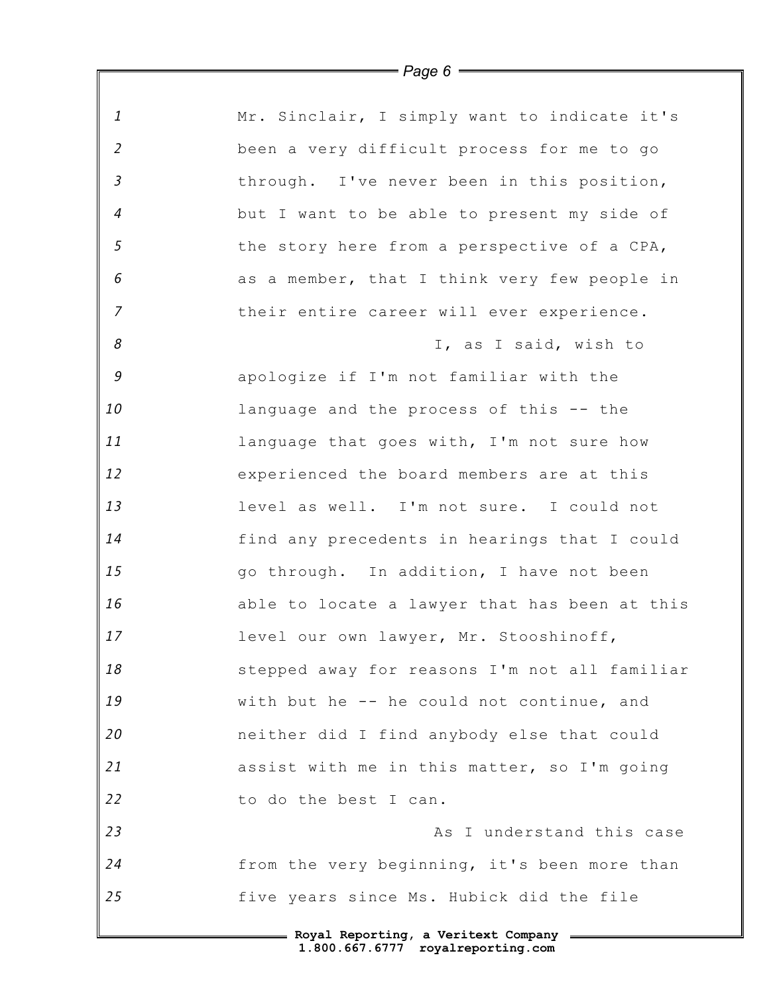| $\mathbf{1}$   | Mr. Sinclair, I simply want to indicate it's  |
|----------------|-----------------------------------------------|
| $\overline{2}$ | been a very difficult process for me to go    |
| $\mathfrak{Z}$ | through. I've never been in this position,    |
| $\overline{4}$ | but I want to be able to present my side of   |
| 5              | the story here from a perspective of a CPA,   |
| $\epsilon$     | as a member, that I think very few people in  |
| $\overline{7}$ | their entire career will ever experience.     |
| 8              | I, as I said, wish to                         |
| 9              | apologize if I'm not familiar with the        |
| 10             | language and the process of this -- the       |
| 11             | language that goes with, I'm not sure how     |
| 12             | experienced the board members are at this     |
| 13             | level as well. I'm not sure. I could not      |
| 14             | find any precedents in hearings that I could  |
| 15             | go through. In addition, I have not been      |
| 16             | able to locate a lawyer that has been at this |
| 17             | level our own lawyer, Mr. Stooshinoff,        |
| 18             | stepped away for reasons I'm not all familiar |
| 19             | with but he -- he could not continue, and     |
| 20             | neither did I find anybody else that could    |
| 21             | assist with me in this matter, so I'm going   |
| 22             | to do the best I can.                         |
| 23             | As I understand this case                     |
| 24             | from the very beginning, it's been more than  |
| 25             | five years since Ms. Hubick did the file      |
|                | - Roval Reporting, a Veritext Company         |

*Page 6*

 $\mathsf I$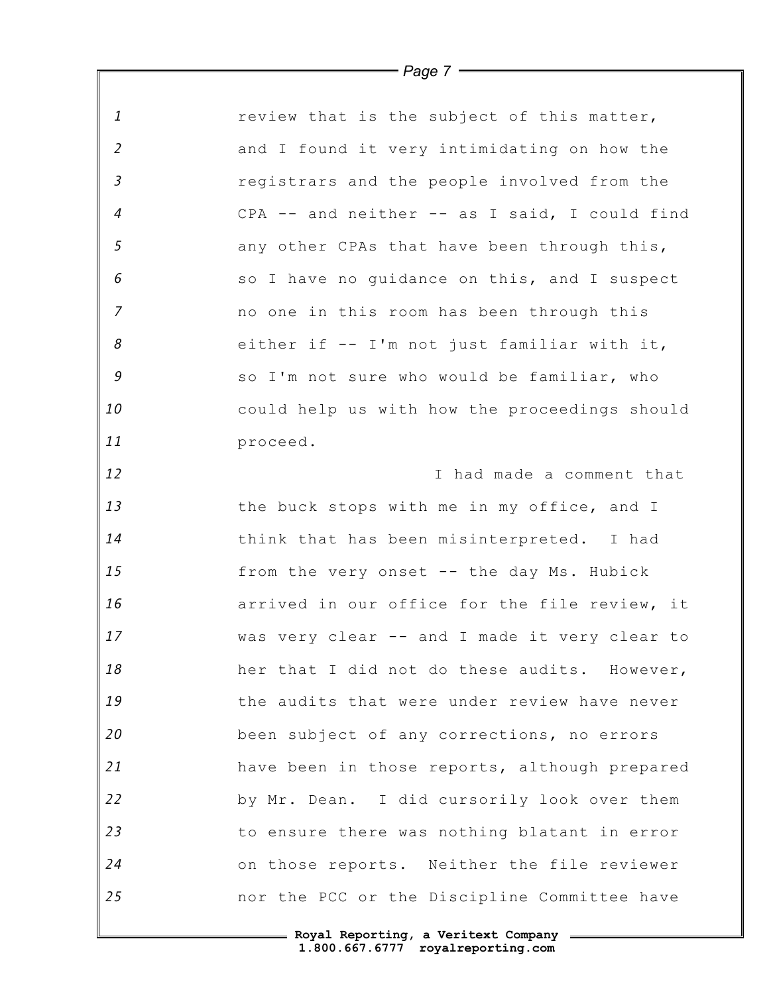| $\mathbf{1}$   | review that is the subject of this matter,    |
|----------------|-----------------------------------------------|
| $\overline{2}$ | and I found it very intimidating on how the   |
| $\mathfrak{Z}$ | registrars and the people involved from the   |
| $\overline{4}$ | CPA -- and neither -- as I said, I could find |
| 5              | any other CPAs that have been through this,   |
| 6              | so I have no guidance on this, and I suspect  |
| $\overline{7}$ | no one in this room has been through this     |
| 8              | either if -- I'm not just familiar with it,   |
| $\mathcal G$   | so I'm not sure who would be familiar, who    |
| 10             | could help us with how the proceedings should |
| 11             | proceed.                                      |
| 12             | I had made a comment that                     |
| 13             | the buck stops with me in my office, and I    |
| 14             | think that has been misinterpreted. I had     |
| 15             | from the very onset -- the day Ms. Hubick     |
| 16             | arrived in our office for the file review, it |
| 17             | was very clear -- and I made it very clear to |
| 18             | her that I did not do these audits. However,  |
| 19             | the audits that were under review have never  |
| 20             | been subject of any corrections, no errors    |
| 21             | have been in those reports, although prepared |
| 22             | by Mr. Dean. I did cursorily look over them   |
| 23             | to ensure there was nothing blatant in error  |
| 24             | on those reports. Neither the file reviewer   |
| 25             | nor the PCC or the Discipline Committee have  |

*Page 7*

 $\mathbb F$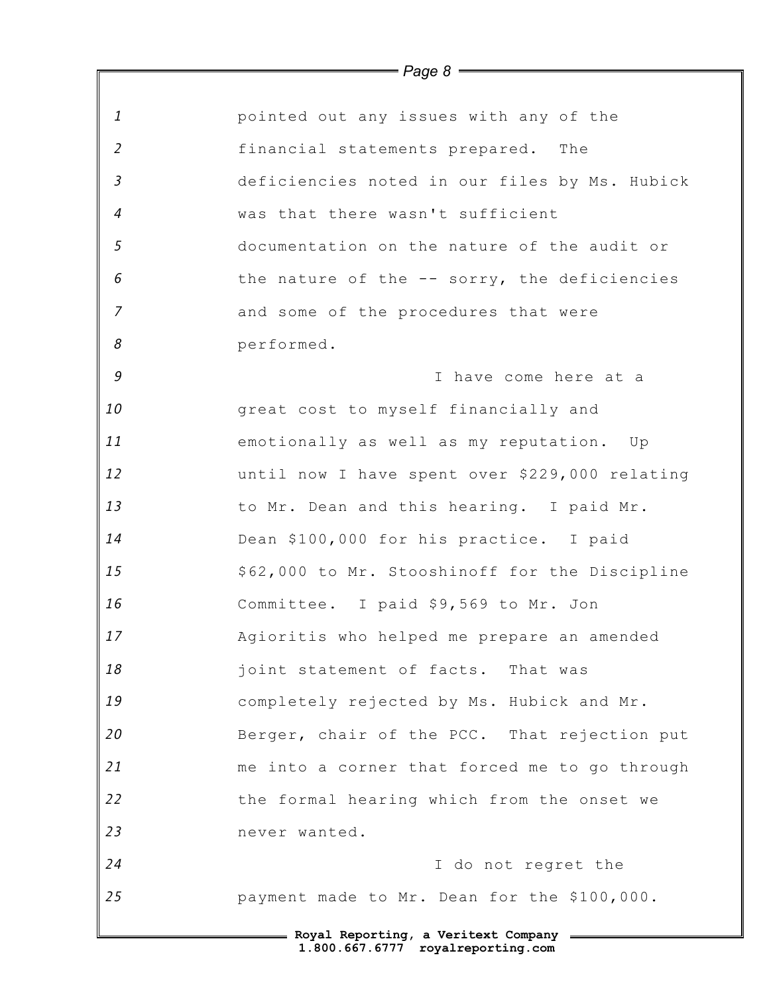| $\mathbf{1}$   | pointed out any issues with any of the         |
|----------------|------------------------------------------------|
| $\overline{2}$ | financial statements prepared. The             |
| $\mathfrak{Z}$ | deficiencies noted in our files by Ms. Hubick  |
| $\overline{4}$ | was that there wasn't sufficient               |
| $\mathfrak{s}$ | documentation on the nature of the audit or    |
| 6              | the nature of the -- sorry, the deficiencies   |
| $\overline{7}$ | and some of the procedures that were           |
| 8              | performed.                                     |
| 9              | I have come here at a                          |
| 10             | great cost to myself financially and           |
| 11             | emotionally as well as my reputation. Up       |
| 12             | until now I have spent over \$229,000 relating |
| 13             | to Mr. Dean and this hearing. I paid Mr.       |
| 14             | Dean \$100,000 for his practice. I paid        |
| 15             | \$62,000 to Mr. Stooshinoff for the Discipline |
| 16             | Committee. I paid \$9,569 to Mr. Jon           |
| 17             | Agioritis who helped me prepare an amended     |
| 18             | joint statement of facts. That was             |
| 19             | completely rejected by Ms. Hubick and Mr.      |
| 20             | Berger, chair of the PCC. That rejection put   |
| 21             | me into a corner that forced me to go through  |
| 22             | the formal hearing which from the onset we     |
| 23             | never wanted.                                  |
| 24             | I do not regret the                            |
| 25             | payment made to Mr. Dean for the \$100,000.    |
|                | 1.800.667.6777 royalreporting.com              |

*Page 8*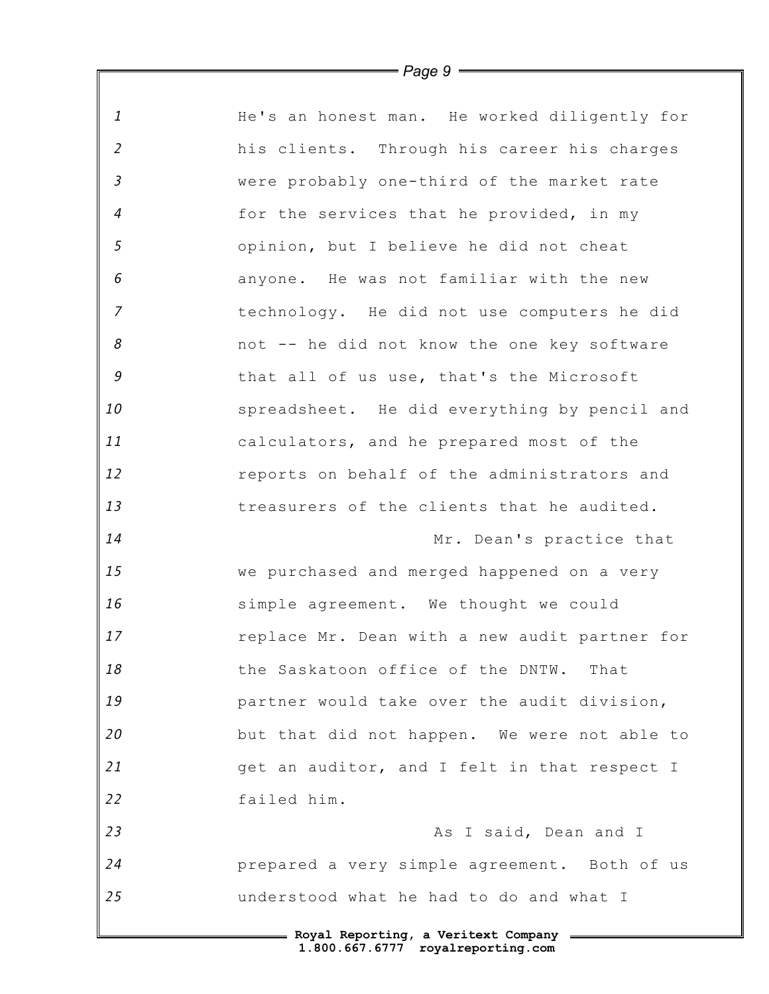| $\it 1$                    | He's an honest man. He worked diligently for  |
|----------------------------|-----------------------------------------------|
| $\overline{2}$             | his clients. Through his career his charges   |
| $\mathfrak{Z}$             | were probably one-third of the market rate    |
| $\overline{4}$             | for the services that he provided, in my      |
| 5                          | opinion, but I believe he did not cheat       |
| $\epsilon$                 | anyone. He was not familiar with the new      |
| $\overline{7}$             | technology. He did not use computers he did   |
| $\boldsymbol{\mathcal{S}}$ | not -- he did not know the one key software   |
| $\mathcal G$               | that all of us use, that's the Microsoft      |
| 10                         | spreadsheet. He did everything by pencil and  |
| 11                         | calculators, and he prepared most of the      |
| 12                         | reports on behalf of the administrators and   |
| 13                         | treasurers of the clients that he audited.    |
| 14                         | Mr. Dean's practice that                      |
| 15                         | we purchased and merged happened on a very    |
| 16                         | simple agreement. We thought we could         |
| 17                         | replace Mr. Dean with a new audit partner for |
| 18                         | the Saskatoon office of the DNTW.<br>That     |
| 19                         | partner would take over the audit division,   |
| 20                         | but that did not happen. We were not able to  |
| 21                         | get an auditor, and I felt in that respect I  |
| 22                         | failed him.                                   |
| 23                         | As I said, Dean and I                         |
| 24                         | prepared a very simple agreement. Both of us  |
| 25                         | understood what he had to do and what I       |
|                            | = Royal Reporting, a Veritext Company =       |

*Page 9*

 $\mathbb{I}$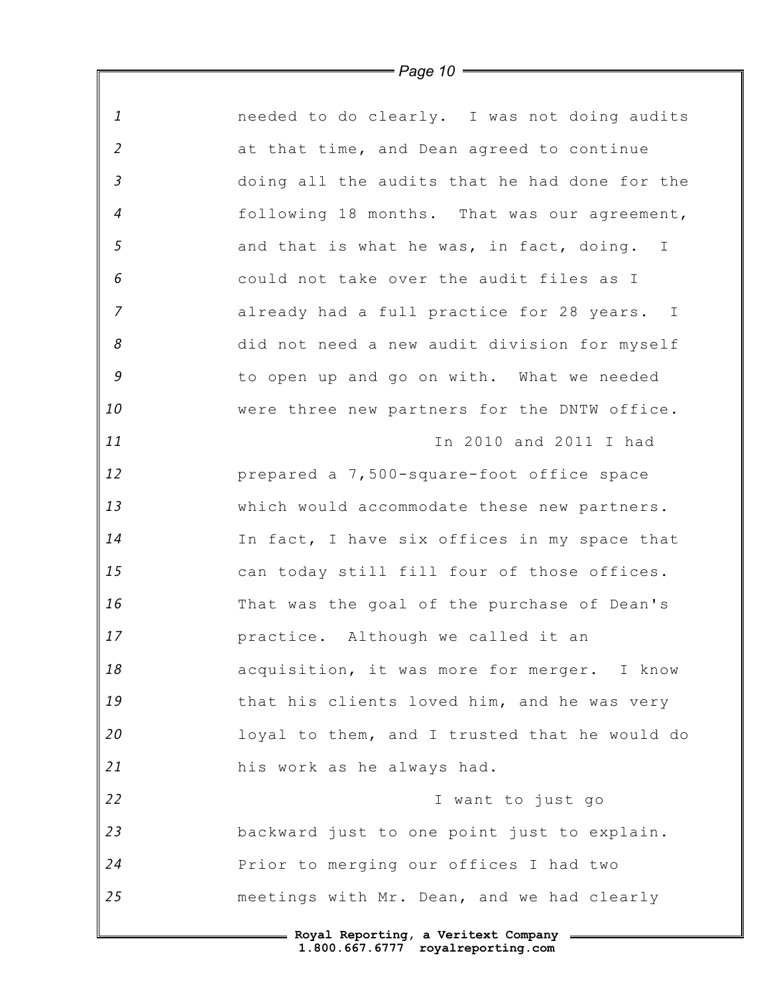*1 2 3 4 5 6 7 8 9 10 11 12 13 14 15 16 17 18 19 20 21 22 23 24 25* **Royal Reporting, a Veritext Company** needed to do clearly. I was not doing audits at that time, and Dean agreed to continue doing all the audits that he had done for the following 18 months. That was our agreement, and that is what he was, in fact, doing. I could not take over the audit files as I already had a full practice for 28 years. I did not need a new audit division for myself to open up and go on with. What we needed were three new partners for the DNTW office. In 2010 and 2011 I had prepared a 7,500-square-foot office space which would accommodate these new partners. In fact, I have six offices in my space that can today still fill four of those offices. That was the goal of the purchase of Dean's practice. Although we called it an acquisition, it was more for merger. I know that his clients loved him, and he was very loyal to them, and I trusted that he would do his work as he always had. I want to just go backward just to one point just to explain. Prior to merging our offices I had two meetings with Mr. Dean, and we had clearly

*Page 10*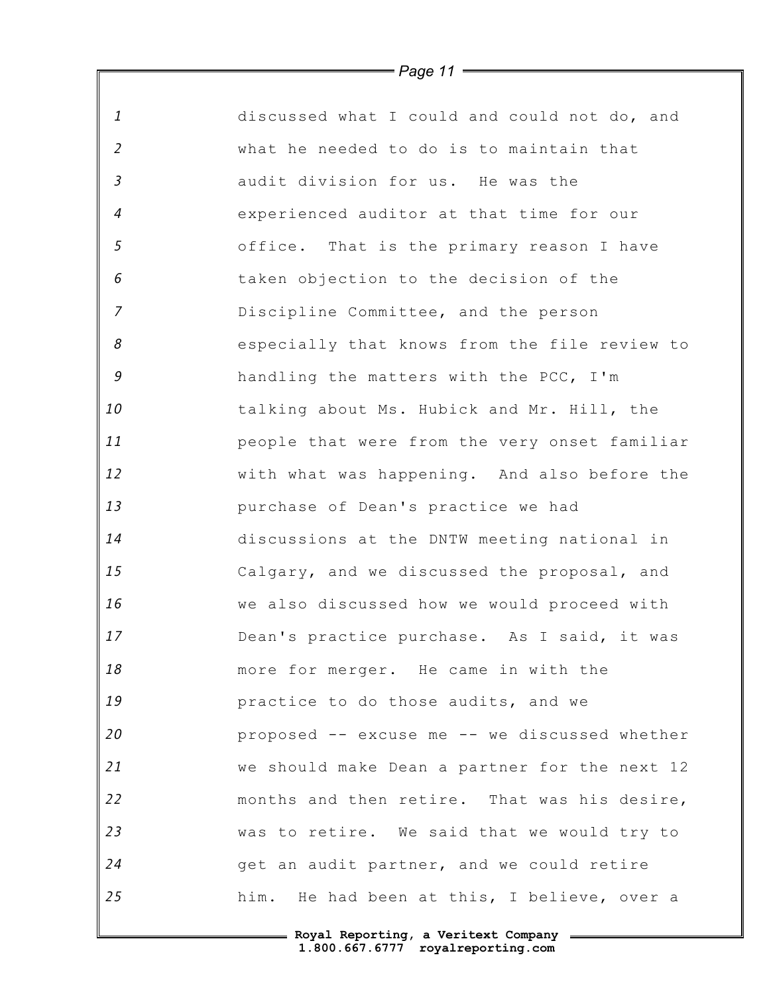|                            | - Page TT —                                   |
|----------------------------|-----------------------------------------------|
| 1                          | discussed what I could and could not do, and  |
| $\overline{2}$             | what he needed to do is to maintain that      |
| $\mathfrak{Z}$             | audit division for us. He was the             |
| $\overline{4}$             | experienced auditor at that time for our      |
| 5                          | office. That is the primary reason I have     |
| 6                          | taken objection to the decision of the        |
| $\overline{z}$             | Discipline Committee, and the person          |
| $\boldsymbol{\mathcal{S}}$ | especially that knows from the file review to |
| 9                          | handling the matters with the PCC, I'm        |
| 10                         | talking about Ms. Hubick and Mr. Hill, the    |
| 11                         | people that were from the very onset familiar |
| 12                         | with what was happening. And also before the  |
| 13                         | purchase of Dean's practice we had            |
| 14                         | discussions at the DNTW meeting national in   |
| 15                         | Calgary, and we discussed the proposal, and   |
| 16                         | we also discussed how we would proceed with   |
| 17                         | Dean's practice purchase. As I said, it was   |
| 18                         | more for merger. He came in with the          |
| 19                         | practice to do those audits, and we           |
| 20                         | proposed -- excuse me -- we discussed whether |
| 21                         | we should make Dean a partner for the next 12 |
| 22                         | months and then retire. That was his desire,  |
| 23                         | was to retire. We said that we would try to   |
| 24                         | get an audit partner, and we could retire     |
| 25                         | him. He had been at this, I believe, over a   |

*Page 11*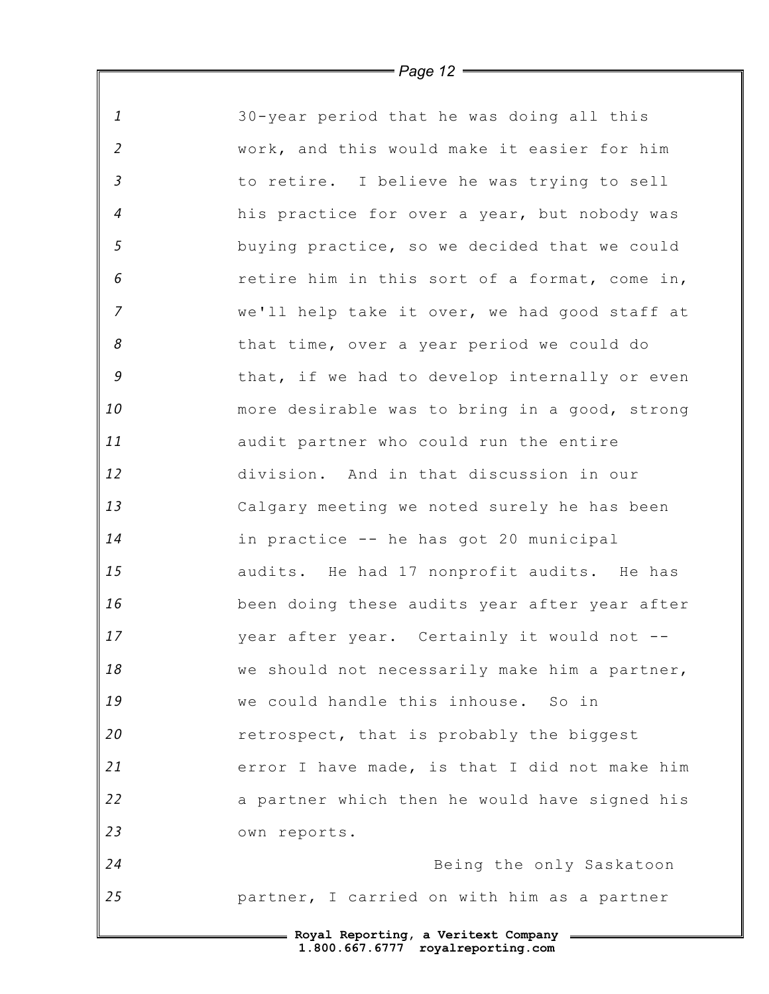| $\mathbf{1}$   | 30-year period that he was doing all this     |
|----------------|-----------------------------------------------|
| $\overline{2}$ | work, and this would make it easier for him   |
| $\mathfrak{Z}$ | to retire. I believe he was trying to sell    |
| $\overline{4}$ | his practice for over a year, but nobody was  |
| $\mathfrak{s}$ | buying practice, so we decided that we could  |
| 6              | retire him in this sort of a format, come in, |
| $\overline{7}$ | we'll help take it over, we had good staff at |
| 8              | that time, over a year period we could do     |
| 9              | that, if we had to develop internally or even |
| 10             | more desirable was to bring in a good, strong |
| 11             | audit partner who could run the entire        |
| 12             | division. And in that discussion in our       |
| 13             | Calgary meeting we noted surely he has been   |
| 14             | in practice -- he has got 20 municipal        |
| 15             | audits. He had 17 nonprofit audits. He has    |
| 16             | been doing these audits year after year after |
| 17             | year after year. Certainly it would not --    |
| 18             | we should not necessarily make him a partner, |
| 19             | we could handle this inhouse. So in           |
| 20             | retrospect, that is probably the biggest      |
| 21             | error I have made, is that I did not make him |
| 22             | a partner which then he would have signed his |
| 23             | own reports.                                  |
| 24             | Being the only Saskatoon                      |
| 25             | partner, I carried on with him as a partner   |
|                |                                               |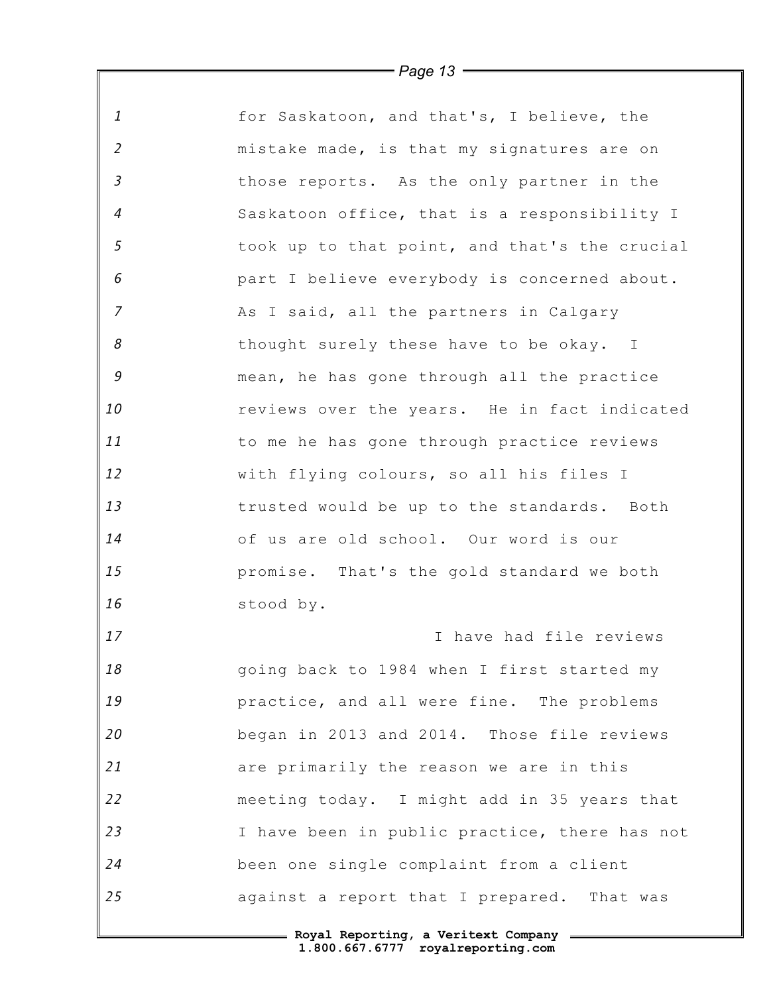| 1              | for Saskatoon, and that's, I believe, the     |
|----------------|-----------------------------------------------|
| $\overline{2}$ | mistake made, is that my signatures are on    |
| $\mathfrak{Z}$ | those reports. As the only partner in the     |
| $\overline{4}$ | Saskatoon office, that is a responsibility I  |
| 5              | took up to that point, and that's the crucial |
| 6              | part I believe everybody is concerned about.  |
| $\overline{z}$ | As I said, all the partners in Calgary        |
| 8              | thought surely these have to be okay. I       |
| $\mathcal G$   | mean, he has gone through all the practice    |
| 10             | reviews over the years. He in fact indicated  |
| 11             | to me he has gone through practice reviews    |
| 12             | with flying colours, so all his files I       |
| 13             | trusted would be up to the standards. Both    |
| 14             | of us are old school. Our word is our         |
| 15             | promise. That's the gold standard we both     |
| 16             | stood by.                                     |
| 17             | I have had file reviews                       |
| 18             | going back to 1984 when I first started my    |
| 19             | practice, and all were fine. The problems     |
| 20             | began in 2013 and 2014. Those file reviews    |
| 21             | are primarily the reason we are in this       |
| 22             | meeting today. I might add in 35 years that   |
| 23             | I have been in public practice, there has not |
| 24             | been one single complaint from a client       |
| 25             | against a report that I prepared. That was    |
|                |                                               |

*Page 13*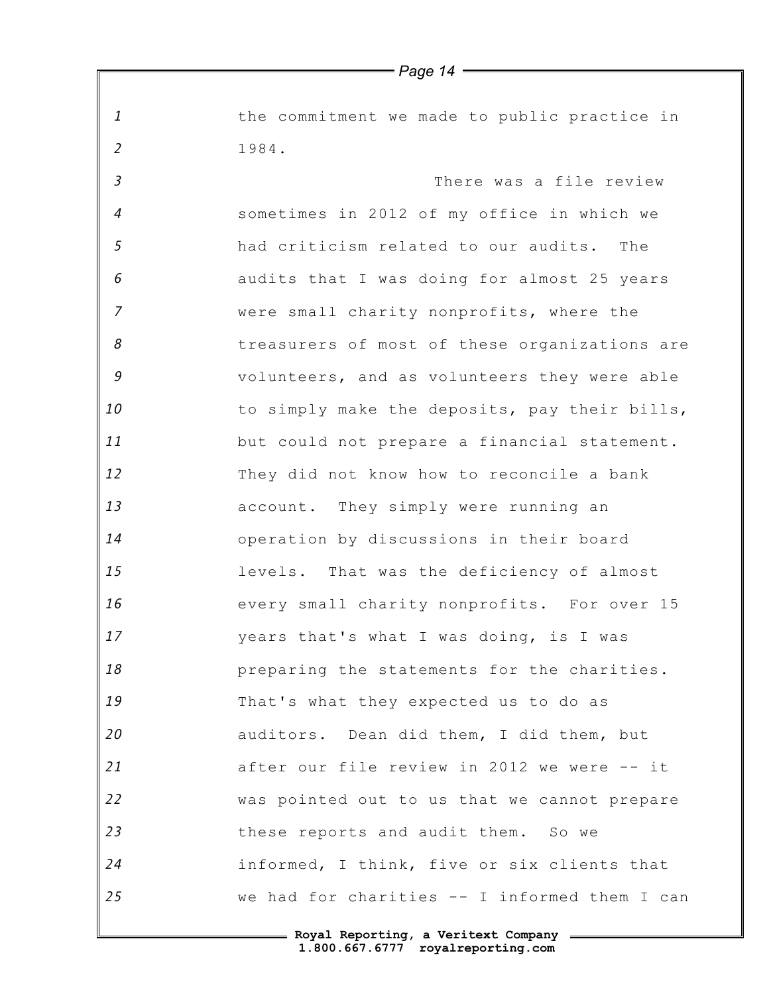*1 2 3 4 5 6 7 8 9 10 11 12 13 14 15 16 17 18 19 20 21 22 23 24 25 Page 14* the commitment we made to public practice in 1984. There was a file review sometimes in 2012 of my office in which we had criticism related to our audits. The audits that I was doing for almost 25 years were small charity nonprofits, where the treasurers of most of these organizations are volunteers, and as volunteers they were able to simply make the deposits, pay their bills, but could not prepare a financial statement. They did not know how to reconcile a bank account. They simply were running an operation by discussions in their board levels. That was the deficiency of almost every small charity nonprofits. For over 15 years that's what I was doing, is I was preparing the statements for the charities. That's what they expected us to do as auditors. Dean did them, I did them, but after our file review in 2012 we were -- it was pointed out to us that we cannot prepare these reports and audit them. So we informed, I think, five or six clients that we had for charities -- I informed them I can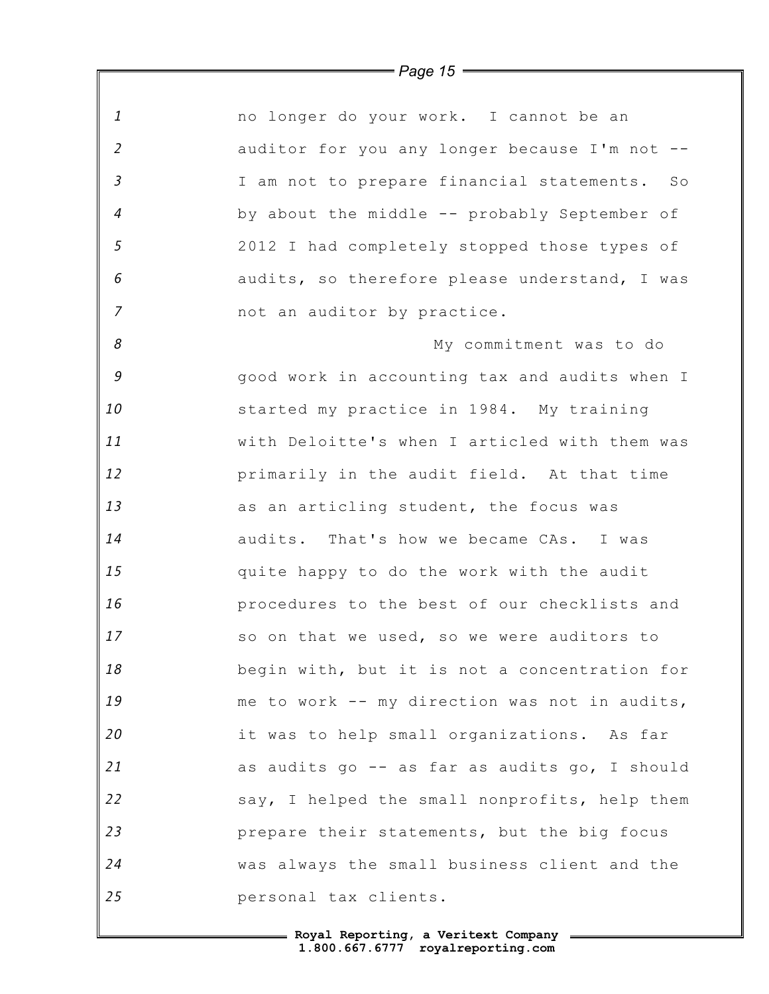*1 2 3 4 5 6 7 8 9 10 11 12 13 14 15 16 17 18 19 20 21 22 23 24 25* no longer do your work. I cannot be an auditor for you any longer because I'm not -- I am not to prepare financial statements. So by about the middle -- probably September of 2012 I had completely stopped those types of audits, so therefore please understand, I was not an auditor by practice. My commitment was to do good work in accounting tax and audits when I started my practice in 1984. My training with Deloitte's when I articled with them was primarily in the audit field. At that time as an articling student, the focus was audits. That's how we became CAs. I was quite happy to do the work with the audit procedures to the best of our checklists and so on that we used, so we were auditors to begin with, but it is not a concentration for me to work -- my direction was not in audits, it was to help small organizations. As far as audits go -- as far as audits go, I should say, I helped the small nonprofits, help them prepare their statements, but the big focus was always the small business client and the personal tax clients.

*Page 15*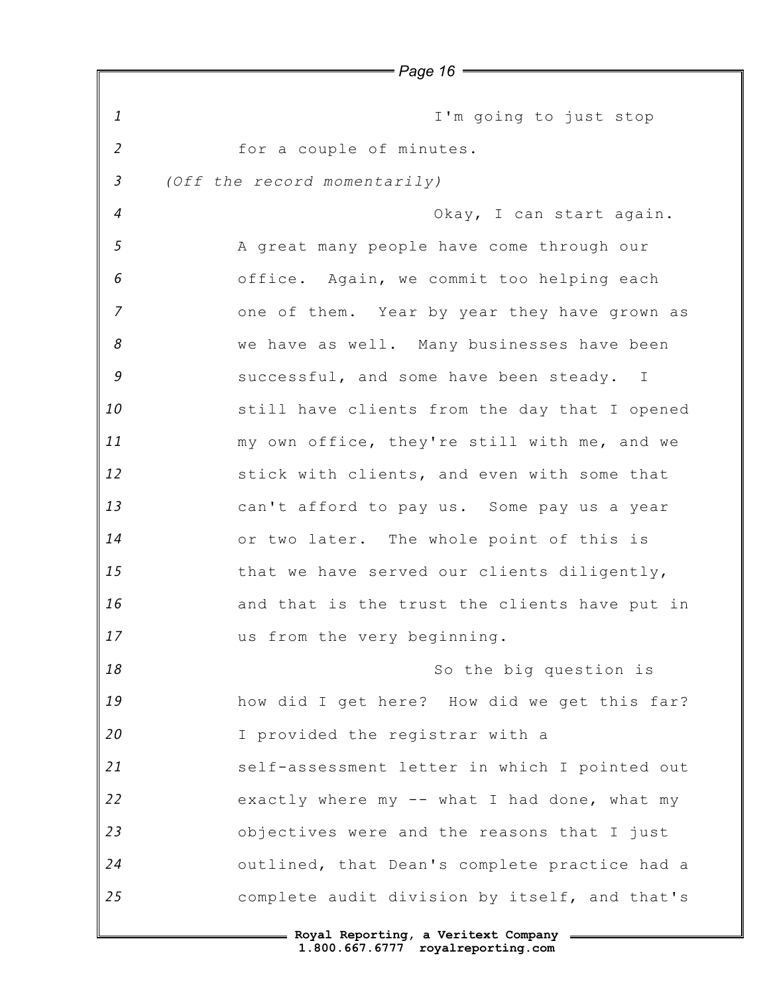*1 2 3 4 5 6 7 8 9 10 11 12 13 14 15 16 17 18 19 20 21 22 23 24 25 Page 16* I'm going to just stop for a couple of minutes. *(Off the record momentarily)* Okay, I can start again. A great many people have come through our office. Again, we commit too helping each one of them. Year by year they have grown as we have as well. Many businesses have been successful, and some have been steady. I still have clients from the day that I opened my own office, they're still with me, and we stick with clients, and even with some that can't afford to pay us. Some pay us a year or two later. The whole point of this is that we have served our clients diligently, and that is the trust the clients have put in us from the very beginning. So the big question is how did I get here? How did we get this far? I provided the registrar with a self-assessment letter in which I pointed out exactly where my -- what I had done, what my objectives were and the reasons that I just outlined, that Dean's complete practice had a complete audit division by itself, and that's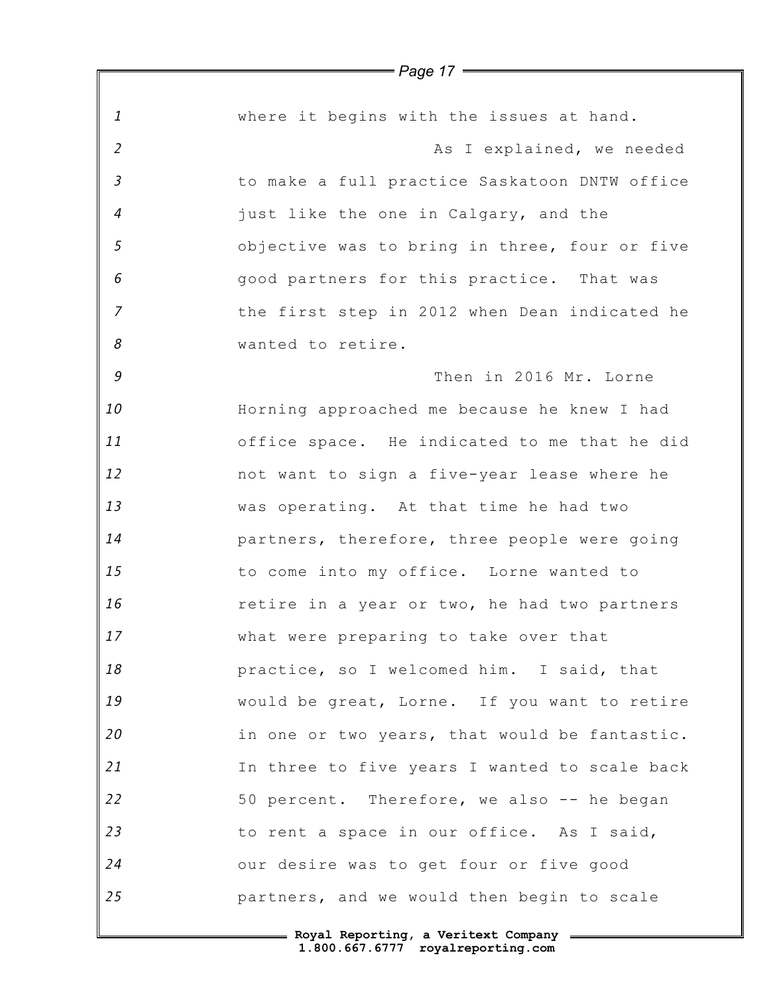*1 2 3 4 5 6 7 8 9 10 11 12 13 14 15 16 17 18 19 20 21 22 23 24 25* where it begins with the issues at hand. As I explained, we needed to make a full practice Saskatoon DNTW office just like the one in Calgary, and the objective was to bring in three, four or five good partners for this practice. That was the first step in 2012 when Dean indicated he wanted to retire. Then in 2016 Mr. Lorne Horning approached me because he knew I had office space. He indicated to me that he did not want to sign a five-year lease where he was operating. At that time he had two partners, therefore, three people were going to come into my office. Lorne wanted to retire in a year or two, he had two partners what were preparing to take over that practice, so I welcomed him. I said, that would be great, Lorne. If you want to retire in one or two years, that would be fantastic. In three to five years I wanted to scale back 50 percent. Therefore, we also -- he began to rent a space in our office. As I said, our desire was to get four or five good partners, and we would then begin to scale

> **Royal Reporting, a Veritext Company 1.800.667.6777 royalreporting.com**

*Page 17*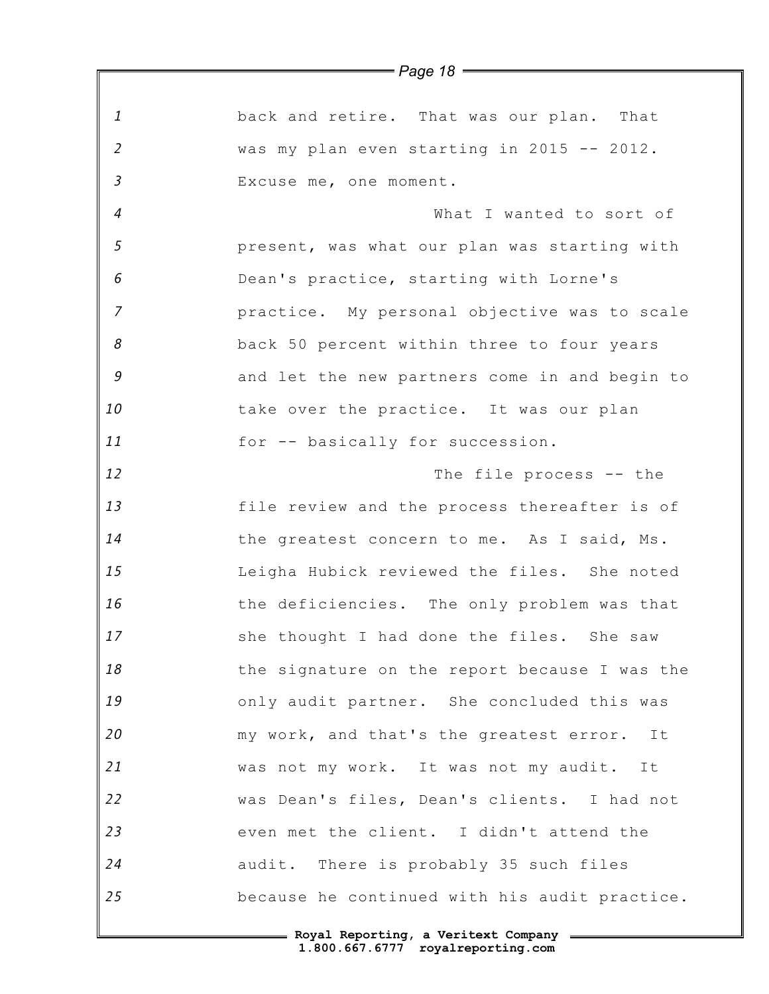|                | $=$ Page 18 $=$                               |
|----------------|-----------------------------------------------|
|                |                                               |
| $\mathbf{1}$   | back and retire. That was our plan. That      |
| $\overline{2}$ | was my plan even starting in 2015 -- 2012.    |
| $\overline{3}$ | Excuse me, one moment.                        |
| $\overline{4}$ | What I wanted to sort of                      |
| 5              | present, was what our plan was starting with  |
| 6              | Dean's practice, starting with Lorne's        |
| $\overline{7}$ | practice. My personal objective was to scale  |
| 8              | back 50 percent within three to four years    |
| 9              | and let the new partners come in and begin to |
| 10             | take over the practice. It was our plan       |
| 11             | for -- basically for succession.              |
| 12             | The file process -- the                       |
| 13             | file review and the process thereafter is of  |
| 14             | the greatest concern to me. As I said, Ms.    |
| 15             | Leigha Hubick reviewed the files. She noted   |
| 16             | the deficiencies. The only problem was that   |
| 17             | she thought I had done the files. She saw     |
| 18             | the signature on the report because I was the |
| 19             | only audit partner. She concluded this was    |
| 20             | my work, and that's the greatest error. It    |
| 21             | was not my work. It was not my audit. It      |
| 22             | was Dean's files, Dean's clients. I had not   |
| 23             | even met the client. I didn't attend the      |
| 24             | audit. There is probably 35 such files        |
| 25             | because he continued with his audit practice. |
|                | - Roval Reporting, a Veritext Company         |

*Page 18*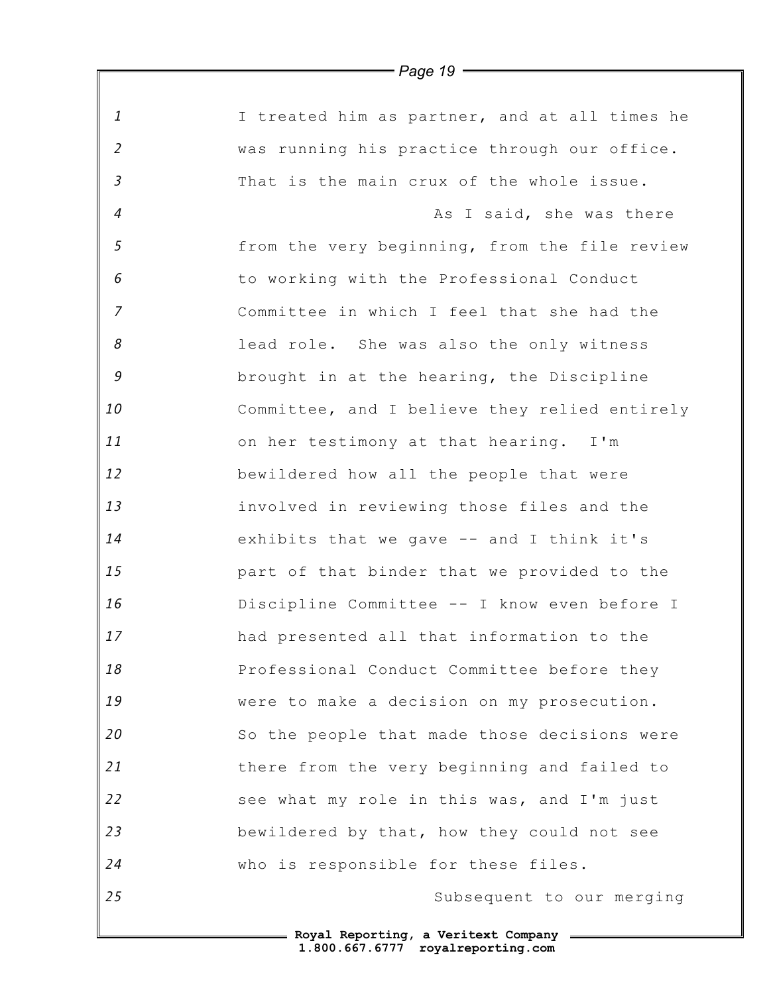|                | $=$ Page 19 $=$                               |
|----------------|-----------------------------------------------|
| $\mathbf{1}$   | I treated him as partner, and at all times he |
| $\overline{2}$ | was running his practice through our office.  |
| $\mathfrak{Z}$ | That is the main crux of the whole issue.     |
| $\overline{4}$ | As I said, she was there                      |
| 5              | from the very beginning, from the file review |
| 6              | to working with the Professional Conduct      |
| $\overline{7}$ | Committee in which I feel that she had the    |
| 8              | lead role. She was also the only witness      |
| 9              | brought in at the hearing, the Discipline     |
| 10             | Committee, and I believe they relied entirely |
| 11             | on her testimony at that hearing. I'm         |
| 12             | bewildered how all the people that were       |
| 13             | involved in reviewing those files and the     |
| 14             | exhibits that we gave -- and I think it's     |
| 15             | part of that binder that we provided to the   |
| 16             | Discipline Committee -- I know even before I  |
| 17             | had presented all that information to the     |
| 18             | Professional Conduct Committee before they    |
| 19             | were to make a decision on my prosecution.    |
| 20             | So the people that made those decisions were  |
| 21             | there from the very beginning and failed to   |
| 22             | see what my role in this was, and I'm just    |
| 23             | bewildered by that, how they could not see    |
| 24             | who is responsible for these files.           |
| 25             | Subsequent to our merging                     |
|                |                                               |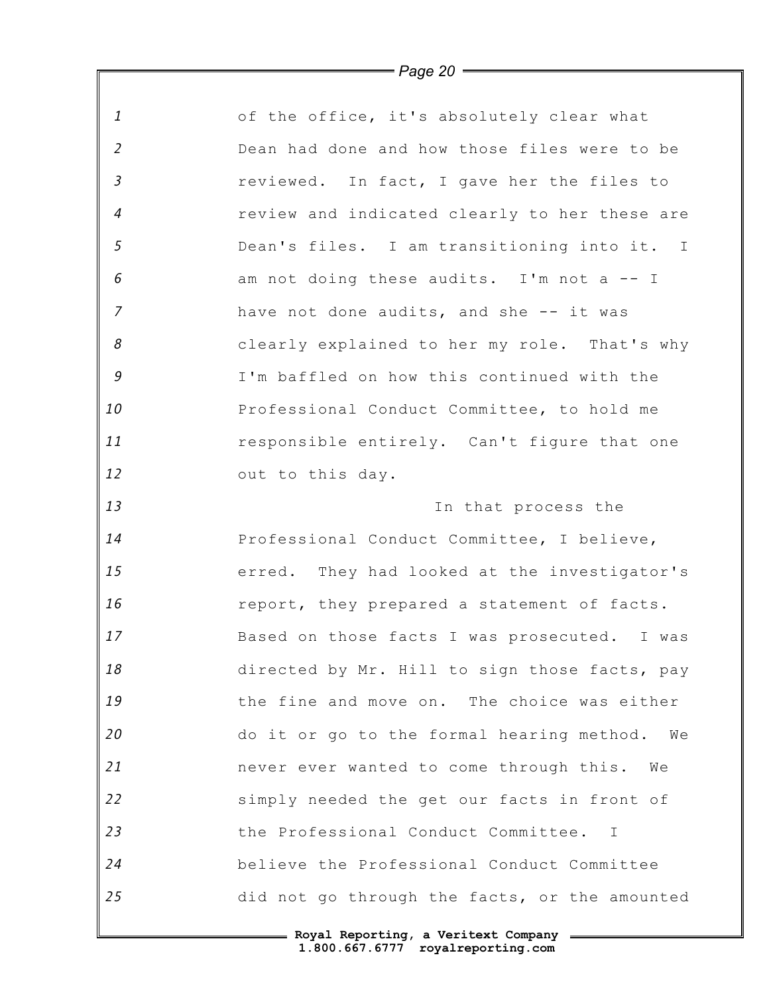| $\mathbf{1}$               | of the office, it's absolutely clear what           |
|----------------------------|-----------------------------------------------------|
| $\overline{2}$             | Dean had done and how those files were to be        |
| $\mathfrak{Z}$             | reviewed. In fact, I gave her the files to          |
| $\overline{4}$             | review and indicated clearly to her these are       |
| 5                          | Dean's files. I am transitioning into it. I         |
| 6                          | am not doing these audits. I'm not a -- I           |
| $\overline{7}$             | have not done audits, and she -- it was             |
| $\boldsymbol{\mathcal{S}}$ | clearly explained to her my role. That's why        |
| $\mathcal G$               | I'm baffled on how this continued with the          |
| 10                         | Professional Conduct Committee, to hold me          |
| 11                         | responsible entirely. Can't figure that one         |
| 12                         | out to this day.                                    |
| 13                         | In that process the                                 |
| 14                         | Professional Conduct Committee, I believe,          |
| 15                         | erred. They had looked at the investigator's        |
| 16                         | report, they prepared a statement of facts.         |
| 17                         | Based on those facts I was prosecuted. I was        |
| 18                         | directed by Mr. Hill to sign those facts, pay       |
| 19                         | the fine and move on. The choice was either         |
| 20                         | do it or go to the formal hearing method.<br>We     |
| 21                         | never ever wanted to come through this. We          |
| 22                         | simply needed the get our facts in front of         |
| 23                         | the Professional Conduct Committee.<br>$\mathbb{I}$ |
| 24                         | believe the Professional Conduct Committee          |
| 25                         | did not go through the facts, or the amounted       |
|                            | Royal Reporting a Veritext Company                  |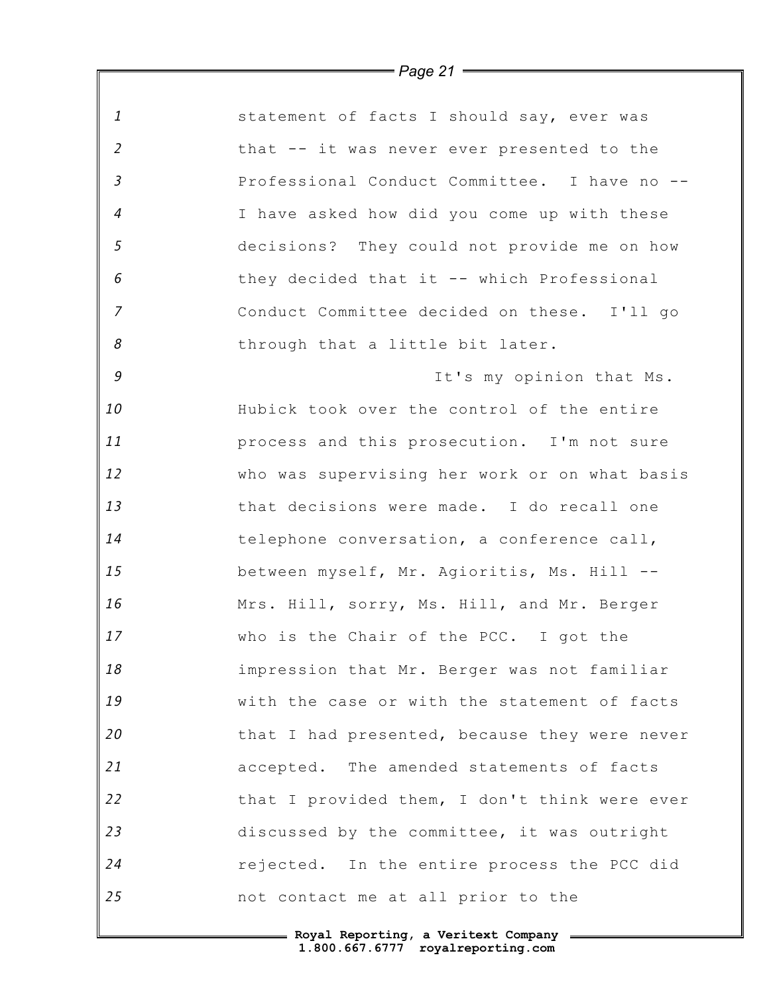|                            | = Page 21 <del>=====</del>                    |
|----------------------------|-----------------------------------------------|
| $\mathbf{1}$               | statement of facts I should say, ever was     |
| $\overline{2}$             | that -- it was never ever presented to the    |
| $\mathfrak{Z}$             | Professional Conduct Committee. I have no --  |
| $\overline{4}$             | I have asked how did you come up with these   |
| 5                          | decisions? They could not provide me on how   |
| 6                          | they decided that it -- which Professional    |
| $\overline{7}$             | Conduct Committee decided on these. I'll go   |
| $\boldsymbol{\mathcal{S}}$ | through that a little bit later.              |
| 9                          | It's my opinion that Ms.                      |
| 10                         | Hubick took over the control of the entire    |
| 11                         | process and this prosecution. I'm not sure    |
| 12                         | who was supervising her work or on what basis |
| 13                         | that decisions were made. I do recall one     |
| 14                         | telephone conversation, a conference call,    |
| 15                         | between myself, Mr. Agioritis, Ms. Hill --    |
| 16                         | Mrs. Hill, sorry, Ms. Hill, and Mr. Berger    |
| 17                         | who is the Chair of the PCC. I got the        |
| 18                         | impression that Mr. Berger was not familiar   |
| 19                         | with the case or with the statement of facts  |
| 20                         | that I had presented, because they were never |
| 21                         | accepted. The amended statements of facts     |
| 22                         | that I provided them, I don't think were ever |
| 23                         | discussed by the committee, it was outright   |
| 24                         | rejected. In the entire process the PCC did   |
| 25                         | not contact me at all prior to the            |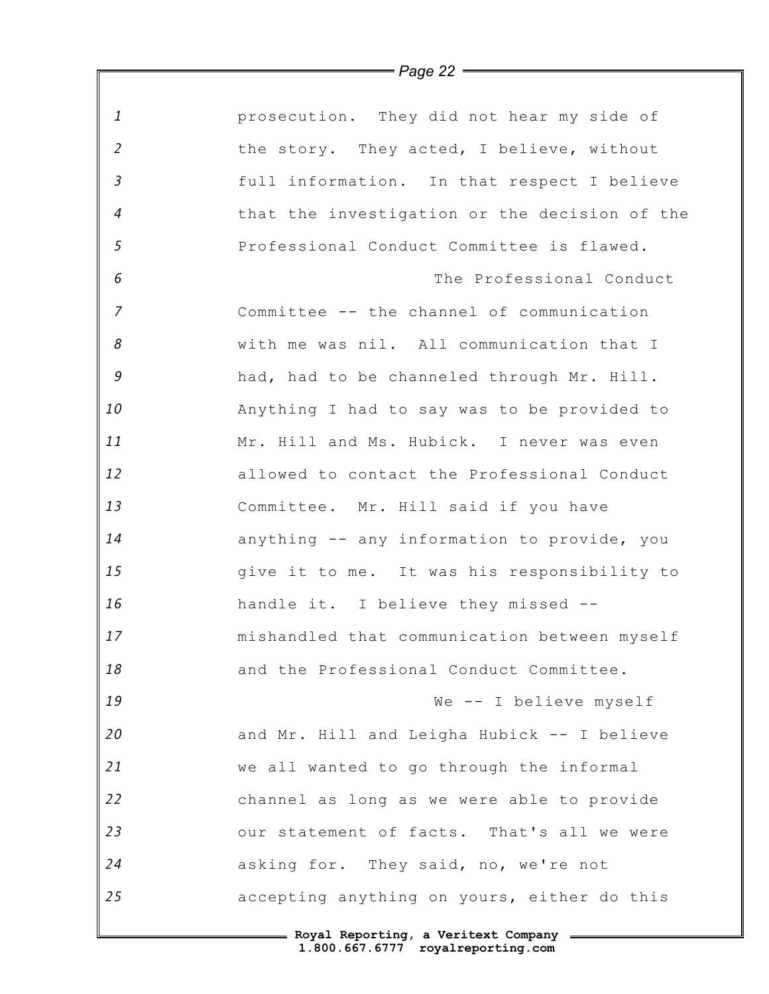| $\mathbf{1}$   | prosecution. They did not hear my side of     |
|----------------|-----------------------------------------------|
| $\overline{2}$ | the story. They acted, I believe, without     |
| $\mathfrak{Z}$ | full information. In that respect I believe   |
| 4              | that the investigation or the decision of the |
| $\sqrt{5}$     | Professional Conduct Committee is flawed.     |
| 6              | The Professional Conduct                      |
| $\overline{z}$ | Committee -- the channel of communication     |
| 8              | with me was nil. All communication that I     |
| 9              | had, had to be channeled through Mr. Hill.    |
| 10             | Anything I had to say was to be provided to   |
| 11             | Mr. Hill and Ms. Hubick. I never was even     |
| 12             | allowed to contact the Professional Conduct   |
| 13             | Committee. Mr. Hill said if you have          |
| 14             | anything -- any information to provide, you   |
| 15             | give it to me. It was his responsibility to   |
| 16             | handle it. I believe they missed --           |
| 17             | mishandled that communication between myself  |
| 18             | and the Professional Conduct Committee.       |
| 19             | We -- I believe myself                        |
| 20             | and Mr. Hill and Leigha Hubick -- I believe   |
| 21             | we all wanted to go through the informal      |
| 22             | channel as long as we were able to provide    |
| 23             | our statement of facts. That's all we were    |
| 24             | asking for. They said, no, we're not          |
| 25             | accepting anything on yours, either do this   |
|                |                                               |

*Page 22*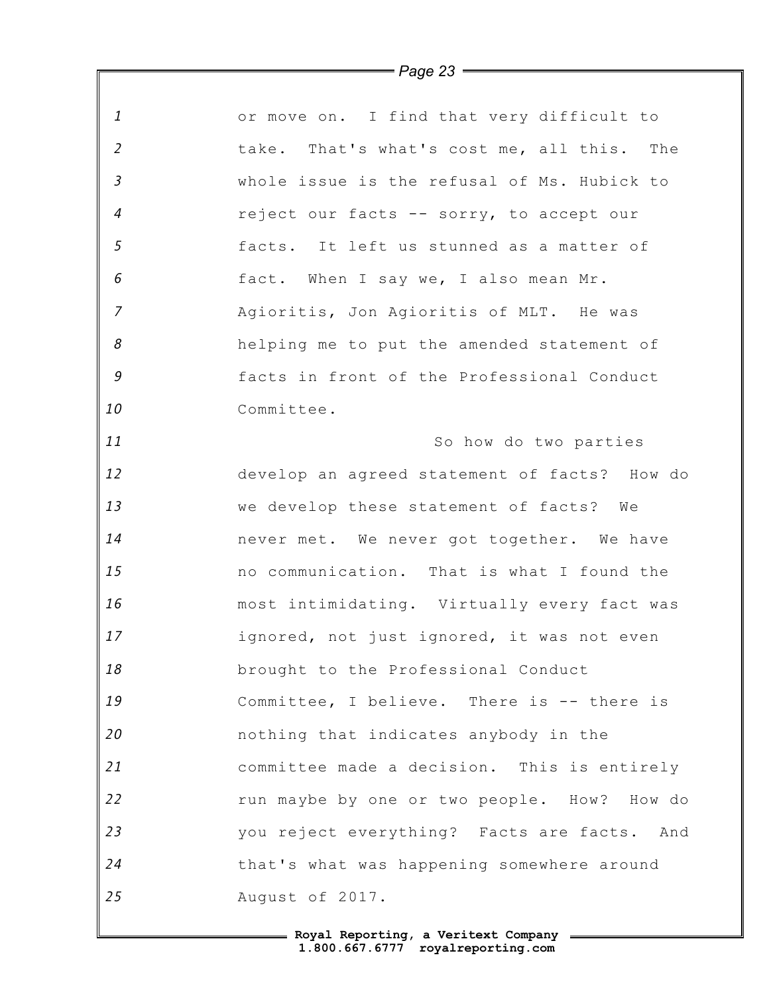*1 2 3 4 5 6 7 8 9 10 11 12 13 14 15 16 17 18 19 20 21 22 23 24 25* or move on. I find that very difficult to take. That's what's cost me, all this. The whole issue is the refusal of Ms. Hubick to reject our facts -- sorry, to accept our facts. It left us stunned as a matter of fact. When I say we, I also mean Mr. Agioritis, Jon Agioritis of MLT. He was helping me to put the amended statement of facts in front of the Professional Conduct Committee. So how do two parties develop an agreed statement of facts? How do we develop these statement of facts? We never met. We never got together. We have no communication. That is what I found the most intimidating. Virtually every fact was ignored, not just ignored, it was not even brought to the Professional Conduct Committee, I believe. There is -- there is nothing that indicates anybody in the committee made a decision. This is entirely run maybe by one or two people. How? How do you reject everything? Facts are facts. And that's what was happening somewhere around August of 2017.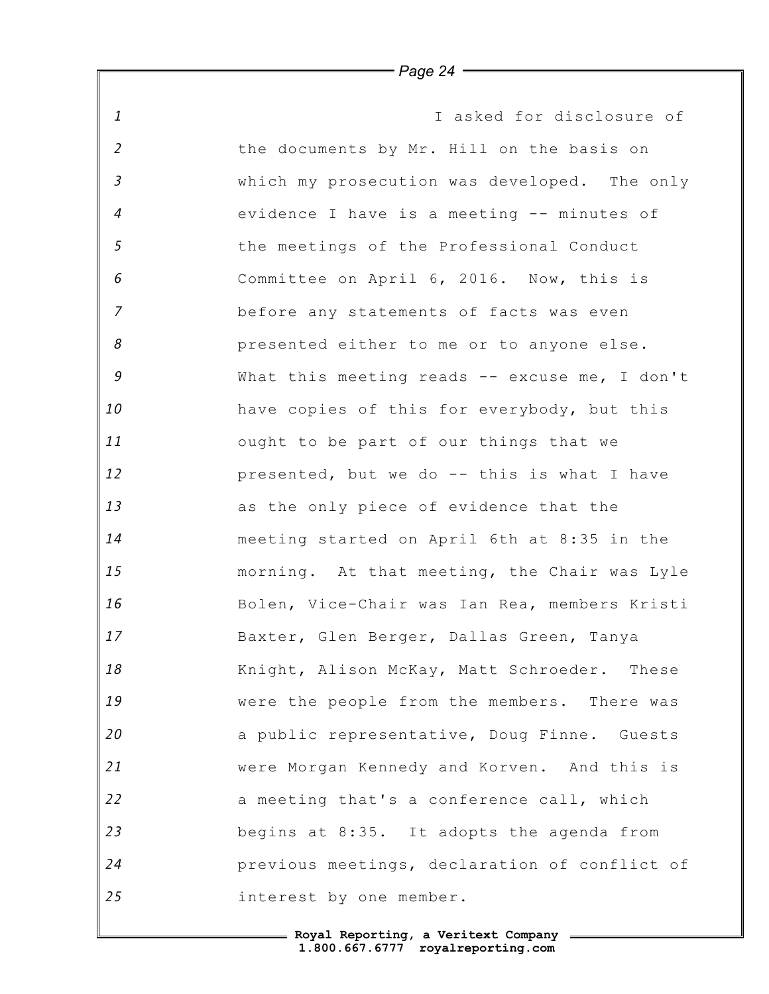*1 2 3 4 5 6 7 8 9 10 11 12 13 14 15 16 17 18 19 20 21 22 23 24 25* I asked for disclosure of the documents by Mr. Hill on the basis on which my prosecution was developed. The only evidence I have is a meeting -- minutes of the meetings of the Professional Conduct Committee on April 6, 2016. Now, this is before any statements of facts was even presented either to me or to anyone else. What this meeting reads -- excuse me, I don't have copies of this for everybody, but this ought to be part of our things that we presented, but we do -- this is what I have as the only piece of evidence that the meeting started on April 6th at 8:35 in the morning. At that meeting, the Chair was Lyle Bolen, Vice-Chair was Ian Rea, members Kristi Baxter, Glen Berger, Dallas Green, Tanya Knight, Alison McKay, Matt Schroeder. These were the people from the members. There was a public representative, Doug Finne. Guests were Morgan Kennedy and Korven. And this is a meeting that's a conference call, which begins at 8:35. It adopts the agenda from previous meetings, declaration of conflict of interest by one member.

*Page 24*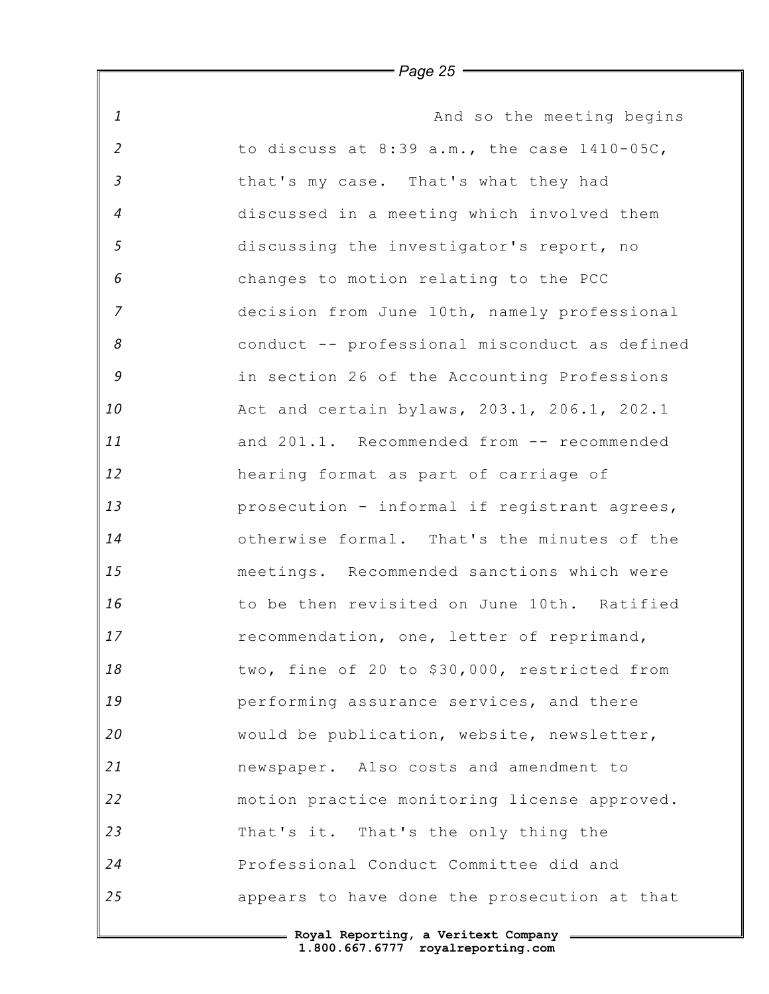*1 2 3 4 5 6 7 8 9 10 11 12 13 14 15 16 17 18 19 20 21 22 23 24 25* And so the meeting begins to discuss at 8:39 a.m., the case 1410-05C, that's my case. That's what they had discussed in a meeting which involved them discussing the investigator's report, no changes to motion relating to the PCC decision from June 10th, namely professional conduct -- professional misconduct as defined in section 26 of the Accounting Professions Act and certain bylaws, 203.1, 206.1, 202.1 and 201.1. Recommended from -- recommended hearing format as part of carriage of prosecution - informal if registrant agrees, otherwise formal. That's the minutes of the meetings. Recommended sanctions which were to be then revisited on June 10th. Ratified recommendation, one, letter of reprimand, two, fine of 20 to \$30,000, restricted from performing assurance services, and there would be publication, website, newsletter, newspaper. Also costs and amendment to motion practice monitoring license approved. That's it. That's the only thing the Professional Conduct Committee did and appears to have done the prosecution at that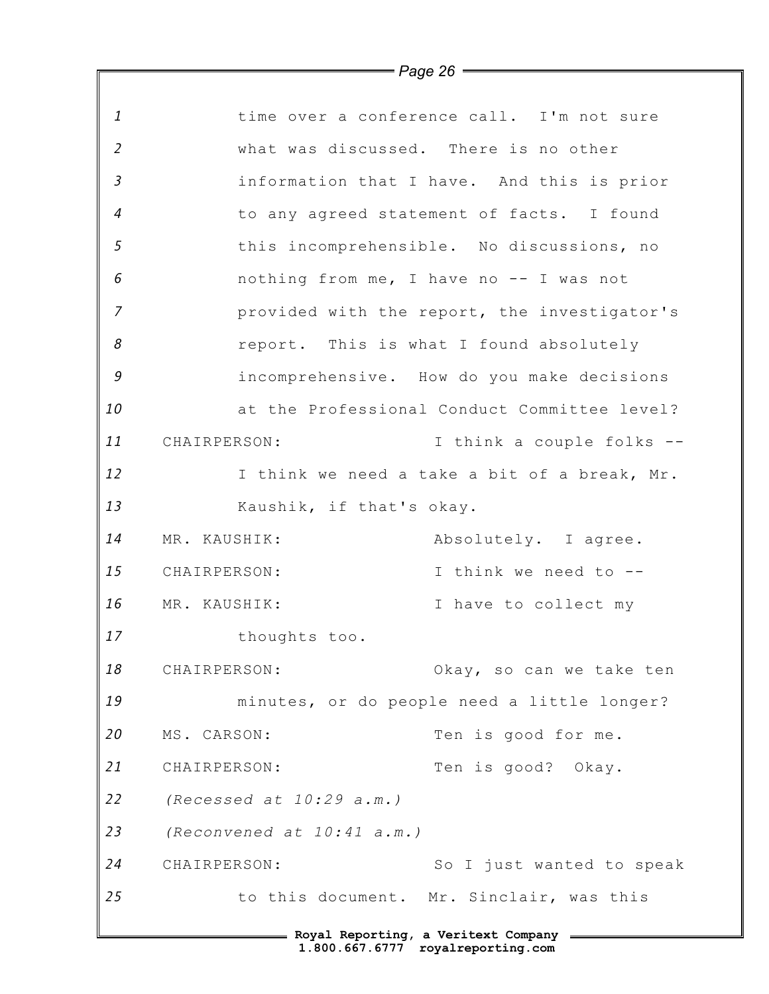|                | $1$ ugu $20$                            |                                              |
|----------------|-----------------------------------------|----------------------------------------------|
| 1              |                                         | time over a conference call. I'm not sure    |
| $\overline{2}$ | what was discussed. There is no other   |                                              |
| $\mathfrak{Z}$ |                                         | information that I have. And this is prior   |
| $\overline{4}$ |                                         | to any agreed statement of facts. I found    |
| $\mathfrak{s}$ |                                         | this incomprehensible. No discussions, no    |
| 6              |                                         | nothing from me, I have no -- I was not      |
| $\overline{7}$ |                                         | provided with the report, the investigator's |
| 8              |                                         | report. This is what I found absolutely      |
| $\mathcal G$   |                                         | incomprehensive. How do you make decisions   |
| 10             |                                         | at the Professional Conduct Committee level? |
| 11             | CHAIRPERSON:                            | I think a couple folks --                    |
| 12             |                                         | I think we need a take a bit of a break, Mr. |
| 13             | Kaushik, if that's okay.                |                                              |
| 14             | MR. KAUSHIK:                            | Absolutely. I agree.                         |
| 15             | CHAIRPERSON:                            | I think we need to --                        |
| 16             | MR. KAUSHIK:                            | I have to collect my                         |
| 17             | thoughts too.                           |                                              |
| 18             | CHAIRPERSON:                            | Okay, so can we take ten                     |
| 19             |                                         | minutes, or do people need a little longer?  |
| 20             | MS. CARSON:                             | Ten is good for me.                          |
| 21             | CHAIRPERSON:                            | Ten is good? Okay.                           |
| 22             | (Recessed at $10:29$ a.m.)              |                                              |
| 23             | (Reconvened at 10:41 a.m.)              |                                              |
| 24             | CHAIRPERSON:                            | So I just wanted to speak                    |
| 25             |                                         | to this document. Mr. Sinclair, was this     |
|                | = Royal Reporting, a Veritext Company = |                                              |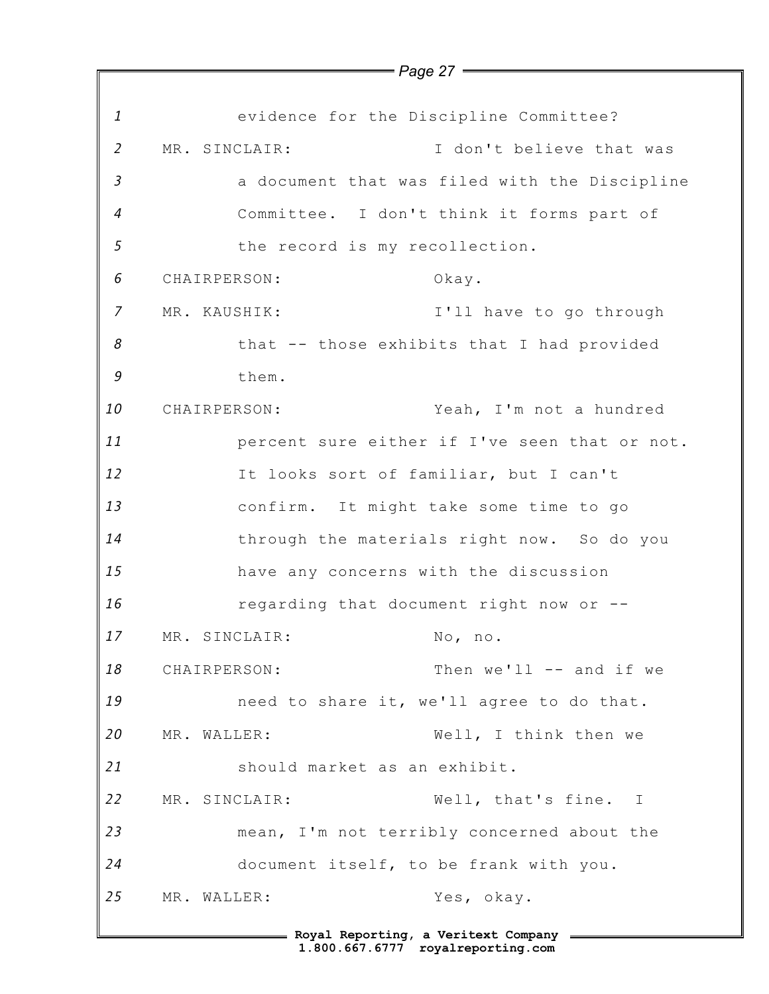|                |               | , agu zi                                    |                                               |
|----------------|---------------|---------------------------------------------|-----------------------------------------------|
| $\mathbf{1}$   |               |                                             | evidence for the Discipline Committee?        |
| $\overline{2}$ | MR. SINCLAIR: |                                             | I don't believe that was                      |
| $\mathfrak{Z}$ |               |                                             | a document that was filed with the Discipline |
| $\overline{4}$ |               |                                             | Committee. I don't think it forms part of     |
| 5              |               | the record is my recollection.              |                                               |
| 6              | CHAIRPERSON:  |                                             | Okay.                                         |
| 7              | MR. KAUSHIK:  |                                             | I'll have to go through                       |
| 8              |               |                                             | that -- those exhibits that I had provided    |
| 9              |               | them.                                       |                                               |
| 10             | CHAIRPERSON:  |                                             | Yeah, I'm not a hundred                       |
| 11             |               |                                             | percent sure either if I've seen that or not. |
| 12             |               |                                             | It looks sort of familiar, but I can't        |
| 13             |               |                                             | confirm. It might take some time to go        |
| 14             |               |                                             | through the materials right now. So do you    |
| 15             |               | have any concerns with the discussion       |                                               |
| 16             |               |                                             | regarding that document right now or --       |
| 17             |               | MR. SINCLAIR:                               | No, no.                                       |
| 18             | CHAIRPERSON:  |                                             | Then we'll -- and if we                       |
| 19             |               |                                             | need to share it, we'll agree to do that.     |
| 20             | MR. WALLER:   |                                             | Well, I think then we                         |
| 21             |               | should market as an exhibit.                |                                               |
| 22             | MR. SINCLAIR: |                                             | Well, that's fine. I                          |
| 23             |               |                                             | mean, I'm not terribly concerned about the    |
| 24             |               | document itself, to be frank with you.      |                                               |
| 25             | MR. WALLER:   |                                             | Yes, okay.                                    |
|                |               | ==== Royal Reporting, a Veritext Company == |                                               |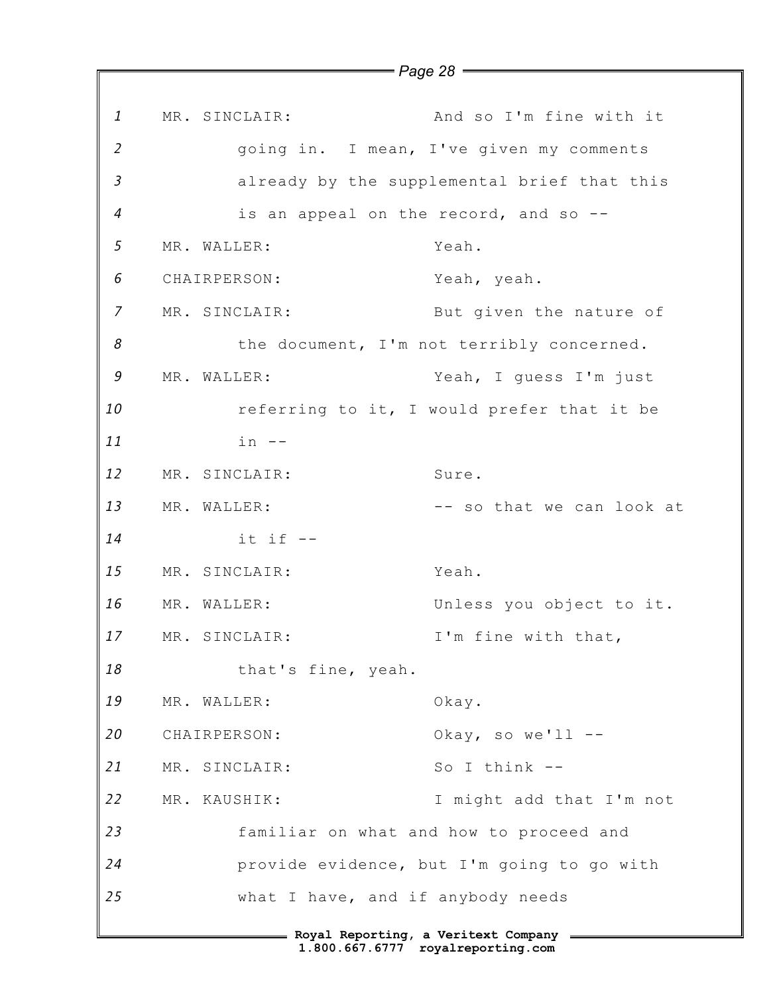*1 2 3 4 5 6 7 8 9 10 11 12 13 14 15 16 17 18 19 20 21 22 23 24 25* **Royal Reporting, a Veritext Company** MR. SINCLAIR: And so I'm fine with it going in. I mean, I've given my comments already by the supplemental brief that this is an appeal on the record, and so -- MR. WALLER: Yeah. CHAIRPERSON: Yeah, yeah. MR. SINCLAIR: But given the nature of the document, I'm not terribly concerned. MR. WALLER: Yeah, I guess I'm just referring to it, I would prefer that it be  $in$   $--$ MR. SINCLAIR: Sure. MR. WALLER:  $--$  so that we can look at it if -- MR. SINCLAIR: Yeah. MR. WALLER: Unless you object to it. MR. SINCLAIR: I'm fine with that, that's fine, yeah. MR. WALLER: Okay. CHAIRPERSON: Okay, so we'll -- MR. SINCLAIR: So I think --MR. KAUSHIK: I might add that I'm not familiar on what and how to proceed and provide evidence, but I'm going to go with what I have, and if anybody needs

*Page 28*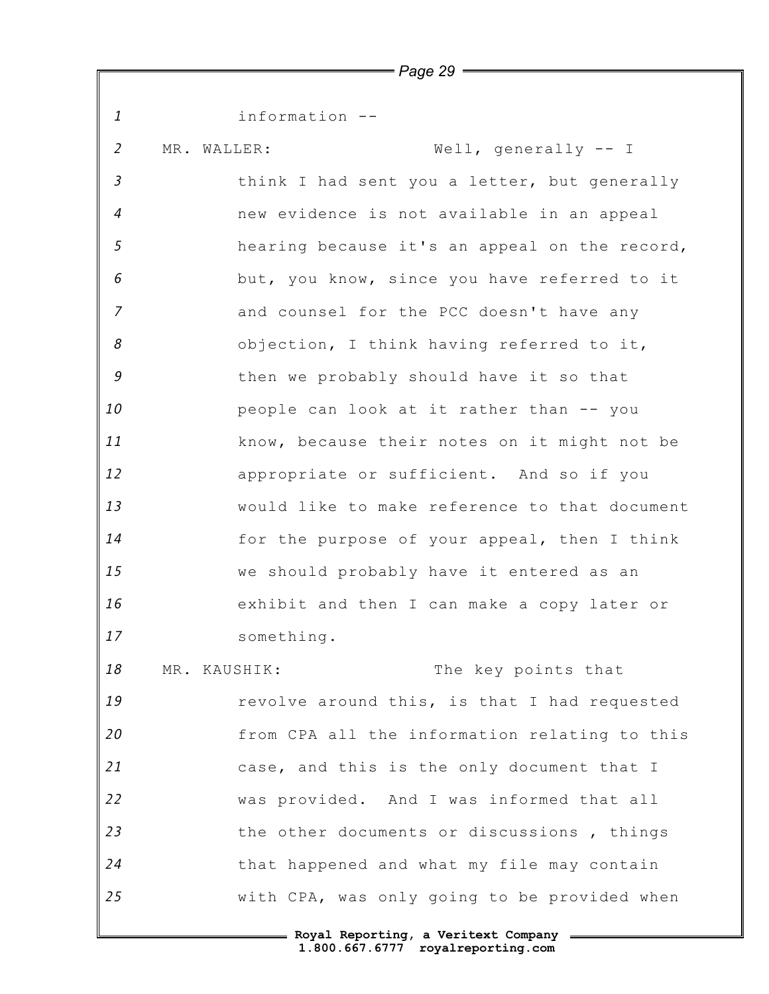*1 2 3 4 5 6 7 8 9 10 11 12 13 14 15 16 17 18 19 20 21 22 23 24 25 Page 29* information -- MR. WALLER: Well, generally -- I think I had sent you a letter, but generally new evidence is not available in an appeal hearing because it's an appeal on the record, but, you know, since you have referred to it and counsel for the PCC doesn't have any objection, I think having referred to it, then we probably should have it so that people can look at it rather than -- you know, because their notes on it might not be appropriate or sufficient. And so if you would like to make reference to that document for the purpose of your appeal, then I think we should probably have it entered as an exhibit and then I can make a copy later or something. MR. KAUSHIK: The key points that revolve around this, is that I had requested from CPA all the information relating to this case, and this is the only document that I was provided. And I was informed that all the other documents or discussions , things that happened and what my file may contain with CPA, was only going to be provided when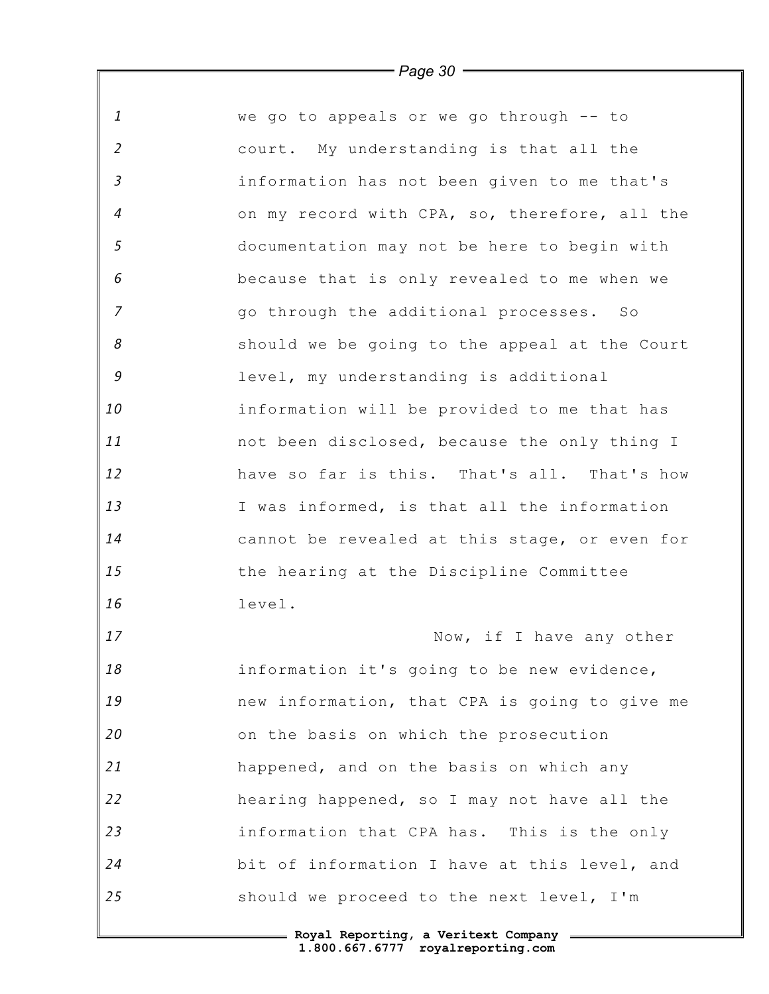| 1              | we go to appeals or we go through -- to       |
|----------------|-----------------------------------------------|
| $\overline{2}$ | court. My understanding is that all the       |
| $\mathfrak{Z}$ | information has not been given to me that's   |
| 4              | on my record with CPA, so, therefore, all the |
| 5              | documentation may not be here to begin with   |
| 6              | because that is only revealed to me when we   |
| $\overline{7}$ | go through the additional processes. So       |
| 8              | should we be going to the appeal at the Court |
| 9              | level, my understanding is additional         |
| 10             | information will be provided to me that has   |
| 11             | not been disclosed, because the only thing I  |
| 12             | have so far is this. That's all. That's how   |
| 13             | I was informed, is that all the information   |
| 14             | cannot be revealed at this stage, or even for |
| 15             | the hearing at the Discipline Committee       |
| 16             | level.                                        |
| 17             | Now, if I have any other                      |
| 18             | information it's going to be new evidence,    |
| 19             | new information, that CPA is going to give me |
| 20             | on the basis on which the prosecution         |
| 21             | happened, and on the basis on which any       |
| 22             | hearing happened, so I may not have all the   |
| 23             | information that CPA has. This is the only    |
| 24             | bit of information I have at this level, and  |
| 25             | should we proceed to the next level, I'm      |
|                |                                               |

*Page 30*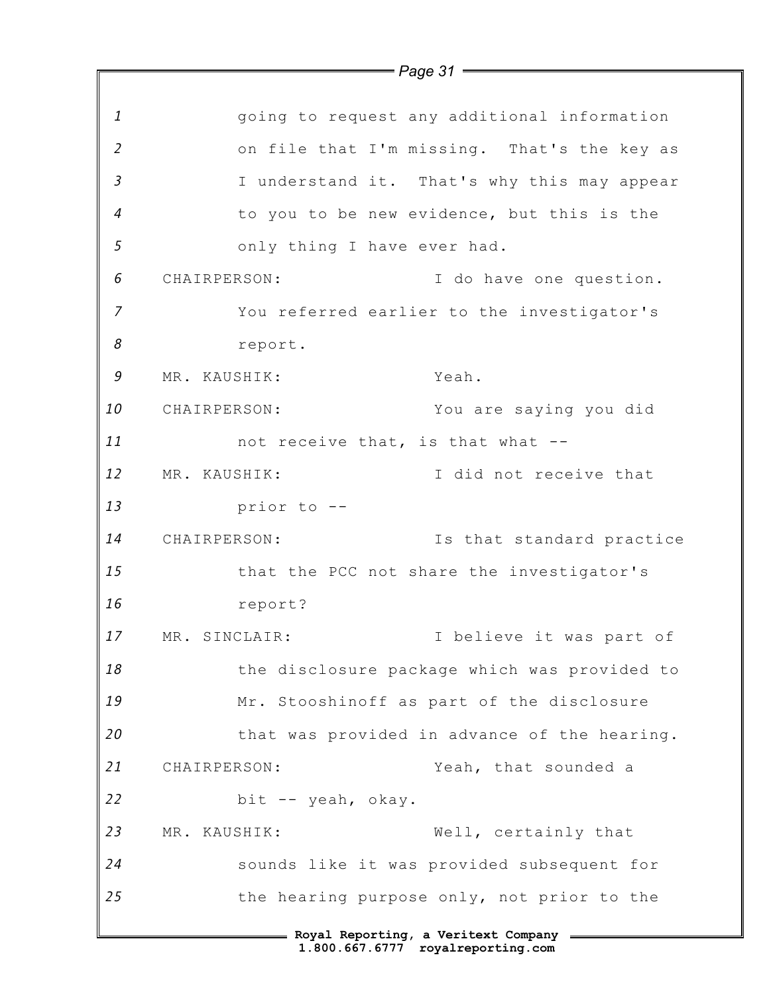|                | $=$ Page 31 $=$                              |
|----------------|----------------------------------------------|
|                |                                              |
| 1              | going to request any additional information  |
| $\overline{2}$ | on file that I'm missing. That's the key as  |
| $\overline{3}$ | I understand it. That's why this may appear  |
| $\overline{4}$ | to you to be new evidence, but this is the   |
| 5              | only thing I have ever had.                  |
| 6              | CHAIRPERSON:<br>I do have one question.      |
| 7              | You referred earlier to the investigator's   |
| 8              | report.                                      |
| 9              | MR. KAUSHIK:<br>Yeah.                        |
| 10             | CHAIRPERSON:<br>You are saying you did       |
| 11             | not receive that, is that what --            |
| 12             | I did not receive that<br>MR. KAUSHIK:       |
| 13             | prior to --                                  |
| 14             | CHAIRPERSON:<br>Is that standard practice    |
| 15             | that the PCC not share the investigator's    |
| 16             | report?                                      |
| 17             | I believe it was part of<br>MR. SINCLAIR:    |
| 18             | the disclosure package which was provided to |
| 19             | Mr. Stooshinoff as part of the disclosure    |
| 20             | that was provided in advance of the hearing. |
| 21             | Yeah, that sounded a<br>CHAIRPERSON:         |
| 22             | bit -- yeah, okay.                           |
| 23             | Well, certainly that<br>MR. KAUSHIK:         |
| 24             | sounds like it was provided subsequent for   |
| 25             | the hearing purpose only, not prior to the   |
|                | === Royal Reporting, a Veritext Company =    |
|                | 1.800.667.6777 royalreporting.com            |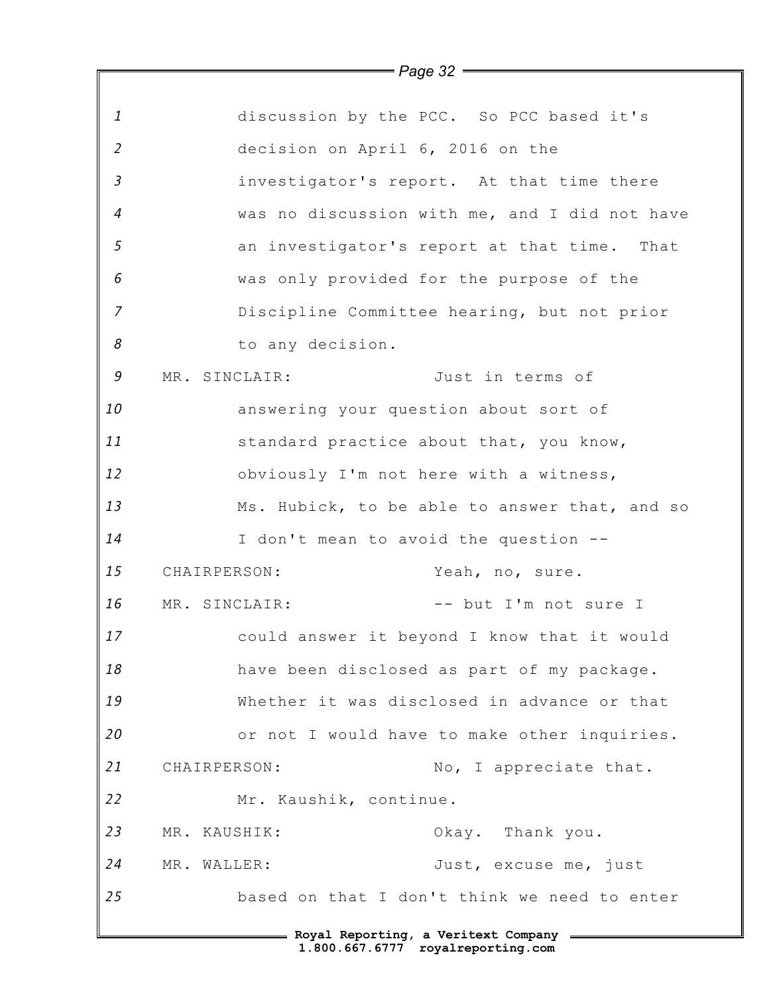|                |               |                                       | $\rule{1em}{0.15mm}$ Page 32 $\rule{1em}{0.15mm}$ |
|----------------|---------------|---------------------------------------|---------------------------------------------------|
|                |               |                                       |                                                   |
| $\mathbf{1}$   |               |                                       | discussion by the PCC. So PCC based it's          |
| $\overline{2}$ |               | decision on April 6, 2016 on the      |                                                   |
| $\mathfrak{Z}$ |               |                                       | investigator's report. At that time there         |
| $\overline{4}$ |               |                                       | was no discussion with me, and I did not have     |
| 5              |               |                                       | an investigator's report at that time. That       |
| 6              |               |                                       | was only provided for the purpose of the          |
| $\overline{7}$ |               |                                       | Discipline Committee hearing, but not prior       |
| 8              |               | to any decision.                      |                                                   |
| 9              | MR. SINCLAIR: |                                       | Just in terms of                                  |
| 10             |               | answering your question about sort of |                                                   |
| 11             |               |                                       | standard practice about that, you know,           |
| 12             |               |                                       | obviously I'm not here with a witness,            |
| 13             |               |                                       | Ms. Hubick, to be able to answer that, and so     |
| 14             |               | I don't mean to avoid the question -- |                                                   |
| 15             | CHAIRPERSON:  |                                       | Yeah, no, sure.                                   |
| 16             | MR. SINCLAIR: |                                       | -- but I'm not sure I                             |
| 17             |               |                                       | could answer it beyond I know that it would       |
| 18             |               |                                       | have been disclosed as part of my package.        |
| 19             |               |                                       | Whether it was disclosed in advance or that       |
| 20             |               |                                       | or not I would have to make other inquiries.      |
| 21             | CHAIRPERSON:  |                                       | No, I appreciate that.                            |
| 22             |               | Mr. Kaushik, continue.                |                                                   |
| 23             | MR. KAUSHIK:  |                                       | Okay. Thank you.                                  |
| 24             | MR. WALLER:   |                                       | Just, excuse me, just                             |
| 25             |               |                                       | based on that I don't think we need to enter      |
|                |               |                                       | - Royal Reporting, a Veritext Company             |
|                |               |                                       | 1.800.667.6777 royalreporting.com                 |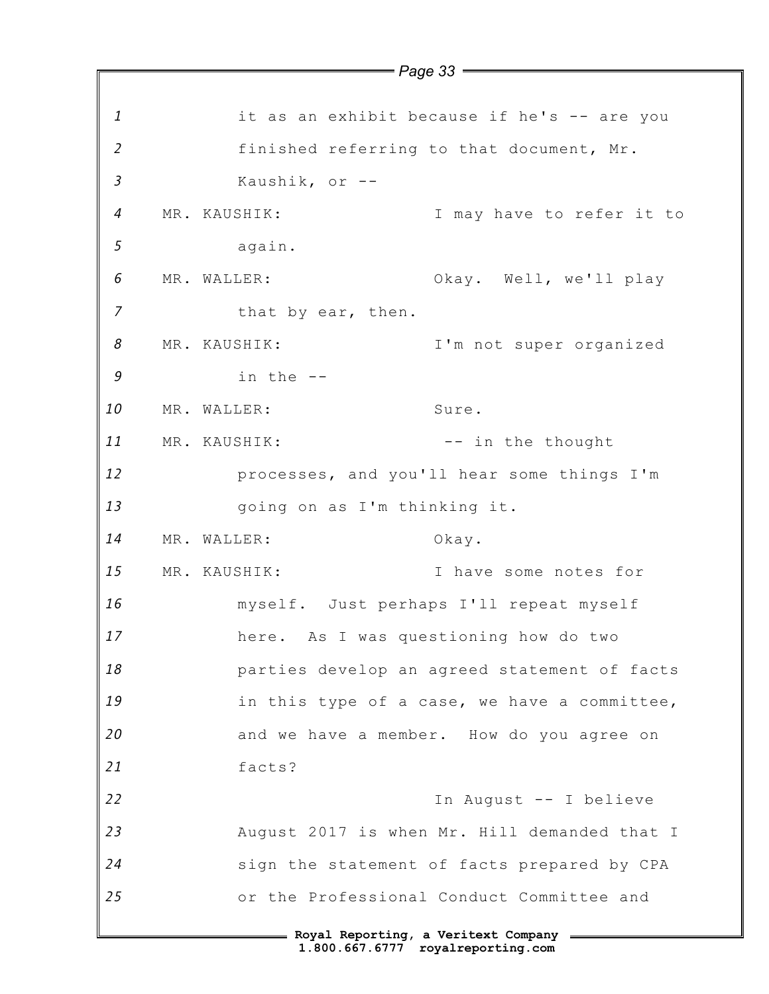*1 2 3 4 5 6 7 8 9 10 11 12 13 14 15 16 17 18 19 20 21 22 23 24 25* **Royal Reporting, a Veritext Company** *Page 33* it as an exhibit because if he's -- are you finished referring to that document, Mr. Kaushik, or -- MR. KAUSHIK: I may have to refer it to again. MR. WALLER: Ckay. Well, we'll play that by ear, then. MR. KAUSHIK: I'm not super organized in the -- MR. WALLER: Sure. MR. KAUSHIK: -- in the thought processes, and you'll hear some things I'm going on as I'm thinking it. MR. WALLER: Okay. MR. KAUSHIK: I have some notes for myself. Just perhaps I'll repeat myself here. As I was questioning how do two parties develop an agreed statement of facts in this type of a case, we have a committee, and we have a member. How do you agree on facts? In August -- I believe August 2017 is when Mr. Hill demanded that I sign the statement of facts prepared by CPA or the Professional Conduct Committee and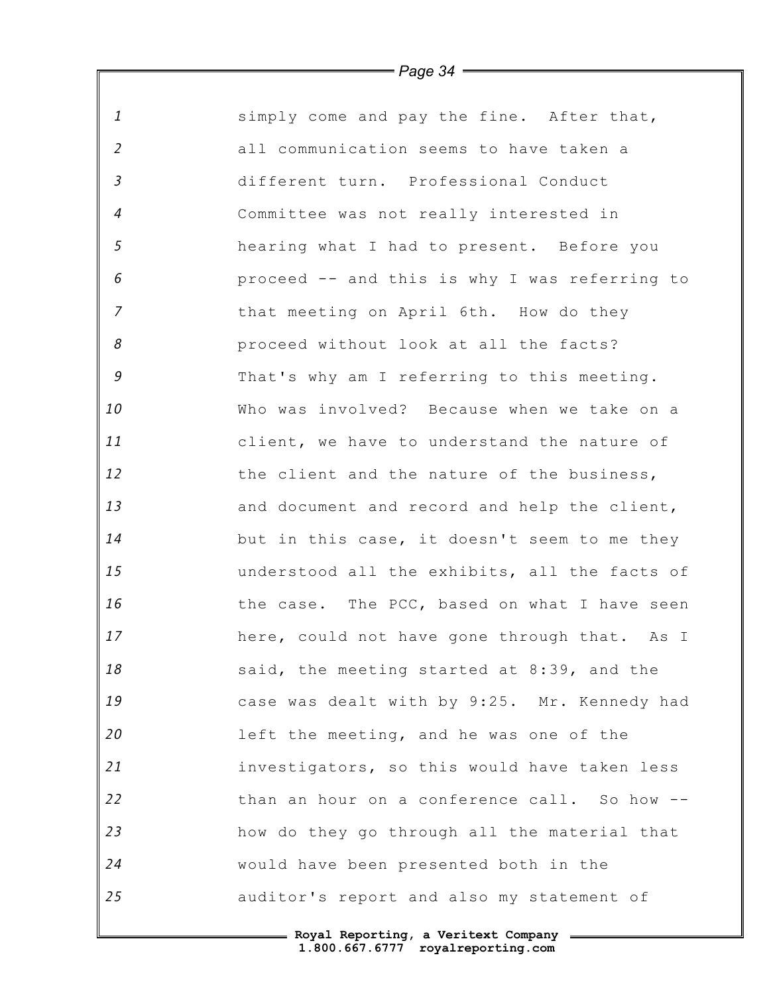| $\mathbf{1}$               | simply come and pay the fine. After that,     |
|----------------------------|-----------------------------------------------|
| $\overline{2}$             | all communication seems to have taken a       |
| $\mathfrak{Z}$             | different turn. Professional Conduct          |
| $\boldsymbol{4}$           | Committee was not really interested in        |
| 5                          | hearing what I had to present. Before you     |
| 6                          | proceed -- and this is why I was referring to |
| $\overline{7}$             | that meeting on April 6th. How do they        |
| $\boldsymbol{\mathcal{S}}$ | proceed without look at all the facts?        |
| 9                          | That's why am I referring to this meeting.    |
| 10                         | Who was involved? Because when we take on a   |
| 11                         | client, we have to understand the nature of   |
| 12                         | the client and the nature of the business,    |
| 13                         | and document and record and help the client,  |
| 14                         | but in this case, it doesn't seem to me they  |
| 15                         | understood all the exhibits, all the facts of |
| 16                         | the case. The PCC, based on what I have seen  |
| 17                         | here, could not have gone through that. As I  |
| 18                         | said, the meeting started at 8:39, and the    |
| 19                         | case was dealt with by 9:25. Mr. Kennedy had  |
| 20                         | left the meeting, and he was one of the       |
| 21                         | investigators, so this would have taken less  |
| 22                         | than an hour on a conference call. So how --  |
| 23                         | how do they go through all the material that  |
| 24                         | would have been presented both in the         |
| 25                         | auditor's report and also my statement of     |
|                            | E Roval Reporting, a Veritext Company         |

 $\mathsf F$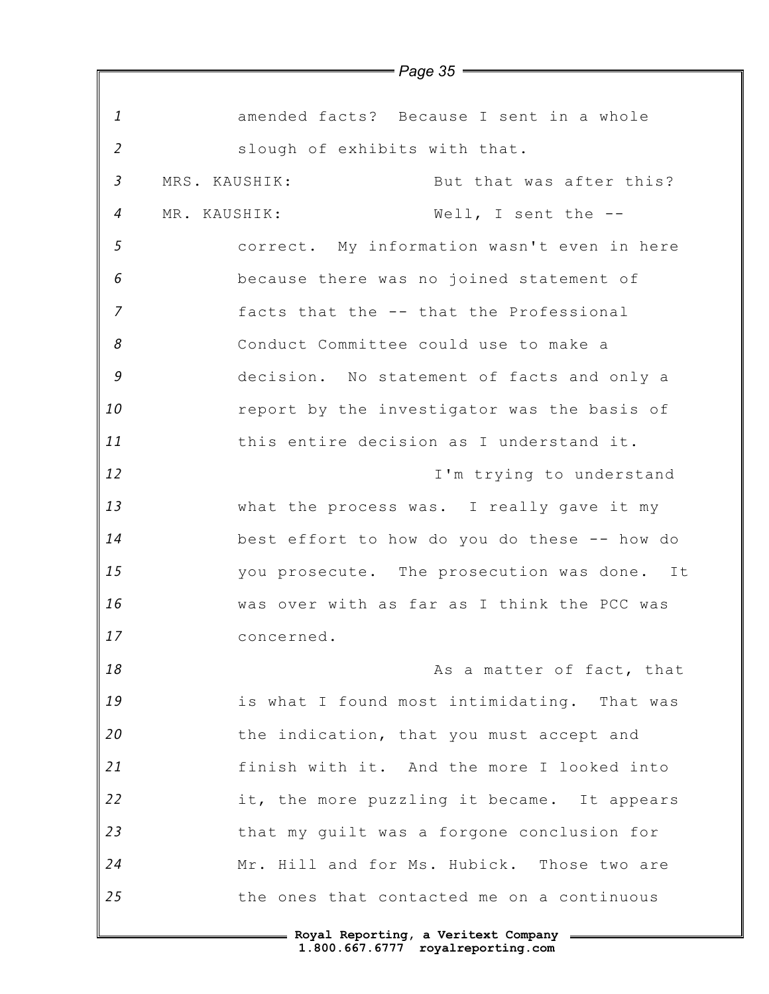| 1              | amended facts? Because I sent in a whole     |
|----------------|----------------------------------------------|
| $\overline{2}$ | slough of exhibits with that.                |
| $\mathfrak{Z}$ | But that was after this?<br>MRS. KAUSHIK:    |
| $\overline{4}$ | MR. KAUSHIK:<br>Well, I sent the --          |
| 5              | correct. My information wasn't even in here  |
| 6              | because there was no joined statement of     |
| $\overline{7}$ | facts that the -- that the Professional      |
| 8              | Conduct Committee could use to make a        |
| 9              | decision. No statement of facts and only a   |
| 10             | report by the investigator was the basis of  |
| 11             | this entire decision as I understand it.     |
| 12             | I'm trying to understand                     |
| 13             | what the process was. I really gave it my    |
| 14             | best effort to how do you do these -- how do |
| 15             | you prosecute. The prosecution was done. It  |
| 16             | was over with as far as I think the PCC was  |
| 17             | concerned                                    |
| 18             | As a matter of fact, that                    |
| 19             | is what I found most intimidating. That was  |
| 20             | the indication, that you must accept and     |
| 21             | finish with it. And the more I looked into   |
| 22             | it, the more puzzling it became. It appears  |
| 23             | that my guilt was a forgone conclusion for   |
| 24             | Mr. Hill and for Ms. Hubick. Those two are   |
| 25             | the ones that contacted me on a continuous   |
|                |                                              |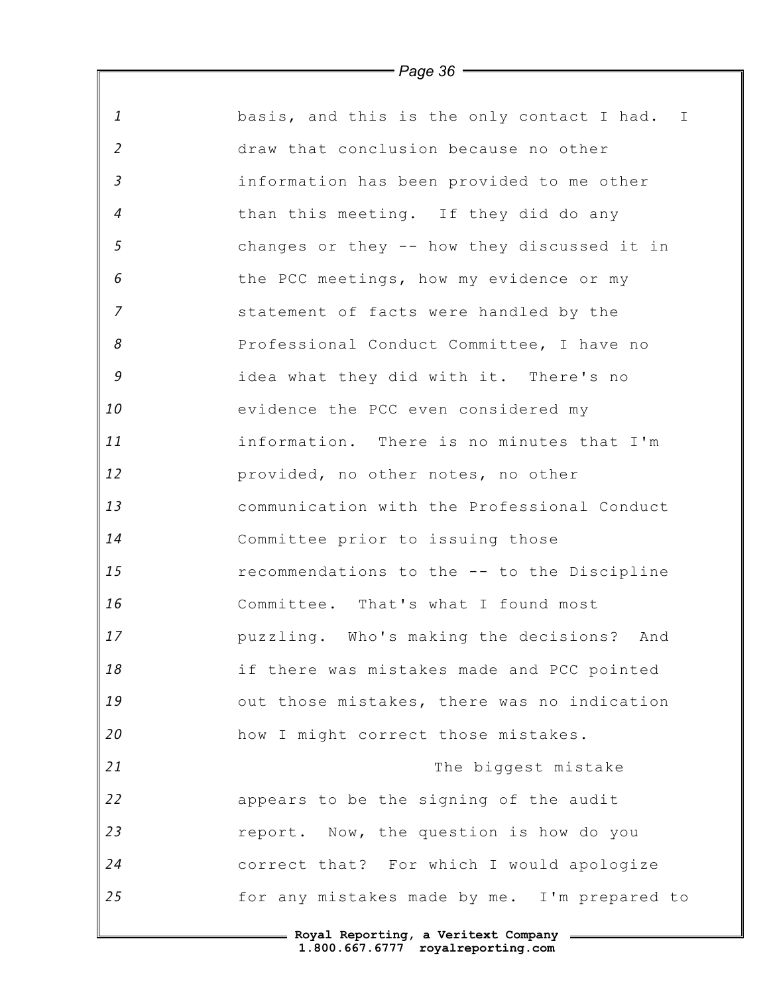| $\mathbf{1}$   | basis, and this is the only contact I had. I |
|----------------|----------------------------------------------|
| $\overline{2}$ | draw that conclusion because no other        |
| $\mathfrak{Z}$ | information has been provided to me other    |
| $\overline{4}$ | than this meeting. If they did do any        |
| 5              | changes or they -- how they discussed it in  |
| 6              | the PCC meetings, how my evidence or my      |
| $\overline{7}$ | statement of facts were handled by the       |
| 8              | Professional Conduct Committee, I have no    |
| $\mathfrak g$  | idea what they did with it. There's no       |
| 10             | evidence the PCC even considered my          |
| 11             | information. There is no minutes that I'm    |
| 12             | provided, no other notes, no other           |
| 13             | communication with the Professional Conduct  |
| 14             | Committee prior to issuing those             |
| 15             | recommendations to the -- to the Discipline  |
| 16             | Committee. That's what I found most          |
| 17             | puzzling. Who's making the decisions? And    |
| 18             | if there was mistakes made and PCC pointed   |
| 19             | out those mistakes, there was no indication  |
| 20             | how I might correct those mistakes.          |
| 21             | The biggest mistake                          |
| 22             | appears to be the signing of the audit       |
| 23             | report. Now, the question is how do you      |
| 24             | correct that? For which I would apologize    |
| 25             | for any mistakes made by me. I'm prepared to |
|                | - Roval Reporting, a Veritext Company        |

 $\mathsf I$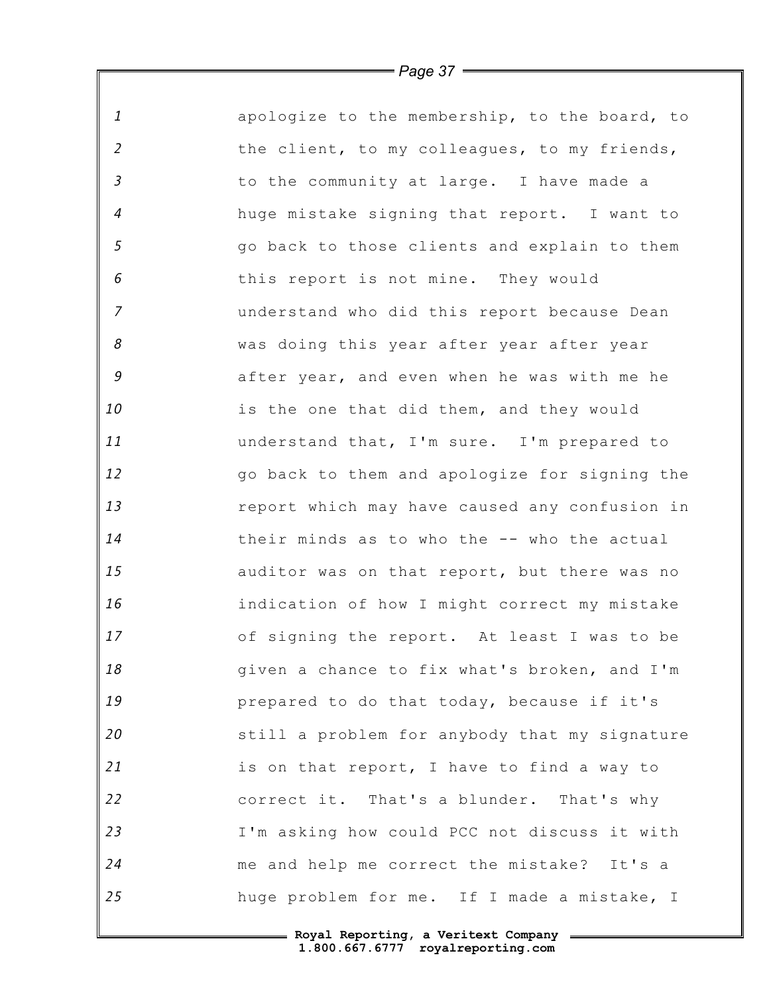*1 2 3 4 5 6 7 8 9 10 11 12 13 14 15 16 17 18 19 20 21 22 23 24 25* apologize to the membership, to the board, to the client, to my colleagues, to my friends, to the community at large. I have made a huge mistake signing that report. I want to go back to those clients and explain to them this report is not mine. They would understand who did this report because Dean was doing this year after year after year after year, and even when he was with me he is the one that did them, and they would understand that, I'm sure. I'm prepared to go back to them and apologize for signing the report which may have caused any confusion in their minds as to who the -- who the actual auditor was on that report, but there was no indication of how I might correct my mistake of signing the report. At least I was to be given a chance to fix what's broken, and I'm prepared to do that today, because if it's still a problem for anybody that my signature is on that report, I have to find a way to correct it. That's a blunder. That's why I'm asking how could PCC not discuss it with me and help me correct the mistake? It's a huge problem for me. If I made a mistake, I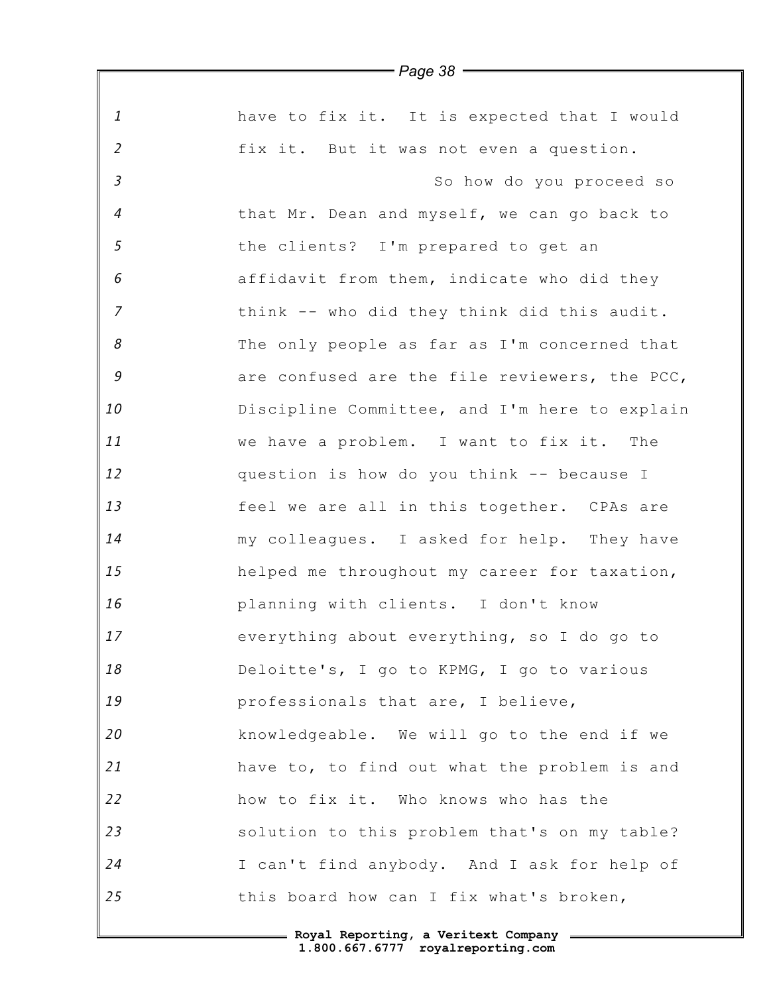| $\mathbf{1}$<br>have to fix it. It is expected that I would<br>$\overline{2}$<br>fix it. But it was not even a question.<br>$\overline{3}$<br>So how do you proceed so<br>$\overline{4}$<br>that Mr. Dean and myself, we can go back to<br>$\sqrt{5}$<br>the clients? I'm prepared to get an<br>6<br>affidavit from them, indicate who did they<br>$\overline{7}$<br>think -- who did they think did this audit.<br>$\boldsymbol{\mathcal{S}}$<br>The only people as far as I'm concerned that<br>9<br>are confused are the file reviewers, the PCC,<br>10<br>Discipline Committee, and I'm here to explain<br>11<br>we have a problem. I want to fix it. The<br>12<br>question is how do you think -- because I<br>13<br>feel we are all in this together. CPAs are<br>14<br>my colleagues. I asked for help. They have<br>15<br>helped me throughout my career for taxation,<br>16<br>planning with clients. I don't know<br>17<br>everything about everything, so I do go to<br>18<br>Deloitte's, I go to KPMG, I go to various<br>19<br>professionals that are, I believe,<br>20<br>knowledgeable. We will go to the end if we<br>21<br>have to, to find out what the problem is and<br>22<br>how to fix it. Who knows who has the<br>23<br>solution to this problem that's on my table?<br>24<br>I can't find anybody. And I ask for help of<br>25<br>this board how can I fix what's broken, | , ago oo |
|----------------------------------------------------------------------------------------------------------------------------------------------------------------------------------------------------------------------------------------------------------------------------------------------------------------------------------------------------------------------------------------------------------------------------------------------------------------------------------------------------------------------------------------------------------------------------------------------------------------------------------------------------------------------------------------------------------------------------------------------------------------------------------------------------------------------------------------------------------------------------------------------------------------------------------------------------------------------------------------------------------------------------------------------------------------------------------------------------------------------------------------------------------------------------------------------------------------------------------------------------------------------------------------------------------------------------------------------------------------------------------------------------|----------|
|                                                                                                                                                                                                                                                                                                                                                                                                                                                                                                                                                                                                                                                                                                                                                                                                                                                                                                                                                                                                                                                                                                                                                                                                                                                                                                                                                                                                    |          |
|                                                                                                                                                                                                                                                                                                                                                                                                                                                                                                                                                                                                                                                                                                                                                                                                                                                                                                                                                                                                                                                                                                                                                                                                                                                                                                                                                                                                    |          |
|                                                                                                                                                                                                                                                                                                                                                                                                                                                                                                                                                                                                                                                                                                                                                                                                                                                                                                                                                                                                                                                                                                                                                                                                                                                                                                                                                                                                    |          |
|                                                                                                                                                                                                                                                                                                                                                                                                                                                                                                                                                                                                                                                                                                                                                                                                                                                                                                                                                                                                                                                                                                                                                                                                                                                                                                                                                                                                    |          |
|                                                                                                                                                                                                                                                                                                                                                                                                                                                                                                                                                                                                                                                                                                                                                                                                                                                                                                                                                                                                                                                                                                                                                                                                                                                                                                                                                                                                    |          |
|                                                                                                                                                                                                                                                                                                                                                                                                                                                                                                                                                                                                                                                                                                                                                                                                                                                                                                                                                                                                                                                                                                                                                                                                                                                                                                                                                                                                    |          |
|                                                                                                                                                                                                                                                                                                                                                                                                                                                                                                                                                                                                                                                                                                                                                                                                                                                                                                                                                                                                                                                                                                                                                                                                                                                                                                                                                                                                    |          |
|                                                                                                                                                                                                                                                                                                                                                                                                                                                                                                                                                                                                                                                                                                                                                                                                                                                                                                                                                                                                                                                                                                                                                                                                                                                                                                                                                                                                    |          |
|                                                                                                                                                                                                                                                                                                                                                                                                                                                                                                                                                                                                                                                                                                                                                                                                                                                                                                                                                                                                                                                                                                                                                                                                                                                                                                                                                                                                    |          |
|                                                                                                                                                                                                                                                                                                                                                                                                                                                                                                                                                                                                                                                                                                                                                                                                                                                                                                                                                                                                                                                                                                                                                                                                                                                                                                                                                                                                    |          |
|                                                                                                                                                                                                                                                                                                                                                                                                                                                                                                                                                                                                                                                                                                                                                                                                                                                                                                                                                                                                                                                                                                                                                                                                                                                                                                                                                                                                    |          |
|                                                                                                                                                                                                                                                                                                                                                                                                                                                                                                                                                                                                                                                                                                                                                                                                                                                                                                                                                                                                                                                                                                                                                                                                                                                                                                                                                                                                    |          |
|                                                                                                                                                                                                                                                                                                                                                                                                                                                                                                                                                                                                                                                                                                                                                                                                                                                                                                                                                                                                                                                                                                                                                                                                                                                                                                                                                                                                    |          |
|                                                                                                                                                                                                                                                                                                                                                                                                                                                                                                                                                                                                                                                                                                                                                                                                                                                                                                                                                                                                                                                                                                                                                                                                                                                                                                                                                                                                    |          |
|                                                                                                                                                                                                                                                                                                                                                                                                                                                                                                                                                                                                                                                                                                                                                                                                                                                                                                                                                                                                                                                                                                                                                                                                                                                                                                                                                                                                    |          |
|                                                                                                                                                                                                                                                                                                                                                                                                                                                                                                                                                                                                                                                                                                                                                                                                                                                                                                                                                                                                                                                                                                                                                                                                                                                                                                                                                                                                    |          |
|                                                                                                                                                                                                                                                                                                                                                                                                                                                                                                                                                                                                                                                                                                                                                                                                                                                                                                                                                                                                                                                                                                                                                                                                                                                                                                                                                                                                    |          |
|                                                                                                                                                                                                                                                                                                                                                                                                                                                                                                                                                                                                                                                                                                                                                                                                                                                                                                                                                                                                                                                                                                                                                                                                                                                                                                                                                                                                    |          |
|                                                                                                                                                                                                                                                                                                                                                                                                                                                                                                                                                                                                                                                                                                                                                                                                                                                                                                                                                                                                                                                                                                                                                                                                                                                                                                                                                                                                    |          |
|                                                                                                                                                                                                                                                                                                                                                                                                                                                                                                                                                                                                                                                                                                                                                                                                                                                                                                                                                                                                                                                                                                                                                                                                                                                                                                                                                                                                    |          |
|                                                                                                                                                                                                                                                                                                                                                                                                                                                                                                                                                                                                                                                                                                                                                                                                                                                                                                                                                                                                                                                                                                                                                                                                                                                                                                                                                                                                    |          |
|                                                                                                                                                                                                                                                                                                                                                                                                                                                                                                                                                                                                                                                                                                                                                                                                                                                                                                                                                                                                                                                                                                                                                                                                                                                                                                                                                                                                    |          |
|                                                                                                                                                                                                                                                                                                                                                                                                                                                                                                                                                                                                                                                                                                                                                                                                                                                                                                                                                                                                                                                                                                                                                                                                                                                                                                                                                                                                    |          |
|                                                                                                                                                                                                                                                                                                                                                                                                                                                                                                                                                                                                                                                                                                                                                                                                                                                                                                                                                                                                                                                                                                                                                                                                                                                                                                                                                                                                    |          |
|                                                                                                                                                                                                                                                                                                                                                                                                                                                                                                                                                                                                                                                                                                                                                                                                                                                                                                                                                                                                                                                                                                                                                                                                                                                                                                                                                                                                    |          |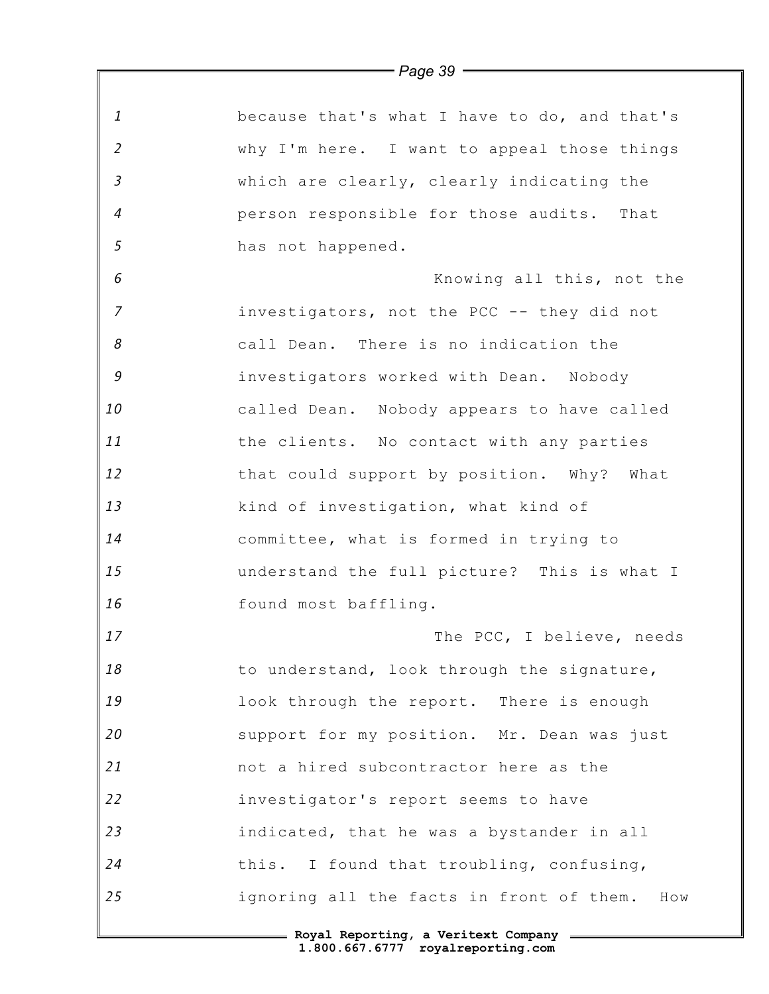| $\mathbf{1}$               | because that's what I have to do, and that's    |
|----------------------------|-------------------------------------------------|
| $\overline{2}$             | why I'm here. I want to appeal those things     |
| $\overline{3}$             | which are clearly, clearly indicating the       |
| $\overline{4}$             | person responsible for those audits. That       |
| 5                          | has not happened.                               |
| 6                          | Knowing all this, not the                       |
| $\overline{7}$             | investigators, not the PCC -- they did not      |
| $\boldsymbol{\mathcal{S}}$ | call Dean. There is no indication the           |
| $\mathcal G$               | investigators worked with Dean. Nobody          |
| 10                         | called Dean. Nobody appears to have called      |
| 11                         | the clients. No contact with any parties        |
| 12                         | that could support by position. Why? What       |
| 13                         | kind of investigation, what kind of             |
| 14                         | committee, what is formed in trying to          |
| 15                         | understand the full picture? This is what I     |
| 16                         | found most baffling.                            |
| 17                         | The PCC, I believe, needs                       |
| 18                         | to understand, look through the signature,      |
| 19                         | look through the report. There is enough        |
| 20                         | support for my position. Mr. Dean was just      |
| 21                         | not a hired subcontractor here as the           |
| 22                         | investigator's report seems to have             |
| 23                         | indicated, that he was a bystander in all       |
| 24                         | this. I found that troubling, confusing,        |
| 25                         | ignoring all the facts in front of them.<br>How |

*Page 39*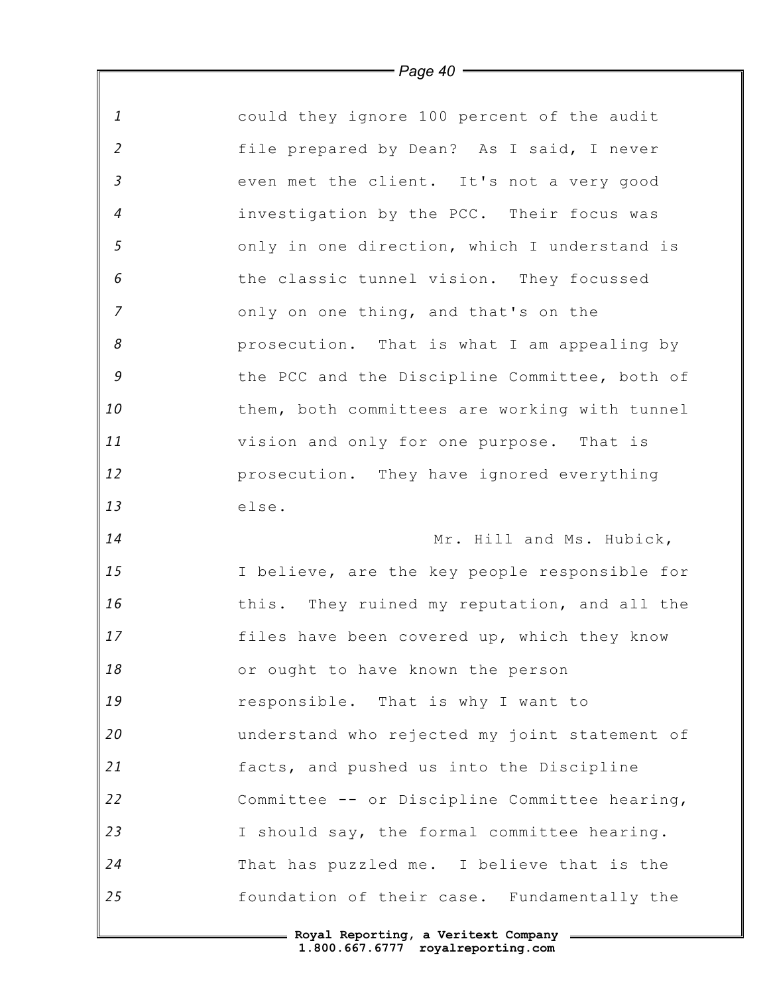| 1              | could they ignore 100 percent of the audit    |
|----------------|-----------------------------------------------|
| $\overline{2}$ | file prepared by Dean? As I said, I never     |
| $\mathfrak{Z}$ | even met the client. It's not a very good     |
| $\overline{4}$ | investigation by the PCC. Their focus was     |
| 5              | only in one direction, which I understand is  |
| 6              | the classic tunnel vision. They focussed      |
| $\overline{7}$ | only on one thing, and that's on the          |
| 8              | prosecution. That is what I am appealing by   |
| $\mathcal G$   | the PCC and the Discipline Committee, both of |
| 10             | them, both committees are working with tunnel |
| 11             | vision and only for one purpose. That is      |
| 12             | prosecution. They have ignored everything     |
| 13             | else.                                         |
| 14             | Mr. Hill and Ms. Hubick,                      |
| 15             | I believe, are the key people responsible for |
| 16             | this. They ruined my reputation, and all the  |
| 17             | files have been covered up, which they know   |
| 18             | or ought to have known the person             |
| 19             | responsible. That is why I want to            |
| 20             | understand who rejected my joint statement of |
| 21             | facts, and pushed us into the Discipline      |
| 22             | Committee -- or Discipline Committee hearing, |
| 23             | I should say, the formal committee hearing.   |
| 24             | That has puzzled me. I believe that is the    |
| 25             | foundation of their case. Fundamentally the   |
|                |                                               |

 $\mathbb F$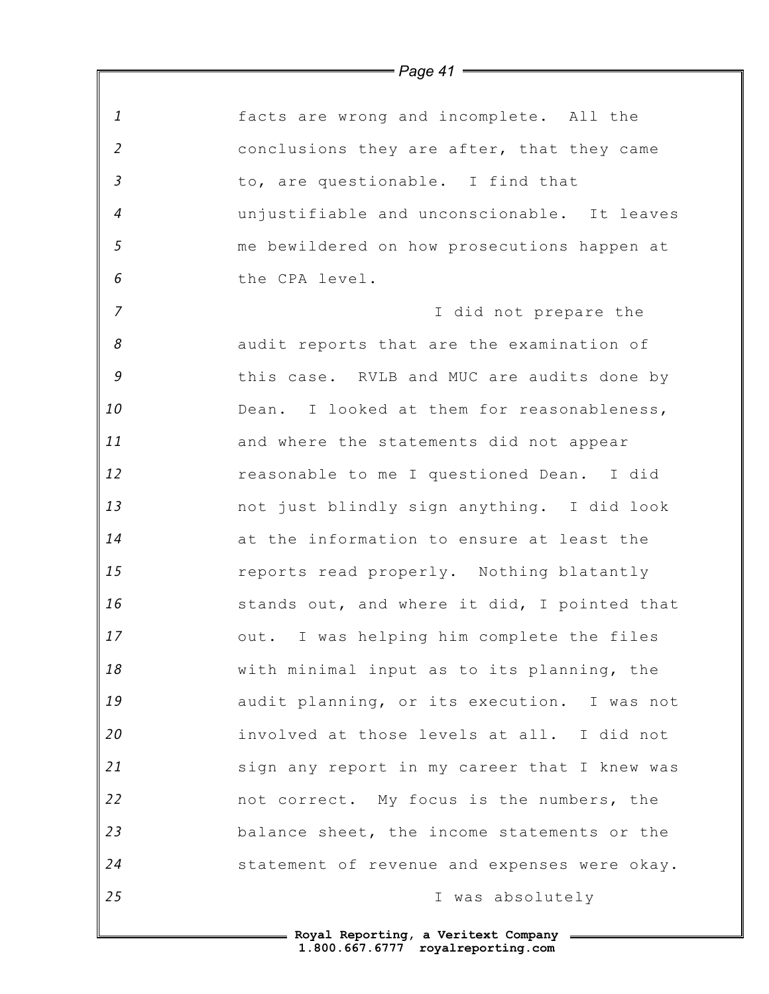| $\mathbf{1}$   | facts are wrong and incomplete. All the      |
|----------------|----------------------------------------------|
| $\overline{2}$ | conclusions they are after, that they came   |
| $\mathfrak{Z}$ | to, are questionable. I find that            |
| $\overline{4}$ | unjustifiable and unconscionable. It leaves  |
| $\mathfrak{s}$ | me bewildered on how prosecutions happen at  |
| 6              | the CPA level.                               |
| $\overline{7}$ | I did not prepare the                        |
| 8              | audit reports that are the examination of    |
| 9              | this case. RVLB and MUC are audits done by   |
| 10             | Dean. I looked at them for reasonableness,   |
| 11             | and where the statements did not appear      |
| 12             | reasonable to me I questioned Dean. I did    |
| 13             | not just blindly sign anything. I did look   |
| 14             | at the information to ensure at least the    |
| 15             | reports read properly. Nothing blatantly     |
| 16             | stands out, and where it did, I pointed that |
| 17             | out. I was helping him complete the files    |
| 18             | with minimal input as to its planning, the   |
| 19             | audit planning, or its execution. I was not  |
| 20             | involved at those levels at all. I did not   |
| 21             | sign any report in my career that I knew was |
| 22             | not correct. My focus is the numbers, the    |
| 23             | balance sheet, the income statements or the  |
| 24             | statement of revenue and expenses were okay. |
| 25             | I was absolutely                             |
|                |                                              |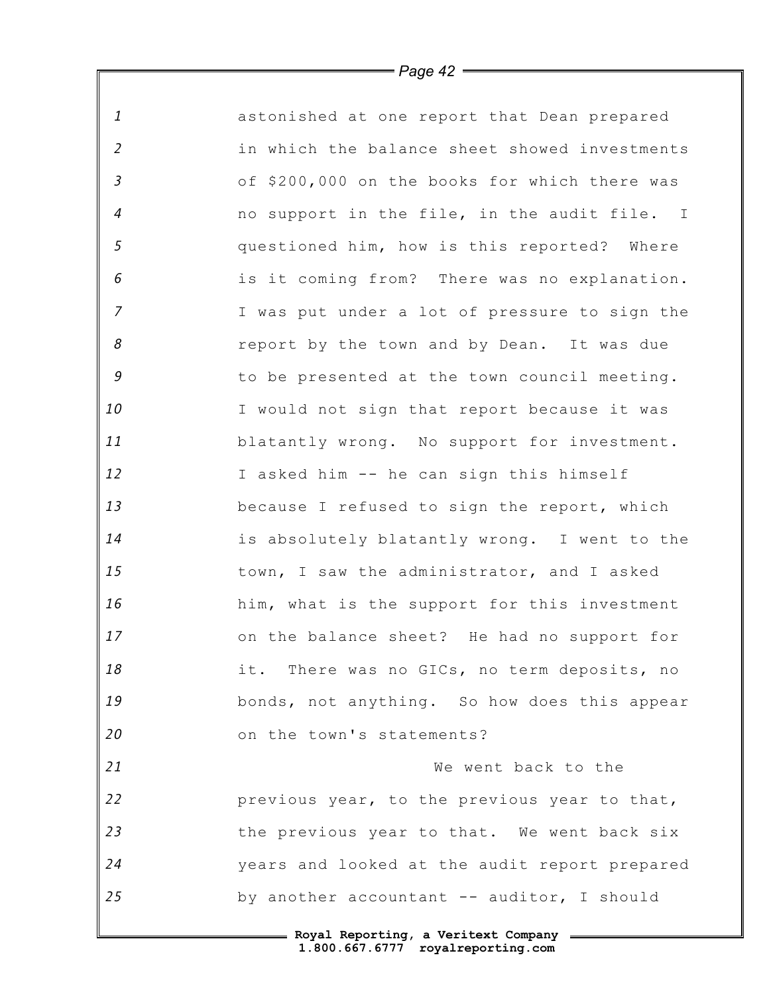| $\mathbf{1}$   | astonished at one report that Dean prepared   |
|----------------|-----------------------------------------------|
| $\overline{2}$ | in which the balance sheet showed investments |
| $\mathfrak{Z}$ | of \$200,000 on the books for which there was |
| $\overline{4}$ | no support in the file, in the audit file. I  |
| $\mathfrak{s}$ | questioned him, how is this reported? Where   |
| 6              | is it coming from? There was no explanation.  |
| $\overline{z}$ | I was put under a lot of pressure to sign the |
| 8              | report by the town and by Dean. It was due    |
| 9              | to be presented at the town council meeting.  |
| 10             | I would not sign that report because it was   |
| 11             | blatantly wrong. No support for investment.   |
| 12             | I asked him -- he can sign this himself       |
| 13             | because I refused to sign the report, which   |
| 14             | is absolutely blatantly wrong. I went to the  |
| 15             | town, I saw the administrator, and I asked    |
| 16             | him, what is the support for this investment  |
| 17             | on the balance sheet? He had no support for   |
| 18             | it. There was no GICs, no term deposits, no   |
| 19             | bonds, not anything. So how does this appear  |
| 20             | on the town's statements?                     |
| 21             | We went back to the                           |
| 22             | previous year, to the previous year to that,  |
| 23             | the previous year to that. We went back six   |
| 24             | years and looked at the audit report prepared |
| 25             | by another accountant -- auditor, I should    |
|                | = Royal Reporting, a Veritext Company =       |

*Page 42*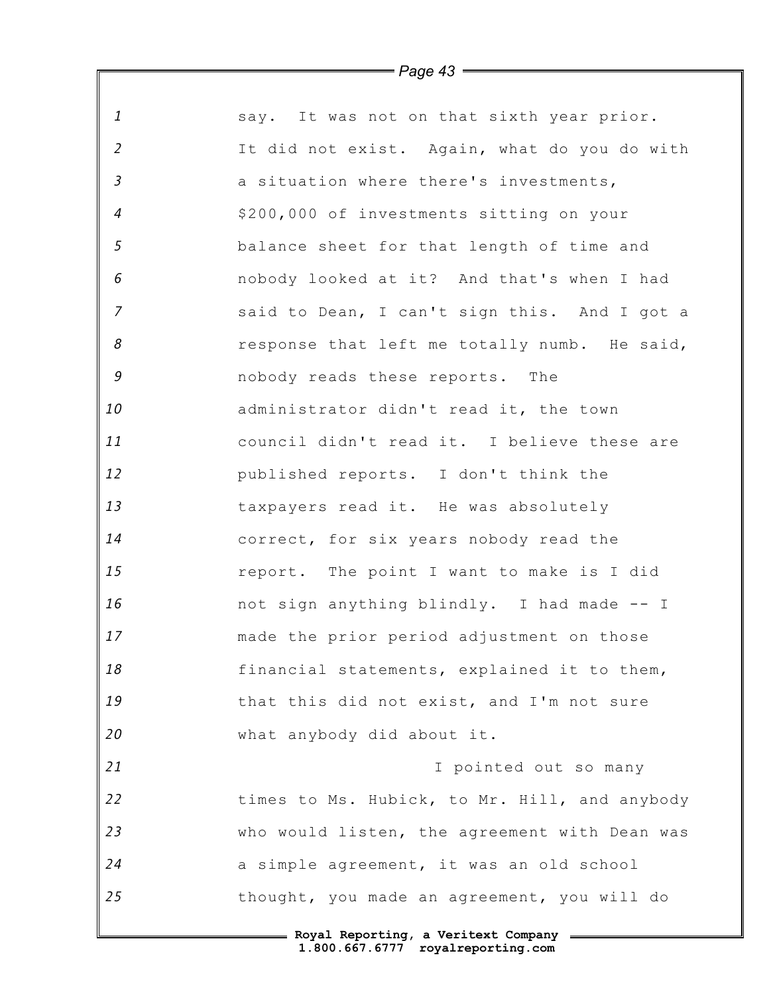| $\mathbf{1}$               | say. It was not on that sixth year prior.     |
|----------------------------|-----------------------------------------------|
| $\overline{2}$             | It did not exist. Again, what do you do with  |
| $\mathfrak{Z}$             | a situation where there's investments,        |
| $\overline{4}$             | \$200,000 of investments sitting on your      |
| $\mathfrak{s}$             | balance sheet for that length of time and     |
| 6                          | nobody looked at it? And that's when I had    |
| $\overline{z}$             | said to Dean, I can't sign this. And I got a  |
| $\boldsymbol{\mathcal{S}}$ | response that left me totally numb. He said,  |
| 9                          | nobody reads these reports. The               |
| 10                         | administrator didn't read it, the town        |
| 11                         | council didn't read it. I believe these are   |
| 12                         | published reports. I don't think the          |
| 13                         | taxpayers read it. He was absolutely          |
| 14                         | correct, for six years nobody read the        |
| 15                         | report. The point I want to make is I did     |
| 16                         | not sign anything blindly. I had made -- I    |
| 17                         | made the prior period adjustment on those     |
| 18                         | financial statements, explained it to them,   |
| 19                         | that this did not exist, and I'm not sure     |
| 20                         | what anybody did about it.                    |
| 21                         | I pointed out so many                         |
| 22                         | times to Ms. Hubick, to Mr. Hill, and anybody |
| 23                         | who would listen, the agreement with Dean was |
| 24                         | a simple agreement, it was an old school      |
| 25                         | thought, you made an agreement, you will do   |
|                            | = Royal Reporting, a Veritext Company =       |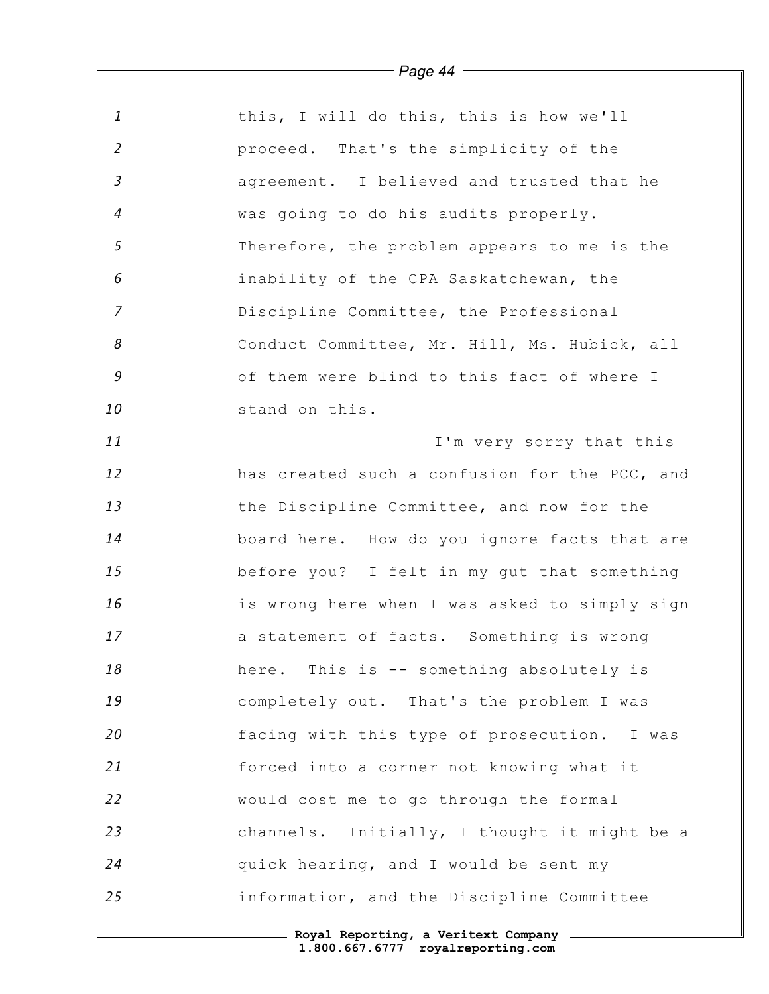|                | = Page 44 =                                   |
|----------------|-----------------------------------------------|
|                |                                               |
| 1              | this, I will do this, this is how we'll       |
| $\overline{2}$ | proceed. That's the simplicity of the         |
| $\mathfrak{Z}$ | agreement. I believed and trusted that he     |
| $\overline{4}$ | was going to do his audits properly.          |
| 5              | Therefore, the problem appears to me is the   |
| 6              | inability of the CPA Saskatchewan, the        |
| $\overline{z}$ | Discipline Committee, the Professional        |
| 8              | Conduct Committee, Mr. Hill, Ms. Hubick, all  |
| 9              | of them were blind to this fact of where I    |
| 10             | stand on this.                                |
| 11             | I'm very sorry that this                      |
| 12             | has created such a confusion for the PCC, and |
| 13             | the Discipline Committee, and now for the     |
| 14             | board here. How do you ignore facts that are  |
| 15             | before you? I felt in my gut that something   |
| 16             | is wrong here when I was asked to simply sign |
| 17             | a statement of facts. Something is wrong      |
| 18             | here. This is -- something absolutely is      |
| 19             | completely out. That's the problem I was      |
| 20             | facing with this type of prosecution. I was   |
| 21             | forced into a corner not knowing what it      |
| 22             | would cost me to go through the formal        |
| 23             | channels. Initially, I thought it might be a  |
| 24             | quick hearing, and I would be sent my         |
| 25             | information, and the Discipline Committee     |
|                |                                               |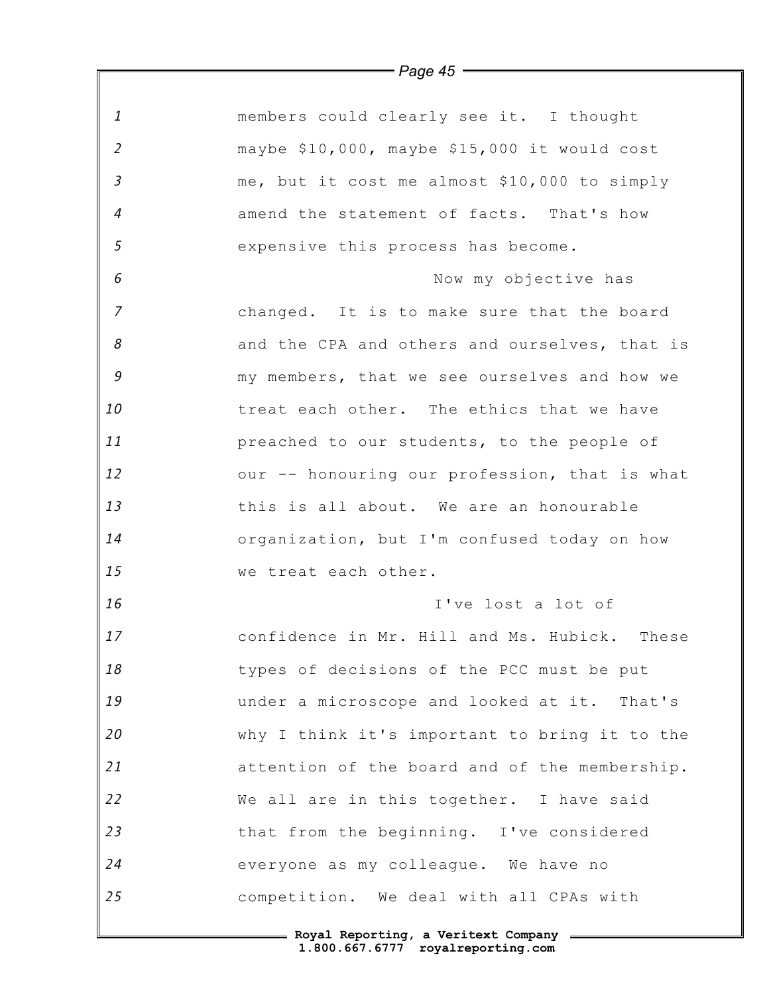|                | = Page 45 <del>= = =</del>                    |
|----------------|-----------------------------------------------|
| $\mathbf{1}$   | members could clearly see it. I thought       |
| $\overline{2}$ | maybe \$10,000, maybe \$15,000 it would cost  |
| $\mathfrak{Z}$ | me, but it cost me almost \$10,000 to simply  |
| $\overline{4}$ | amend the statement of facts. That's how      |
| 5              | expensive this process has become.            |
| 6              | Now my objective has                          |
| $\overline{7}$ | changed. It is to make sure that the board    |
| 8              | and the CPA and others and ourselves, that is |
| 9              | my members, that we see ourselves and how we  |
| 10             | treat each other. The ethics that we have     |
| 11             | preached to our students, to the people of    |
| 12             | our -- honouring our profession, that is what |
| 13             | this is all about. We are an honourable       |
| 14             | organization, but I'm confused today on how   |
| 15             | we treat each other.                          |
| 16             | I've lost a lot of                            |
| $17$           | confidence in Mr. Hill and Ms. Hubick. These  |
| 18             | types of decisions of the PCC must be put     |
| 19             | under a microscope and looked at it. That's   |
| 20             | why I think it's important to bring it to the |
| 21             | attention of the board and of the membership. |
| 22             | We all are in this together. I have said      |
| 23             | that from the beginning. I've considered      |
| 24             | everyone as my colleague. We have no          |
| 25             | competition. We deal with all CPAs with       |
|                |                                               |

*Page 45*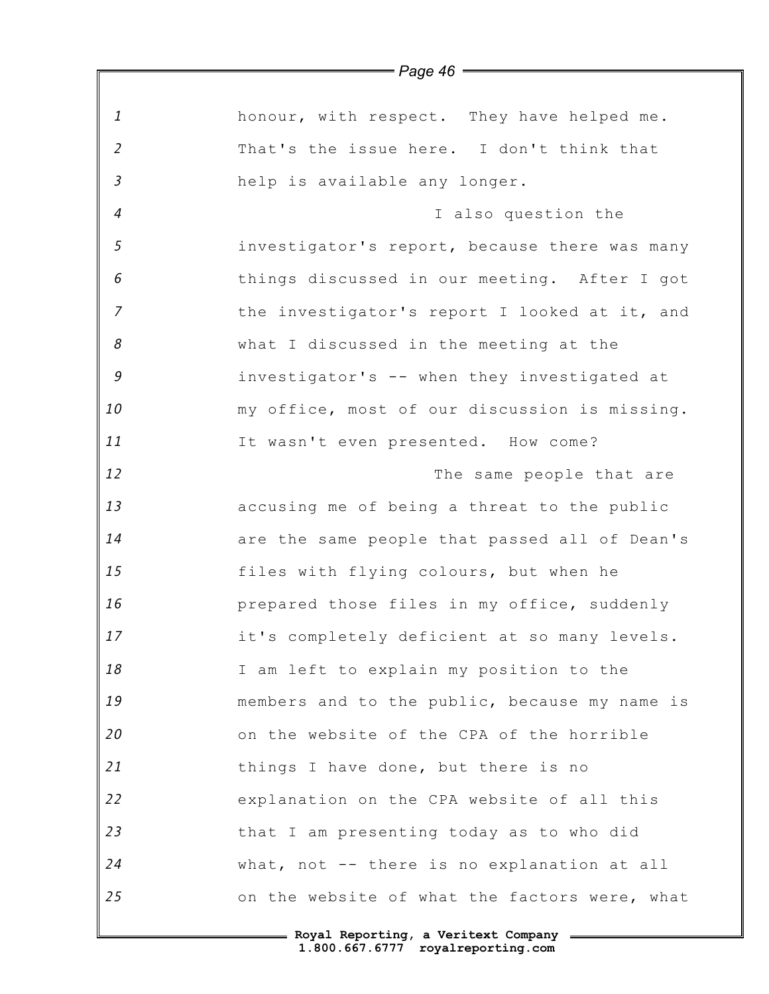|                | <i>– rage 4</i> 0 <i>—</i>                    |
|----------------|-----------------------------------------------|
| $\mathbf{1}$   | honour, with respect. They have helped me.    |
| $\overline{2}$ | That's the issue here. I don't think that     |
| $\mathfrak{Z}$ | help is available any longer.                 |
| $\overline{4}$ | I also question the                           |
| 5              | investigator's report, because there was many |
| 6              | things discussed in our meeting. After I got  |
| $\overline{7}$ | the investigator's report I looked at it, and |
| 8              | what I discussed in the meeting at the        |
| 9              | investigator's -- when they investigated at   |
| 10             | my office, most of our discussion is missing. |
| 11             | It wasn't even presented. How come?           |
| 12             | The same people that are                      |
| 13             | accusing me of being a threat to the public   |
| 14             | are the same people that passed all of Dean's |
| 15             | files with flying colours, but when he        |
| 16             | prepared those files in my office, suddenly   |
| 17             | it's completely deficient at so many levels.  |
| 18             | I am left to explain my position to the       |
| 19             | members and to the public, because my name is |
| 20             | on the website of the CPA of the horrible     |
| 21             | things I have done, but there is no           |
| 22             | explanation on the CPA website of all this    |
| 23             | that I am presenting today as to who did      |
| 24             | what, not -- there is no explanation at all   |
| 25             | on the website of what the factors were, what |
|                |                                               |

*Page 46*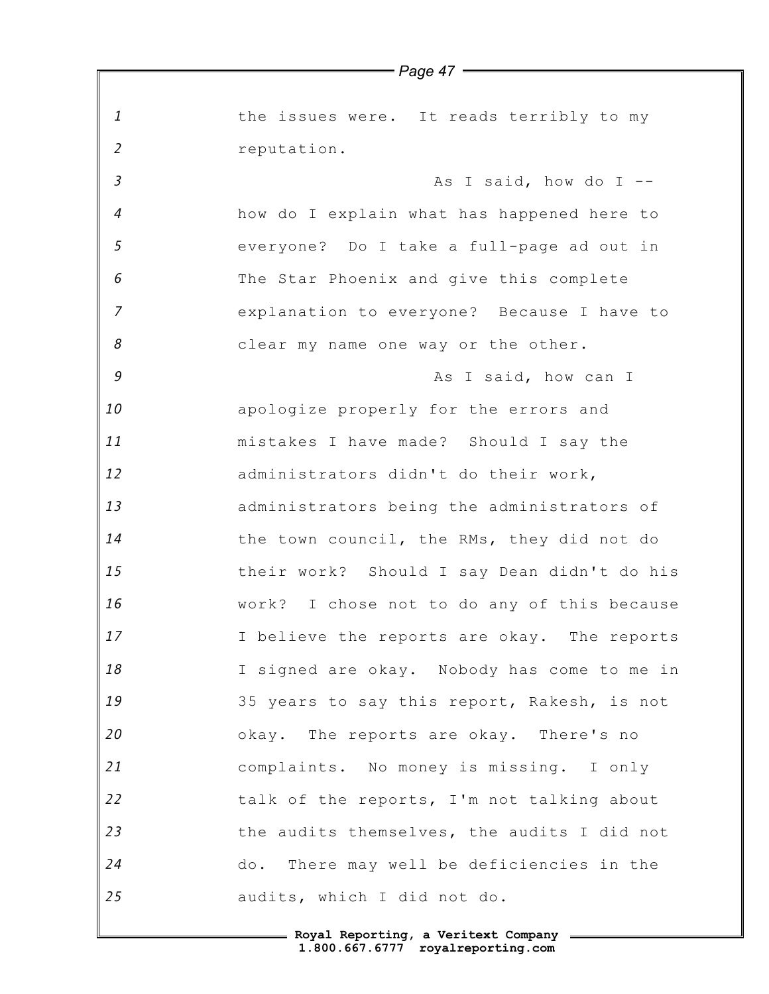*1 2 3 4 5 6 7 8 9 10 11 12 13 14 15 16 17 18 19 20 21 22 23 24 25 Page 47* the issues were. It reads terribly to my reputation. As I said, how do I  $$ how do I explain what has happened here to everyone? Do I take a full-page ad out in The Star Phoenix and give this complete explanation to everyone? Because I have to clear my name one way or the other. As I said, how can I apologize properly for the errors and mistakes I have made? Should I say the administrators didn't do their work, administrators being the administrators of the town council, the RMs, they did not do their work? Should I say Dean didn't do his work? I chose not to do any of this because I believe the reports are okay. The reports I signed are okay. Nobody has come to me in 35 years to say this report, Rakesh, is not okay. The reports are okay. There's no complaints. No money is missing. I only talk of the reports, I'm not talking about the audits themselves, the audits I did not do. There may well be deficiencies in the audits, which I did not do.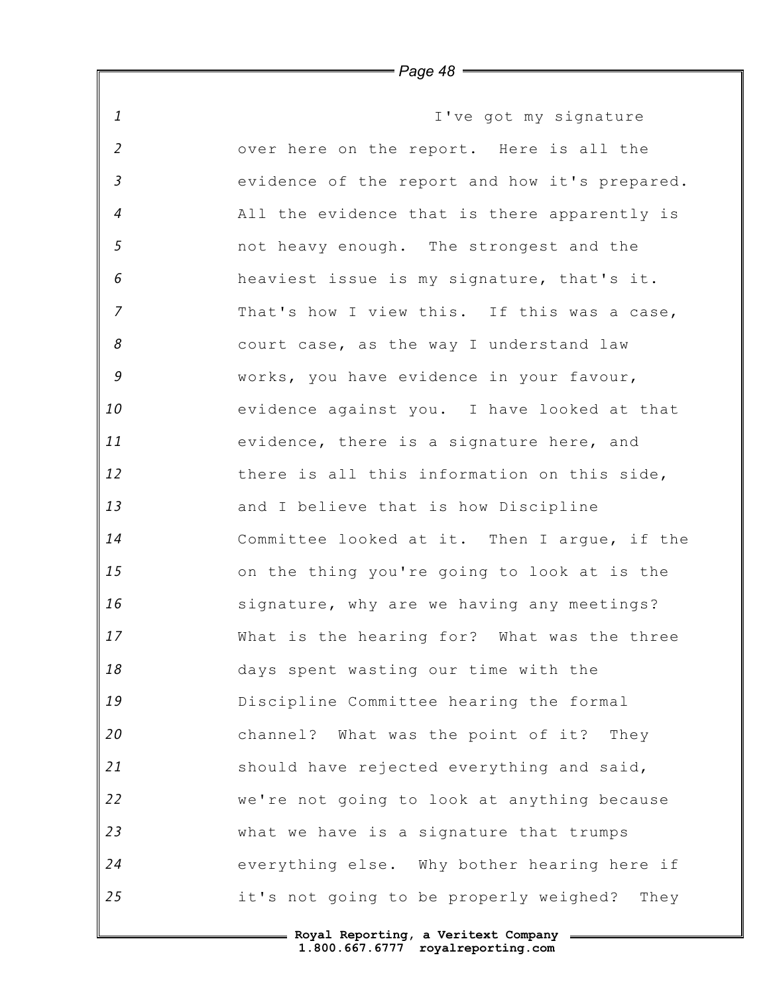*1 2 3 4 5 6 7 8 9 10 11 12 13 14 15 16 17 18 19 20 21 22 23 24 25* I've got my signature over here on the report. Here is all the evidence of the report and how it's prepared. All the evidence that is there apparently is not heavy enough. The strongest and the heaviest issue is my signature, that's it. That's how I view this. If this was a case, court case, as the way I understand law works, you have evidence in your favour, evidence against you. I have looked at that evidence, there is a signature here, and there is all this information on this side, and I believe that is how Discipline Committee looked at it. Then I argue, if the on the thing you're going to look at is the signature, why are we having any meetings? What is the hearing for? What was the three days spent wasting our time with the Discipline Committee hearing the formal channel? What was the point of it? They should have rejected everything and said, we're not going to look at anything because what we have is a signature that trumps everything else. Why bother hearing here if it's not going to be properly weighed? They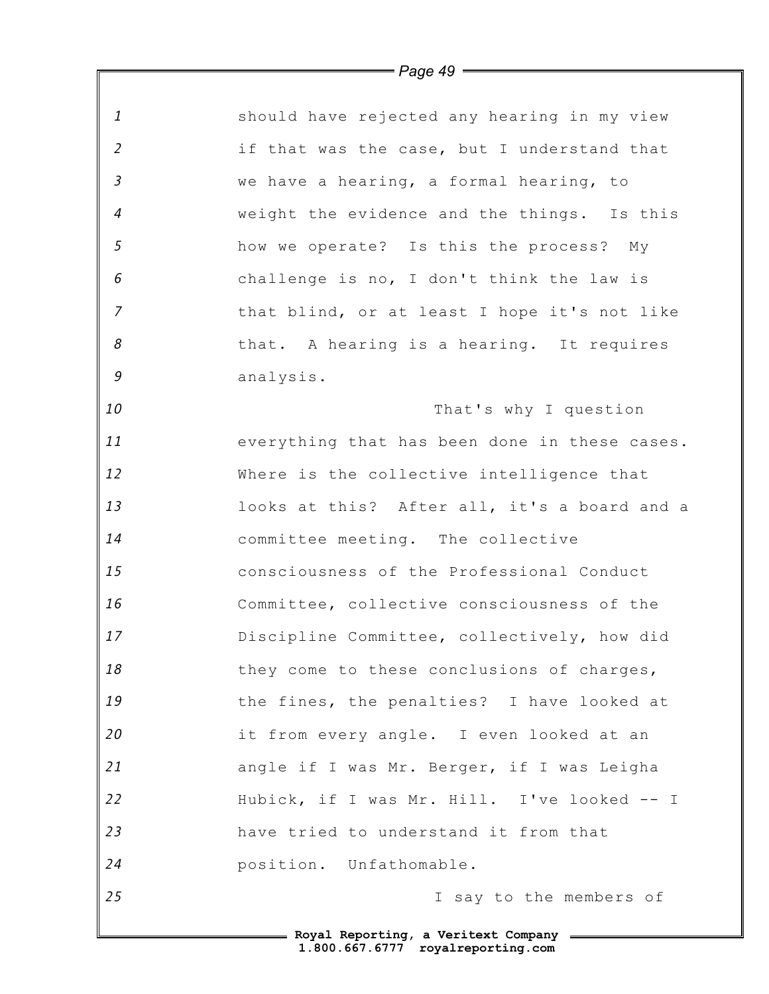|                | $\longrightarrow$ Page 49 $\longrightarrow$   |
|----------------|-----------------------------------------------|
|                |                                               |
| 1              | should have rejected any hearing in my view   |
| $\overline{2}$ | if that was the case, but I understand that   |
| $\mathfrak{Z}$ | we have a hearing, a formal hearing, to       |
| $\overline{4}$ | weight the evidence and the things. Is this   |
| 5              | how we operate? Is this the process? My       |
| 6              | challenge is no, I don't think the law is     |
| $\overline{z}$ | that blind, or at least I hope it's not like  |
| 8              | that. A hearing is a hearing. It requires     |
| $\mathcal G$   | analysis.                                     |
| 10             | That's why I question                         |
| 11             | everything that has been done in these cases. |
| 12             | Where is the collective intelligence that     |
| 13             | looks at this? After all, it's a board and a  |
| 14             | committee meeting. The collective             |
| 15             | consciousness of the Professional Conduct     |
| 16             | Committee, collective consciousness of the    |
| 17             | Discipline Committee, collectively, how did   |
| 18             | they come to these conclusions of charges,    |
| 19             | the fines, the penalties? I have looked at    |
| 20             | it from every angle. I even looked at an      |
| 21             | angle if I was Mr. Berger, if I was Leigha    |
| 22             | Hubick, if I was Mr. Hill. I've looked -- I   |
| 23             | have tried to understand it from that         |
| 24             | position. Unfathomable.                       |
| 25             | I say to the members of                       |
|                |                                               |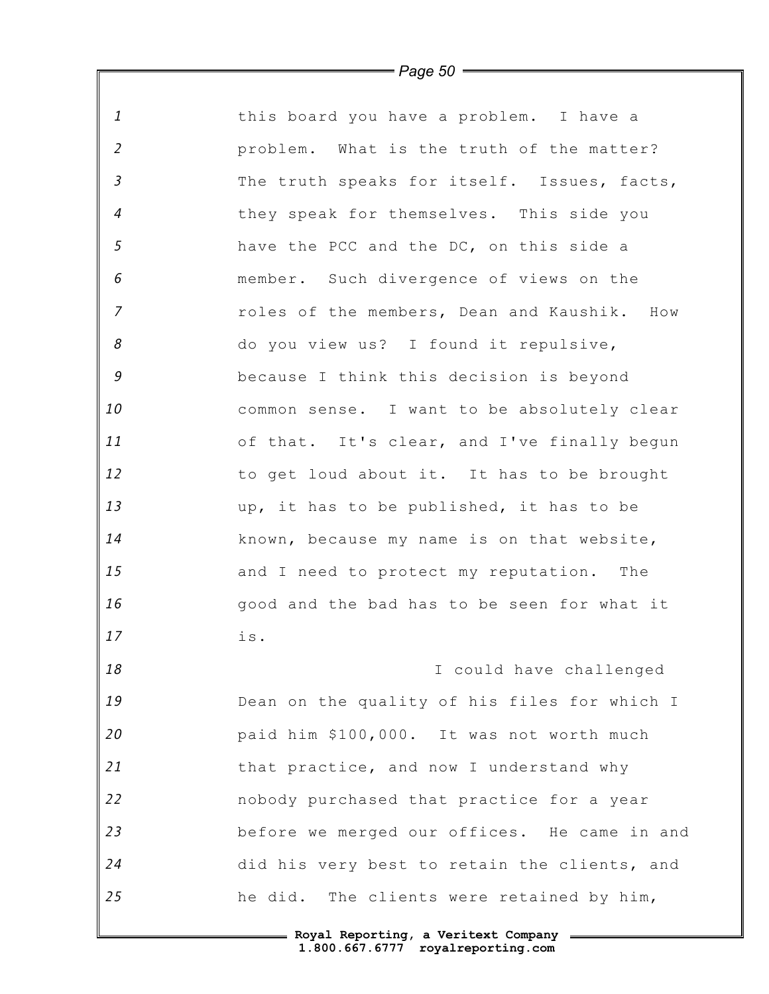|                | $=$ Page 50 $=$                              |
|----------------|----------------------------------------------|
| $\mathbf{1}$   | this board you have a problem. I have a      |
| $\overline{2}$ | problem. What is the truth of the matter?    |
| $\mathfrak{Z}$ | The truth speaks for itself. Issues, facts,  |
| $\overline{4}$ | they speak for themselves. This side you     |
| 5              | have the PCC and the DC, on this side a      |
| 6              | member. Such divergence of views on the      |
| $\overline{7}$ | roles of the members, Dean and Kaushik. How  |
| 8              | do you view us? I found it repulsive,        |
| 9              | because I think this decision is beyond      |
| 10             | common sense. I want to be absolutely clear  |
| 11             | of that. It's clear, and I've finally begun  |
| 12             | to get loud about it. It has to be brought   |
| 13             | up, it has to be published, it has to be     |
| 14             | known, because my name is on that website,   |
| 15             | and I need to protect my reputation. The     |
| 16             | good and the bad has to be seen for what it  |
| 17             | is.                                          |
| 18             | I could have challenged                      |
| 19             | Dean on the quality of his files for which I |
| 20             | paid him \$100,000. It was not worth much    |
| 21             | that practice, and now I understand why      |
| 22             | nobody purchased that practice for a year    |
| 23             | before we merged our offices. He came in and |
| 24             | did his very best to retain the clients, and |
| 25             | he did. The clients were retained by him,    |
|                | - Roval Reporting, a Veritext Company        |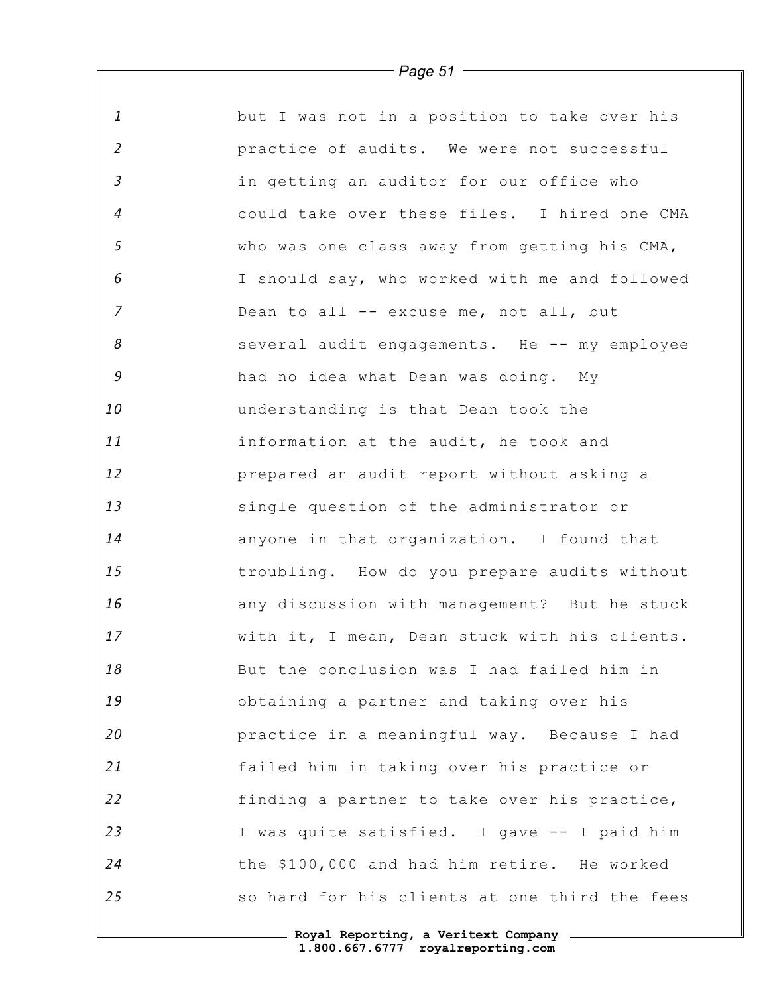|                | $\equiv$ Page 51 $\equiv$                     |
|----------------|-----------------------------------------------|
| $\mathbf{1}$   | but I was not in a position to take over his  |
| $\overline{2}$ | practice of audits. We were not successful    |
| $\mathfrak{Z}$ | in getting an auditor for our office who      |
| $\overline{4}$ | could take over these files. I hired one CMA  |
| 5              | who was one class away from getting his CMA,  |
| 6              | I should say, who worked with me and followed |
| $\overline{z}$ | Dean to all -- excuse me, not all, but        |
| 8              | several audit engagements. He -- my employee  |
| $\mathcal G$   | had no idea what Dean was doing. My           |
| 10             | understanding is that Dean took the           |
| 11             | information at the audit, he took and         |
| 12             | prepared an audit report without asking a     |
| 13             | single question of the administrator or       |
| 14             | anyone in that organization. I found that     |
| 15             | troubling. How do you prepare audits without  |
| 16             | any discussion with management? But he stuck  |
| 17             | with it, I mean, Dean stuck with his clients. |
| 18             | But the conclusion was I had failed him in    |
| 19             | obtaining a partner and taking over his       |
| 20             | practice in a meaningful way. Because I had   |
| 21             | failed him in taking over his practice or     |
| 22             | finding a partner to take over his practice,  |
| 23             | I was quite satisfied. I gave -- I paid him   |
| 24             | the \$100,000 and had him retire. He worked   |
| 25             | so hard for his clients at one third the fees |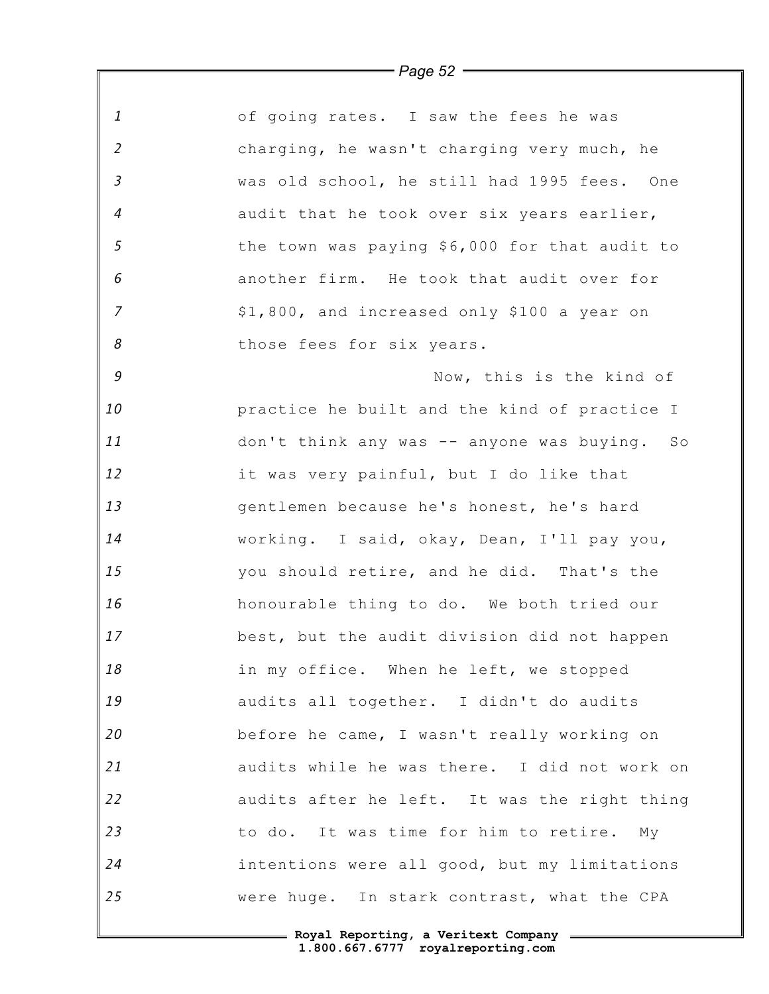|                | $\equiv$ Page 52 $\equiv$                     |
|----------------|-----------------------------------------------|
|                |                                               |
| $\mathbf{1}$   | of going rates. I saw the fees he was         |
| $\overline{2}$ | charging, he wasn't charging very much, he    |
| $\mathfrak{Z}$ | was old school, he still had 1995 fees. One   |
| $\overline{4}$ | audit that he took over six years earlier,    |
| $\sqrt{5}$     | the town was paying \$6,000 for that audit to |
| 6              | another firm. He took that audit over for     |
| $\overline{z}$ | \$1,800, and increased only \$100 a year on   |
| 8              | those fees for six years.                     |
| $\mathcal G$   | Now, this is the kind of                      |
| 10             | practice he built and the kind of practice I  |
| 11             | don't think any was -- anyone was buying. So  |
| 12             | it was very painful, but I do like that       |
| 13             | gentlemen because he's honest, he's hard      |
| 14             | working. I said, okay, Dean, I'll pay you,    |
| 15             | you should retire, and he did. That's the     |
| 16             | honourable thing to do. We both tried our     |
| 17             | best, but the audit division did not happen   |
| 18             | in my office. When he left, we stopped        |
| 19             | audits all together. I didn't do audits       |
| 20             | before he came, I wasn't really working on    |
| 21             | audits while he was there. I did not work on  |
| 22             | audits after he left. It was the right thing  |
| 23             | to do. It was time for him to retire. My      |
| 24             | intentions were all good, but my limitations  |
| 25             | were huge. In stark contrast, what the CPA    |
|                |                                               |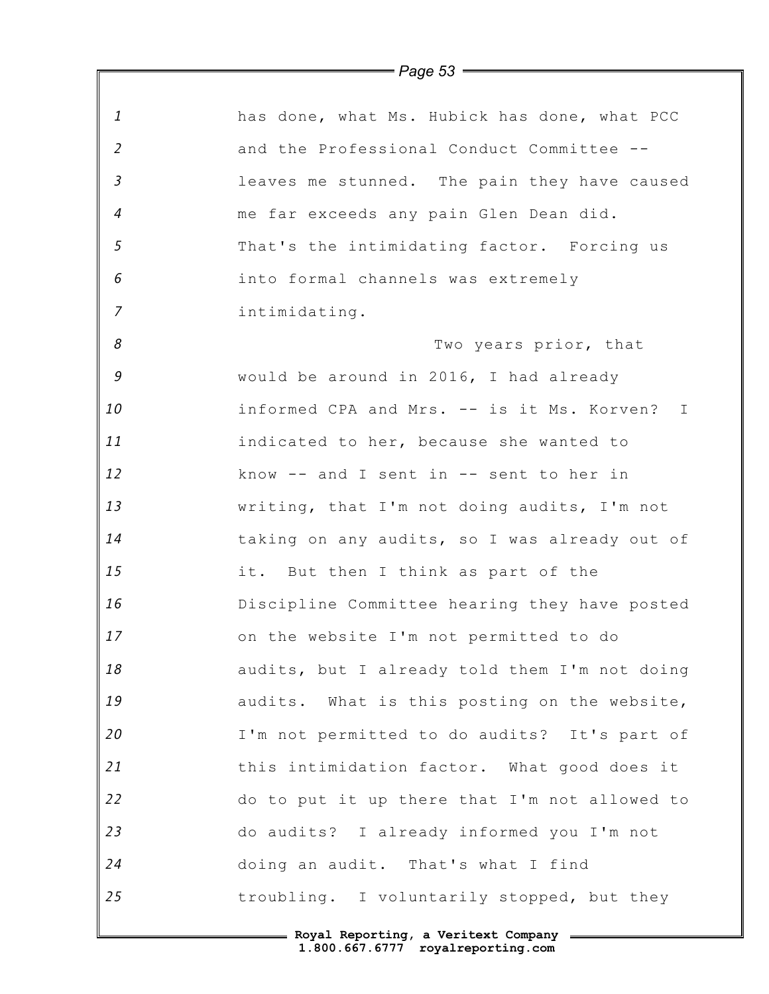|                            | $1$ ugu uu                                    |
|----------------------------|-----------------------------------------------|
| 1                          | has done, what Ms. Hubick has done, what PCC  |
| $\overline{2}$             | and the Professional Conduct Committee --     |
| $\mathfrak{Z}$             | leaves me stunned. The pain they have caused  |
| $\overline{4}$             | me far exceeds any pain Glen Dean did.        |
| $\sqrt{5}$                 | That's the intimidating factor. Forcing us    |
| 6                          | into formal channels was extremely            |
| $\overline{7}$             | intimidating.                                 |
| $\boldsymbol{\mathcal{S}}$ | Two years prior, that                         |
| 9                          | would be around in 2016, I had already        |
| 10                         | informed CPA and Mrs. -- is it Ms. Korven? I  |
| 11                         | indicated to her, because she wanted to       |
| 12                         | know $--$ and I sent in $--$ sent to her in   |
| 13                         | writing, that I'm not doing audits, I'm not   |
| 14                         | taking on any audits, so I was already out of |
| 15                         | it. But then I think as part of the           |
| 16                         | Discipline Committee hearing they have posted |
| 17                         | on the website I'm not permitted to do        |
| 18                         | audits, but I already told them I'm not doing |
| 19                         | audits. What is this posting on the website,  |
| 20                         | I'm not permitted to do audits? It's part of  |
| 21                         | this intimidation factor. What good does it   |
| 22                         | do to put it up there that I'm not allowed to |
| 23                         | do audits? I already informed you I'm not     |
| 24                         | doing an audit. That's what I find            |
| 25                         | troubling. I voluntarily stopped, but they    |
|                            | Royal Reporting, a Veritext Company           |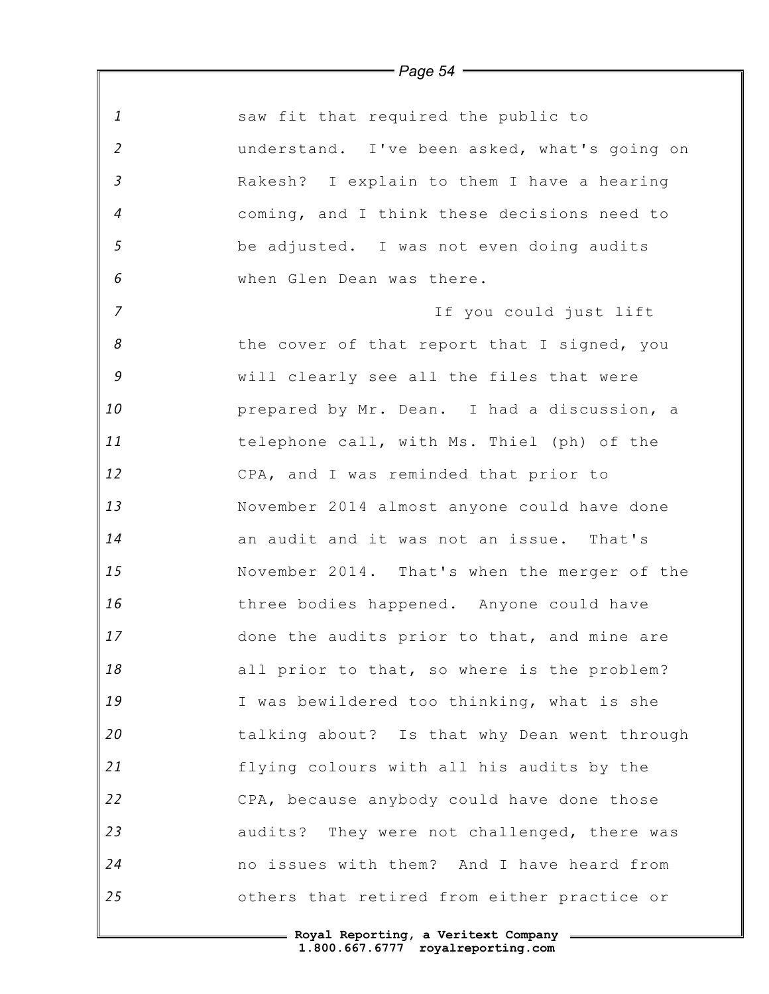| $\mathbf{1}$               | saw fit that required the public to          |
|----------------------------|----------------------------------------------|
| $\overline{2}$             | understand. I've been asked, what's going on |
| $\overline{3}$             | Rakesh? I explain to them I have a hearing   |
| $\overline{4}$             | coming, and I think these decisions need to  |
| 5                          | be adjusted. I was not even doing audits     |
| 6                          | when Glen Dean was there.                    |
| $\overline{7}$             | If you could just lift                       |
| $\boldsymbol{\mathcal{S}}$ | the cover of that report that I signed, you  |
| 9                          | will clearly see all the files that were     |
| 10                         | prepared by Mr. Dean. I had a discussion, a  |
| 11                         | telephone call, with Ms. Thiel (ph) of the   |
| 12                         | CPA, and I was reminded that prior to        |
| 13                         | November 2014 almost anyone could have done  |
| 14                         | an audit and it was not an issue. That's     |
| 15                         | November 2014. That's when the merger of the |
| 16                         | three bodies happened. Anyone could have     |
| 17                         | done the audits prior to that, and mine are  |
| 18                         | all prior to that, so where is the problem?  |
| 19                         | I was bewildered too thinking, what is she   |
| 20                         | talking about? Is that why Dean went through |
| 21                         | flying colours with all his audits by the    |
| 22                         | CPA, because anybody could have done those   |
| 23                         | audits? They were not challenged, there was  |
| 24                         | no issues with them? And I have heard from   |
| 25                         | others that retired from either practice or  |

*Page 54*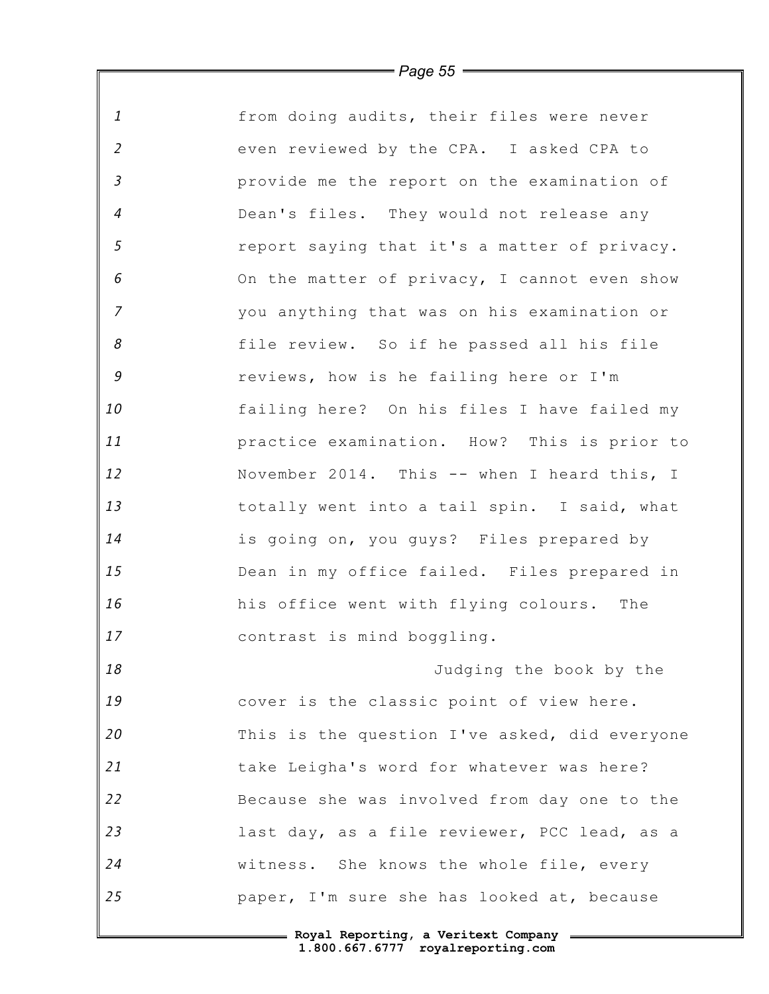| $\mathbf{1}$   | from doing audits, their files were never     |
|----------------|-----------------------------------------------|
| $\overline{2}$ | even reviewed by the CPA. I asked CPA to      |
| $\mathfrak{Z}$ | provide me the report on the examination of   |
| $\overline{4}$ | Dean's files. They would not release any      |
| $\mathfrak{s}$ | report saying that it's a matter of privacy.  |
| 6              | On the matter of privacy, I cannot even show  |
| $\overline{7}$ | you anything that was on his examination or   |
| 8              | file review. So if he passed all his file     |
| $\mathcal G$   | reviews, how is he failing here or I'm        |
| 10             | failing here? On his files I have failed my   |
| 11             | practice examination. How? This is prior to   |
| 12             | November 2014. This -- when I heard this, I   |
| 13             | totally went into a tail spin. I said, what   |
| 14             | is going on, you guys? Files prepared by      |
| 15             | Dean in my office failed. Files prepared in   |
| 16             | his office went with flying colours. The      |
| 17             | contrast is mind boggling.                    |
| 18             | Judging the book by the                       |
| 19             | cover is the classic point of view here.      |
| 20             | This is the question I've asked, did everyone |
| 21             | take Leigha's word for whatever was here?     |
| 22             | Because she was involved from day one to the  |
| 23             | last day, as a file reviewer, PCC lead, as a  |
| 24             | witness. She knows the whole file, every      |
| 25             | paper, I'm sure she has looked at, because    |
|                |                                               |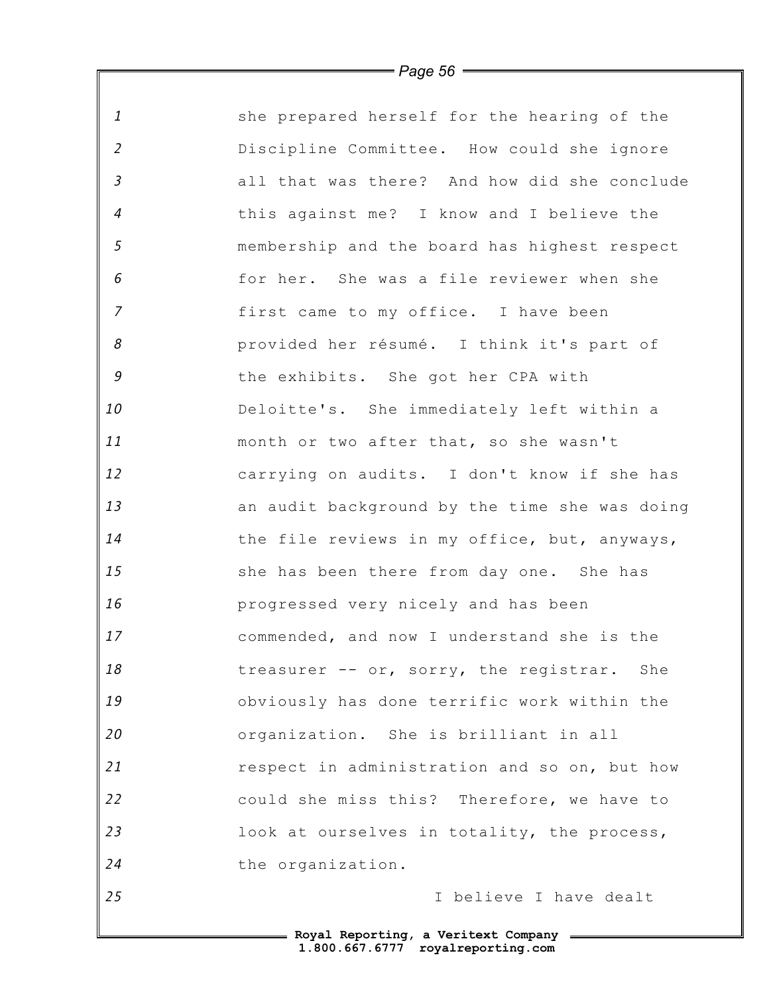| $\mathbf{1}$               | she prepared herself for the hearing of the   |
|----------------------------|-----------------------------------------------|
| $\overline{2}$             | Discipline Committee. How could she ignore    |
| $\mathfrak{Z}$             | all that was there? And how did she conclude  |
| $\overline{4}$             | this against me? I know and I believe the     |
| 5                          | membership and the board has highest respect  |
| 6                          | for her. She was a file reviewer when she     |
| $\overline{7}$             | first came to my office. I have been          |
| $\boldsymbol{\mathcal{S}}$ | provided her résumé. I think it's part of     |
| $\mathcal G$               | the exhibits. She got her CPA with            |
| 10                         | Deloitte's. She immediately left within a     |
| 11                         | month or two after that, so she wasn't        |
| 12                         | carrying on audits. I don't know if she has   |
| 13                         | an audit background by the time she was doing |
| 14                         | the file reviews in my office, but, anyways,  |
| 15                         | she has been there from day one. She has      |
| 16                         | progressed very nicely and has been           |
| 17                         | commended, and now I understand she is the    |
| 18                         | treasurer -- or, sorry, the registrar. She    |
| 19                         | obviously has done terrific work within the   |
| 20                         | organization. She is brilliant in all         |
| 21                         | respect in administration and so on, but how  |
| 22                         | could she miss this? Therefore, we have to    |
| 23                         | look at ourselves in totality, the process,   |
| 24                         | the organization.                             |
| 25                         | I believe I have dealt                        |
|                            |                                               |

 $\mathbb F$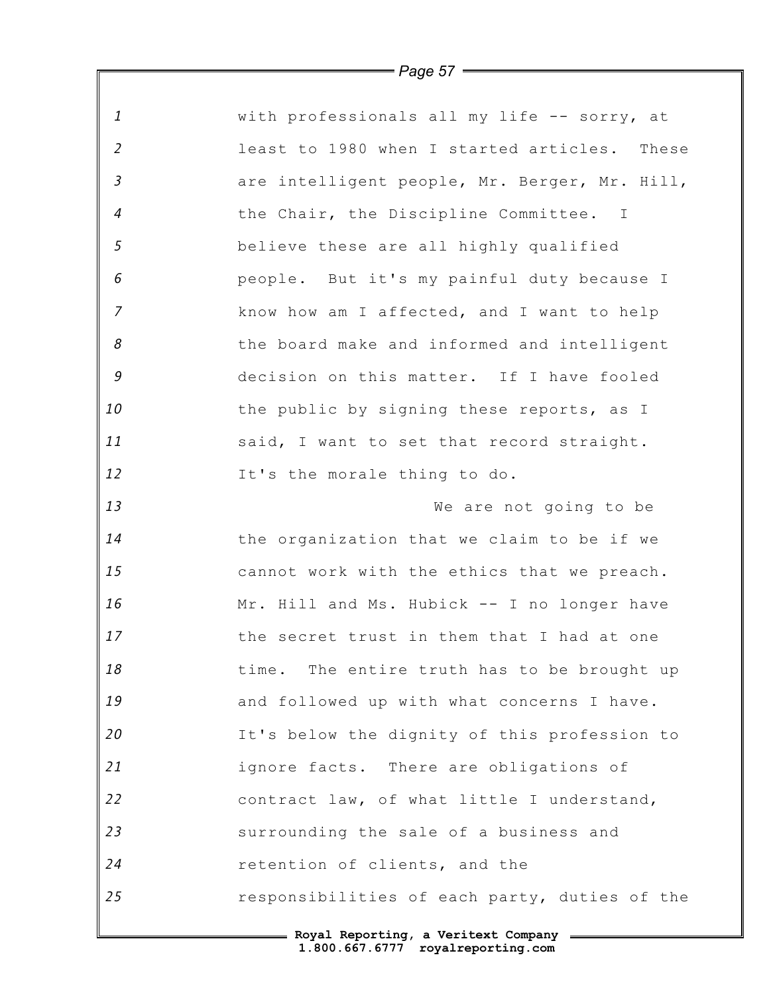| $\mathbf{1}$               | with professionals all my life -- sorry, at   |
|----------------------------|-----------------------------------------------|
| $\overline{2}$             | least to 1980 when I started articles. These  |
| $\mathfrak{Z}$             | are intelligent people, Mr. Berger, Mr. Hill, |
| 4                          | the Chair, the Discipline Committee. I        |
| 5                          | believe these are all highly qualified        |
| 6                          | people. But it's my painful duty because I    |
| $\overline{7}$             | know how am I affected, and I want to help    |
| $\boldsymbol{\mathcal{S}}$ | the board make and informed and intelligent   |
| 9                          | decision on this matter. If I have fooled     |
| 10                         | the public by signing these reports, as I     |
| 11                         | said, I want to set that record straight.     |
| 12                         | It's the morale thing to do.                  |
| 13                         | We are not going to be                        |
| 14                         | the organization that we claim to be if we    |
| 15                         | cannot work with the ethics that we preach.   |
| 16                         | Mr. Hill and Ms. Hubick -- I no longer have   |
| 17                         | the secret trust in them that I had at one    |
| 18                         | time. The entire truth has to be brought up   |
| 19                         | and followed up with what concerns I have.    |
| 20                         | It's below the dignity of this profession to  |
| 21                         | ignore facts. There are obligations of        |
| 22                         | contract law, of what little I understand,    |
| 23                         | surrounding the sale of a business and        |
| 24                         | retention of clients, and the                 |
| 25                         | responsibilities of each party, duties of the |
|                            | - Roval Reporting, a Veritext Company         |

 $\mathsf I$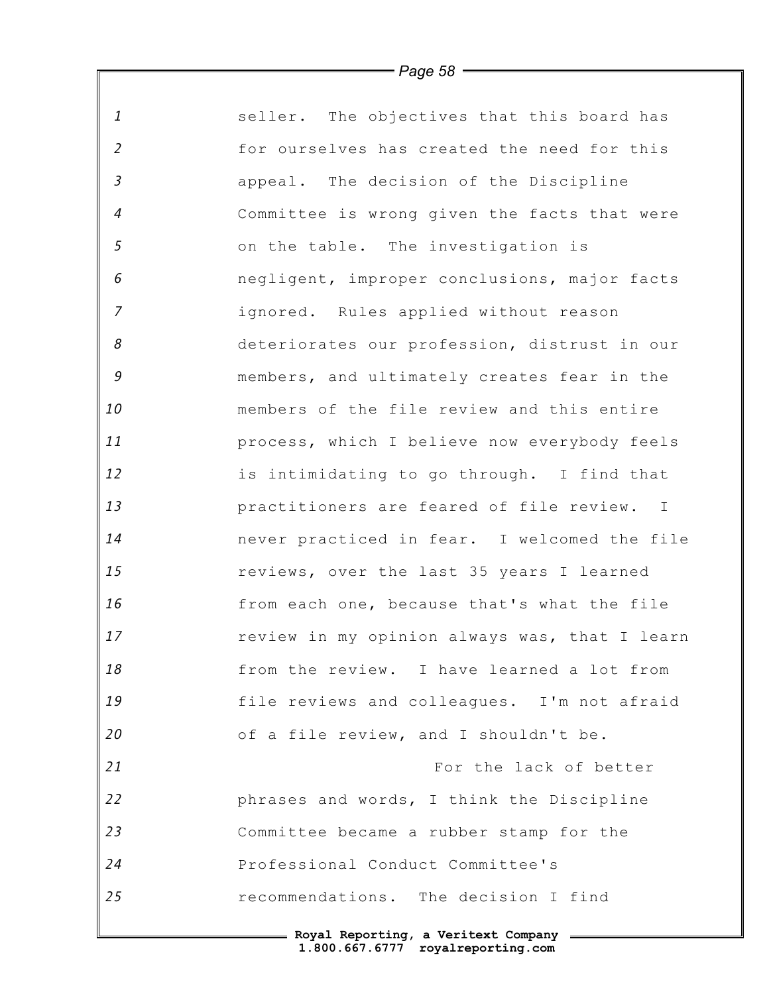| $\mathbf{1}$               | seller. The objectives that this board has    |
|----------------------------|-----------------------------------------------|
| $\overline{2}$             | for ourselves has created the need for this   |
| $\mathfrak{Z}$             | appeal. The decision of the Discipline        |
| $\overline{4}$             | Committee is wrong given the facts that were  |
| 5                          | on the table. The investigation is            |
| 6                          | negligent, improper conclusions, major facts  |
| $\overline{7}$             | ignored. Rules applied without reason         |
| $\boldsymbol{\mathcal{S}}$ | deteriorates our profession, distrust in our  |
| $\mathcal G$               | members, and ultimately creates fear in the   |
| 10                         | members of the file review and this entire    |
| 11                         | process, which I believe now everybody feels  |
| 12                         | is intimidating to go through. I find that    |
| 13                         | practitioners are feared of file review. I    |
| 14                         | never practiced in fear. I welcomed the file  |
| 15                         | reviews, over the last 35 years I learned     |
| 16                         | from each one, because that's what the file   |
| 17                         | review in my opinion always was, that I learn |
| 18                         | from the review. I have learned a lot from    |
| 19                         | file reviews and colleagues. I'm not afraid   |
| 20                         | of a file review, and I shouldn't be.         |
| 21                         | For the lack of better                        |
| 22                         | phrases and words, I think the Discipline     |
| 23                         | Committee became a rubber stamp for the       |
| 24                         | Professional Conduct Committee's              |
| 25                         | recommendations. The decision I find          |
|                            | = Royal Reporting, a Veritext Company =       |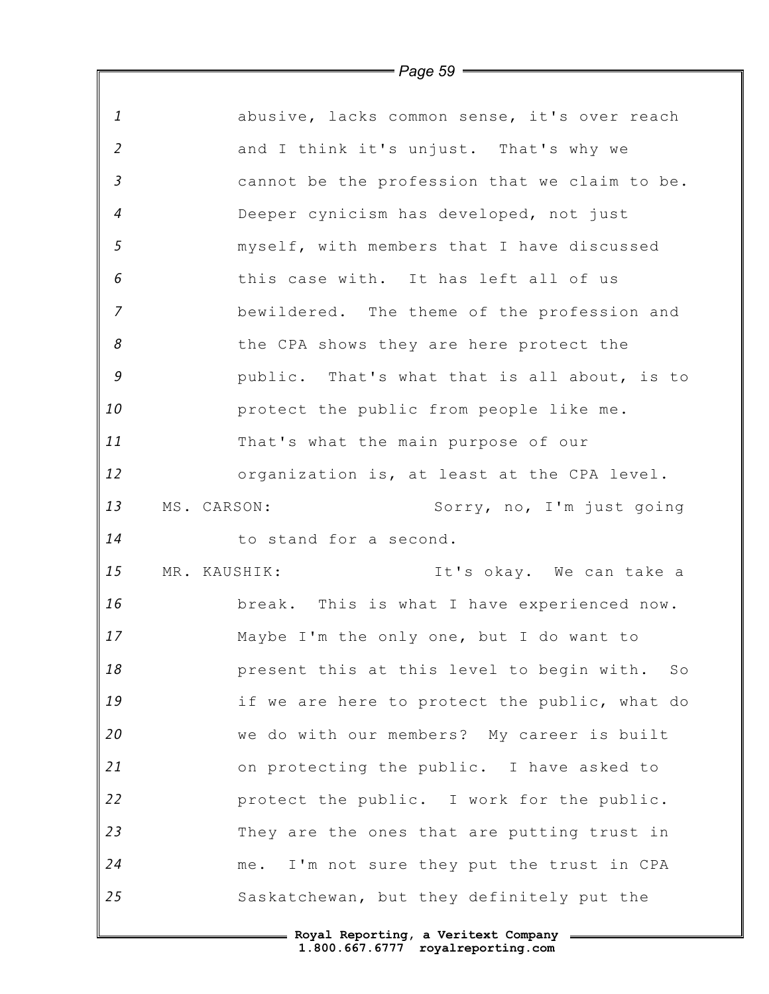| $\mathbf{1}$   | abusive, lacks common sense, it's over reach    |
|----------------|-------------------------------------------------|
| $\overline{2}$ | and I think it's unjust. That's why we          |
| $\mathfrak{Z}$ | cannot be the profession that we claim to be.   |
| $\overline{4}$ | Deeper cynicism has developed, not just         |
| 5              | myself, with members that I have discussed      |
| 6              | this case with. It has left all of us           |
| $\overline{z}$ | bewildered. The theme of the profession and     |
| 8              | the CPA shows they are here protect the         |
| $\mathcal G$   | public. That's what that is all about, is to    |
| 10             | protect the public from people like me.         |
| 11             | That's what the main purpose of our             |
| 12             | organization is, at least at the CPA level.     |
| 13             | MS. CARSON:<br>Sorry, no, I'm just going        |
| 14             | to stand for a second.                          |
| 15             | It's okay. We can take a<br>MR. KAUSHIK:        |
| 16             | break. This is what I have experienced now.     |
| 17             | Maybe I'm the only one, but I do want to        |
| 18             | present this at this level to begin with.<br>SO |
| 19             | if we are here to protect the public, what do   |
| 20             | we do with our members? My career is built      |
| 21             | on protecting the public. I have asked to       |
| 22             | protect the public. I work for the public.      |
| 23             | They are the ones that are putting trust in     |
| 24             | I'm not sure they put the trust in CPA<br>me.   |
| 25             | Saskatchewan, but they definitely put the       |
|                | - Roval Reporting, a Veritext Company           |

 $\mathbb F$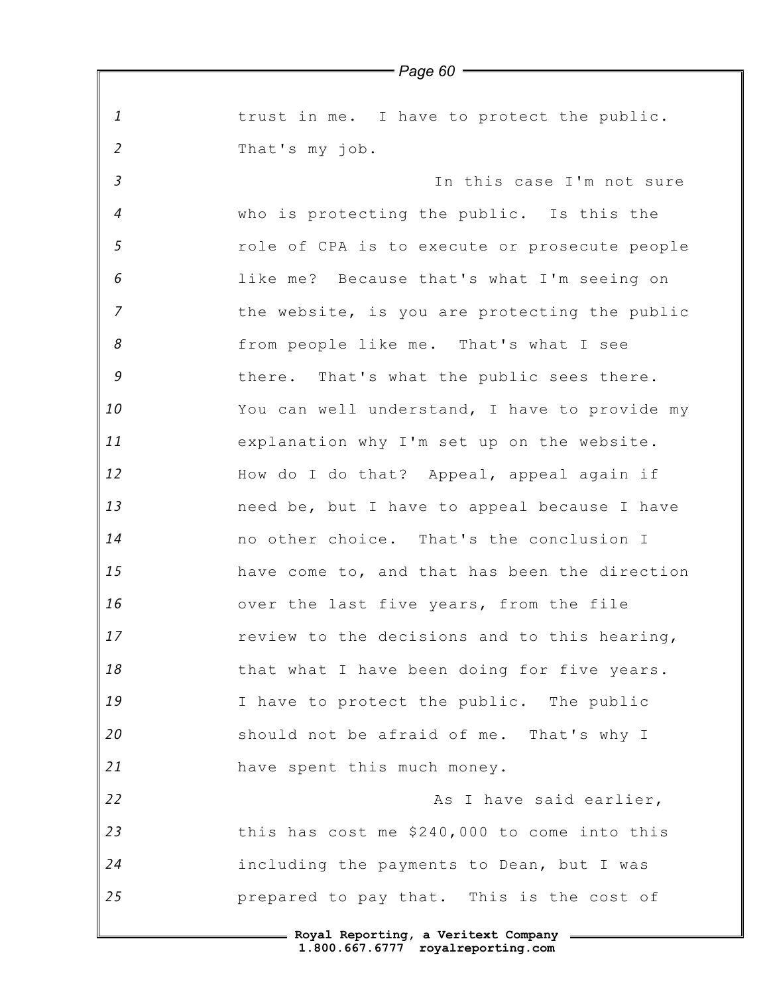*1 2 3 4 5 6 7 8 9 10 11 12 13 14 15 16 17 18 19 20 21 22 23 24 25* **Royal Reporting, a Veritext Company** *Page 60* trust in me. I have to protect the public. That's my job. In this case I'm not sure who is protecting the public. Is this the role of CPA is to execute or prosecute people like me? Because that's what I'm seeing on the website, is you are protecting the public from people like me. That's what I see there. That's what the public sees there. You can well understand, I have to provide my explanation why I'm set up on the website. How do I do that? Appeal, appeal again if need be, but I have to appeal because I have no other choice. That's the conclusion I have come to, and that has been the direction over the last five years, from the file review to the decisions and to this hearing, that what I have been doing for five years. I have to protect the public. The public should not be afraid of me. That's why I have spent this much money. As I have said earlier, this has cost me \$240,000 to come into this including the payments to Dean, but I was prepared to pay that. This is the cost of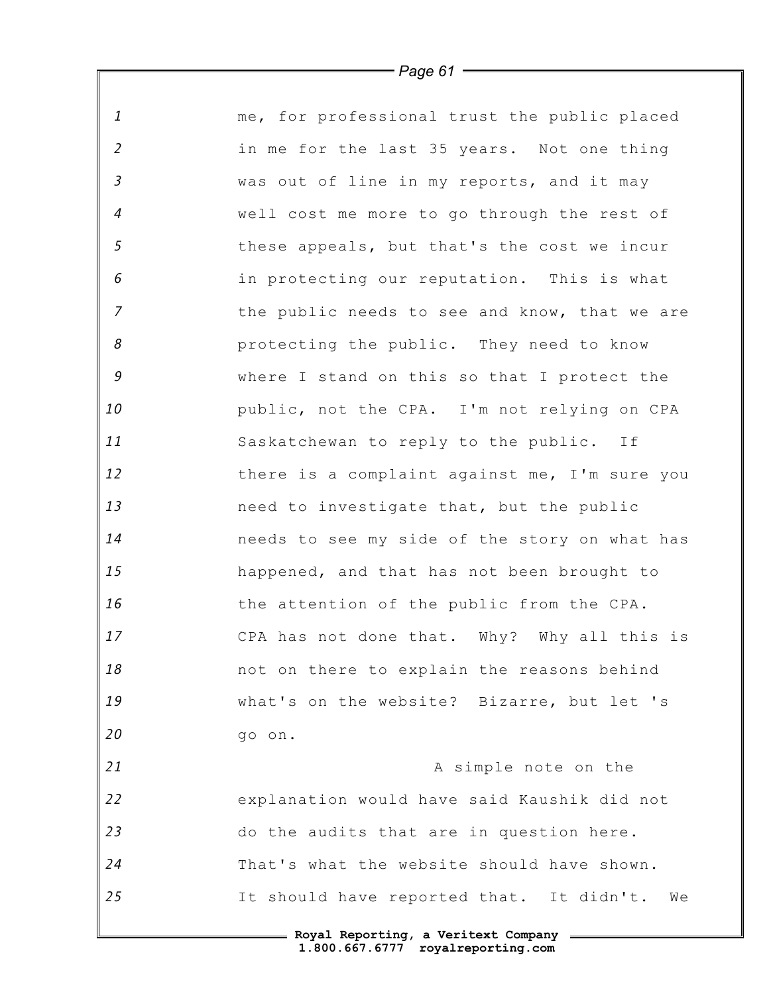| $\mathbf{1}$               | me, for professional trust the public placed   |
|----------------------------|------------------------------------------------|
| $\overline{2}$             | in me for the last 35 years. Not one thing     |
| $\mathfrak{Z}$             | was out of line in my reports, and it may      |
| $\overline{4}$             | well cost me more to go through the rest of    |
| $\mathfrak{s}$             | these appeals, but that's the cost we incur    |
| $\epsilon$                 | in protecting our reputation. This is what     |
| $\overline{z}$             | the public needs to see and know, that we are  |
| $\boldsymbol{\mathcal{S}}$ | protecting the public. They need to know       |
| $\mathcal G$               | where I stand on this so that I protect the    |
| 10                         | public, not the CPA. I'm not relying on CPA    |
| 11                         | Saskatchewan to reply to the public. If        |
| 12                         | there is a complaint against me, I'm sure you  |
| 13                         | need to investigate that, but the public       |
| 14                         | needs to see my side of the story on what has  |
| 15                         | happened, and that has not been brought to     |
| 16                         | the attention of the public from the CPA.      |
| 17                         | CPA has not done that. Why? Why all this is    |
| 18                         | not on there to explain the reasons behind     |
| 19                         | what's on the website? Bizarre, but let 's     |
| 20                         | go on.                                         |
| 21                         | A simple note on the                           |
| 22                         | explanation would have said Kaushik did not    |
| 23                         | do the audits that are in question here.       |
| 24                         | That's what the website should have shown.     |
| 25                         | It should have reported that. It didn't.<br>We |
|                            | = Royal Reporting, a Veritext Company          |

*Page 61*

 $\mathsf I$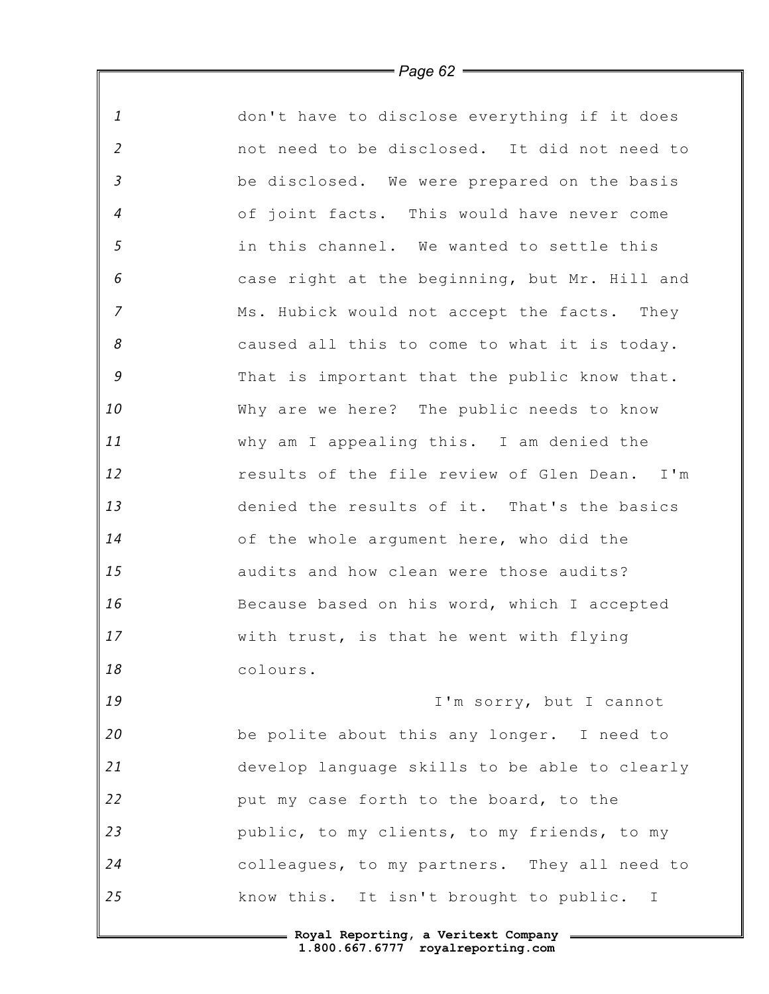| $\mathbf{1}$     | don't have to disclose everything if it does  |
|------------------|-----------------------------------------------|
| $\overline{2}$   | not need to be disclosed. It did not need to  |
| $\mathfrak{Z}$   | be disclosed. We were prepared on the basis   |
| $\boldsymbol{4}$ | of joint facts. This would have never come    |
| $\sqrt{5}$       | in this channel. We wanted to settle this     |
| 6                | case right at the beginning, but Mr. Hill and |
| $\overline{z}$   | Ms. Hubick would not accept the facts. They   |
| 8                | caused all this to come to what it is today.  |
| $\mathcal G$     | That is important that the public know that.  |
| 10               | Why are we here? The public needs to know     |
| 11               | why am I appealing this. I am denied the      |
| 12               | results of the file review of Glen Dean. I'm  |
| 13               | denied the results of it. That's the basics   |
| 14               | of the whole argument here, who did the       |
| 15               | audits and how clean were those audits?       |
| 16               | Because based on his word, which I accepted   |
| 17               | with trust, is that he went with flying       |
| 18               | colours.                                      |
| 19               | I'm sorry, but I cannot                       |
| 20               | be polite about this any longer. I need to    |
| 21               | develop language skills to be able to clearly |
| 22               | put my case forth to the board, to the        |
| 23               | public, to my clients, to my friends, to my   |
| 24               | colleagues, to my partners. They all need to  |
| 25               | know this. It isn't brought to public. I      |
|                  |                                               |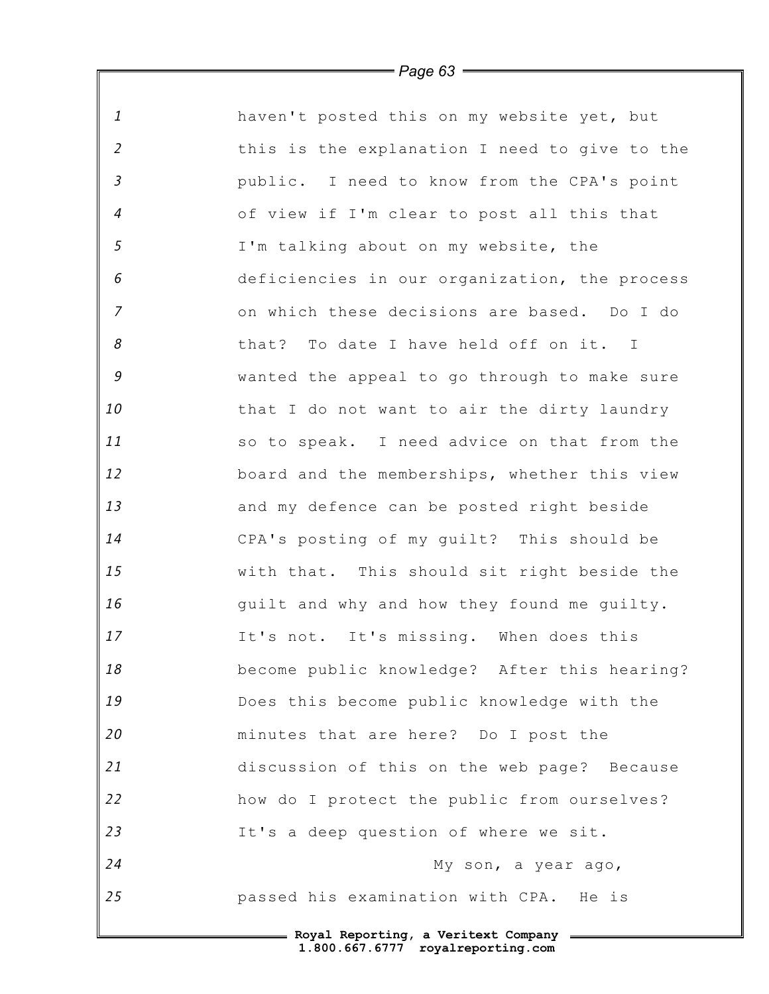| $\mathbf{1}$   | haven't posted this on my website yet, but    |
|----------------|-----------------------------------------------|
| $\overline{2}$ | this is the explanation I need to give to the |
| $\mathfrak{Z}$ | public. I need to know from the CPA's point   |
| $\overline{4}$ | of view if I'm clear to post all this that    |
| 5              | I'm talking about on my website, the          |
| 6              | deficiencies in our organization, the process |
| $\overline{7}$ | on which these decisions are based. Do I do   |
| 8              | that? To date I have held off on it. I        |
| $\mathcal G$   | wanted the appeal to go through to make sure  |
| 10             | that I do not want to air the dirty laundry   |
| 11             | so to speak. I need advice on that from the   |
| 12             | board and the memberships, whether this view  |
| 13             | and my defence can be posted right beside     |
| 14             | CPA's posting of my guilt? This should be     |
| 15             | with that. This should sit right beside the   |
| 16             | quilt and why and how they found me quilty.   |
| 17             | It's not. It's missing. When does this        |
| 18             | become public knowledge? After this hearing?  |
| 19             | Does this become public knowledge with the    |
| 20             | minutes that are here? Do I post the          |
| 21             | discussion of this on the web page? Because   |
| 22             | how do I protect the public from ourselves?   |
| 23             | It's a deep question of where we sit.         |
| 24             | My son, a year ago,                           |
| 25             | passed his examination with CPA. He is        |
|                |                                               |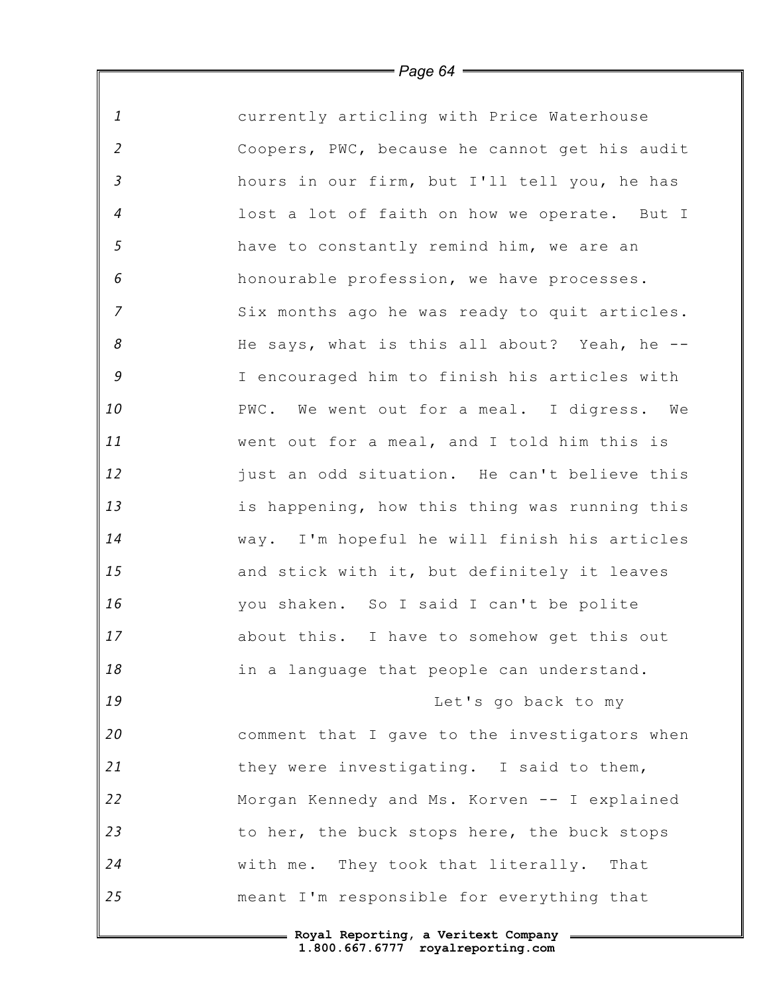| $\mathbf{1}$   | currently articling with Price Waterhouse     |
|----------------|-----------------------------------------------|
| $\overline{2}$ | Coopers, PWC, because he cannot get his audit |
| $\mathfrak{Z}$ | hours in our firm, but I'll tell you, he has  |
| $\overline{4}$ | lost a lot of faith on how we operate. But I  |
| $\mathfrak{s}$ | have to constantly remind him, we are an      |
| 6              | honourable profession, we have processes.     |
| $\overline{7}$ | Six months ago he was ready to quit articles. |
| 8              | He says, what is this all about? Yeah, he --  |
| $\mathcal G$   | I encouraged him to finish his articles with  |
| 10             | PWC. We went out for a meal. I digress. We    |
| 11             | went out for a meal, and I told him this is   |
| 12             | just an odd situation. He can't believe this  |
| 13             | is happening, how this thing was running this |
| 14             | way. I'm hopeful he will finish his articles  |
| 15             | and stick with it, but definitely it leaves   |
| 16             | you shaken. So I said I can't be polite       |
| 17             | about this. I have to somehow get this out    |
| 18             | in a language that people can understand.     |
| 19             | Let's go back to my                           |
| 20             | comment that I gave to the investigators when |
| 21             | they were investigating. I said to them,      |
| 22             | Morgan Kennedy and Ms. Korven -- I explained  |
| 23             | to her, the buck stops here, the buck stops   |
| 24             | with me. They took that literally. That       |
| 25             | meant I'm responsible for everything that     |
|                |                                               |

*Page 64*

∥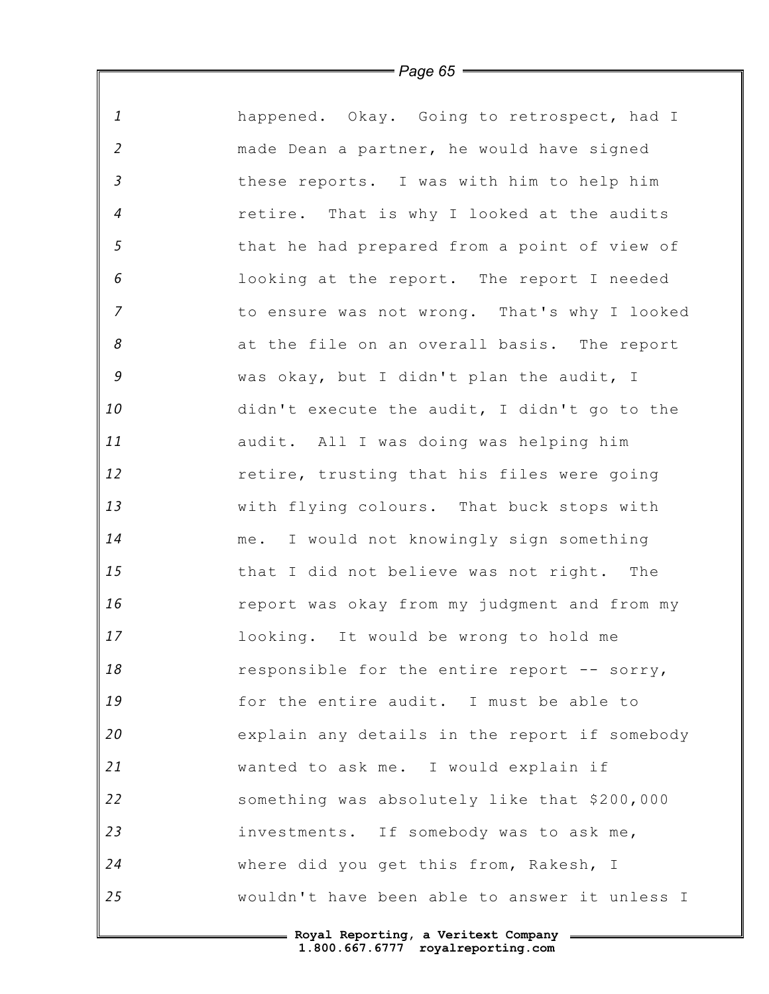| happened. Okay. Going to retrospect, had I<br>made Dean a partner, he would have signed<br>these reports. I was with him to help him<br>retire. That is why I looked at the audits<br>that he had prepared from a point of view of<br>looking at the report. The report I needed<br>to ensure was not wrong. That's why I looked<br>at the file on an overall basis. The report |
|---------------------------------------------------------------------------------------------------------------------------------------------------------------------------------------------------------------------------------------------------------------------------------------------------------------------------------------------------------------------------------|
|                                                                                                                                                                                                                                                                                                                                                                                 |
|                                                                                                                                                                                                                                                                                                                                                                                 |
|                                                                                                                                                                                                                                                                                                                                                                                 |
|                                                                                                                                                                                                                                                                                                                                                                                 |
|                                                                                                                                                                                                                                                                                                                                                                                 |
|                                                                                                                                                                                                                                                                                                                                                                                 |
|                                                                                                                                                                                                                                                                                                                                                                                 |
|                                                                                                                                                                                                                                                                                                                                                                                 |
| was okay, but I didn't plan the audit, I                                                                                                                                                                                                                                                                                                                                        |
| didn't execute the audit, I didn't go to the                                                                                                                                                                                                                                                                                                                                    |
|                                                                                                                                                                                                                                                                                                                                                                                 |
| retire, trusting that his files were going                                                                                                                                                                                                                                                                                                                                      |
| with flying colours. That buck stops with                                                                                                                                                                                                                                                                                                                                       |
| me. I would not knowingly sign something                                                                                                                                                                                                                                                                                                                                        |
| that I did not believe was not right. The                                                                                                                                                                                                                                                                                                                                       |
| report was okay from my judgment and from my                                                                                                                                                                                                                                                                                                                                    |
|                                                                                                                                                                                                                                                                                                                                                                                 |
| responsible for the entire report -- sorry,                                                                                                                                                                                                                                                                                                                                     |
| for the entire audit. I must be able to                                                                                                                                                                                                                                                                                                                                         |
| explain any details in the report if somebody                                                                                                                                                                                                                                                                                                                                   |
|                                                                                                                                                                                                                                                                                                                                                                                 |
| something was absolutely like that \$200,000                                                                                                                                                                                                                                                                                                                                    |
| investments. If somebody was to ask me,                                                                                                                                                                                                                                                                                                                                         |
|                                                                                                                                                                                                                                                                                                                                                                                 |
| wouldn't have been able to answer it unless I                                                                                                                                                                                                                                                                                                                                   |
|                                                                                                                                                                                                                                                                                                                                                                                 |

Ι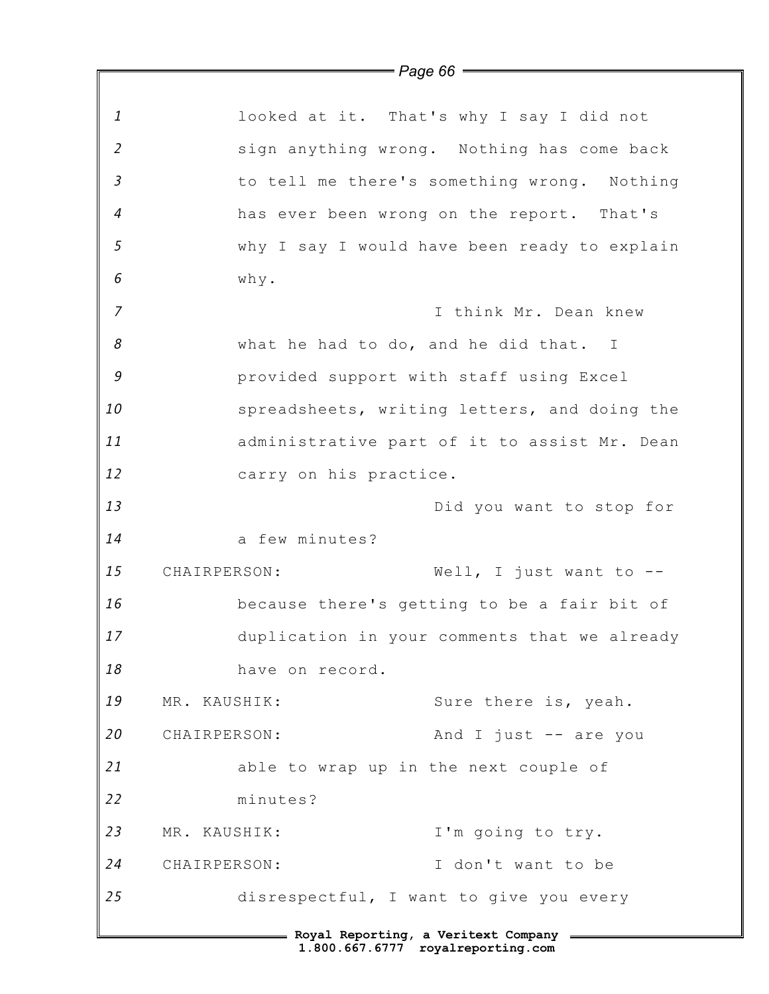|                                       | $=$ Page 66 $=$                              |                                              |  |
|---------------------------------------|----------------------------------------------|----------------------------------------------|--|
|                                       |                                              |                                              |  |
| 1                                     |                                              | looked at it. That's why I say I did not     |  |
| $\overline{2}$                        |                                              | sign anything wrong. Nothing has come back   |  |
| $\mathfrak{Z}$                        |                                              | to tell me there's something wrong. Nothing  |  |
| $\overline{4}$                        |                                              | has ever been wrong on the report. That's    |  |
| $\mathfrak{s}$                        |                                              | why I say I would have been ready to explain |  |
| 6                                     | why.                                         |                                              |  |
| $\overline{7}$                        |                                              | I think Mr. Dean knew                        |  |
| 8                                     | what he had to do, and he did that. I        |                                              |  |
| 9                                     | provided support with staff using Excel      |                                              |  |
| 10                                    | spreadsheets, writing letters, and doing the |                                              |  |
| 11                                    | administrative part of it to assist Mr. Dean |                                              |  |
| 12                                    | carry on his practice.                       |                                              |  |
| 13                                    |                                              | Did you want to stop for                     |  |
| 14                                    | a few minutes?                               |                                              |  |
| 15                                    | CHAIRPERSON:                                 | Well, I just want to $-$                     |  |
| 16                                    |                                              | because there's getting to be a fair bit of  |  |
| 17                                    |                                              | duplication in your comments that we already |  |
| 18                                    | have on record.                              |                                              |  |
| 19                                    | MR. KAUSHIK:                                 | Sure there is, yeah.                         |  |
| 20                                    | CHAIRPERSON:                                 | And I just $-$ are you                       |  |
| 21                                    | able to wrap up in the next couple of        |                                              |  |
| 22                                    | minutes?                                     |                                              |  |
| 23                                    | MR. KAUSHIK:                                 | I'm going to try.                            |  |
| 24                                    | CHAIRPERSON:                                 | I don't want to be                           |  |
| 25                                    | disrespectful, I want to give you every      |                                              |  |
| - Royal Reporting, a Veritext Company |                                              |                                              |  |
| 1.800.667.6777 royalreporting.com     |                                              |                                              |  |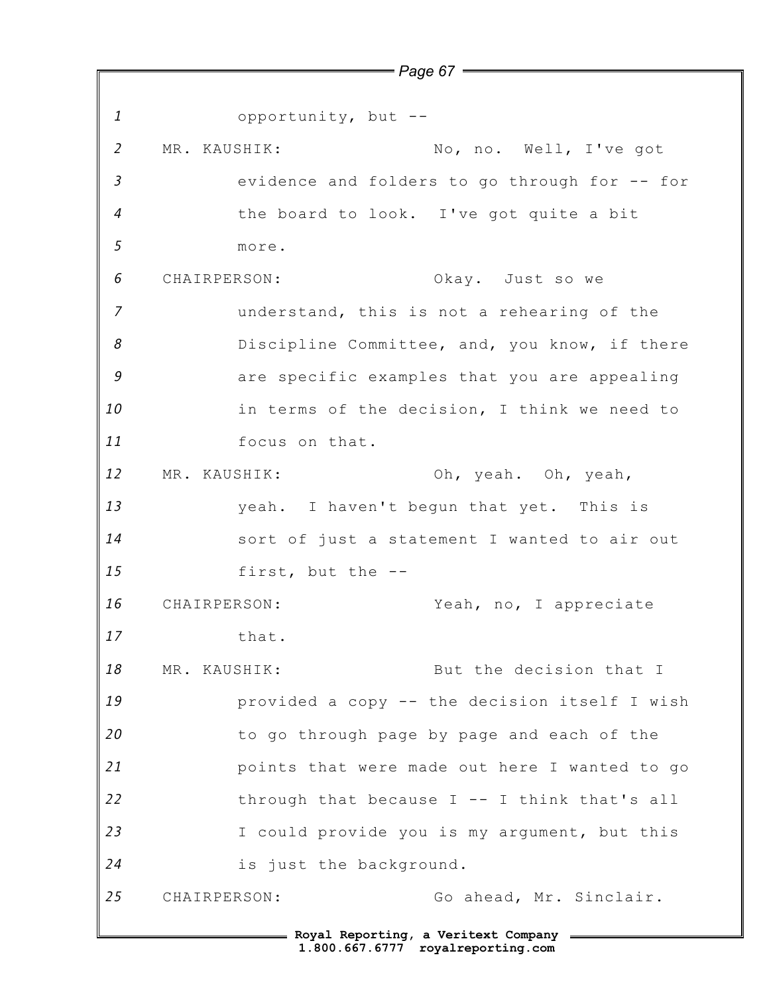*1 2 3 4 5 6 7 8 9 10 11 12 13 14 15 16 17 18 19 20 21 22 23 24 25* **Royal Reporting, a Veritext Company** opportunity, but -- MR. KAUSHIK: No, no. Well, I've got evidence and folders to go through for -- for the board to look. I've got quite a bit more. CHAIRPERSON: Okay. Just so we understand, this is not a rehearing of the Discipline Committee, and, you know, if there are specific examples that you are appealing in terms of the decision, I think we need to focus on that. MR. KAUSHIK: Oh, yeah. Oh, yeah, yeah. I haven't begun that yet. This is sort of just a statement I wanted to air out first, but the -- CHAIRPERSON: Yeah, no, I appreciate that. MR. KAUSHIK: But the decision that I provided a copy -- the decision itself I wish to go through page by page and each of the points that were made out here I wanted to go through that because  $I$  -- I think that's all I could provide you is my argument, but this is just the background. CHAIRPERSON: Go ahead, Mr. Sinclair.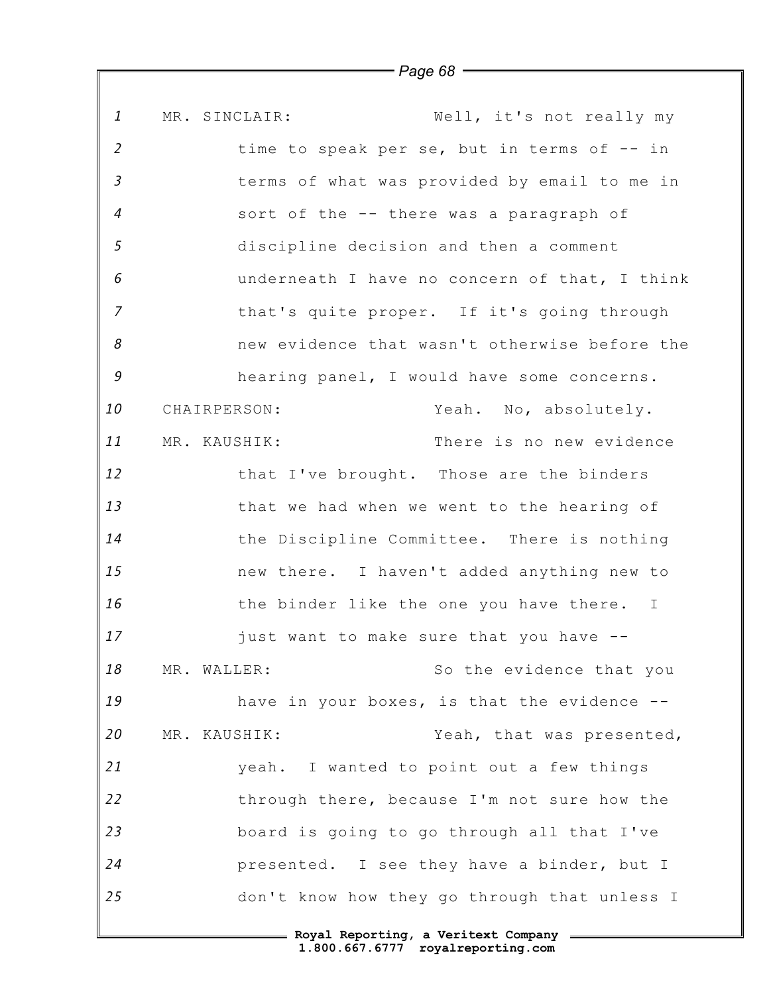*1 2 3 4 5 6 7 8 9 10 11 12 13 14 15 16 17 18 19 20 21 22 23 24 25* MR. SINCLAIR: Well, it's not really my time to speak per se, but in terms of -- in terms of what was provided by email to me in sort of the -- there was a paragraph of discipline decision and then a comment underneath I have no concern of that, I think that's quite proper. If it's going through new evidence that wasn't otherwise before the hearing panel, I would have some concerns. CHAIRPERSON: Yeah. No, absolutely. MR. KAUSHIK: There is no new evidence that I've brought. Those are the binders that we had when we went to the hearing of the Discipline Committee. There is nothing new there. I haven't added anything new to the binder like the one you have there. I just want to make sure that you have -- MR. WALLER: So the evidence that you have in your boxes, is that the evidence --MR. KAUSHIK: Yeah, that was presented, yeah. I wanted to point out a few things through there, because I'm not sure how the board is going to go through all that I've presented. I see they have a binder, but I don't know how they go through that unless I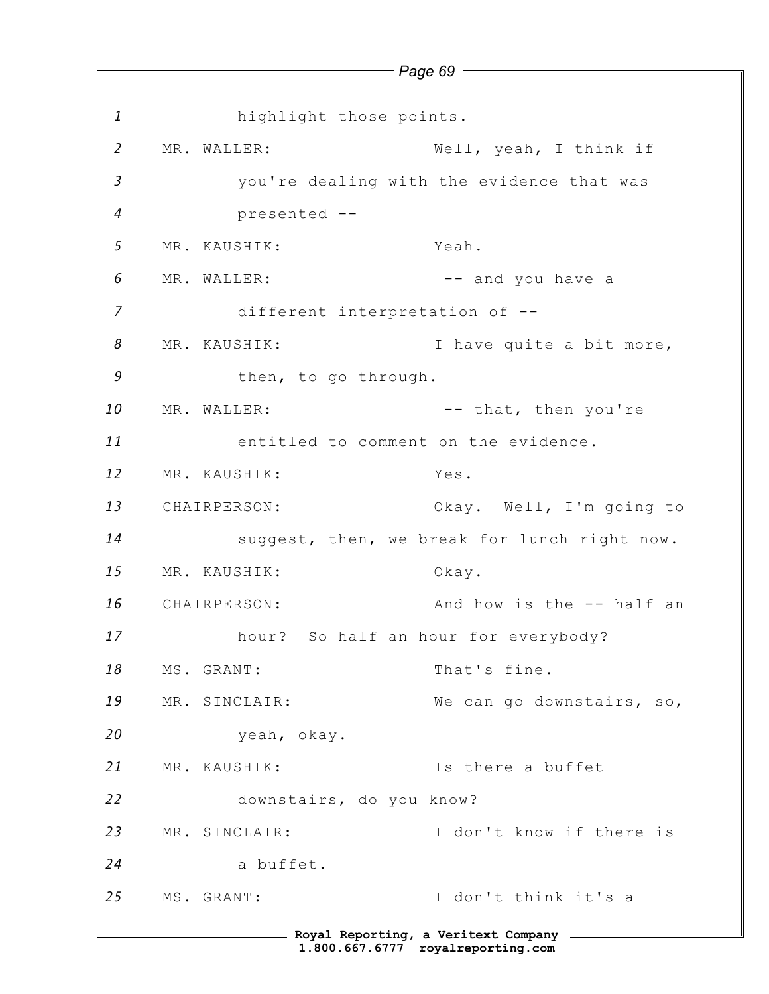*1 2 3 4 5 6 7 8 9 10 11 12 13 14 15 16 17 18 19 20 21 22 23 24 25* **Royal Reporting, a Veritext Company** *Page 69* highlight those points. MR. WALLER: Well, yeah, I think if you're dealing with the evidence that was presented -- MR. KAUSHIK: Yeah. MR. WALLER:  $---$  and you have a different interpretation of -- MR. KAUSHIK: I have quite a bit more, then, to go through. MR. WALLER:  $---$  that, then you're entitled to comment on the evidence. MR. KAUSHIK: Yes. CHAIRPERSON: Okay. Well, I'm going to suggest, then, we break for lunch right now. MR. KAUSHIK: Okay. CHAIRPERSON: And how is the -- half an hour? So half an hour for everybody? MS. GRANT: That's fine. MR. SINCLAIR: We can go downstairs, so, yeah, okay. MR. KAUSHIK: Is there a buffet downstairs, do you know? MR. SINCLAIR: I don't know if there is a buffet. MS. GRANT: I don't think it's a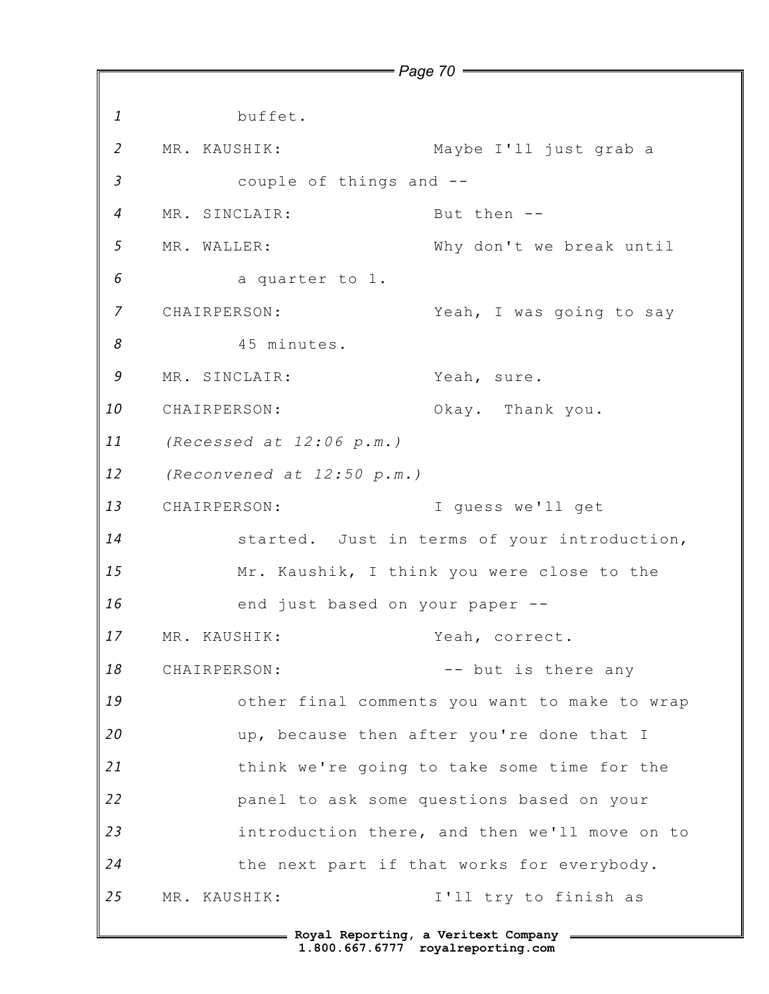*1 2 3 4 5 6 7 8 9 10 11 12 13 14 15 16 17 18 19 20 21 22 23 24 25* **Royal Reporting, a Veritext Company** *Page 70* buffet. MR. KAUSHIK: Maybe I'll just grab a couple of things and -- MR. SINCLAIR: But then --MR. WALLER: Why don't we break until a quarter to 1. CHAIRPERSON: Yeah, I was going to say 45 minutes. MR. SINCLAIR: Yeah, sure. CHAIRPERSON: Okay. Thank you. *(Recessed at 12:06 p.m.) (Reconvened at 12:50 p.m.)* CHAIRPERSON: I guess we'll get started. Just in terms of your introduction, Mr. Kaushik, I think you were close to the end just based on your paper -- MR. KAUSHIK: Yeah, correct. CHAIRPERSON: -- but is there any other final comments you want to make to wrap up, because then after you're done that I think we're going to take some time for the panel to ask some questions based on your introduction there, and then we'll move on to the next part if that works for everybody. MR. KAUSHIK: I'll try to finish as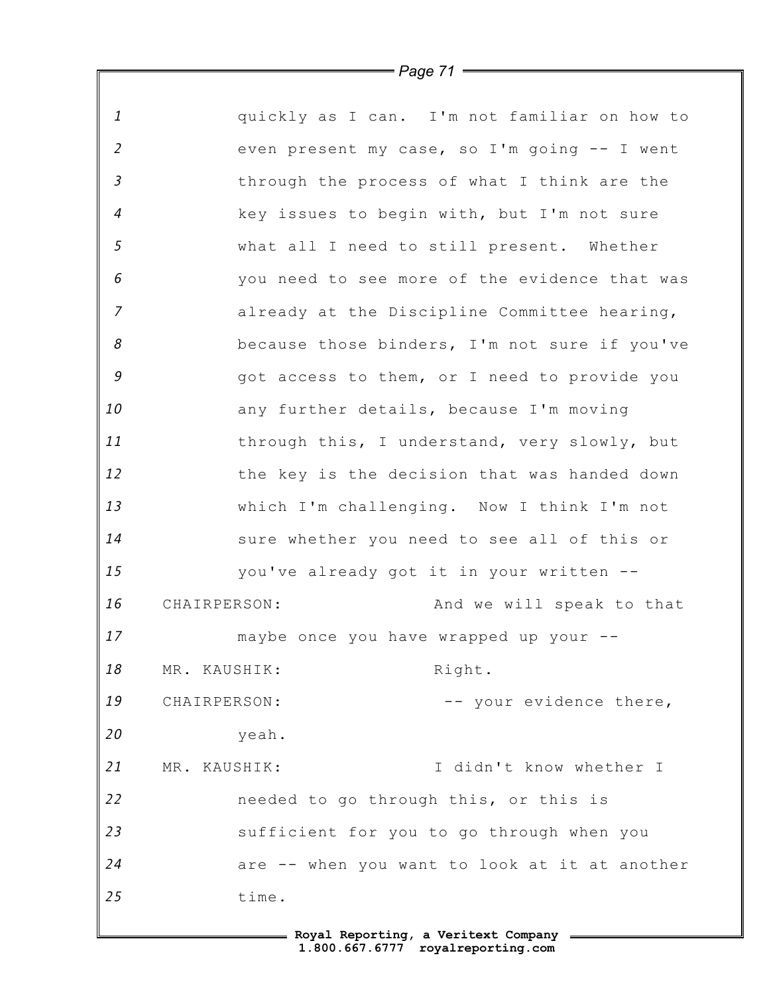*1 2 3 4 5 6 7 8 9 10 11 12 13 14 15 16 17 18 19 20 21 22 23 24 25* quickly as I can. I'm not familiar on how to even present my case, so I'm going -- I went through the process of what I think are the key issues to begin with, but I'm not sure what all I need to still present. Whether you need to see more of the evidence that was already at the Discipline Committee hearing, because those binders, I'm not sure if you've got access to them, or I need to provide you any further details, because I'm moving through this, I understand, very slowly, but the key is the decision that was handed down which I'm challenging. Now I think I'm not sure whether you need to see all of this or you've already got it in your written -- CHAIRPERSON: And we will speak to that maybe once you have wrapped up your -- MR. KAUSHIK: Right. CHAIRPERSON: - - your evidence there, yeah. MR. KAUSHIK: I didn't know whether I needed to go through this, or this is sufficient for you to go through when you are -- when you want to look at it at another time.

*Page 71*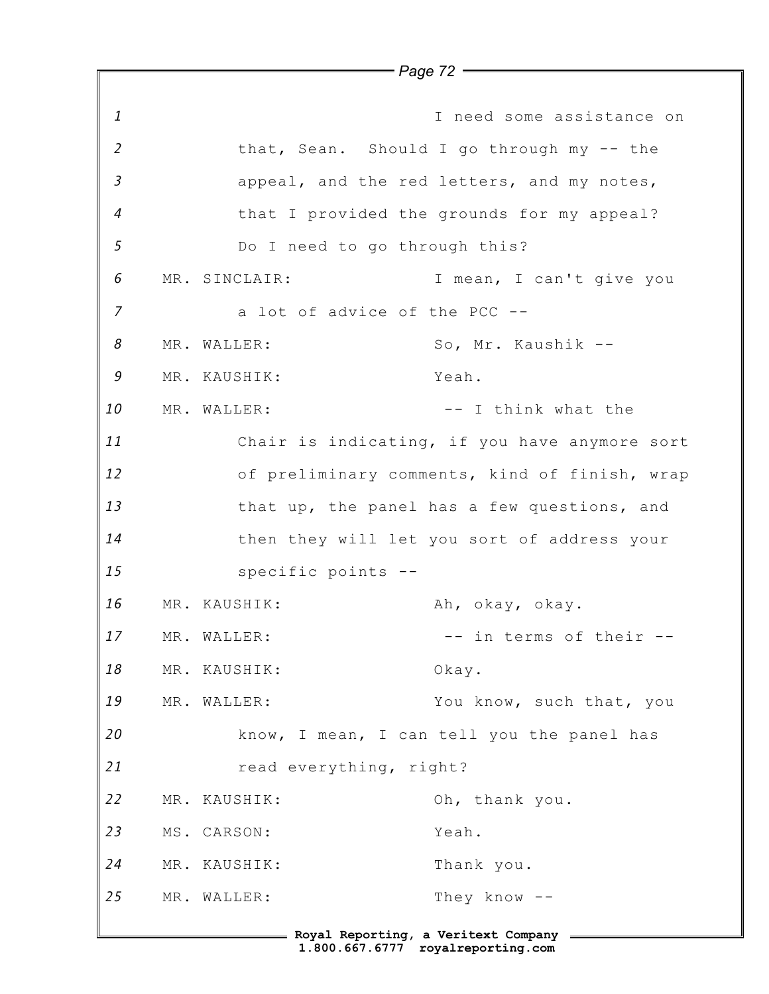*1 2 3 4 5 6 7 8 9 10 11 12 13 14 15 16 17 18 19 20 21 22 23 24 25 Page 72* I need some assistance on that, Sean. Should I go through my -- the appeal, and the red letters, and my notes, that I provided the grounds for my appeal? Do I need to go through this? MR. SINCLAIR: I mean, I can't give you a lot of advice of the PCC -- MR. WALLER: So, Mr. Kaushik -- MR. KAUSHIK: Yeah. MR. WALLER:  $---$  I think what the Chair is indicating, if you have anymore sort of preliminary comments, kind of finish, wrap that up, the panel has a few questions, and then they will let you sort of address your specific points -- MR. KAUSHIK: Ah, okay, okay. MR. WALLER:  $- --$  in terms of their  $--$ MR. KAUSHIK: Okay. MR. WALLER: You know, such that, you know, I mean, I can tell you the panel has read everything, right? MR. KAUSHIK: Oh, thank you. MS. CARSON: Yeah. MR. KAUSHIK: Thank you. MR. WALLER: They know --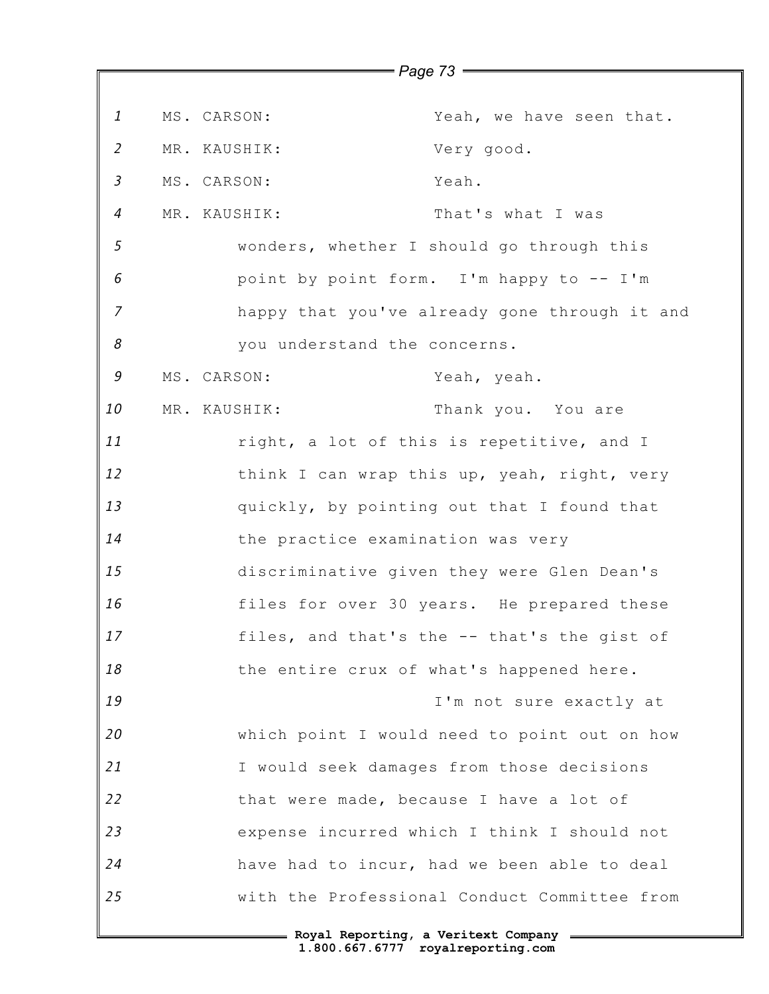|                |                                         | $=$ Page 73 $=$                               |
|----------------|-----------------------------------------|-----------------------------------------------|
| $\mathbf{1}$   | MS. CARSON:                             | Yeah, we have seen that.                      |
| $\overline{2}$ | MR. KAUSHIK:                            | Very good.                                    |
| $\mathfrak{Z}$ | MS. CARSON:                             | Yeah.                                         |
| $\overline{4}$ | MR. KAUSHIK:                            | That's what I was                             |
| 5              |                                         | wonders, whether I should go through this     |
| 6              |                                         | point by point form. I'm happy to -- I'm      |
| $\overline{7}$ |                                         | happy that you've already gone through it and |
| 8              | you understand the concerns.            |                                               |
| 9              | MS. CARSON:                             | Yeah, yeah.                                   |
| 10             | MR. KAUSHIK:                            | Thank you. You are                            |
| 11             |                                         | right, a lot of this is repetitive, and I     |
| 12             |                                         | think I can wrap this up, yeah, right, very   |
| 13             |                                         | quickly, by pointing out that I found that    |
| 14             | the practice examination was very       |                                               |
| 15             |                                         | discriminative given they were Glen Dean's    |
| 16             |                                         | files for over 30 years. He prepared these    |
| 17             |                                         | files, and that's the -- that's the gist of   |
| 18             |                                         | the entire crux of what's happened here.      |
| 19             |                                         | I'm not sure exactly at                       |
| 20             |                                         | which point I would need to point out on how  |
| 21             |                                         | I would seek damages from those decisions     |
| 22             | that were made, because I have a lot of |                                               |
| 23             |                                         | expense incurred which I think I should not   |
| 24             |                                         | have had to incur, had we been able to deal   |
| 25             |                                         | with the Professional Conduct Committee from  |
|                |                                         |                                               |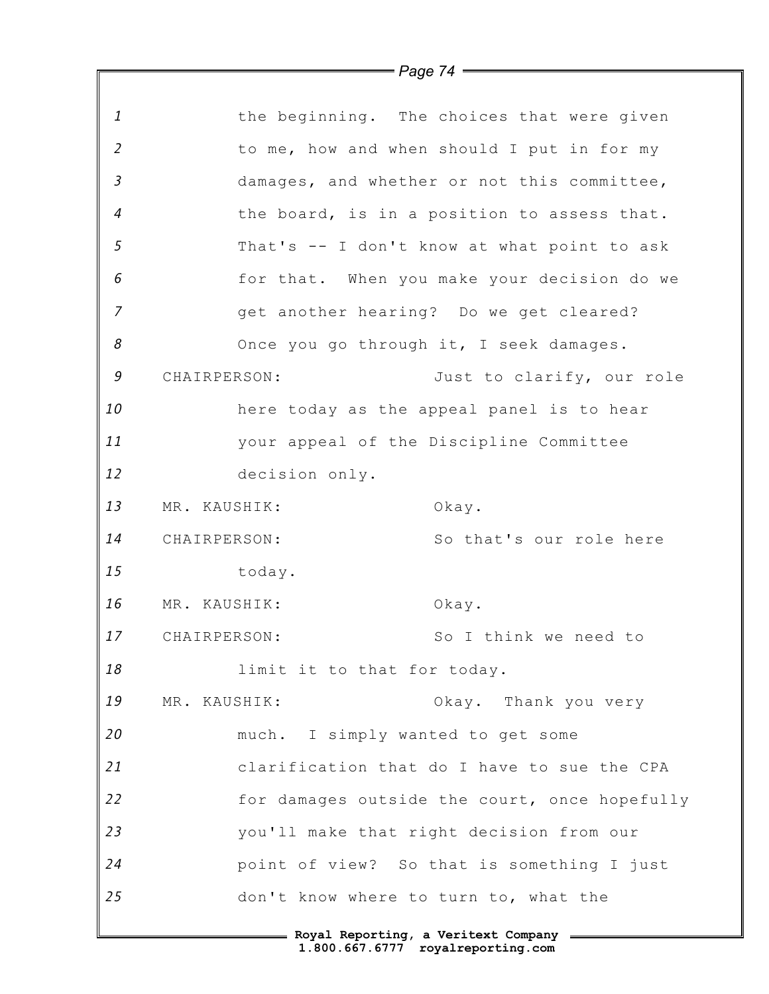|                |                                                | = Page 74 $=$                                 |
|----------------|------------------------------------------------|-----------------------------------------------|
|                |                                                |                                               |
| $\mathbf{1}$   |                                                | the beginning. The choices that were given    |
| $\overline{2}$ |                                                | to me, how and when should I put in for my    |
| $\mathfrak{Z}$ |                                                | damages, and whether or not this committee,   |
| $\overline{4}$ |                                                | the board, is in a position to assess that.   |
| 5              |                                                | That's -- I don't know at what point to ask   |
| 6              |                                                | for that. When you make your decision do we   |
| $\overline{z}$ |                                                | get another hearing? Do we get cleared?       |
| 8              |                                                | Once you go through it, I seek damages.       |
| 9              | CHAIRPERSON:                                   | Just to clarify, our role                     |
| 10             |                                                | here today as the appeal panel is to hear     |
| 11             |                                                | your appeal of the Discipline Committee       |
| 12             | decision only.                                 |                                               |
| 13             | MR. KAUSHIK:                                   | Okay.                                         |
| 14             | CHAIRPERSON:                                   | So that's our role here                       |
| 15             | today.                                         |                                               |
| 16             | MR. KAUSHIK:                                   | Okay.                                         |
| 17             | CHAIRPERSON:                                   | So I think we need to                         |
| 18             | limit it to that for today.                    |                                               |
| 19             | MR. KAUSHIK:                                   | Okay. Thank you very                          |
| 20             | much. I simply wanted to get some              |                                               |
| 21             |                                                | clarification that do I have to sue the CPA   |
| 22             |                                                | for damages outside the court, once hopefully |
| 23             |                                                | you'll make that right decision from our      |
| 24             |                                                | point of view? So that is something I just    |
| 25             | don't know where to turn to, what the          |                                               |
|                | Ellergia Roval Reporting, a Veritext Company = |                                               |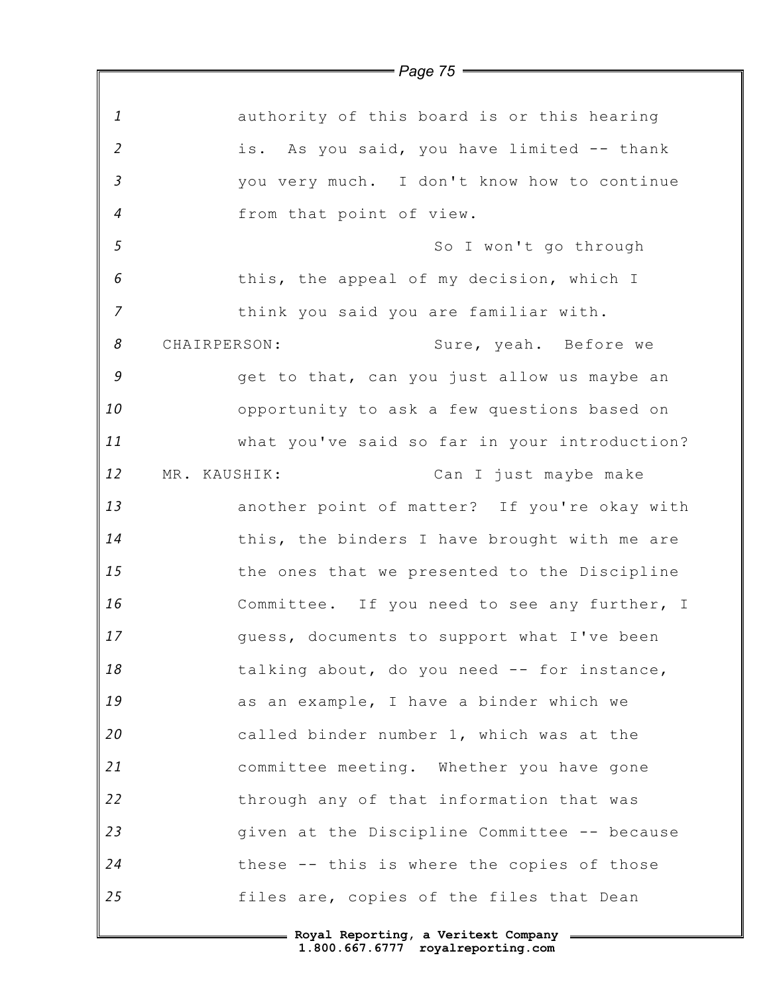*1 2 3 4 5 6 7 8 9 10 11 12 13 14 15 16 17 18 19 20 21 22 23 24 25 Page 75* authority of this board is or this hearing is. As you said, you have limited -- thank you very much. I don't know how to continue from that point of view. So I won't go through this, the appeal of my decision, which I think you said you are familiar with. CHAIRPERSON: Sure, yeah. Before we get to that, can you just allow us maybe an opportunity to ask a few questions based on what you've said so far in your introduction? MR. KAUSHIK: Can I just maybe make another point of matter? If you're okay with this, the binders I have brought with me are the ones that we presented to the Discipline Committee. If you need to see any further, I guess, documents to support what I've been talking about, do you need -- for instance, as an example, I have a binder which we called binder number 1, which was at the committee meeting. Whether you have gone through any of that information that was given at the Discipline Committee -- because these -- this is where the copies of those files are, copies of the files that Dean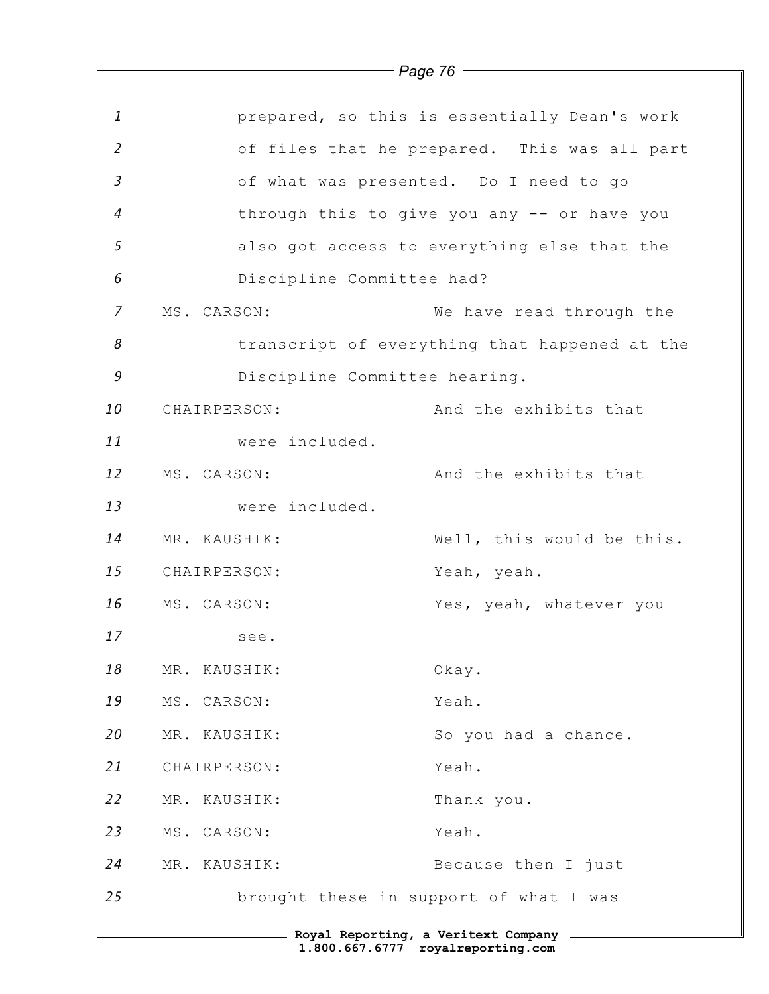|                |                               | = Page 76 =                                   |
|----------------|-------------------------------|-----------------------------------------------|
|                |                               |                                               |
| 1              |                               | prepared, so this is essentially Dean's work  |
| $\overline{2}$ |                               | of files that he prepared. This was all part  |
| $\mathfrak{Z}$ |                               | of what was presented. Do I need to go        |
| $\overline{4}$ |                               | through this to give you any -- or have you   |
| 5              |                               | also got access to everything else that the   |
| 6              | Discipline Committee had?     |                                               |
| $\overline{7}$ | MS. CARSON:                   | We have read through the                      |
| 8              |                               | transcript of everything that happened at the |
| 9              | Discipline Committee hearing. |                                               |
| 10             | CHAIRPERSON:                  | And the exhibits that                         |
| 11             | were included.                |                                               |
| 12             | MS. CARSON:                   | And the exhibits that                         |
| 13             | were included.                |                                               |
| 14             | MR. KAUSHIK:                  | Well, this would be this.                     |
| 15             | CHAIRPERSON:                  | Yeah, yeah.                                   |
| 16             | MS. CARSON:                   | Yes, yeah, whatever you                       |
| 17             | see.                          |                                               |
| 18             | MR. KAUSHIK:                  | Okay.                                         |
| 19             | MS. CARSON:                   | Yeah.                                         |
| 20             | MR. KAUSHIK:                  | So you had a chance.                          |
| 21             | CHAIRPERSON:                  | Yeah.                                         |
| 22             | MR. KAUSHIK:                  | Thank you.                                    |
| 23             | MS. CARSON:                   | Yeah.                                         |
| 24             | MR. KAUSHIK:                  | Because then I just                           |
| 25             |                               | brought these in support of what I was        |
|                |                               | = Royal Reporting, a Veritext Company         |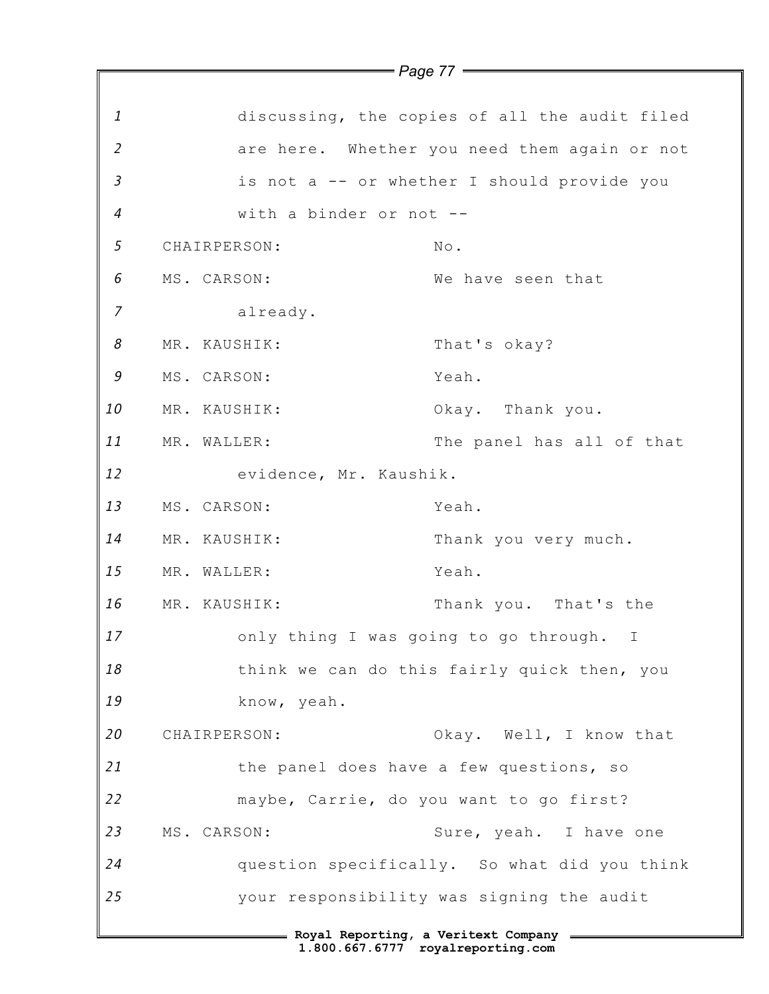|                  |              | ray <del>c</del> m      |                                               |
|------------------|--------------|-------------------------|-----------------------------------------------|
| 1                |              |                         | discussing, the copies of all the audit filed |
| $\overline{2}$   |              |                         | are here. Whether you need them again or not  |
| $\mathfrak{Z}$   |              |                         | is not a -- or whether I should provide you   |
| $\boldsymbol{4}$ |              | with a binder or not -- |                                               |
| 5                | CHAIRPERSON: |                         | No.                                           |
| 6                | MS. CARSON:  |                         | We have seen that                             |
| $\overline{7}$   |              | already.                |                                               |
| 8                | MR. KAUSHIK: |                         | That's okay?                                  |
| 9                | MS. CARSON:  |                         | Yeah.                                         |
| 10               | MR. KAUSHIK: |                         | Okay. Thank you.                              |
| 11               | MR. WALLER:  |                         | The panel has all of that                     |
| 12               |              | evidence, Mr. Kaushik.  |                                               |
| 13               | MS. CARSON:  |                         | Yeah.                                         |
| 14               | MR. KAUSHIK: |                         | Thank you very much.                          |
| 15               | MR. WALLER:  |                         | Yeah.                                         |
| 16               | MR. KAUSHIK: |                         | Thank you. That's the                         |
| 17               |              |                         | only thing I was going to go through. I       |
| 18               |              |                         | think we can do this fairly quick then, you   |
| 19               |              | know, yeah.             |                                               |
| 20               | CHAIRPERSON: |                         | Okay. Well, I know that                       |
| 21               |              |                         | the panel does have a few questions, so       |
| 22               |              |                         | maybe, Carrie, do you want to go first?       |
| 23               | MS. CARSON:  |                         | Sure, yeah. I have one                        |
| 24               |              |                         | question specifically. So what did you think  |
| 25               |              |                         | your responsibility was signing the audit     |
|                  |              |                         | = Royal Reporting, a Veritext Company =       |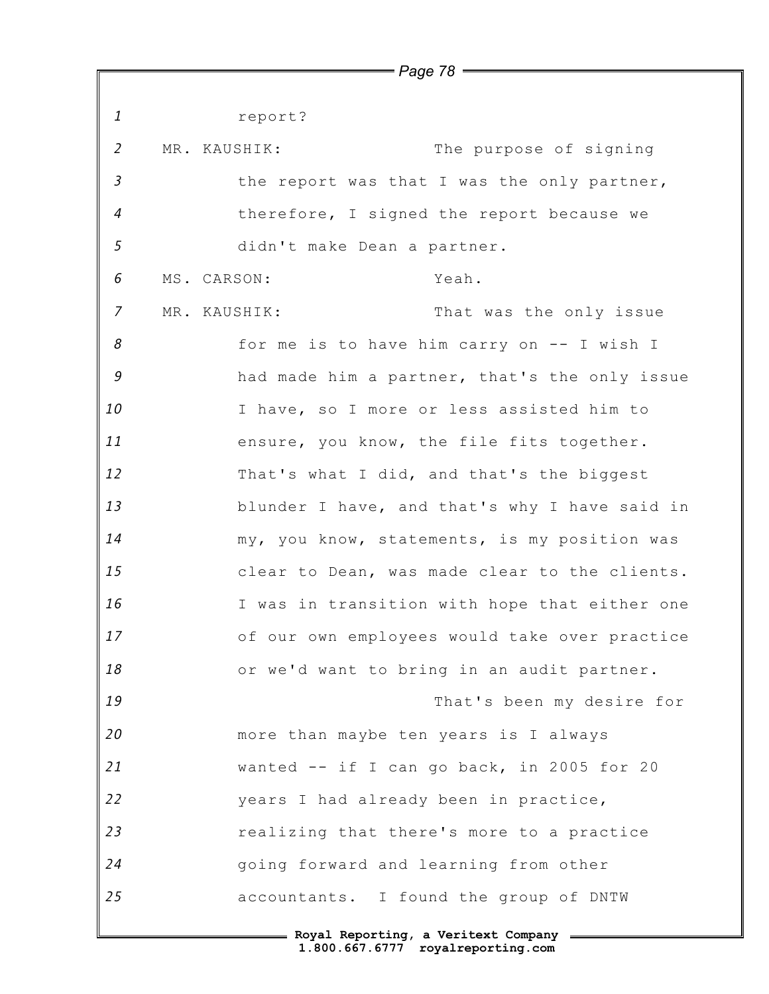*1 2 3 4 5 6 7 8 9 10 11 12 13 14 15 16 17 18 19 20 21 22 23 24 25* **Royal Reporting, a Veritext Company** report? MR. KAUSHIK: The purpose of signing the report was that I was the only partner, therefore, I signed the report because we didn't make Dean a partner. MS. CARSON: Yeah. MR. KAUSHIK: That was the only issue for me is to have him carry on -- I wish I had made him a partner, that's the only issue I have, so I more or less assisted him to ensure, you know, the file fits together. That's what I did, and that's the biggest blunder I have, and that's why I have said in my, you know, statements, is my position was clear to Dean, was made clear to the clients. I was in transition with hope that either one of our own employees would take over practice or we'd want to bring in an audit partner. That's been my desire for more than maybe ten years is I always wanted -- if I can go back, in 2005 for 20 years I had already been in practice, realizing that there's more to a practice going forward and learning from other accountants. I found the group of DNTW

*Page 78*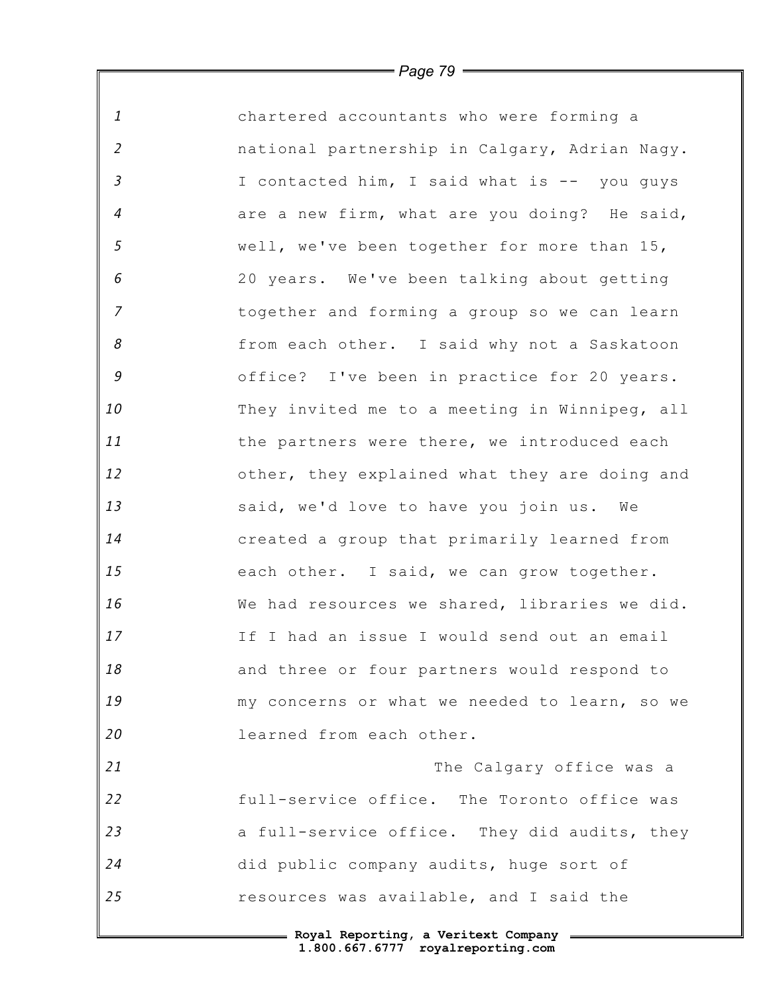*1 2 3 4 5 6 7 8 9 10 11 12 13 14 15 16 17 18 19 20 21 22 23 24 25* chartered accountants who were forming a national partnership in Calgary, Adrian Nagy. I contacted him, I said what is -- you guys are a new firm, what are you doing? He said, well, we've been together for more than 15, 20 years. We've been talking about getting together and forming a group so we can learn from each other. I said why not a Saskatoon office? I've been in practice for 20 years. They invited me to a meeting in Winnipeg, all the partners were there, we introduced each other, they explained what they are doing and said, we'd love to have you join us. We created a group that primarily learned from each other. I said, we can grow together. We had resources we shared, libraries we did. If I had an issue I would send out an email and three or four partners would respond to my concerns or what we needed to learn, so we learned from each other. The Calgary office was a full-service office. The Toronto office was a full-service office. They did audits, they did public company audits, huge sort of resources was available, and I said the

*Page 79*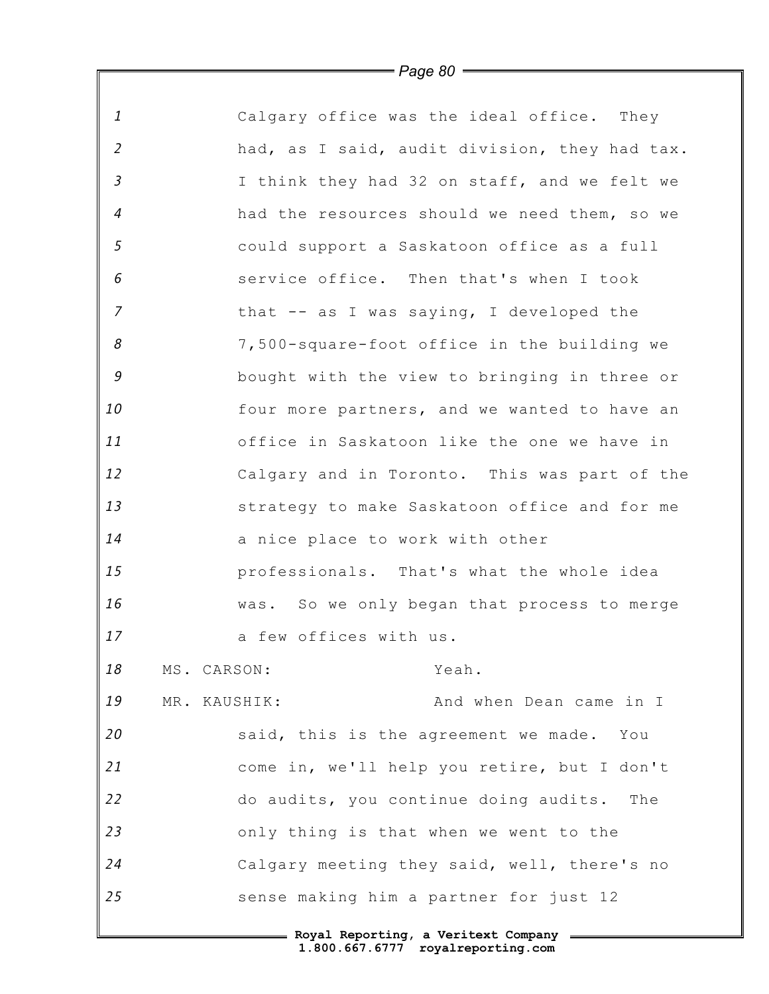| $\mathbf{1}$     |              |                                        | Calgary office was the ideal office. They     |
|------------------|--------------|----------------------------------------|-----------------------------------------------|
| $\overline{2}$   |              |                                        | had, as I said, audit division, they had tax. |
| $\mathfrak{Z}$   |              |                                        | I think they had 32 on staff, and we felt we  |
| $\boldsymbol{4}$ |              |                                        | had the resources should we need them, so we  |
| 5                |              |                                        | could support a Saskatoon office as a full    |
| 6                |              |                                        | service office. Then that's when I took       |
| $\overline{7}$   |              |                                        | that -- as I was saying, I developed the      |
| 8                |              |                                        | 7,500-square-foot office in the building we   |
| 9                |              |                                        | bought with the view to bringing in three or  |
| 10               |              |                                        | four more partners, and we wanted to have an  |
| 11               |              |                                        | office in Saskatoon like the one we have in   |
| 12               |              |                                        | Calgary and in Toronto. This was part of the  |
| 13               |              |                                        | strategy to make Saskatoon office and for me  |
| 14               |              | a nice place to work with other        |                                               |
| 15               |              |                                        | professionals. That's what the whole idea     |
| 16               |              |                                        | was. So we only began that process to merge   |
| 17               |              | a few offices with us.                 |                                               |
| 18               | MS. CARSON:  |                                        | Yeah.                                         |
| 19               | MR. KAUSHIK: |                                        | And when Dean came in I                       |
| 20               |              |                                        | said, this is the agreement we made. You      |
| 21               |              |                                        | come in, we'll help you retire, but I don't   |
| 22               |              |                                        | do audits, you continue doing audits. The     |
| 23               |              | only thing is that when we went to the |                                               |
| 24               |              |                                        | Calgary meeting they said, well, there's no   |
| 25               |              | sense making him a partner for just 12 |                                               |
|                  |              |                                        |                                               |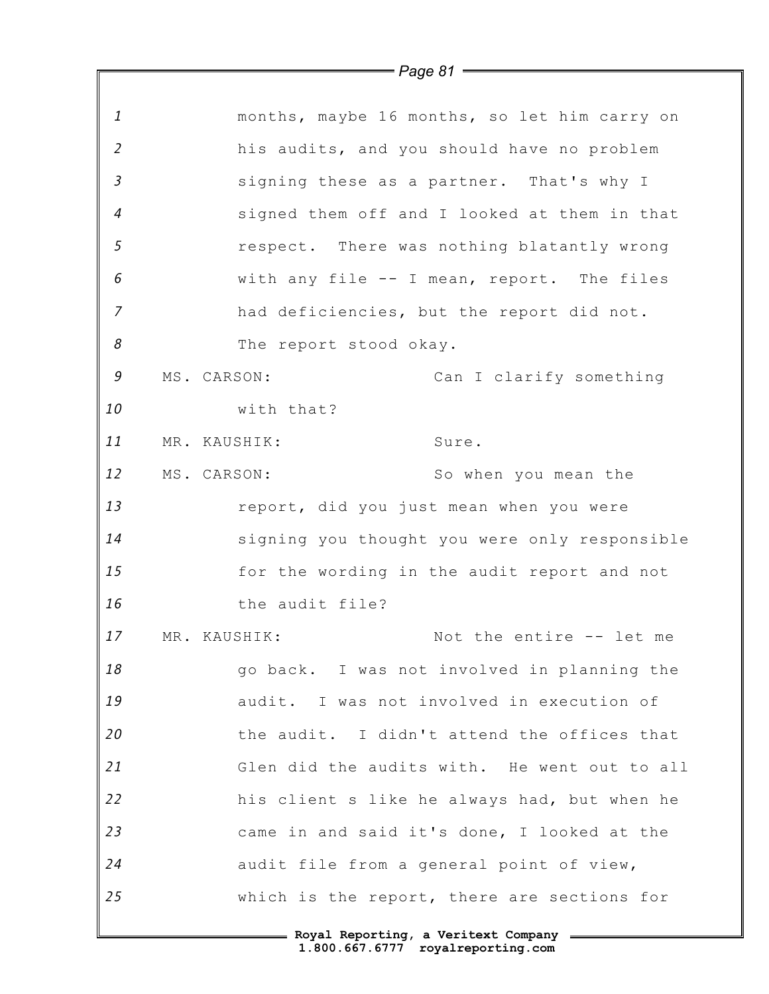|                            | $=$ Page 81 $=$                               |
|----------------------------|-----------------------------------------------|
|                            |                                               |
| $\mathbf{1}$               | months, maybe 16 months, so let him carry on  |
| $\overline{2}$             | his audits, and you should have no problem    |
| $\mathfrak{Z}$             | signing these as a partner. That's why I      |
| $\overline{4}$             | signed them off and I looked at them in that  |
| 5                          | respect. There was nothing blatantly wrong    |
| 6                          | with any file -- I mean, report. The files    |
| $\overline{z}$             | had deficiencies, but the report did not.     |
| $\boldsymbol{\mathcal{S}}$ | The report stood okay.                        |
| $\mathcal G$               | MS. CARSON:<br>Can I clarify something        |
| 10                         | with that?                                    |
| 11                         | MR. KAUSHIK:<br>Sure.                         |
| 12                         | MS. CARSON:<br>So when you mean the           |
| 13                         | report, did you just mean when you were       |
| 14                         | signing you thought you were only responsible |
| 15                         | for the wording in the audit report and not   |
| 16                         | the audit file?                               |
| 17                         | Not the entire -- let me<br>MR. KAUSHIK:      |
| 18                         | go back. I was not involved in planning the   |
| 19                         | audit. I was not involved in execution of     |
| 20                         | the audit. I didn't attend the offices that   |
| 21                         | Glen did the audits with. He went out to all  |
| 22                         | his client s like he always had, but when he  |
| 23                         | came in and said it's done, I looked at the   |
| 24                         | audit file from a general point of view,      |
| 25                         | which is the report, there are sections for   |
|                            | - Roval Reporting, a Veritext Company         |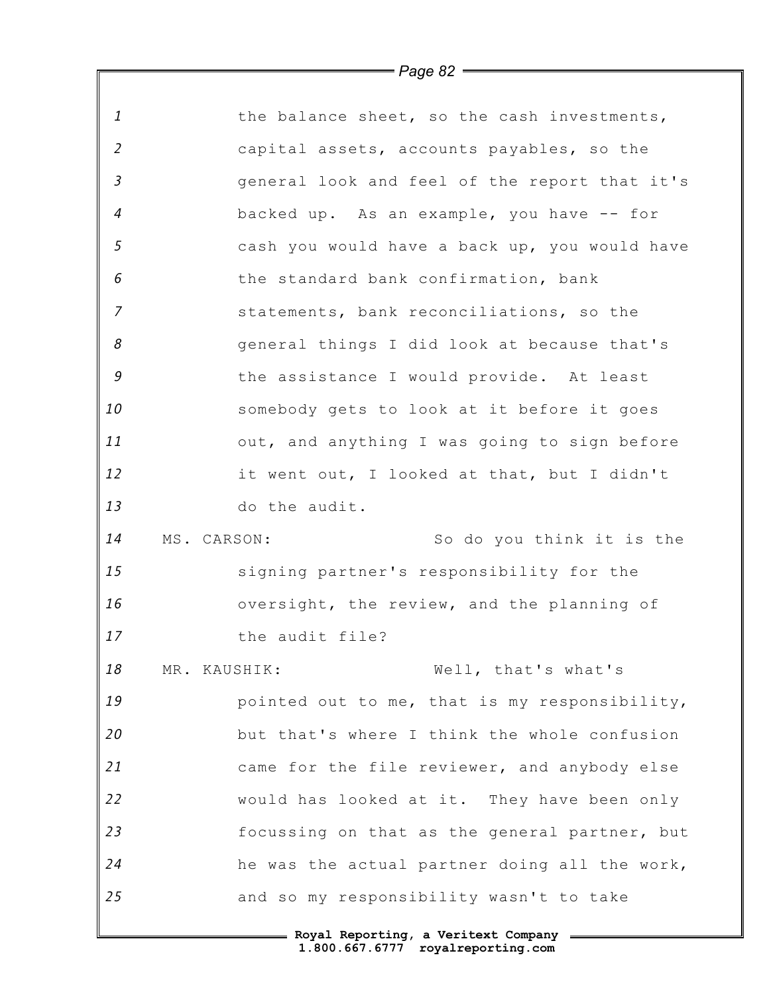| $\mathbf{1}$               | the balance sheet, so the cash investments,   |
|----------------------------|-----------------------------------------------|
| $\overline{2}$             | capital assets, accounts payables, so the     |
| $\mathfrak{Z}$             | general look and feel of the report that it's |
| $\overline{4}$             | backed up. As an example, you have -- for     |
| 5                          | cash you would have a back up, you would have |
| 6                          | the standard bank confirmation, bank          |
| $\overline{z}$             | statements, bank reconciliations, so the      |
| $\boldsymbol{\mathcal{S}}$ | general things I did look at because that's   |
| $\mathcal G$               | the assistance I would provide. At least      |
| 10                         | somebody gets to look at it before it goes    |
| 11                         | out, and anything I was going to sign before  |
| 12                         | it went out, I looked at that, but I didn't   |
| 13                         | do the audit.                                 |
| 14                         | MS. CARSON:<br>So do you think it is the      |
| 15                         | signing partner's responsibility for the      |
| 16                         | oversight, the review, and the planning of    |
| 17                         | the audit file?                               |
| 18                         | Well, that's what's<br>MR. KAUSHIK:           |
| 19                         | pointed out to me, that is my responsibility, |
| 20                         | but that's where I think the whole confusion  |
| 21                         | came for the file reviewer, and anybody else  |
| 22                         | would has looked at it. They have been only   |
| 23                         | focussing on that as the general partner, but |
| 24                         | he was the actual partner doing all the work, |
| 25                         | and so my responsibility wasn't to take       |
|                            | - Roval Reporting, a Veritext Company         |

 $\mathbb F$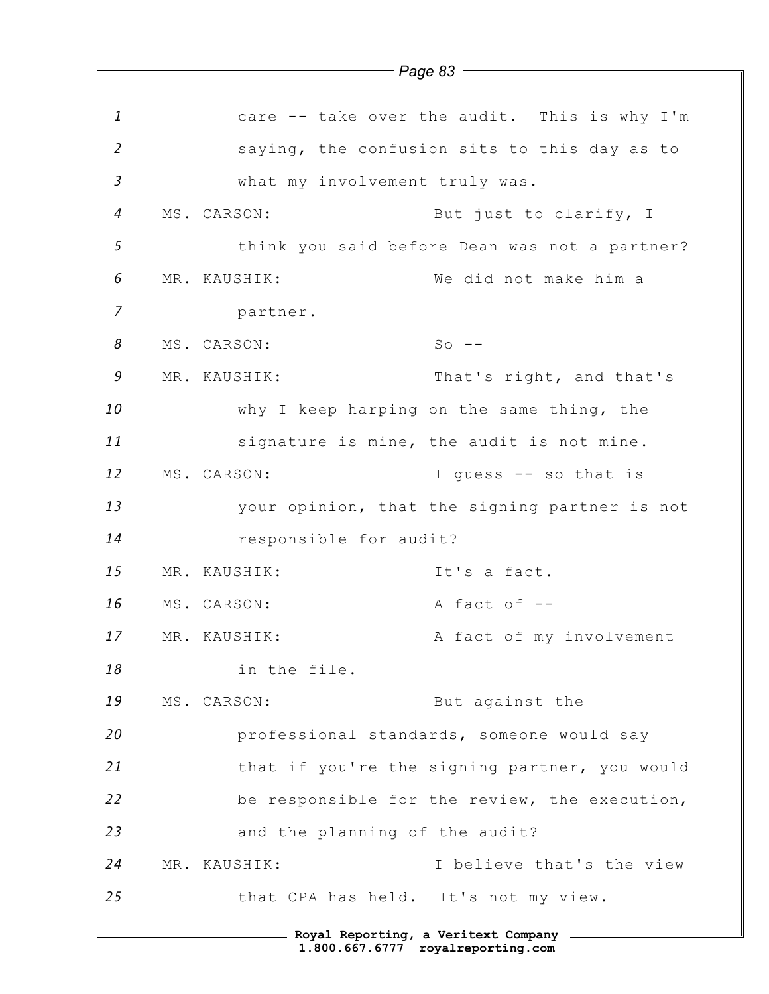|                | $=$ Page 83 $=$                               |
|----------------|-----------------------------------------------|
|                |                                               |
| $\mathbf{1}$   | care -- take over the audit. This is why I'm  |
| $\overline{2}$ | saying, the confusion sits to this day as to  |
| $\mathfrak{Z}$ | what my involvement truly was.                |
| $\overline{a}$ | MS. CARSON:<br>But just to clarify, I         |
| 5              | think you said before Dean was not a partner? |
| 6              | We did not make him a<br>MR. KAUSHIK:         |
| 7              | partner.                                      |
| 8              | $So$ --<br>MS. CARSON:                        |
| 9              | MR. KAUSHIK:<br>That's right, and that's      |
| 10             | why I keep harping on the same thing, the     |
| 11             | signature is mine, the audit is not mine.     |
| 12             | MS. CARSON:<br>I quess -- so that is          |
| 13             | your opinion, that the signing partner is not |
| 14             | responsible for audit?                        |
| 15             | It's a fact.<br>MR. KAUSHIK:                  |
| 16             | A fact of --<br>MS. CARSON:                   |
| 17             | A fact of my involvement<br>MR. KAUSHIK:      |
| 18             | in the file.                                  |
| 19             | But against the<br>MS. CARSON:                |
| 20             | professional standards, someone would say     |
| 21             | that if you're the signing partner, you would |
| 22             | be responsible for the review, the execution, |
| 23             | and the planning of the audit?                |
| 24             | I believe that's the view<br>MR. KAUSHIK:     |
| 25             | that CPA has held. It's not my view.          |
|                | = Royal Reporting, a Veritext Company =       |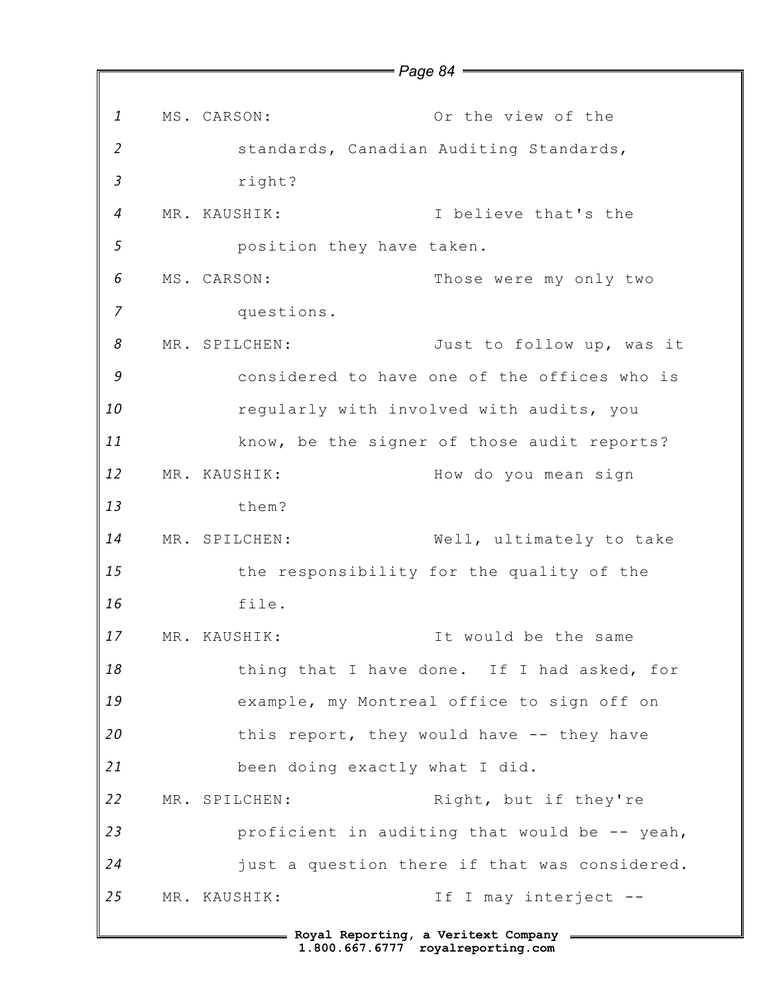*1 2 3 4 5 6 7 8 9 10 11 12 13 14 15 16 17 18 19 20 21 22 23 24 25* **Royal Reporting, a Veritext Company** MS. CARSON: Or the view of the standards, Canadian Auditing Standards, right? MR. KAUSHIK: I believe that's the position they have taken. MS. CARSON: Those were my only two questions. MR. SPILCHEN: Just to follow up, was it considered to have one of the offices who is regularly with involved with audits, you know, be the signer of those audit reports? MR. KAUSHIK: How do you mean sign them? MR. SPILCHEN: Well, ultimately to take the responsibility for the quality of the file. MR. KAUSHIK: It would be the same thing that I have done. If I had asked, for example, my Montreal office to sign off on this report, they would have -- they have been doing exactly what I did. MR. SPILCHEN: Right, but if they're proficient in auditing that would be -- yeah, just a question there if that was considered. MR. KAUSHIK: The Interject --

*Page 84*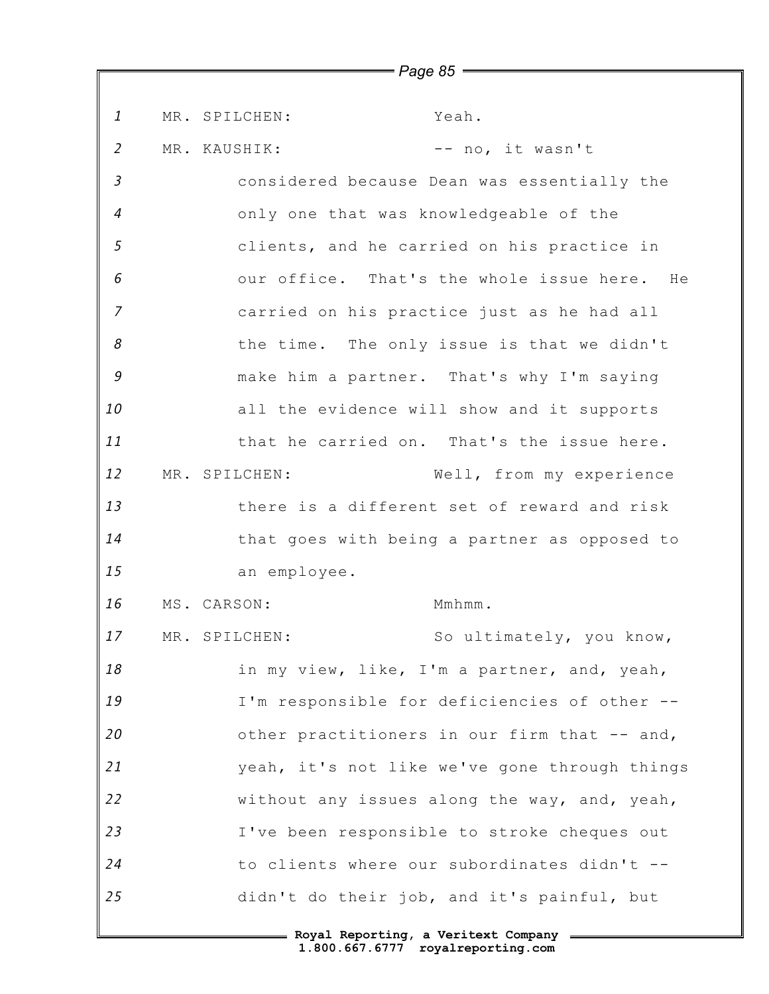*1 2 3 4 5 6 7 8 9 10 11 12 13 14 15 16 17 18 19 20 21 22 23 24 25* MR. SPILCHEN: Yeah. MR. KAUSHIK:  $-$  no, it wasn't considered because Dean was essentially the only one that was knowledgeable of the clients, and he carried on his practice in our office. That's the whole issue here. He carried on his practice just as he had all the time. The only issue is that we didn't make him a partner. That's why I'm saying all the evidence will show and it supports that he carried on. That's the issue here. MR. SPILCHEN: Well, from my experience there is a different set of reward and risk that goes with being a partner as opposed to an employee. MS. CARSON: Mmhmm. MR. SPILCHEN: So ultimately, you know, in my view, like, I'm a partner, and, yeah, I'm responsible for deficiencies of other - other practitioners in our firm that -- and, yeah, it's not like we've gone through things without any issues along the way, and, yeah, I've been responsible to stroke cheques out to clients where our subordinates didn't - didn't do their job, and it's painful, but

*Page 85*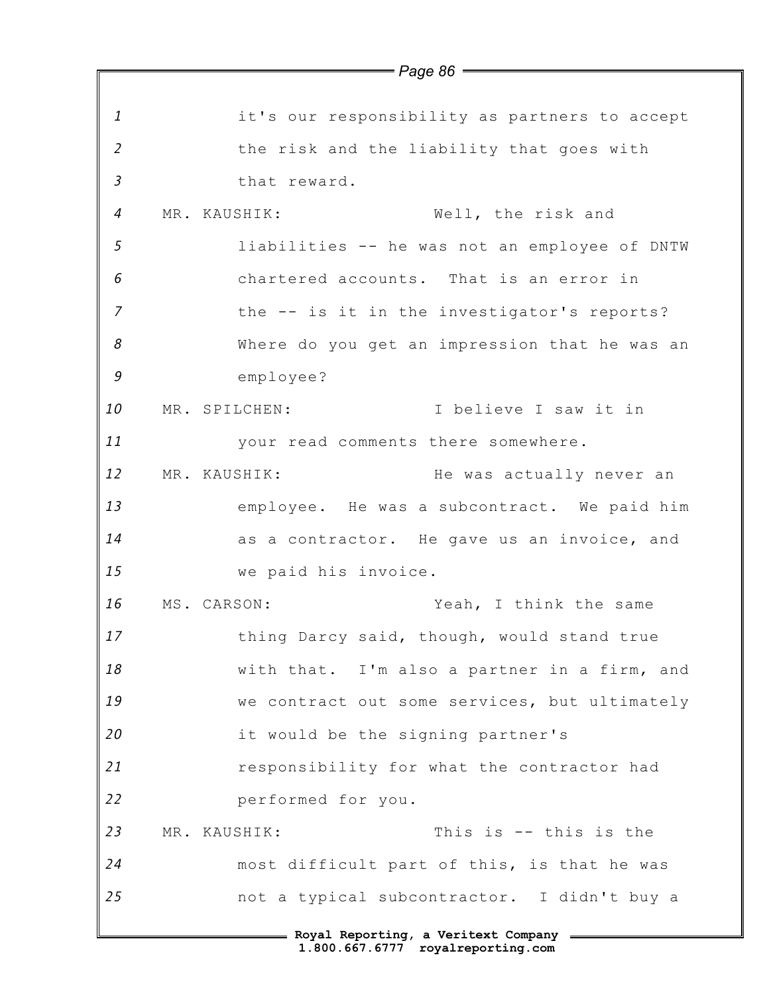|                |                      | $\,=\,$ Page 86 $\,=\,$                                                    |
|----------------|----------------------|----------------------------------------------------------------------------|
| $\mathbf{1}$   |                      | it's our responsibility as partners to accept                              |
| $\overline{2}$ |                      | the risk and the liability that goes with                                  |
| $\mathfrak{Z}$ | that reward.         |                                                                            |
| $\overline{4}$ | MR. KAUSHIK:         | Well, the risk and                                                         |
| $\mathfrak{s}$ |                      | liabilities -- he was not an employee of DNTW                              |
| 6              |                      | chartered accounts. That is an error in                                    |
| $\overline{7}$ |                      | the -- is it in the investigator's reports?                                |
| 8              |                      | Where do you get an impression that he was an                              |
| 9              | employee?            |                                                                            |
| 10             | MR. SPILCHEN:        | I believe I saw it in                                                      |
| 11             |                      | your read comments there somewhere.                                        |
| 12             | MR. KAUSHIK:         | He was actually never an                                                   |
| 13             |                      | employee. He was a subcontract. We paid him                                |
| 14             |                      | as a contractor. He gave us an invoice, and                                |
| 15             | we paid his invoice. |                                                                            |
| 16             | MS. CARSON:          | Yeah, I think the same                                                     |
| 17             |                      | thing Darcy said, though, would stand true                                 |
| 18             |                      | with that. I'm also a partner in a firm, and                               |
| 19             |                      | we contract out some services, but ultimately                              |
| 20             |                      | it would be the signing partner's                                          |
| 21             |                      | responsibility for what the contractor had                                 |
| 22             | performed for you.   |                                                                            |
| 23             | MR. KAUSHIK:         | This is -- this is the                                                     |
| 24             |                      | most difficult part of this, is that he was                                |
| 25             |                      | not a typical subcontractor. I didn't buy a                                |
|                |                      | = Royal Reporting, a Veritext Company<br>1.800.667.6777 royalreporting.com |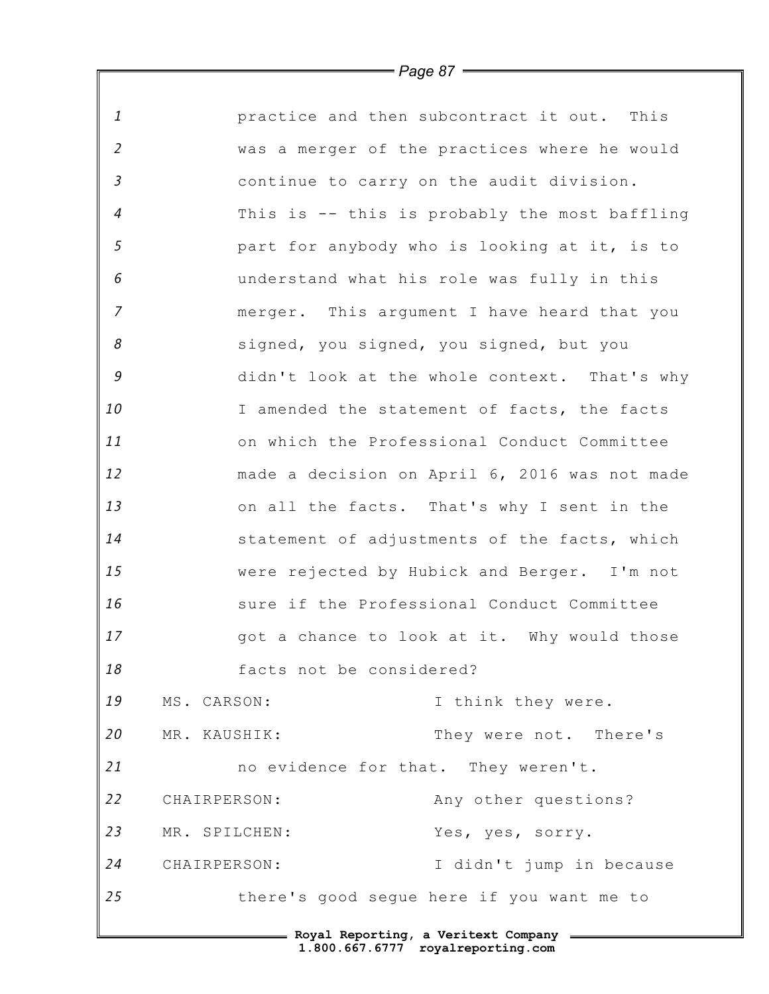*1 2 3 4 5 6 7 8 9 10 11 12 13 14 15 16 17 18 19 20 21 22 23 24 25* **Royal Reporting, a Veritext Company** practice and then subcontract it out. This was a merger of the practices where he would continue to carry on the audit division. This is -- this is probably the most baffling part for anybody who is looking at it, is to understand what his role was fully in this merger. This argument I have heard that you signed, you signed, you signed, but you didn't look at the whole context. That's why I amended the statement of facts, the facts on which the Professional Conduct Committee made a decision on April 6, 2016 was not made on all the facts. That's why I sent in the statement of adjustments of the facts, which were rejected by Hubick and Berger. I'm not sure if the Professional Conduct Committee got a chance to look at it. Why would those facts not be considered? MS. CARSON: I think they were. MR. KAUSHIK: They were not. There's no evidence for that. They weren't. CHAIRPERSON: Any other questions? MR. SPILCHEN: Yes, yes, sorry. CHAIRPERSON: I didn't jump in because there's good segue here if you want me to

*Page 87*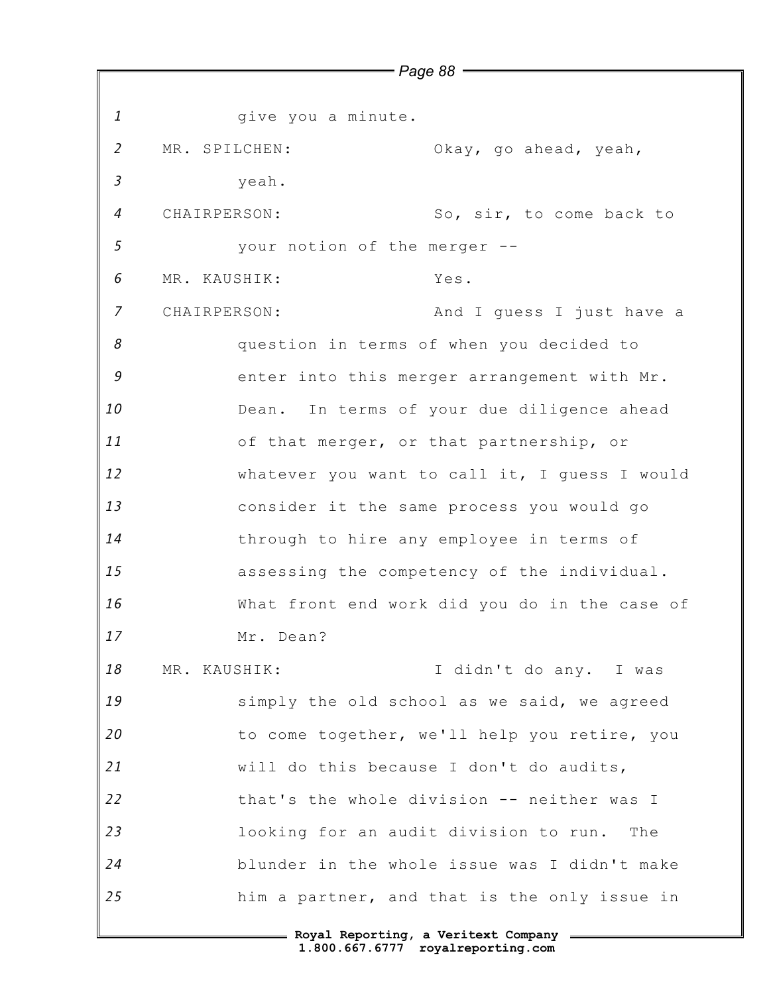*1 2 3 4 5 6 7 8 9 10 11 12 13 14 15 16 17 18 19 20 21 22 23 24 25* give you a minute. MR. SPILCHEN: Okay, go ahead, yeah, yeah. CHAIRPERSON: So, sir, to come back to your notion of the merger -- MR. KAUSHIK: Yes. CHAIRPERSON: And I guess I just have a question in terms of when you decided to enter into this merger arrangement with Mr. Dean. In terms of your due diligence ahead of that merger, or that partnership, or whatever you want to call it, I guess I would consider it the same process you would go through to hire any employee in terms of assessing the competency of the individual. What front end work did you do in the case of Mr. Dean? MR. KAUSHIK: I didn't do any. I was simply the old school as we said, we agreed to come together, we'll help you retire, you will do this because I don't do audits, that's the whole division -- neither was I looking for an audit division to run. The blunder in the whole issue was I didn't make him a partner, and that is the only issue in

*Page 88*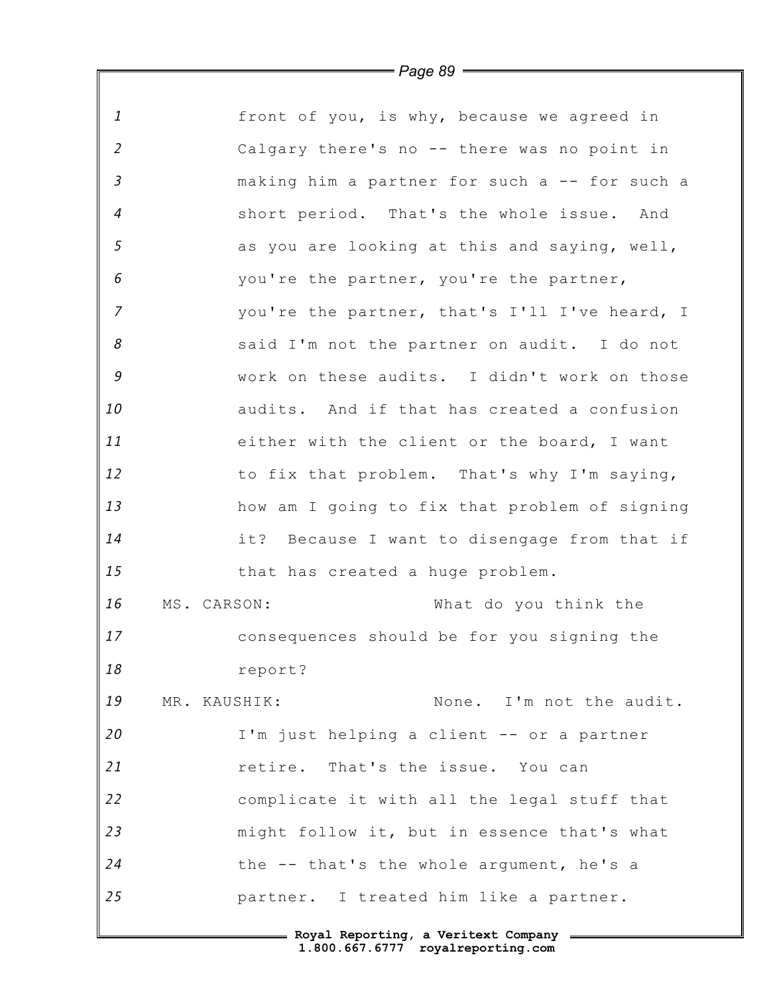| $\mathbf{1}$   | front of you, is why, because we agreed in    |
|----------------|-----------------------------------------------|
| $\overline{2}$ | Calgary there's no -- there was no point in   |
| $\mathfrak{Z}$ | making him a partner for such a -- for such a |
| $\overline{4}$ | short period. That's the whole issue. And     |
| 5              | as you are looking at this and saying, well,  |
| 6              | you're the partner, you're the partner,       |
| $\overline{z}$ | you're the partner, that's I'll I've heard, I |
| 8              | said I'm not the partner on audit. I do not   |
| $\mathcal G$   | work on these audits. I didn't work on those  |
| 10             | audits. And if that has created a confusion   |
| 11             | either with the client or the board, I want   |
| 12             | to fix that problem. That's why I'm saying,   |
| 13             | how am I going to fix that problem of signing |
| 14             | it? Because I want to disengage from that if  |
| 15             | that has created a huge problem.              |
| 16             | What do you think the<br>MS. CARSON:          |
| 17             | consequences should be for you signing the    |
| 18             | report?                                       |
| 19             | None. I'm not the audit.<br>MR. KAUSHIK:      |
| 20             | I'm just helping a client -- or a partner     |
| 21             | retire. That's the issue. You can             |
| 22             | complicate it with all the legal stuff that   |
| 23             | might follow it, but in essence that's what   |
| 24             | the -- that's the whole argument, he's a      |
| 25             | partner. I treated him like a partner.        |
|                |                                               |

Г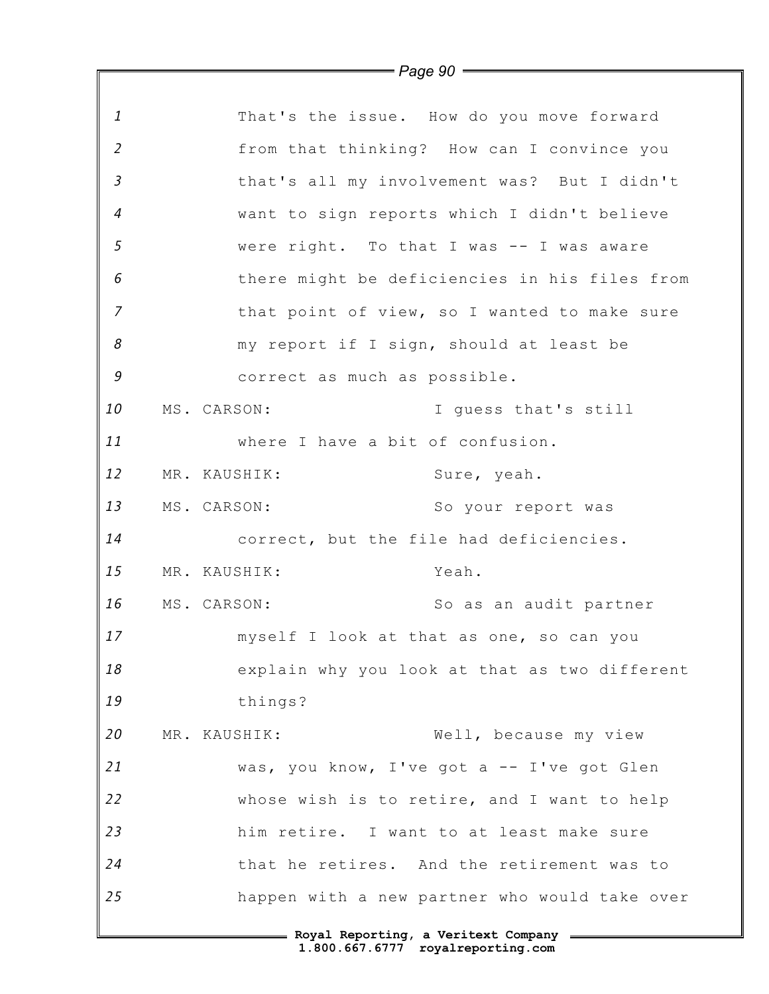|                | $=$ Page 90 $\equiv$                          |
|----------------|-----------------------------------------------|
|                |                                               |
| $\mathbf{1}$   | That's the issue. How do you move forward     |
| $\overline{2}$ | from that thinking? How can I convince you    |
| $\mathfrak{Z}$ | that's all my involvement was? But I didn't   |
| $\overline{4}$ | want to sign reports which I didn't believe   |
| $\mathfrak{s}$ | were right. To that I was -- I was aware      |
| 6              | there might be deficiencies in his files from |
| $\overline{z}$ | that point of view, so I wanted to make sure  |
| 8              | my report if I sign, should at least be       |
| 9              | correct as much as possible.                  |
| 10             | MS. CARSON:<br>I guess that's still           |
| 11             | where I have a bit of confusion.              |
| 12             | MR. KAUSHIK:<br>Sure, yeah.                   |
| 13             | MS. CARSON:<br>So your report was             |
| 14             | correct, but the file had deficiencies.       |
| 15             | Yeah.<br>MR. KAUSHIK:                         |
| 16             | MS. CARSON:<br>So as an audit partner         |
| 17             | myself I look at that as one, so can you      |
| 18             | explain why you look at that as two different |
| 19             | things?                                       |
| 20             | Well, because my view<br>MR. KAUSHIK:         |
| 21             | was, you know, I've got a -- I've got Glen    |
| 22             | whose wish is to retire, and I want to help   |
| 23             | him retire. I want to at least make sure      |
| 24             | that he retires. And the retirement was to    |
| 25             | happen with a new partner who would take over |
|                | = Royal Reporting, a Veritext Company =       |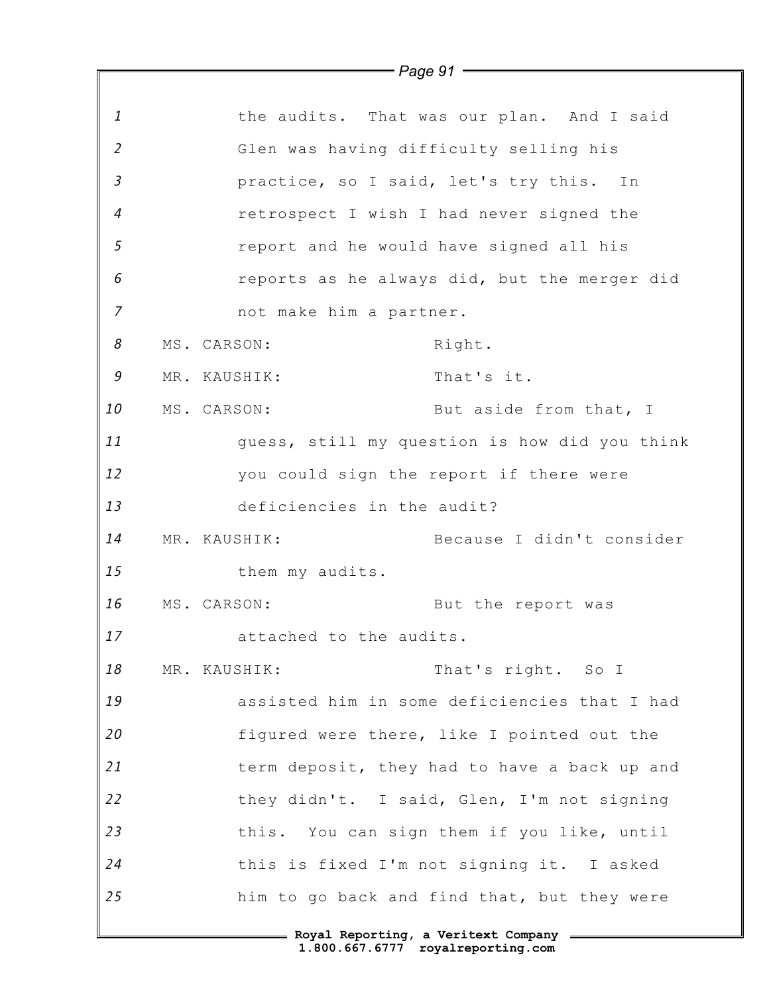|                | $=$ Page 91 $=$                          |                                               |
|----------------|------------------------------------------|-----------------------------------------------|
|                |                                          |                                               |
| $\mathbf{1}$   |                                          | the audits. That was our plan. And I said     |
| $\overline{2}$ | Glen was having difficulty selling his   |                                               |
| $\overline{3}$ | practice, so I said, let's try this. In  |                                               |
| $\overline{4}$ | retrospect I wish I had never signed the |                                               |
| 5              | report and he would have signed all his  |                                               |
| $\epsilon$     |                                          | reports as he always did, but the merger did  |
| $\overline{7}$ | not make him a partner.                  |                                               |
| 8              | MS. CARSON:                              | Right.                                        |
| 9              | MR. KAUSHIK:                             | That's it.                                    |
| 10             | MS. CARSON:                              | But aside from that, I                        |
| 11             |                                          | guess, still my question is how did you think |
| 12             | you could sign the report if there were  |                                               |
| 13             | deficiencies in the audit?               |                                               |
| 14             | MR. KAUSHIK:                             | Because I didn't consider                     |
| 15             | them my audits.                          |                                               |
| 16             | MS. CARSON:                              | But the report was                            |
| 17             | attached to the audits.                  |                                               |
| 18             | MR. KAUSHIK:                             | That's right. So I                            |
| 19             |                                          | assisted him in some deficiencies that I had  |
| 20             |                                          | figured were there, like I pointed out the    |
| 21             |                                          | term deposit, they had to have a back up and  |
| 22             |                                          | they didn't. I said, Glen, I'm not signing    |
| 23             |                                          | this. You can sign them if you like, until    |
| 24             |                                          | this is fixed I'm not signing it. I asked     |
| 25             |                                          | him to go back and find that, but they were   |
|                | Roval Reporting, a Veritext Company =    |                                               |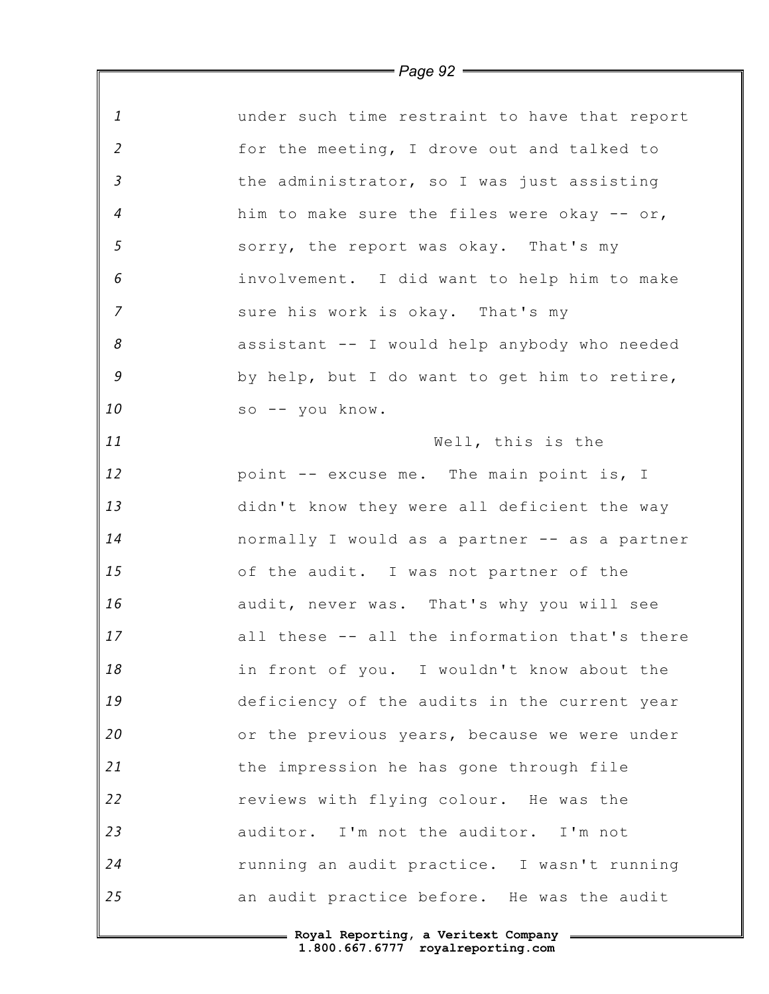| 1              | under such time restraint to have that report |
|----------------|-----------------------------------------------|
| 2              | for the meeting, I drove out and talked to    |
| $\mathfrak{Z}$ | the administrator, so I was just assisting    |
| $\overline{4}$ | him to make sure the files were okay -- or,   |
| 5              | sorry, the report was okay. That's my         |
| 6              | involvement. I did want to help him to make   |
| $\overline{7}$ | sure his work is okay. That's my              |
| 8              | assistant -- I would help anybody who needed  |
| $\mathcal G$   | by help, but I do want to get him to retire,  |
| 10             | so -- you know.                               |
| 11             | Well, this is the                             |
| 12             | point -- excuse me. The main point is, I      |
| 13             | didn't know they were all deficient the way   |
| 14             | normally I would as a partner -- as a partner |
| 15             | of the audit. I was not partner of the        |
| 16             | audit, never was. That's why you will see     |
| 17             | all these -- all the information that's there |
| 18             | in front of you. I wouldn't know about the    |
| 19             | deficiency of the audits in the current year  |
| 20             | or the previous years, because we were under  |
| 21             | the impression he has gone through file       |
| 22             | reviews with flying colour. He was the        |
| 23             | auditor. I'm not the auditor. I'm not         |
| 24             | running an audit practice. I wasn't running   |
| 25             | an audit practice before. He was the audit    |
|                |                                               |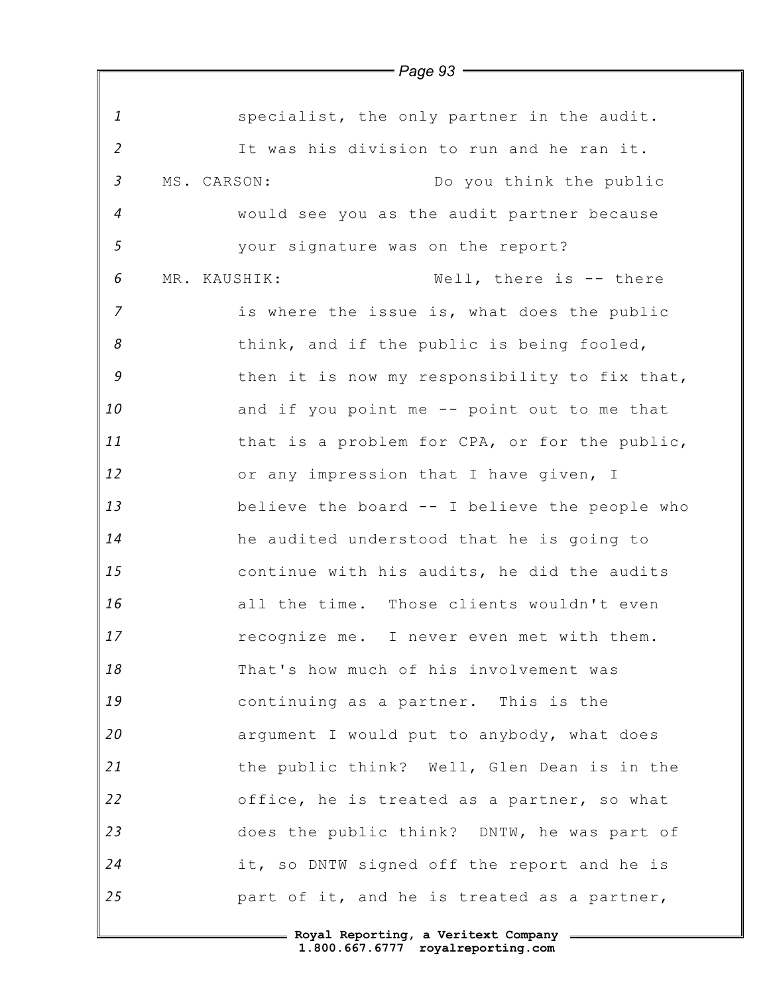|                | —— Page 93 <del>————</del>                    |
|----------------|-----------------------------------------------|
|                |                                               |
| $\mathbf{1}$   | specialist, the only partner in the audit.    |
| $\overline{2}$ | It was his division to run and he ran it.     |
| $\mathfrak{Z}$ | MS. CARSON:<br>Do you think the public        |
| $\overline{4}$ | would see you as the audit partner because    |
| 5              | your signature was on the report?             |
| 6              | Well, there is -- there<br>MR. KAUSHIK:       |
| $\overline{7}$ | is where the issue is, what does the public   |
| 8              | think, and if the public is being fooled,     |
| 9              | then it is now my responsibility to fix that, |
| 10             | and if you point me -- point out to me that   |
| 11             | that is a problem for CPA, or for the public, |
| 12             | or any impression that I have given, I        |
| 13             | believe the board -- I believe the people who |
| 14             | he audited understood that he is going to     |
| 15             | continue with his audits, he did the audits   |
| 16             | all the time. Those clients wouldn't even     |
| 17             | recognize me. I never even met with them.     |
| 18             | That's how much of his involvement was        |
| 19             | continuing as a partner. This is the          |
| 20             | argument I would put to anybody, what does    |
| 21             | the public think? Well, Glen Dean is in the   |
| 22             | office, he is treated as a partner, so what   |
| 23             | does the public think? DNTW, he was part of   |
| 24             | it, so DNTW signed off the report and he is   |
| 25             | part of it, and he is treated as a partner,   |
|                |                                               |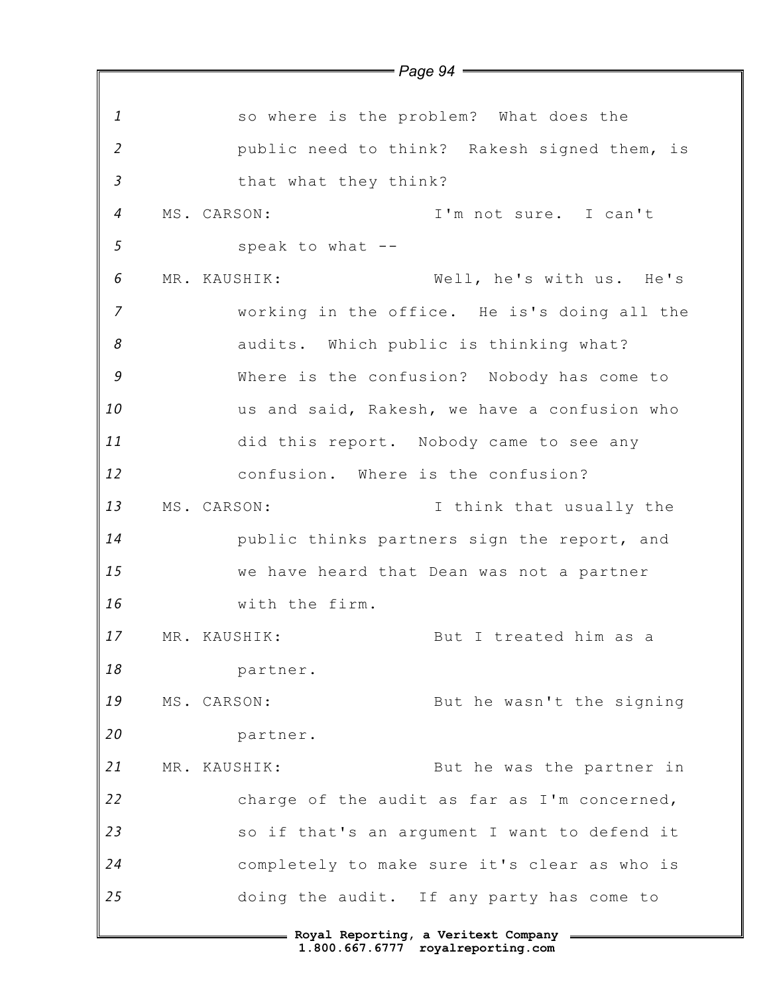*1 2 3 4 5 6 7 8 9 10 11 12 13 14 15 16 17 18 19 20 21 22 23 24 25* **Royal Reporting, a Veritext Company** *Page 94* so where is the problem? What does the public need to think? Rakesh signed them, is that what they think? MS. CARSON: I'm not sure. I can't speak to what -- MR. KAUSHIK: Well, he's with us. He's working in the office. He is's doing all the audits. Which public is thinking what? Where is the confusion? Nobody has come to us and said, Rakesh, we have a confusion who did this report. Nobody came to see any confusion. Where is the confusion? MS. CARSON: I think that usually the public thinks partners sign the report, and we have heard that Dean was not a partner with the firm. MR. KAUSHIK: But I treated him as a partner. MS. CARSON: But he wasn't the signing partner. MR. KAUSHIK: But he was the partner in charge of the audit as far as I'm concerned, so if that's an argument I want to defend it completely to make sure it's clear as who is doing the audit. If any party has come to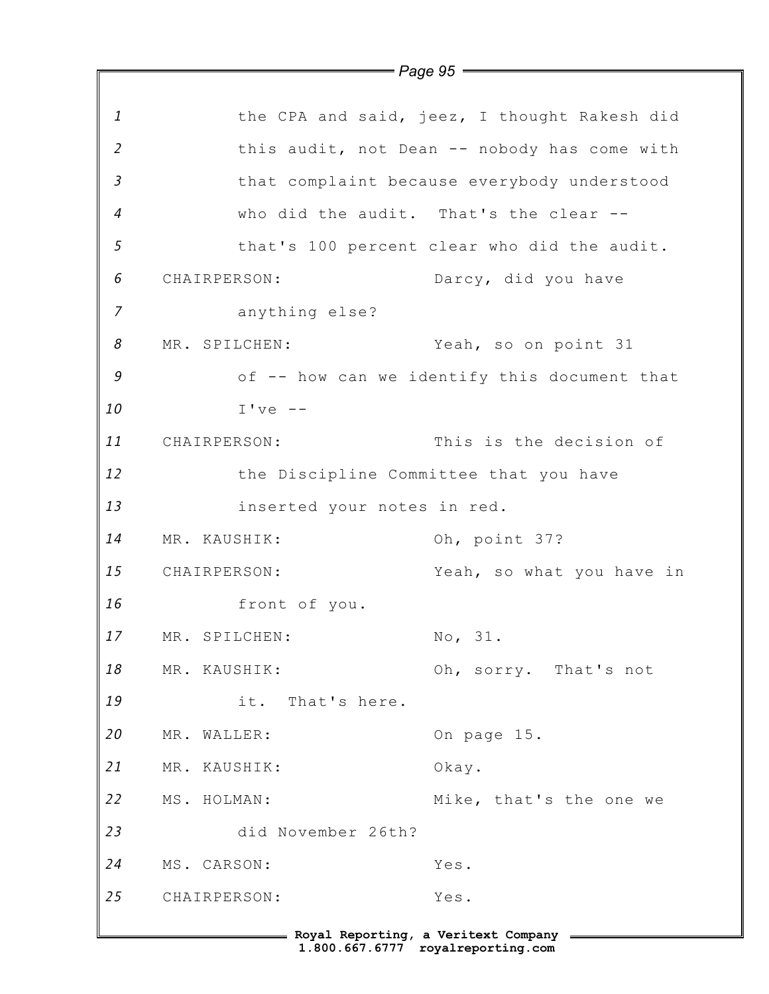|                |                             | $Page 95$ $-$                                |
|----------------|-----------------------------|----------------------------------------------|
|                |                             |                                              |
| $\mathbf{1}$   |                             | the CPA and said, jeez, I thought Rakesh did |
| $\overline{2}$ |                             | this audit, not Dean -- nobody has come with |
| 3              |                             | that complaint because everybody understood  |
| 4              |                             | who did the audit. That's the clear --       |
| 5              |                             | that's 100 percent clear who did the audit.  |
| 6              | CHAIRPERSON:                | Darcy, did you have                          |
| $\overline{7}$ | anything else?              |                                              |
| 8              | MR. SPILCHEN:               | Yeah, so on point 31                         |
| 9              |                             | of -- how can we identify this document that |
| 10             | $I've --$                   |                                              |
| 11             | CHAIRPERSON:                | This is the decision of                      |
| 12             |                             | the Discipline Committee that you have       |
| 13             | inserted your notes in red. |                                              |
| 14             | MR. KAUSHIK:                | Oh, point 37?                                |
| 15             | CHAIRPERSON:                | Yeah, so what you have in                    |
| 16             | front of you.               |                                              |
| 17             | MR. SPILCHEN:               | No, 31.                                      |
| 18             | MR. KAUSHIK:                | Oh, sorry. That's not                        |
| 19             | it. That's here.            |                                              |
| 20             | MR. WALLER:                 | On page 15.                                  |
| 21             | MR. KAUSHIK:                | Okay.                                        |
| 22             | MS. HOLMAN:                 | Mike, that's the one we                      |
| 23             | did November 26th?          |                                              |
| 24             | MS. CARSON:                 | Yes.                                         |
| 25             | CHAIRPERSON:                | Yes.                                         |
|                |                             |                                              |

Ŀ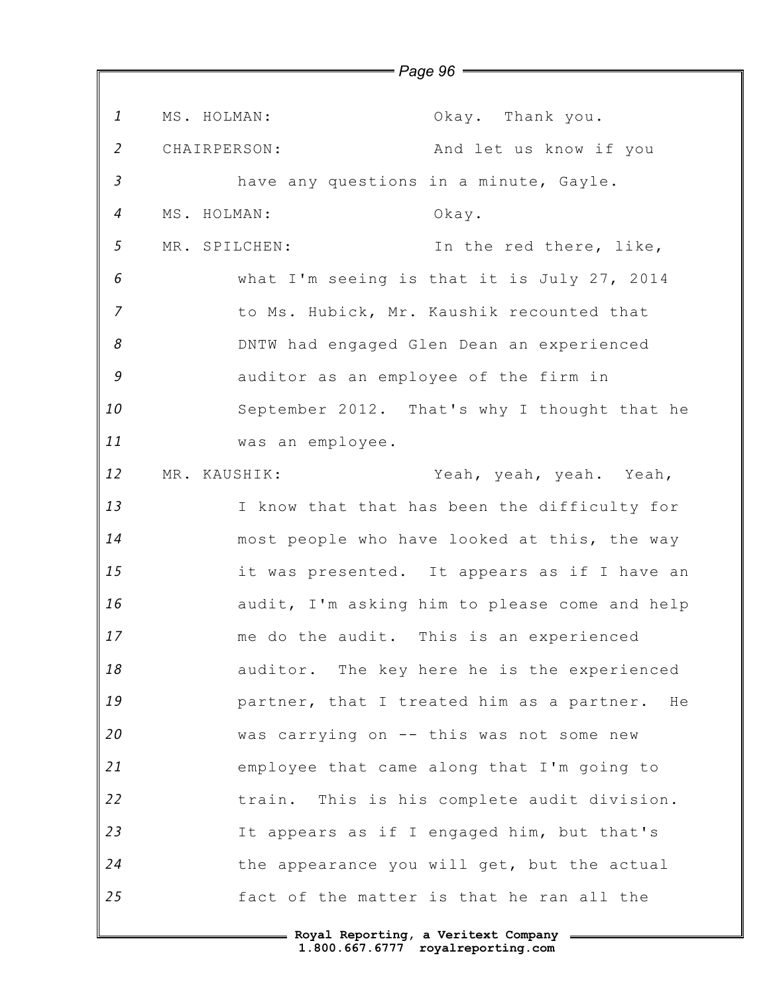*1 2 3 4 5 6 7 8 9 10 11 12 13 14 15 16 17 18 19 20 21 22 23 24 25* MS. HOLMAN: Okay. Thank you. CHAIRPERSON: And let us know if you have any questions in a minute, Gayle. MS. HOLMAN: Okay. MR. SPILCHEN: In the red there, like, what I'm seeing is that it is July 27, 2014 to Ms. Hubick, Mr. Kaushik recounted that DNTW had engaged Glen Dean an experienced auditor as an employee of the firm in September 2012. That's why I thought that he was an employee. MR. KAUSHIK: Yeah, yeah, yeah. Yeah, I know that that has been the difficulty for most people who have looked at this, the way it was presented. It appears as if I have an audit, I'm asking him to please come and help me do the audit. This is an experienced auditor. The key here he is the experienced partner, that I treated him as a partner. He was carrying on -- this was not some new employee that came along that I'm going to train. This is his complete audit division. It appears as if I engaged him, but that's the appearance you will get, but the actual fact of the matter is that he ran all the

*Page 96*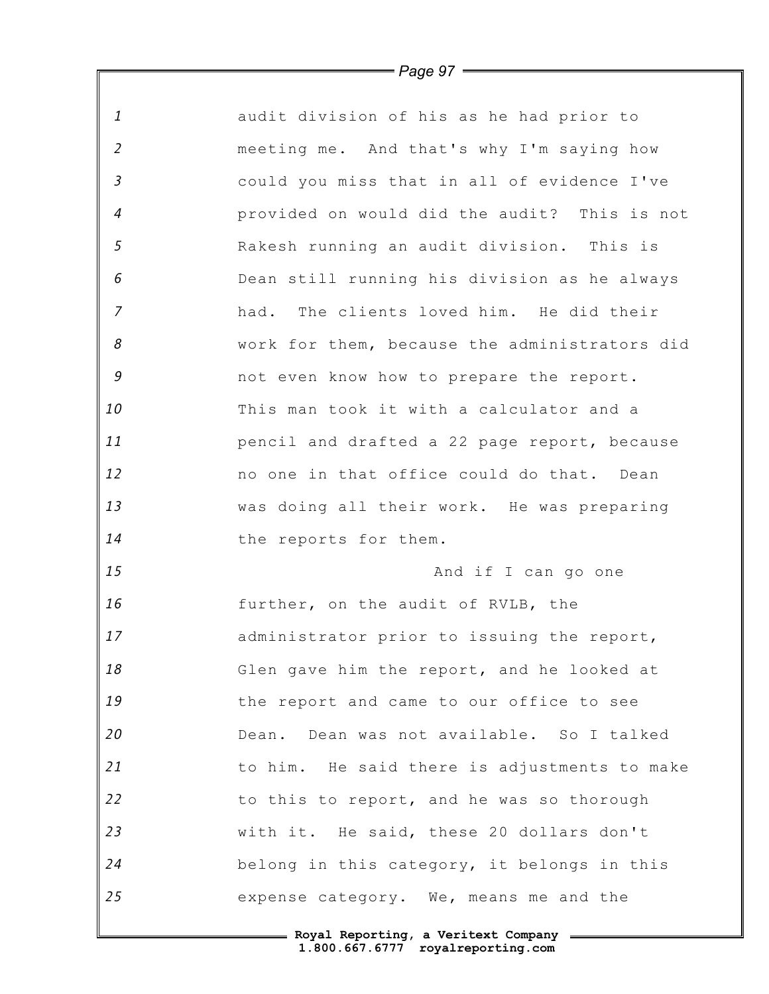| $\mathbf{1}$   | audit division of his as he had prior to      |
|----------------|-----------------------------------------------|
| $\overline{2}$ | meeting me. And that's why I'm saying how     |
| $\mathfrak{Z}$ | could you miss that in all of evidence I've   |
| $\overline{a}$ | provided on would did the audit? This is not  |
| 5              | Rakesh running an audit division. This is     |
| 6              | Dean still running his division as he always  |
| $\overline{z}$ | had. The clients loved him. He did their      |
| 8              | work for them, because the administrators did |
| $\mathcal G$   | not even know how to prepare the report.      |
| 10             | This man took it with a calculator and a      |
| 11             | pencil and drafted a 22 page report, because  |
| 12             | no one in that office could do that. Dean     |
| 13             | was doing all their work. He was preparing    |
| 14             | the reports for them.                         |
| 15             | And if I can go one                           |
| 16             | further, on the audit of RVLB, the            |
| 17             | administrator prior to issuing the report,    |
| 18             | Glen gave him the report, and he looked at    |
| 19             | the report and came to our office to see      |
| 20             | Dean. Dean was not available. So I talked     |
| 21             | to him. He said there is adjustments to make  |
| 22             | to this to report, and he was so thorough     |
| 23             | with it. He said, these 20 dollars don't      |
| 24             | belong in this category, it belongs in this   |
| 25             | expense category. We, means me and the        |

*Page 97*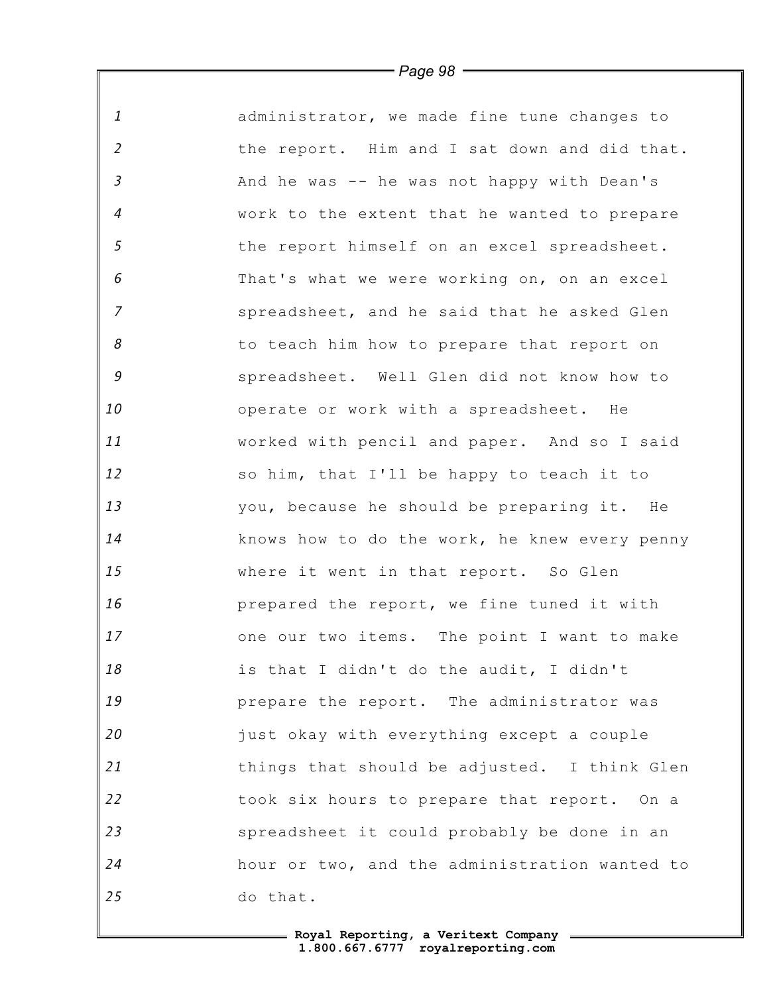*1 2 3 4 5 6 7 8 9 10 11 12 13 14 15 16 17 18 19 20 21 22 23 24 25* administrator, we made fine tune changes to the report. Him and I sat down and did that. And he was -- he was not happy with Dean's work to the extent that he wanted to prepare the report himself on an excel spreadsheet. That's what we were working on, on an excel spreadsheet, and he said that he asked Glen to teach him how to prepare that report on spreadsheet. Well Glen did not know how to operate or work with a spreadsheet. He worked with pencil and paper. And so I said so him, that I'll be happy to teach it to you, because he should be preparing it. He knows how to do the work, he knew every penny where it went in that report. So Glen prepared the report, we fine tuned it with one our two items. The point I want to make is that I didn't do the audit, I didn't prepare the report. The administrator was just okay with everything except a couple things that should be adjusted. I think Glen took six hours to prepare that report. On a spreadsheet it could probably be done in an hour or two, and the administration wanted to do that.

> **Royal Reporting, a Veritext Company 1.800.667.6777 royalreporting.com**

*Page 98*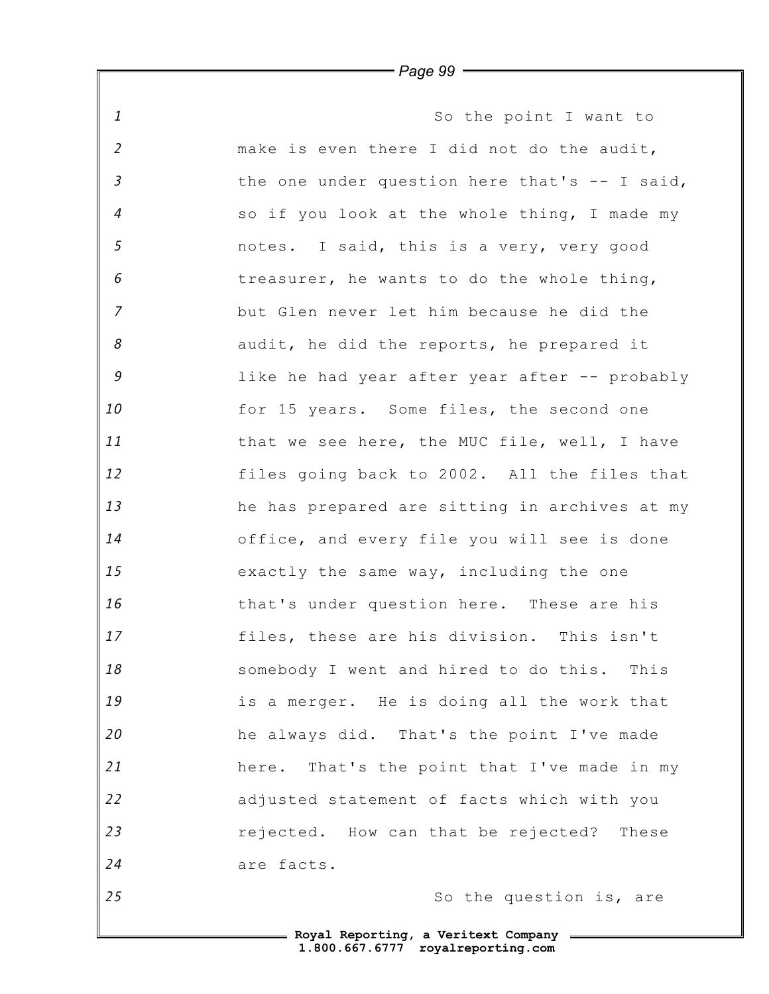*1 2 3 4 5 6 7 8 9 10 11 12 13 14 15 16 17 18 19 20 21 22 23 24 25* So the point I want to make is even there I did not do the audit, the one under question here that's -- I said, so if you look at the whole thing, I made my notes. I said, this is a very, very good treasurer, he wants to do the whole thing, but Glen never let him because he did the audit, he did the reports, he prepared it like he had year after year after -- probably for 15 years. Some files, the second one that we see here, the MUC file, well, I have files going back to 2002. All the files that he has prepared are sitting in archives at my office, and every file you will see is done exactly the same way, including the one that's under question here. These are his files, these are his division. This isn't somebody I went and hired to do this. This is a merger. He is doing all the work that he always did. That's the point I've made here. That's the point that I've made in my adjusted statement of facts which with you rejected. How can that be rejected? These are facts. So the question is, are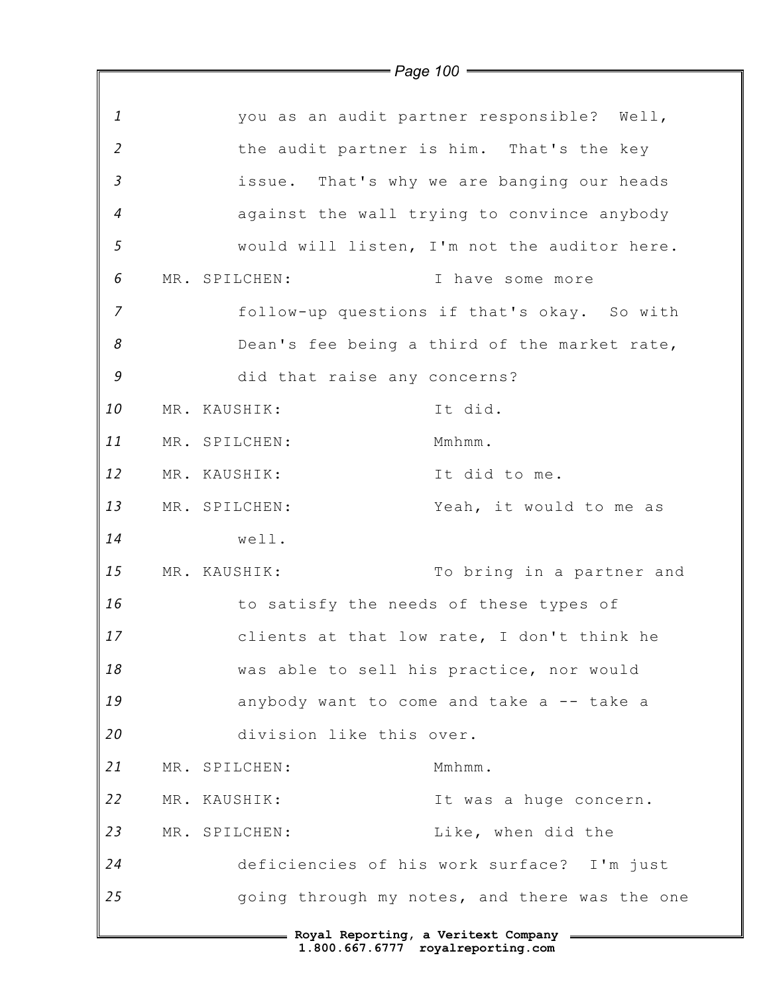|                | $\rightarrow$ Page 100 $\rightarrow$        |                                               |
|----------------|---------------------------------------------|-----------------------------------------------|
|                |                                             |                                               |
| $\mathbf{1}$   | you as an audit partner responsible? Well,  |                                               |
| $\overline{2}$ | the audit partner is him. That's the key    |                                               |
| $\mathfrak{Z}$ | issue. That's why we are banging our heads  |                                               |
| $\overline{4}$ | against the wall trying to convince anybody |                                               |
| $\mathfrak{s}$ |                                             | would will listen, I'm not the auditor here.  |
| 6              | MR. SPILCHEN:                               | I have some more                              |
| 7              |                                             | follow-up questions if that's okay. So with   |
| 8              |                                             | Dean's fee being a third of the market rate,  |
| 9              | did that raise any concerns?                |                                               |
| 10             | MR. KAUSHIK:                                | It did.                                       |
| 11             | MR. SPILCHEN:                               | Mmhmm.                                        |
| 12             | MR. KAUSHIK:                                | It did to me.                                 |
| 13             | MR. SPILCHEN:                               | Yeah, it would to me as                       |
| 14             | well.                                       |                                               |
| 15             | MR. KAUSHIK:                                | To bring in a partner and                     |
| 16             | to satisfy the needs of these types of      |                                               |
| 17             | clients at that low rate, I don't think he  |                                               |
| 18             | was able to sell his practice, nor would    |                                               |
| 19             | anybody want to come and take a -- take a   |                                               |
| 20             | division like this over.                    |                                               |
| 21             | MR. SPILCHEN:                               | Mmhmm.                                        |
| 22             | MR. KAUSHIK:                                | It was a huge concern.                        |
| 23             | MR. SPILCHEN:                               | Like, when did the                            |
| 24             | deficiencies of his work surface? I'm just  |                                               |
| 25             |                                             | going through my notes, and there was the one |
|                | = Royal Reporting, a Veritext Company =     |                                               |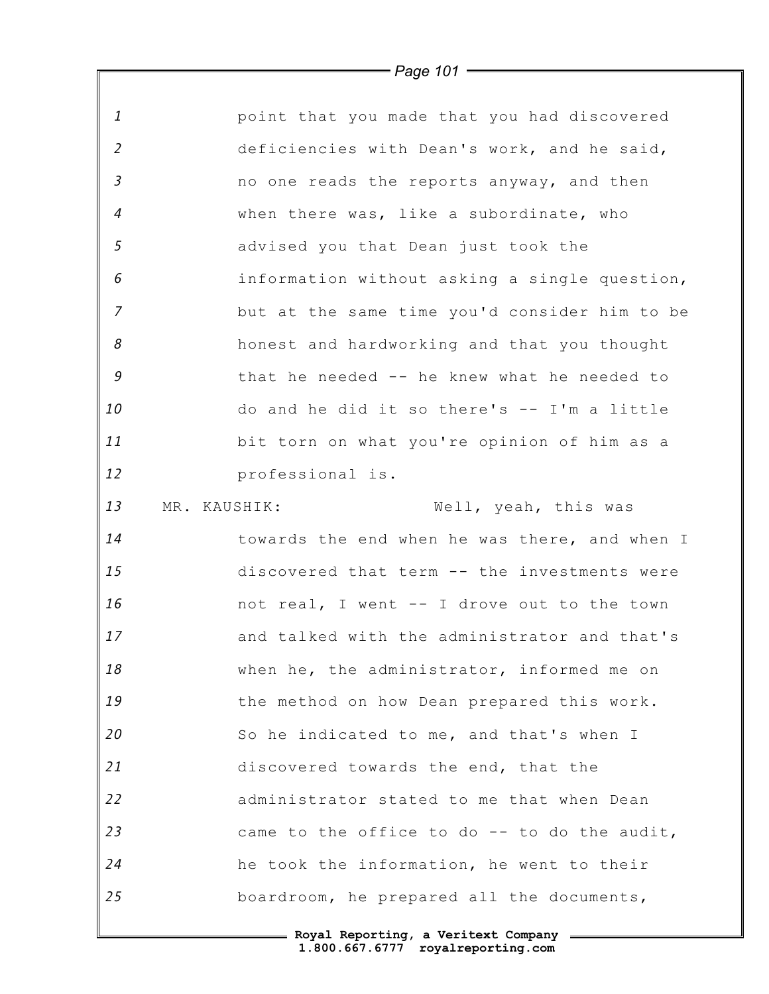*1 2 3 4 5 6 7 8 9 10 11 12 13 14 15 16 17 18 19 20 21 22 23 24 25* point that you made that you had discovered deficiencies with Dean's work, and he said, no one reads the reports anyway, and then when there was, like a subordinate, who advised you that Dean just took the information without asking a single question, but at the same time you'd consider him to be honest and hardworking and that you thought that he needed -- he knew what he needed to do and he did it so there's -- I'm a little bit torn on what you're opinion of him as a professional is. MR. KAUSHIK: Well, yeah, this was towards the end when he was there, and when I discovered that term -- the investments were not real, I went -- I drove out to the town and talked with the administrator and that's when he, the administrator, informed me on the method on how Dean prepared this work. So he indicated to me, and that's when I discovered towards the end, that the administrator stated to me that when Dean came to the office to do -- to do the audit, he took the information, he went to their boardroom, he prepared all the documents,

*Page 101*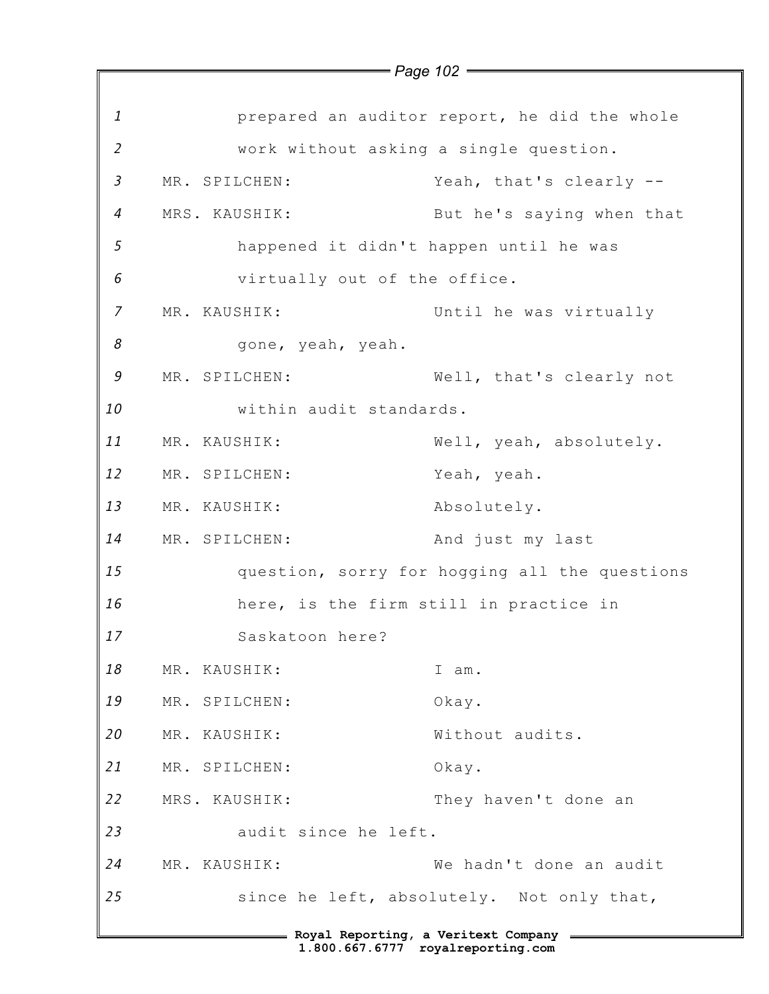|                |                              | - Royal Reporting, a Veritext Company - Royal Reporting, a Veritext Company<br>1.800.667.6777 royalreporting.com |
|----------------|------------------------------|------------------------------------------------------------------------------------------------------------------|
| 25             |                              | since he left, absolutely. Not only that,                                                                        |
| 24             | MR. KAUSHIK:                 | We hadn't done an audit                                                                                          |
| 23             | audit since he left.         |                                                                                                                  |
| 22             | MRS. KAUSHIK:                | They haven't done an                                                                                             |
| 21             | MR. SPILCHEN:                | Okay.                                                                                                            |
| 20             | MR. KAUSHIK:                 | Without audits.                                                                                                  |
| 19             | MR. SPILCHEN:                | Okay.                                                                                                            |
| 18             | MR. KAUSHIK:                 | I am.                                                                                                            |
| 17             | Saskatoon here?              |                                                                                                                  |
| 16             |                              | here, is the firm still in practice in                                                                           |
| 15             |                              | question, sorry for hogging all the questions                                                                    |
| 14             | MR. SPILCHEN:                | And just my last                                                                                                 |
| 13             | MR. KAUSHIK:                 | Absolutely.                                                                                                      |
| 12             | MR. SPILCHEN:                | Yeah, yeah.                                                                                                      |
| 11             | MR. KAUSHIK:                 | Well, yeah, absolutely.                                                                                          |
| 10             | within audit standards.      |                                                                                                                  |
| 9              | MR. SPILCHEN:                | Well, that's clearly not                                                                                         |
| 8              | gone, yeah, yeah.            |                                                                                                                  |
| $\overline{7}$ | MR. KAUSHIK:                 | Until he was virtually                                                                                           |
| 6              | virtually out of the office. |                                                                                                                  |
| 5              |                              | happened it didn't happen until he was                                                                           |
| $\overline{4}$ | MRS. KAUSHIK:                | But he's saying when that                                                                                        |
| $\mathfrak{Z}$ | MR. SPILCHEN:                | Yeah, that's clearly --                                                                                          |
| $\overline{2}$ |                              | work without asking a single question.                                                                           |
| $\mathbf{1}$   |                              | prepared an auditor report, he did the whole                                                                     |
|                |                              | $=$ Page 102 $=$                                                                                                 |
|                |                              |                                                                                                                  |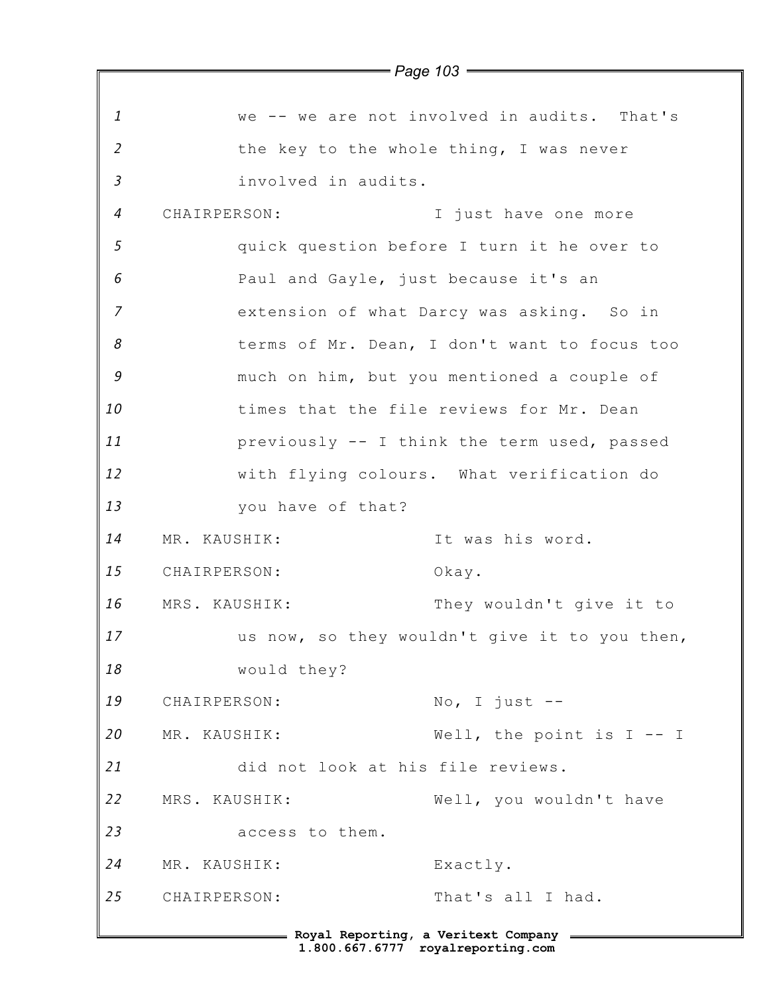*1 2 3 4 5 6 7 8 9 10 11 12 13 14 15 16 17 18 19 20 21 22 23 24 25* **Royal Reporting, a Veritext Company** *Page 103* we -- we are not involved in audits. That's the key to the whole thing, I was never involved in audits. CHAIRPERSON: I just have one more quick question before I turn it he over to Paul and Gayle, just because it's an extension of what Darcy was asking. So in terms of Mr. Dean, I don't want to focus too much on him, but you mentioned a couple of times that the file reviews for Mr. Dean previously -- I think the term used, passed with flying colours. What verification do you have of that? MR. KAUSHIK: It was his word. CHAIRPERSON: Okay. MRS. KAUSHIK: They wouldn't give it to us now, so they wouldn't give it to you then, would they? CHAIRPERSON: No, I just --MR. KAUSHIK: Well, the point is I -- I did not look at his file reviews. MRS. KAUSHIK: Well, you wouldn't have access to them. MR. KAUSHIK: Exactly. CHAIRPERSON: That's all I had.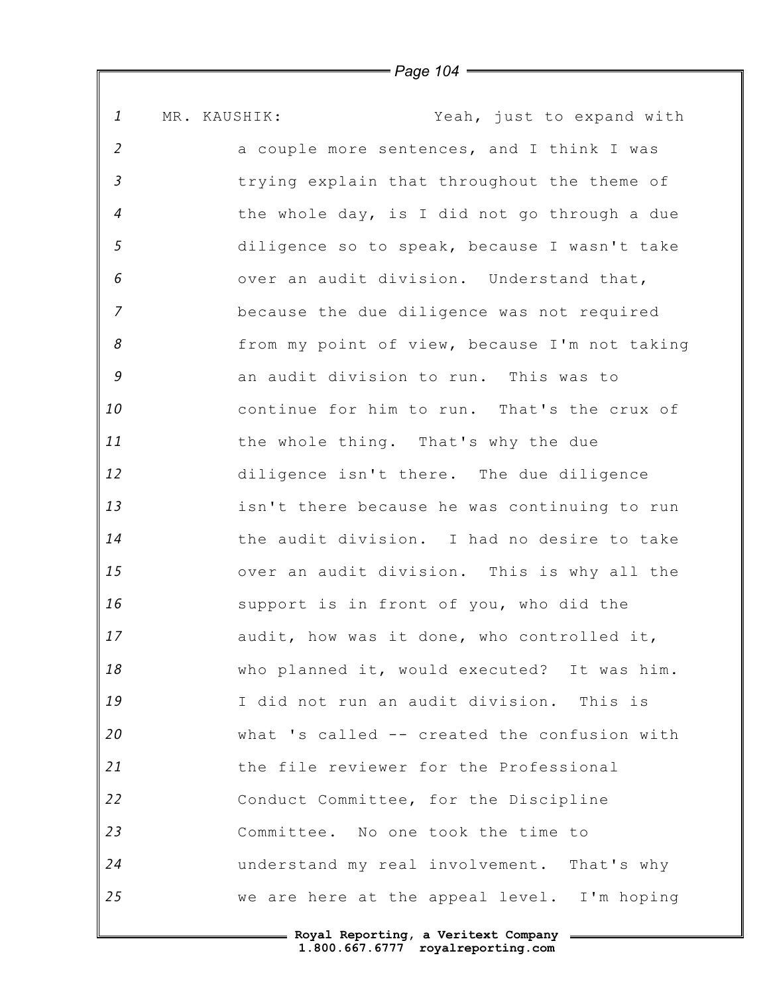*1 2 3 4 5 6 7 8 9 10 11 12 13 14 15 16 17 18 19 20 21 22 23 24 25* MR. KAUSHIK: Yeah, just to expand with a couple more sentences, and I think I was trying explain that throughout the theme of the whole day, is I did not go through a due diligence so to speak, because I wasn't take over an audit division. Understand that, because the due diligence was not required from my point of view, because I'm not taking an audit division to run. This was to continue for him to run. That's the crux of the whole thing. That's why the due diligence isn't there. The due diligence isn't there because he was continuing to run the audit division. I had no desire to take over an audit division. This is why all the support is in front of you, who did the audit, how was it done, who controlled it, who planned it, would executed? It was him. I did not run an audit division. This is what 's called -- created the confusion with the file reviewer for the Professional Conduct Committee, for the Discipline Committee. No one took the time to understand my real involvement. That's why we are here at the appeal level. I'm hoping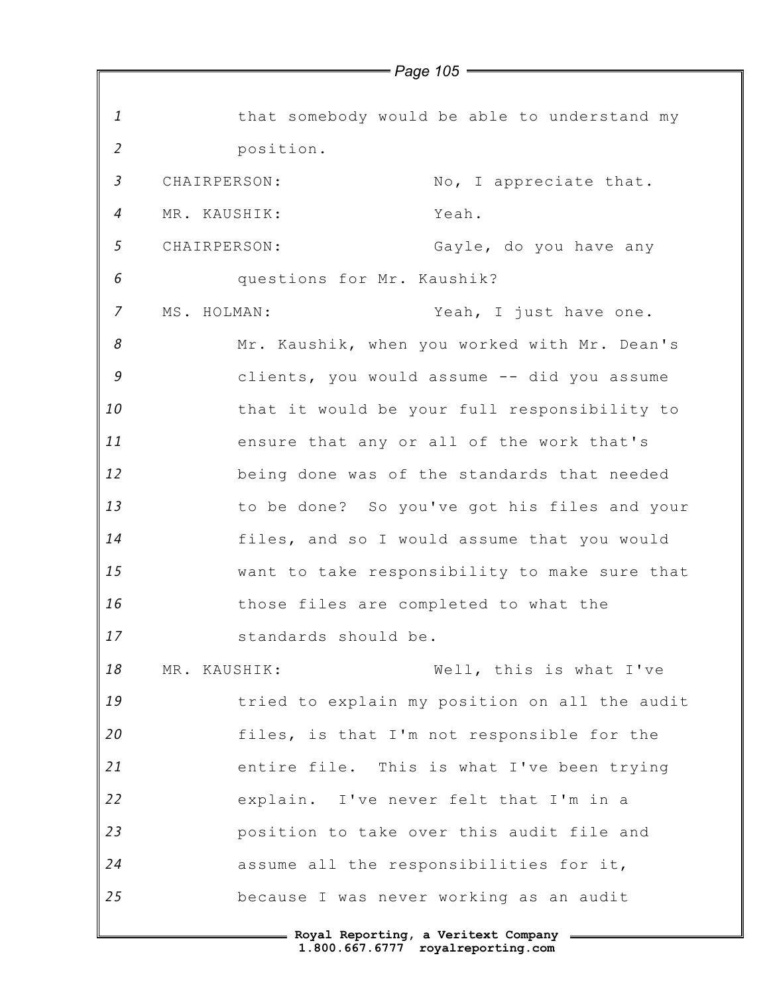*1 2 3 4 5 6 7 8 9 10 11 12 13 14 15 16 17 18 19 20 21 22 23 24 25* that somebody would be able to understand my position. CHAIRPERSON: No, I appreciate that. MR. KAUSHIK: Yeah. CHAIRPERSON: Gayle, do you have any questions for Mr. Kaushik? MS. HOLMAN: Yeah, I just have one. Mr. Kaushik, when you worked with Mr. Dean's clients, you would assume -- did you assume that it would be your full responsibility to ensure that any or all of the work that's being done was of the standards that needed to be done? So you've got his files and your files, and so I would assume that you would want to take responsibility to make sure that those files are completed to what the standards should be. MR. KAUSHIK: Well, this is what I've tried to explain my position on all the audit files, is that I'm not responsible for the entire file. This is what I've been trying explain. I've never felt that I'm in a position to take over this audit file and assume all the responsibilities for it, because I was never working as an audit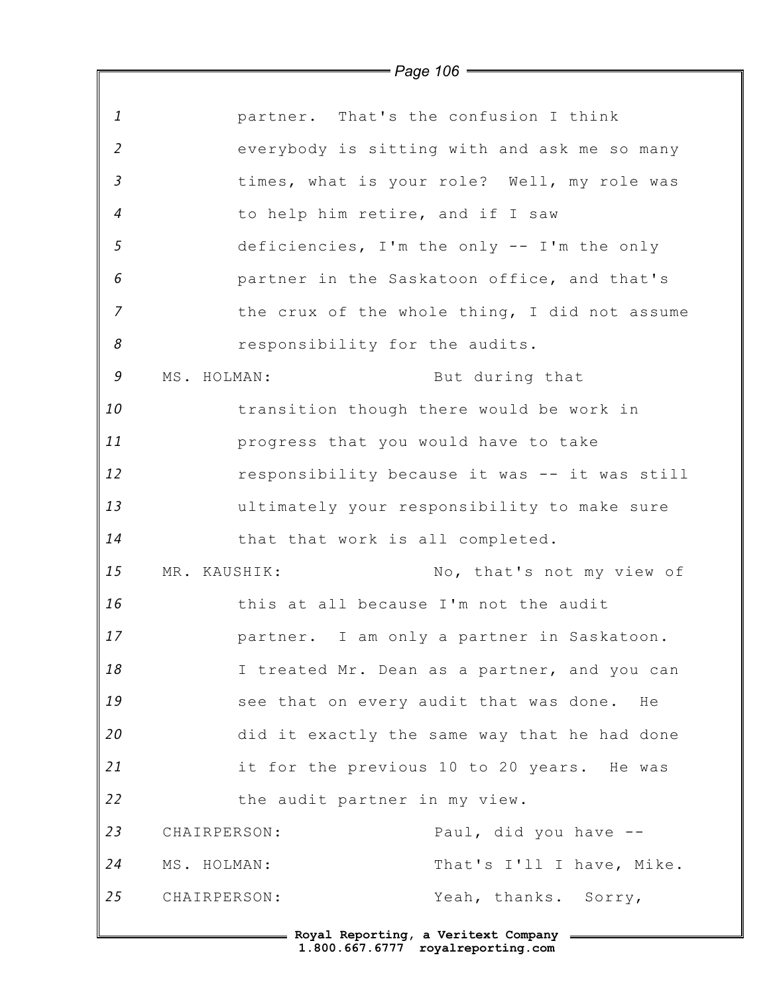|                | $\rightharpoondown$ Page 106 $\rightharpoondown$ |
|----------------|--------------------------------------------------|
|                |                                                  |
| $\mathbf{1}$   | partner. That's the confusion I think            |
| $\overline{2}$ | everybody is sitting with and ask me so many     |
| $\mathfrak{Z}$ | times, what is your role? Well, my role was      |
| $\overline{4}$ | to help him retire, and if I saw                 |
| 5              | deficiencies, I'm the only -- I'm the only       |
| 6              | partner in the Saskatoon office, and that's      |
| $\overline{7}$ | the crux of the whole thing, I did not assume    |
| 8              | responsibility for the audits.                   |
| 9              | MS. HOLMAN:<br>But during that                   |
| 10             | transition though there would be work in         |
| 11             | progress that you would have to take             |
| 12             | responsibility because it was -- it was still    |
| 13             | ultimately your responsibility to make sure      |
| 14             | that that work is all completed.                 |
| 15             | No, that's not my view of<br>MR. KAUSHIK:        |
| 16             | this at all because I'm not the audit            |
| 17             | partner. I am only a partner in Saskatoon.       |
| 18             | I treated Mr. Dean as a partner, and you can     |
| 19             | see that on every audit that was done. He        |
| 20             | did it exactly the same way that he had done     |
| 21             | it for the previous 10 to 20 years. He was       |
| 22             | the audit partner in my view.                    |
| 23             | Paul, did you have --<br>CHAIRPERSON:            |
| 24             | That's I'll I have, Mike.<br>MS. HOLMAN:         |
| 25             | Yeah, thanks. Sorry,<br>CHAIRPERSON:             |
|                |                                                  |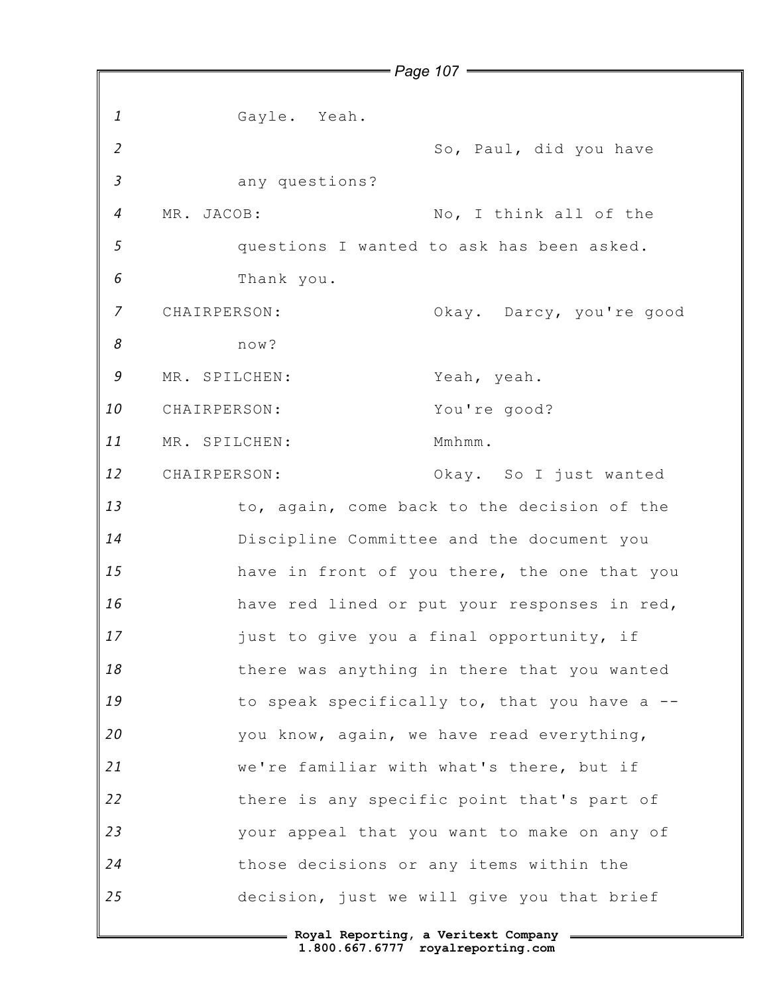*1 2 3 4 5 6 7 8 9 10 11 12 13 14 15 16 17 18 19 20 21 22 23 24 25 Page 107* Gayle. Yeah. So, Paul, did you have any questions? MR. JACOB: No, I think all of the questions I wanted to ask has been asked. Thank you. CHAIRPERSON: Okay. Darcy, you're good now? MR. SPILCHEN: Yeah, yeah. CHAIRPERSON: You're good? MR. SPILCHEN: Mmhmm. CHAIRPERSON: Okay. So I just wanted to, again, come back to the decision of the Discipline Committee and the document you have in front of you there, the one that you have red lined or put your responses in red, just to give you a final opportunity, if there was anything in there that you wanted to speak specifically to, that you have a - you know, again, we have read everything, we're familiar with what's there, but if there is any specific point that's part of your appeal that you want to make on any of those decisions or any items within the decision, just we will give you that brief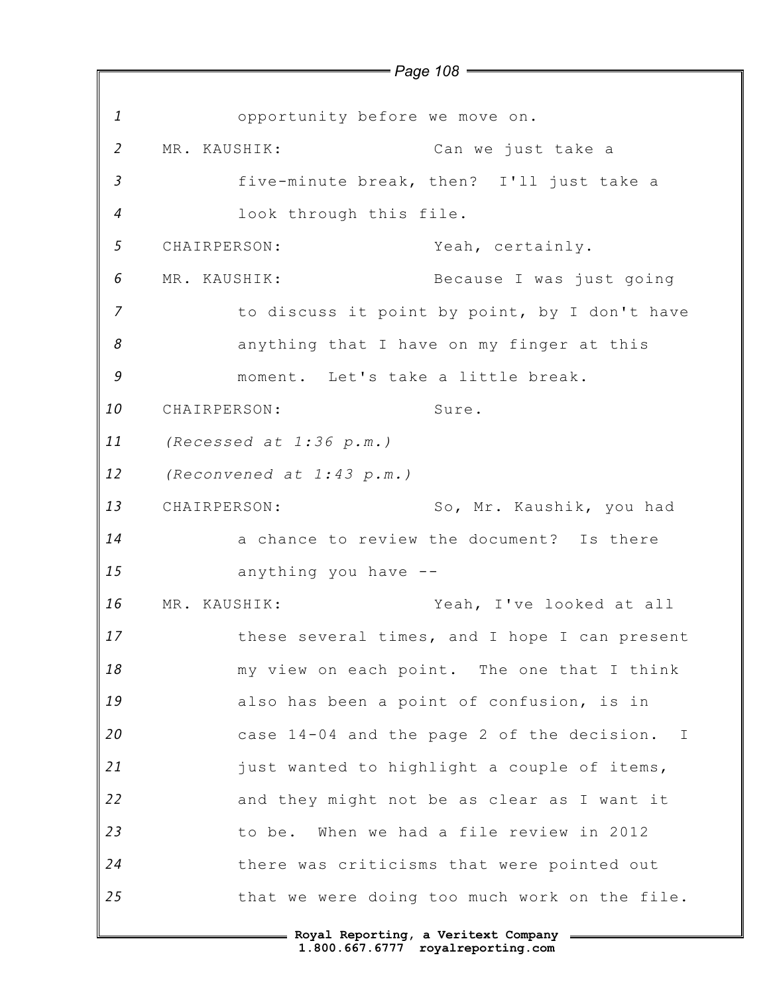*1 2 3 4 5 6 7 8 9 10 11 12 13 14 15 16 17 18 19 20 21 22 23 24 25 Page 108* opportunity before we move on. MR. KAUSHIK: Can we just take a five-minute break, then? I'll just take a look through this file. CHAIRPERSON: Yeah, certainly. MR. KAUSHIK: Because I was just going to discuss it point by point, by I don't have anything that I have on my finger at this moment. Let's take a little break. CHAIRPERSON: Sure. *(Recessed at 1:36 p.m.) (Reconvened at 1:43 p.m.)* CHAIRPERSON: So, Mr. Kaushik, you had a chance to review the document? Is there anything you have -- MR. KAUSHIK: Yeah, I've looked at all these several times, and I hope I can present my view on each point. The one that I think also has been a point of confusion, is in case 14-04 and the page 2 of the decision. I just wanted to highlight a couple of items, and they might not be as clear as I want it to be. When we had a file review in 2012 there was criticisms that were pointed out that we were doing too much work on the file.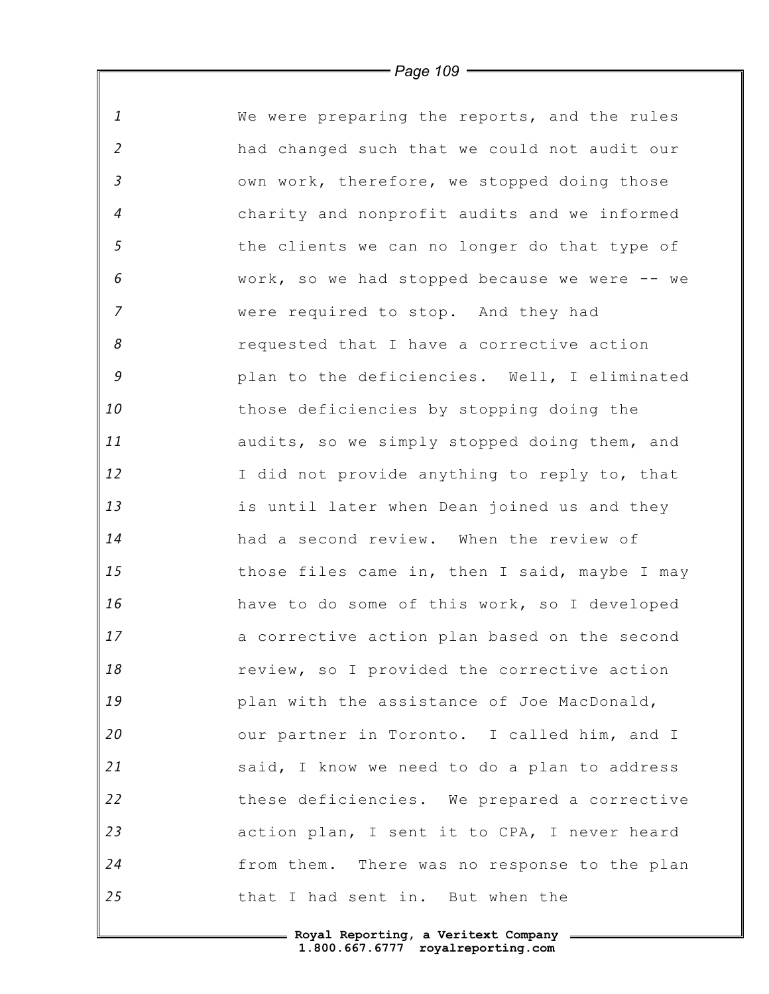| $\mathbf{1}$   | We were preparing the reports, and the rules  |
|----------------|-----------------------------------------------|
| $\overline{2}$ | had changed such that we could not audit our  |
| $\mathfrak{Z}$ | own work, therefore, we stopped doing those   |
| $\overline{4}$ | charity and nonprofit audits and we informed  |
| 5              | the clients we can no longer do that type of  |
| 6              | work, so we had stopped because we were -- we |
| $\overline{7}$ | were required to stop. And they had           |
| 8              | requested that I have a corrective action     |
| $\mathcal G$   | plan to the deficiencies. Well, I eliminated  |
| 10             | those deficiencies by stopping doing the      |
| 11             | audits, so we simply stopped doing them, and  |
| 12             | I did not provide anything to reply to, that  |
| 13             | is until later when Dean joined us and they   |
| 14             | had a second review. When the review of       |
| 15             | those files came in, then I said, maybe I may |
| 16             | have to do some of this work, so I developed  |
| 17             | a corrective action plan based on the second  |
| 18             | review, so I provided the corrective action   |
| 19             | plan with the assistance of Joe MacDonald,    |
| 20             | our partner in Toronto. I called him, and I   |
| 21             | said, I know we need to do a plan to address  |
| 22             | these deficiencies. We prepared a corrective  |
| 23             | action plan, I sent it to CPA, I never heard  |
| 24             | from them. There was no response to the plan  |
| 25             | that I had sent in. But when the              |

 $\mathsf I$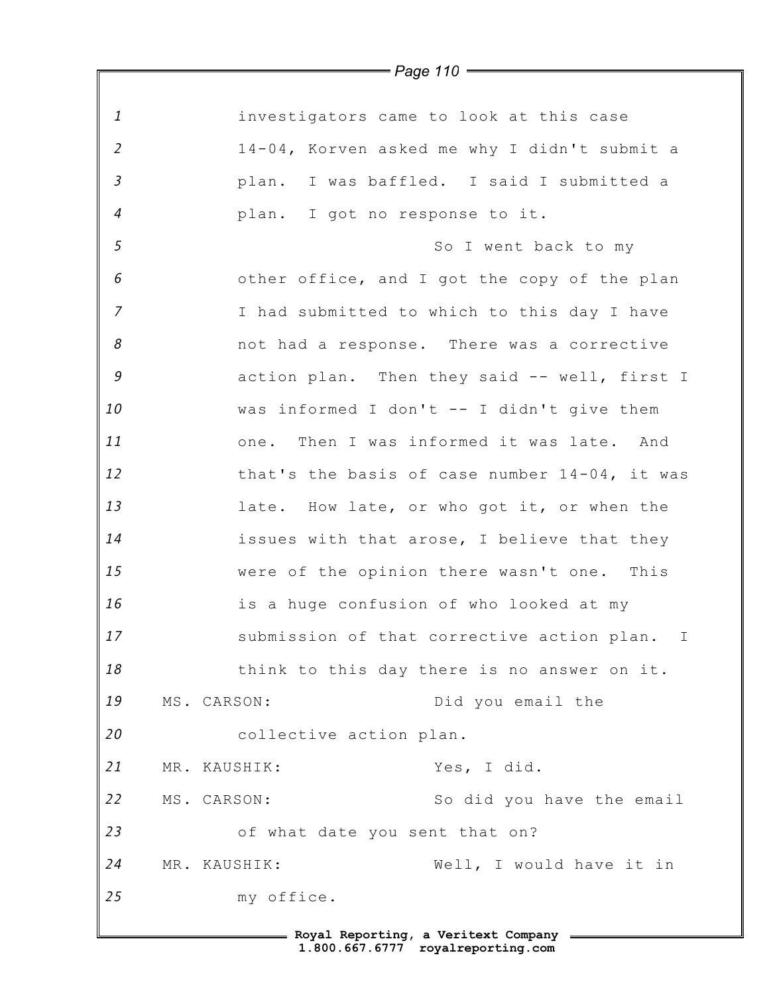|                | $\rule{1em}{0.15mm}$ Page 110 $\rule{1em}{0.15mm}$ |
|----------------|----------------------------------------------------|
|                |                                                    |
| $\mathbf{1}$   | investigators came to look at this case            |
| $\overline{2}$ | 14-04, Korven asked me why I didn't submit a       |
| $\mathfrak{Z}$ | plan. I was baffled. I said I submitted a          |
| $\overline{4}$ | plan. I got no response to it.                     |
| $\sqrt{5}$     | So I went back to my                               |
| 6              | other office, and I got the copy of the plan       |
| $\overline{z}$ | I had submitted to which to this day I have        |
| 8              | not had a response. There was a corrective         |
| 9              | action plan. Then they said -- well, first I       |
| 10             | was informed I don't -- I didn't give them         |
| 11             | one. Then I was informed it was late. And          |
| 12             | that's the basis of case number 14-04, it was      |
| 13             | late. How late, or who got it, or when the         |
| 14             | issues with that arose, I believe that they        |
| 15             | were of the opinion there wasn't one. This         |
| 16             | is a huge confusion of who looked at my            |
| 17             | submission of that corrective action plan. I       |
| 18             | think to this day there is no answer on it.        |
| 19             | MS. CARSON:<br>Did you email the                   |
| 20             | collective action plan.                            |
| 21             | Yes, I did.<br>MR. KAUSHIK:                        |
| 22             | MS. CARSON:<br>So did you have the email           |
| 23             | of what date you sent that on?                     |
| 24             | MR. KAUSHIK:<br>Well, I would have it in           |
| 25             | my office.                                         |
|                | = Royal Reporting, a Veritext Company =            |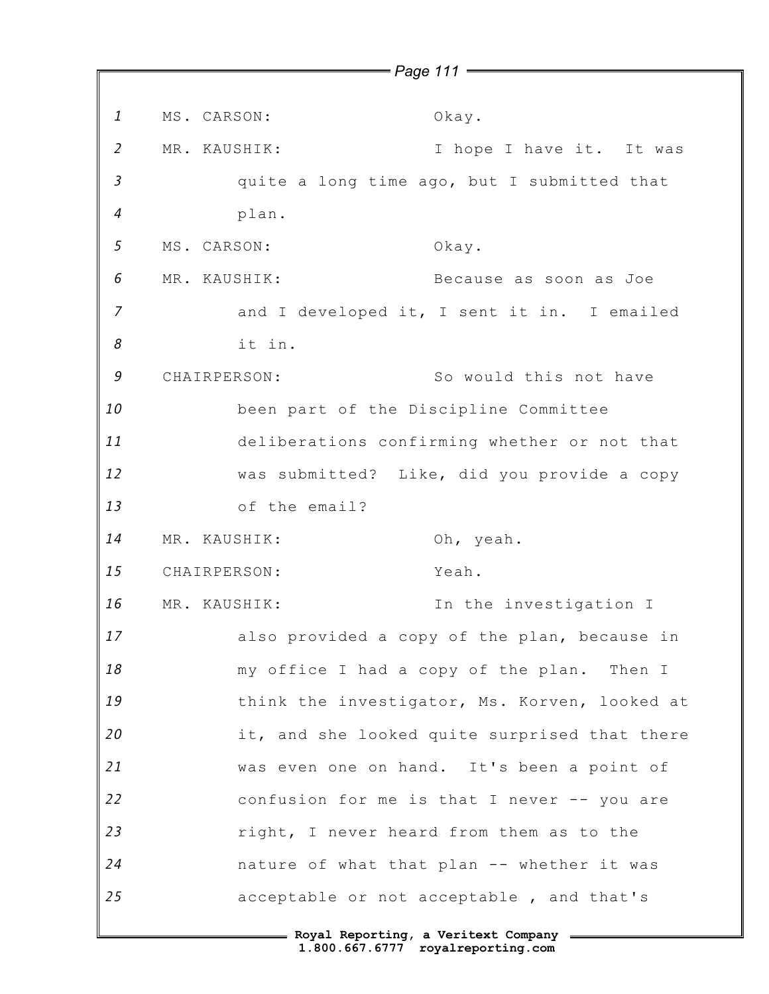*1 2 3 4 5 6 7 8 9 10 11 12 13 14 15 16 17 18 19 20 21 22 23 24 25 Page 111* MS. CARSON: Okay. MR. KAUSHIK: I hope I have it. It was quite a long time ago, but I submitted that plan. MS. CARSON: Okay. MR. KAUSHIK: Because as soon as Joe and I developed it, I sent it in. I emailed it in. CHAIRPERSON: So would this not have been part of the Discipline Committee deliberations confirming whether or not that was submitted? Like, did you provide a copy of the email? MR. KAUSHIK: Oh, yeah. CHAIRPERSON: Yeah. MR. KAUSHIK: In the investigation I also provided a copy of the plan, because in my office I had a copy of the plan. Then I think the investigator, Ms. Korven, looked at it, and she looked quite surprised that there was even one on hand. It's been a point of confusion for me is that I never -- you are right, I never heard from them as to the nature of what that plan -- whether it was acceptable or not acceptable , and that's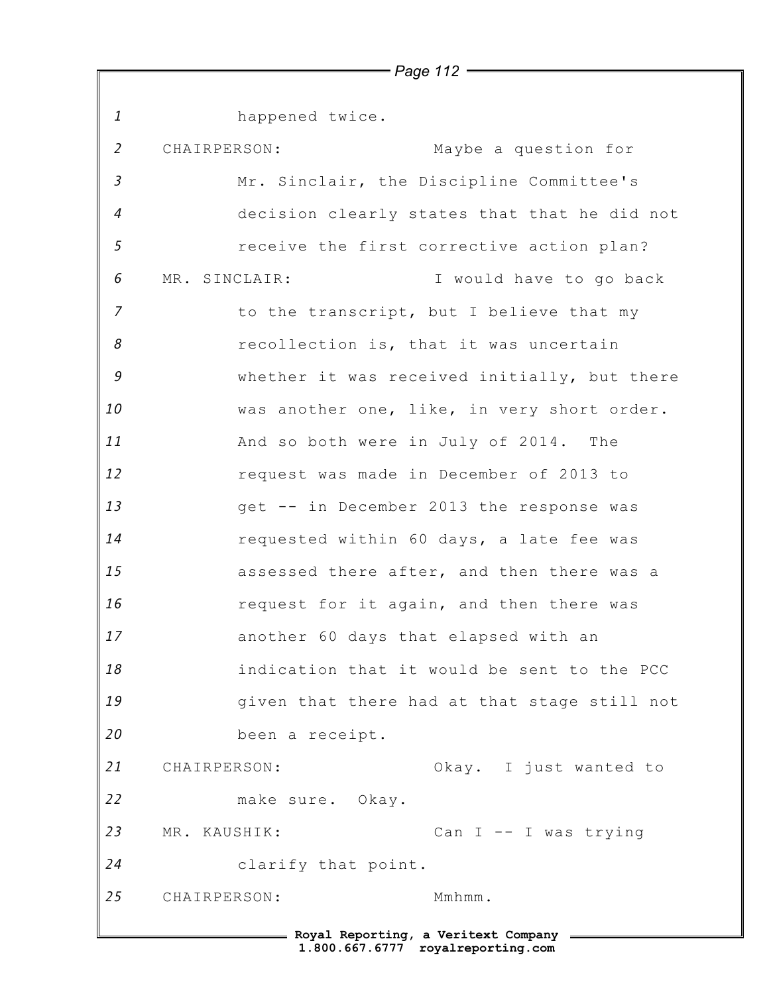*1 2 3 4 5 6 7 8 9 10 11 12 13 14 15 16 17 18 19 20 21 22 23 24 25* **Royal Reporting, a Veritext Company** happened twice. CHAIRPERSON: Maybe a question for Mr. Sinclair, the Discipline Committee's decision clearly states that that he did not receive the first corrective action plan? MR. SINCLAIR: I would have to go back to the transcript, but I believe that my recollection is, that it was uncertain whether it was received initially, but there was another one, like, in very short order. And so both were in July of 2014. The request was made in December of 2013 to get -- in December 2013 the response was requested within 60 days, a late fee was assessed there after, and then there was a request for it again, and then there was another 60 days that elapsed with an indication that it would be sent to the PCC given that there had at that stage still not been a receipt. CHAIRPERSON: Okay. I just wanted to make sure. Okay. MR. KAUSHIK: Can I -- I was trying clarify that point. CHAIRPERSON: Mmhmm.

*Page 112*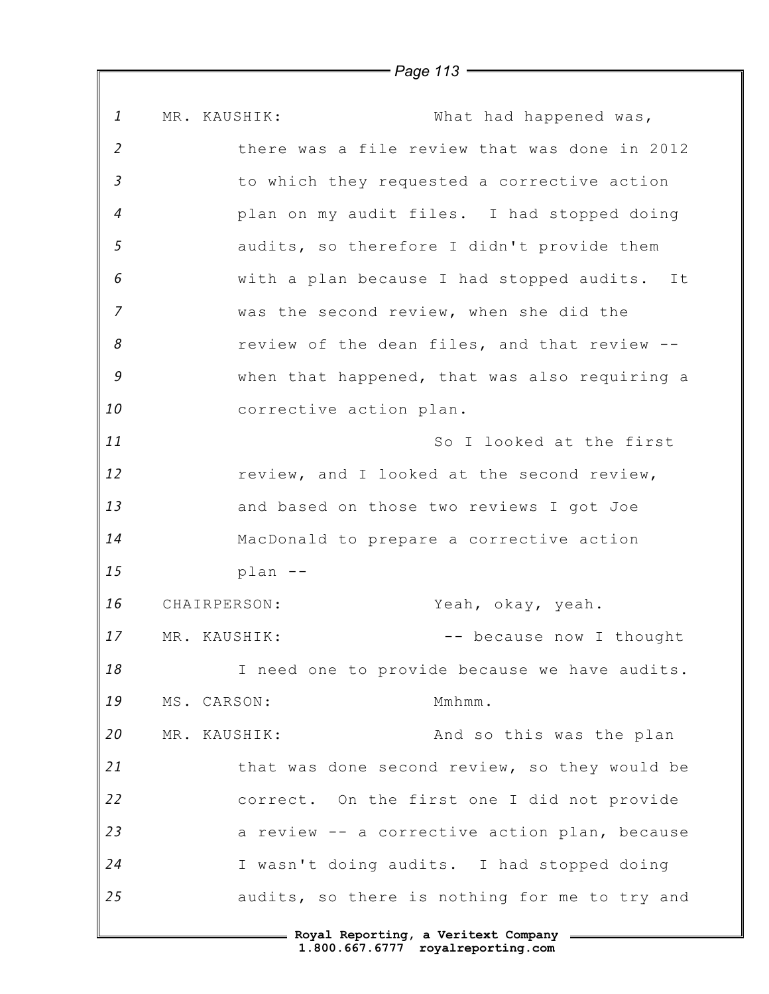*1 2 3 4 5 6 7 8 9 10 11 12 13 14 15 16 17 18 19 20 21 22 23 24 25* MR. KAUSHIK: What had happened was, there was a file review that was done in 2012 to which they requested a corrective action plan on my audit files. I had stopped doing audits, so therefore I didn't provide them with a plan because I had stopped audits. It was the second review, when she did the review of the dean files, and that review - when that happened, that was also requiring a corrective action plan. So I looked at the first review, and I looked at the second review, and based on those two reviews I got Joe MacDonald to prepare a corrective action plan -- CHAIRPERSON: Yeah, okay, yeah. MR. KAUSHIK:  $--$  because now I thought I need one to provide because we have audits. MS. CARSON: Mmhmm. MR. KAUSHIK: And so this was the plan that was done second review, so they would be correct. On the first one I did not provide a review -- a corrective action plan, because I wasn't doing audits. I had stopped doing audits, so there is nothing for me to try and

*Page 113*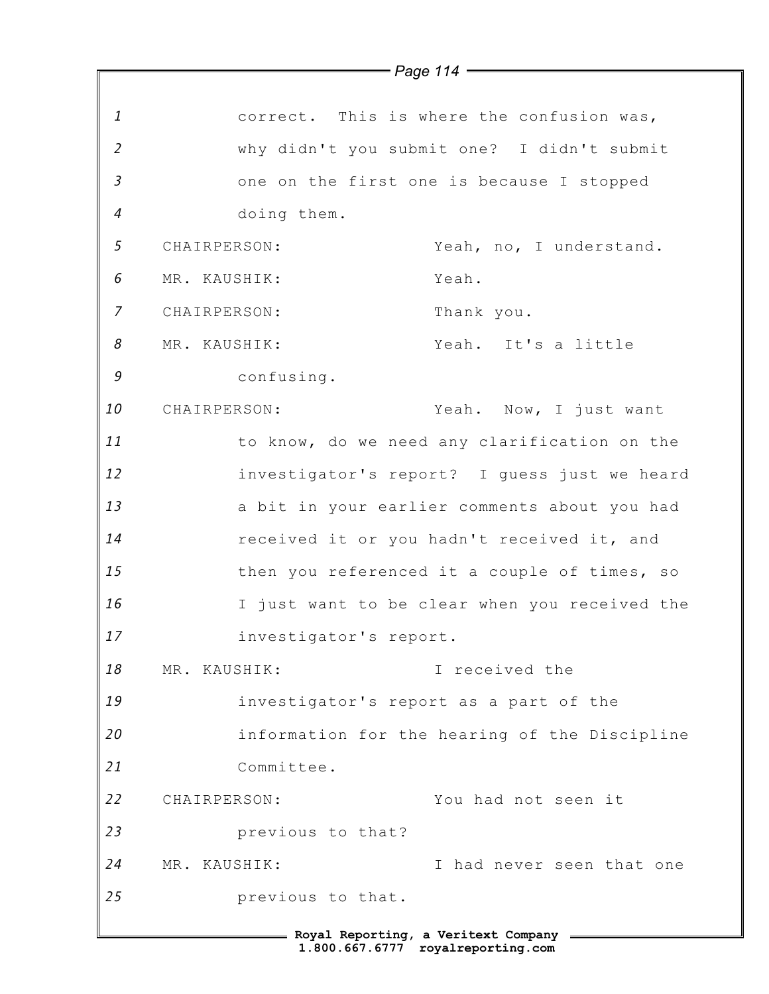|                | $=$ Page 114 $=$                              |
|----------------|-----------------------------------------------|
|                |                                               |
| $\mathbf{1}$   | correct. This is where the confusion was,     |
| $\overline{2}$ | why didn't you submit one? I didn't submit    |
| $\mathfrak{Z}$ | one on the first one is because I stopped     |
| $\overline{4}$ | doing them.                                   |
| $\sqrt{5}$     | CHAIRPERSON:<br>Yeah, no, I understand.       |
| 6              | MR. KAUSHIK:<br>Yeah.                         |
| 7              | CHAIRPERSON:<br>Thank you.                    |
| 8              | Yeah. It's a little<br>MR. KAUSHIK:           |
| 9              | confusing.                                    |
| 10             | Yeah. Now, I just want<br>CHAIRPERSON:        |
| 11             | to know, do we need any clarification on the  |
| 12             | investigator's report? I guess just we heard  |
| 13             | a bit in your earlier comments about you had  |
| 14             | received it or you hadn't received it, and    |
| 15             | then you referenced it a couple of times, so  |
| 16             | I just want to be clear when you received the |
| 17             | investigator's report.                        |
| 18             | I received the<br>MR. KAUSHIK:                |
| 19             | investigator's report as a part of the        |
| 20             | information for the hearing of the Discipline |
| 21             | Committee.                                    |
| 22             | You had not seen it<br>CHAIRPERSON:           |
| 23             | previous to that?                             |
| 24             | MR. KAUSHIK:<br>I had never seen that one     |
| 25             | previous to that.                             |
|                | = Royal Reporting, a Veritext Company =       |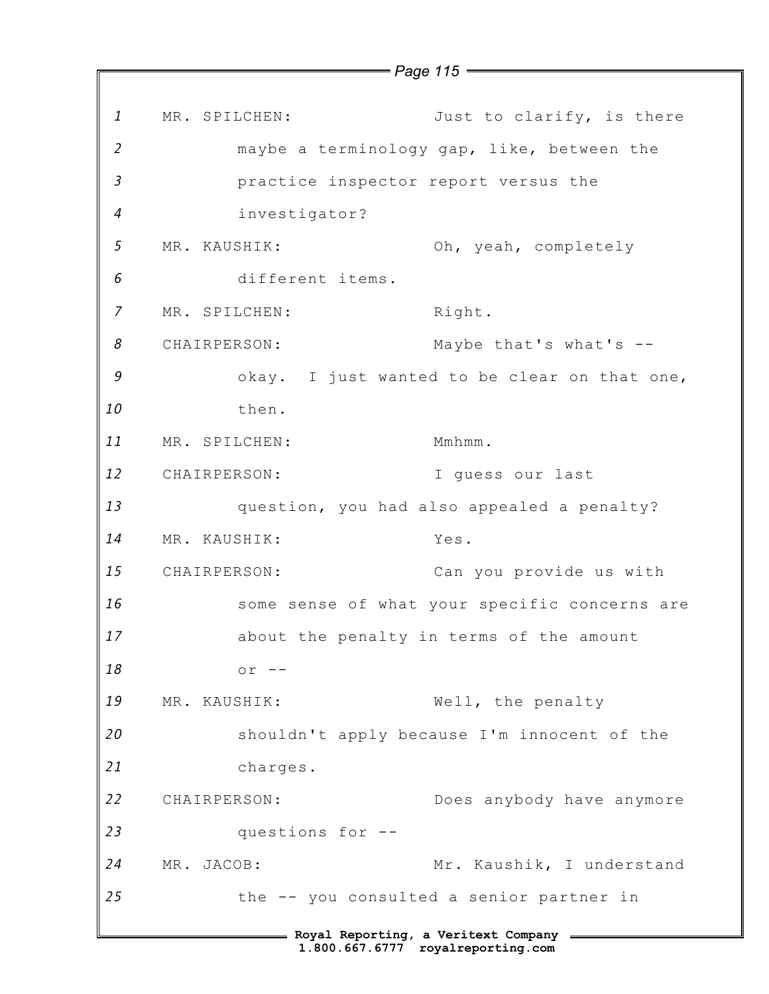*1 2 3 4 5 6 7 8 9 10 11 12 13 14 15 16 17 18 19 20 21 22 23 24 25* **Royal Reporting, a Veritext Company 1.800.667.6777 royalreporting.com** MR. SPILCHEN: Just to clarify, is there maybe a terminology gap, like, between the practice inspector report versus the investigator? MR. KAUSHIK: Oh, yeah, completely different items. MR. SPILCHEN: Right. CHAIRPERSON: Maybe that's what's - okay. I just wanted to be clear on that one, then. MR. SPILCHEN: Mmhmm. CHAIRPERSON: I guess our last question, you had also appealed a penalty? MR. KAUSHIK: Yes. CHAIRPERSON: Can you provide us with some sense of what your specific concerns are about the penalty in terms of the amount  $or$   $-$ MR. KAUSHIK: Well, the penalty shouldn't apply because I'm innocent of the charges. CHAIRPERSON: Does anybody have anymore questions for -- MR. JACOB: Mr. Kaushik, I understand the -- you consulted a senior partner in

*Page 115*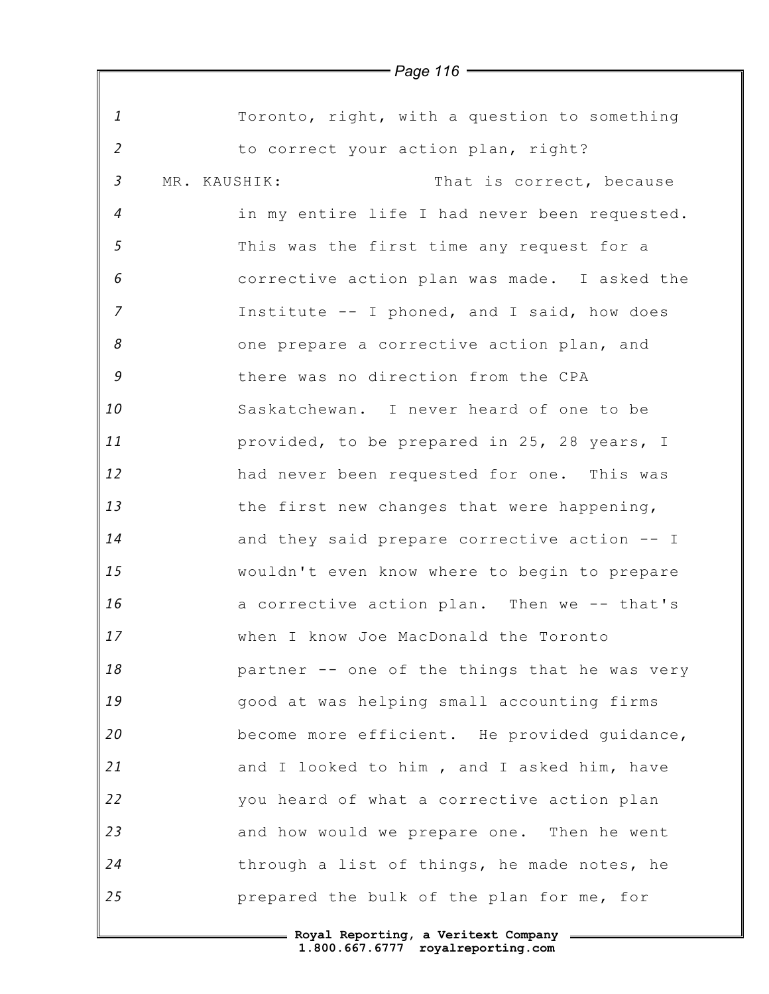*1 2 3 4 5 6 7 8 9 10 11 12 13 14 15 16 17 18 19 20 21 22 23 24 25* Toronto, right, with a question to something to correct your action plan, right? MR. KAUSHIK: That is correct, because in my entire life I had never been requested. This was the first time any request for a corrective action plan was made. I asked the Institute -- I phoned, and I said, how does one prepare a corrective action plan, and there was no direction from the CPA Saskatchewan. I never heard of one to be provided, to be prepared in 25, 28 years, I had never been requested for one. This was the first new changes that were happening, and they said prepare corrective action -- I wouldn't even know where to begin to prepare a corrective action plan. Then we -- that's when I know Joe MacDonald the Toronto partner -- one of the things that he was very good at was helping small accounting firms become more efficient. He provided guidance, and I looked to him , and I asked him, have you heard of what a corrective action plan and how would we prepare one. Then he went through a list of things, he made notes, he prepared the bulk of the plan for me, for

> **Royal Reporting, a Veritext Company 1.800.667.6777 royalreporting.com**

*Page 116*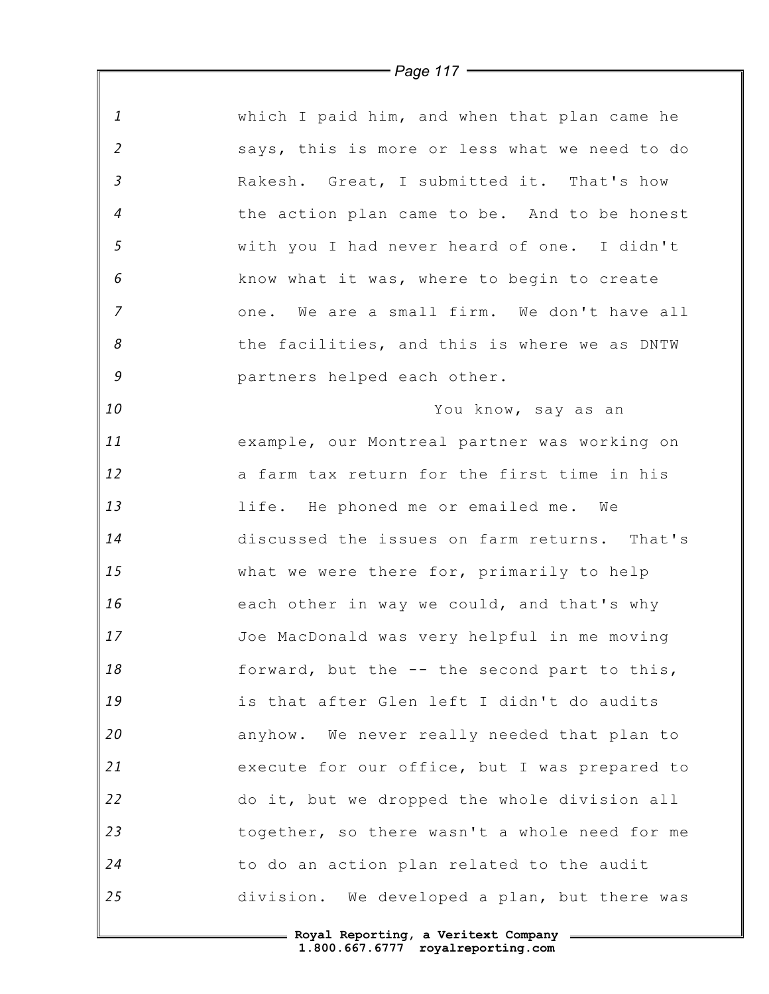*1 2 3 4 5 6 7 8 9 10 11 12 13 14 15 16 17 18 19 20 21 22 23 24 25* which I paid him, and when that plan came he says, this is more or less what we need to do Rakesh. Great, I submitted it. That's how the action plan came to be. And to be honest with you I had never heard of one. I didn't know what it was, where to begin to create one. We are a small firm. We don't have all the facilities, and this is where we as DNTW partners helped each other. You know, say as an example, our Montreal partner was working on a farm tax return for the first time in his life. He phoned me or emailed me. We discussed the issues on farm returns. That's what we were there for, primarily to help each other in way we could, and that's why Joe MacDonald was very helpful in me moving forward, but the -- the second part to this, is that after Glen left I didn't do audits anyhow. We never really needed that plan to execute for our office, but I was prepared to do it, but we dropped the whole division all together, so there wasn't a whole need for me to do an action plan related to the audit division. We developed a plan, but there was

*Page 117*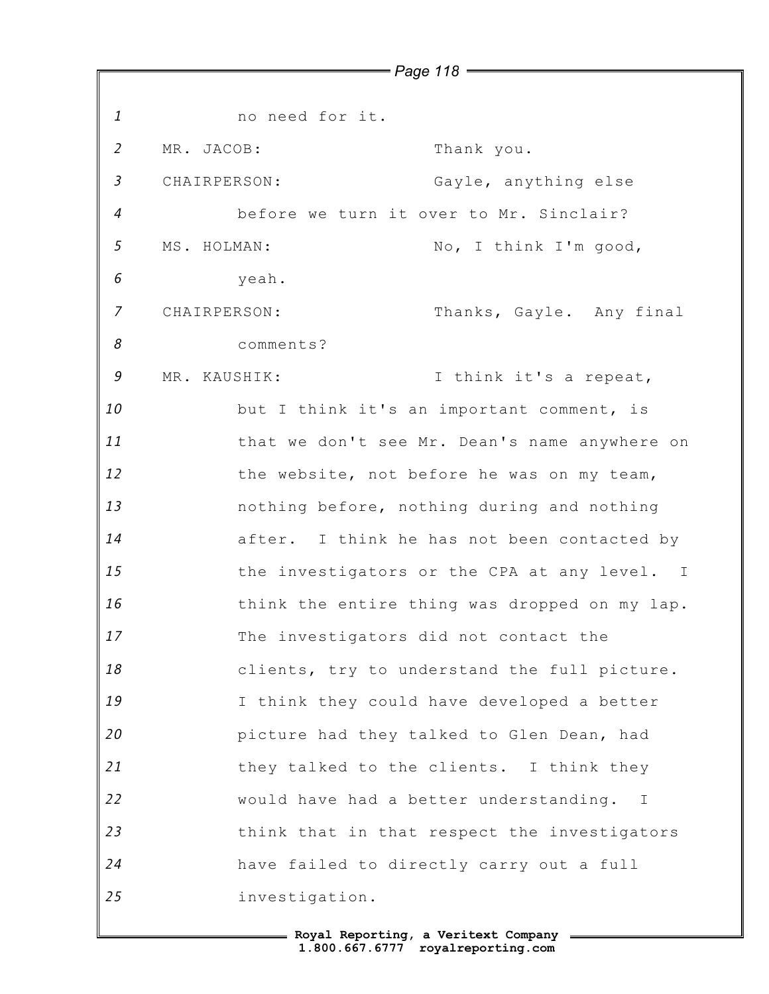*1 2 3 4 5 6 7 8 9 10 11 12 13 14 15 16 17 18 19 20 21 22 23 24 25 Page 118* no need for it. MR. JACOB: Thank you. CHAIRPERSON: Gayle, anything else before we turn it over to Mr. Sinclair? MS. HOLMAN: No, I think I'm good, yeah. CHAIRPERSON: Thanks, Gayle. Any final comments? MR. KAUSHIK: I think it's a repeat, but I think it's an important comment, is that we don't see Mr. Dean's name anywhere on the website, not before he was on my team, nothing before, nothing during and nothing after. I think he has not been contacted by the investigators or the CPA at any level. I think the entire thing was dropped on my lap. The investigators did not contact the clients, try to understand the full picture. I think they could have developed a better picture had they talked to Glen Dean, had they talked to the clients. I think they would have had a better understanding. I think that in that respect the investigators have failed to directly carry out a full investigation.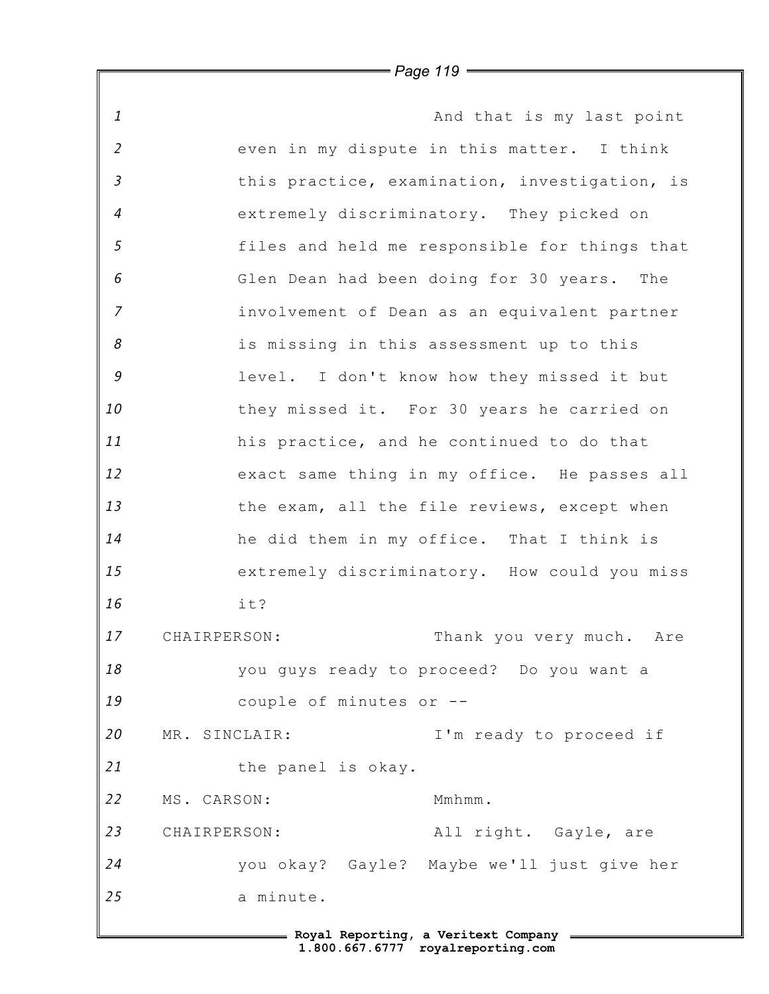*1 2 3 4 5 6 7 8 9 10 11 12 13 14 15 16 17 18 19 20 21 22 23 24 25* **Royal Reporting, a Veritext Company** And that is my last point even in my dispute in this matter. I think this practice, examination, investigation, is extremely discriminatory. They picked on files and held me responsible for things that Glen Dean had been doing for 30 years. The involvement of Dean as an equivalent partner is missing in this assessment up to this level. I don't know how they missed it but they missed it. For 30 years he carried on his practice, and he continued to do that exact same thing in my office. He passes all the exam, all the file reviews, except when he did them in my office. That I think is extremely discriminatory. How could you miss it? CHAIRPERSON: Thank you very much. Are you guys ready to proceed? Do you want a couple of minutes or -- MR. SINCLAIR: I'm ready to proceed if the panel is okay. MS. CARSON: Mmhmm. CHAIRPERSON: All right. Gayle, are you okay? Gayle? Maybe we'll just give her a minute.

*Page 119*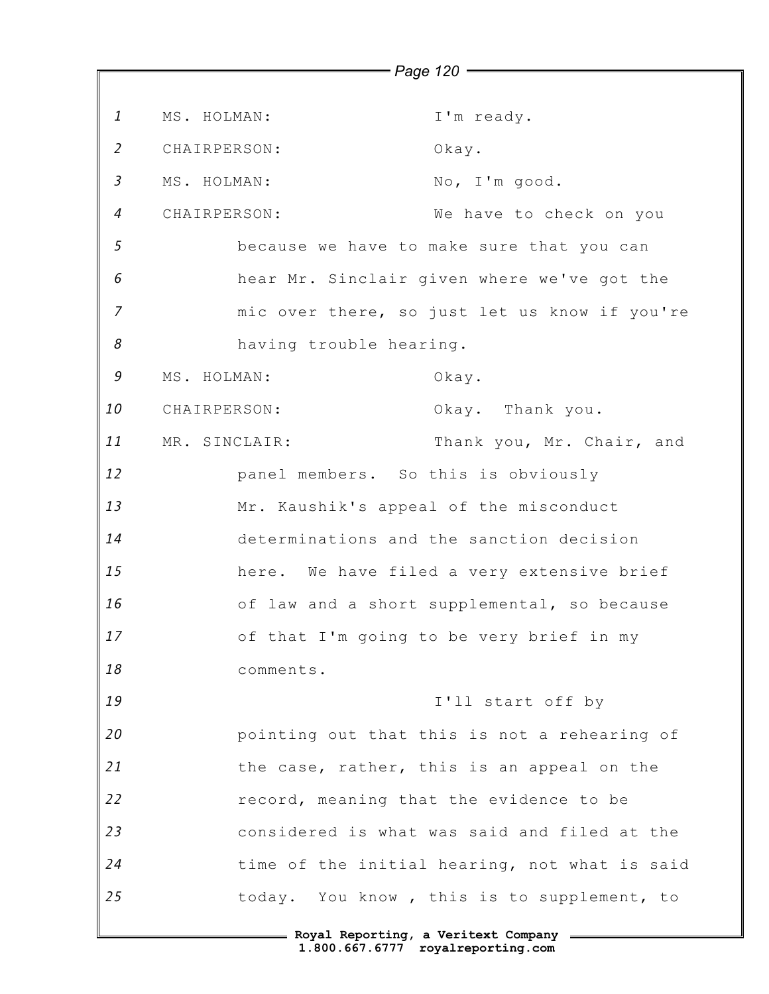*1 2 3 4 5 6 7 8 9 10 11 12 13 14 15 16 17 18 19 20 21 22 23 24 25 Page 120* MS. HOLMAN: I'm ready. CHAIRPERSON: Okay. MS. HOLMAN: No, I'm good. CHAIRPERSON: We have to check on you because we have to make sure that you can hear Mr. Sinclair given where we've got the mic over there, so just let us know if you're having trouble hearing. MS. HOLMAN: Okay. CHAIRPERSON: Okay. Thank you. MR. SINCLAIR: Thank you, Mr. Chair, and panel members. So this is obviously Mr. Kaushik's appeal of the misconduct determinations and the sanction decision here. We have filed a very extensive brief of law and a short supplemental, so because of that I'm going to be very brief in my comments. I'll start off by pointing out that this is not a rehearing of the case, rather, this is an appeal on the record, meaning that the evidence to be considered is what was said and filed at the time of the initial hearing, not what is said today. You know , this is to supplement, to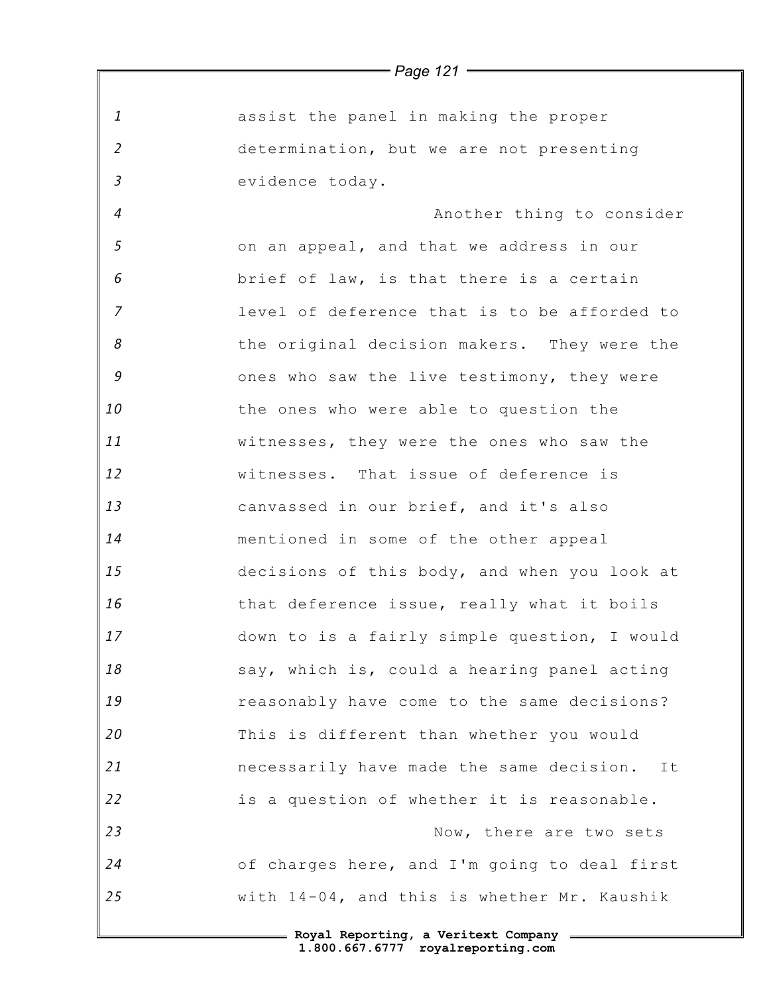|                | $=$ Page 121 $=$                               |
|----------------|------------------------------------------------|
|                |                                                |
| $\mathbf{1}$   | assist the panel in making the proper          |
| $\overline{2}$ | determination, but we are not presenting       |
| $\mathfrak{Z}$ | evidence today.                                |
| $\overline{4}$ | Another thing to consider                      |
| 5              | on an appeal, and that we address in our       |
| 6              | brief of law, is that there is a certain       |
| $\overline{z}$ | level of deference that is to be afforded to   |
| 8              | the original decision makers. They were the    |
| 9              | ones who saw the live testimony, they were     |
| 10             | the ones who were able to question the         |
| 11             | witnesses, they were the ones who saw the      |
| 12             | witnesses. That issue of deference is          |
| 13             | canvassed in our brief, and it's also          |
| 14             | mentioned in some of the other appeal          |
| 15             | decisions of this body, and when you look at   |
| 16             | that deference issue, really what it boils     |
| 17             | down to is a fairly simple question, I would   |
| 18             | say, which is, could a hearing panel acting    |
| 19             | reasonably have come to the same decisions?    |
| 20             | This is different than whether you would       |
| 21             | necessarily have made the same decision.<br>It |
| 22             | is a question of whether it is reasonable.     |
| 23             | Now, there are two sets                        |
| 24             | of charges here, and I'm going to deal first   |
| 25             | with 14-04, and this is whether Mr. Kaushik    |
|                |                                                |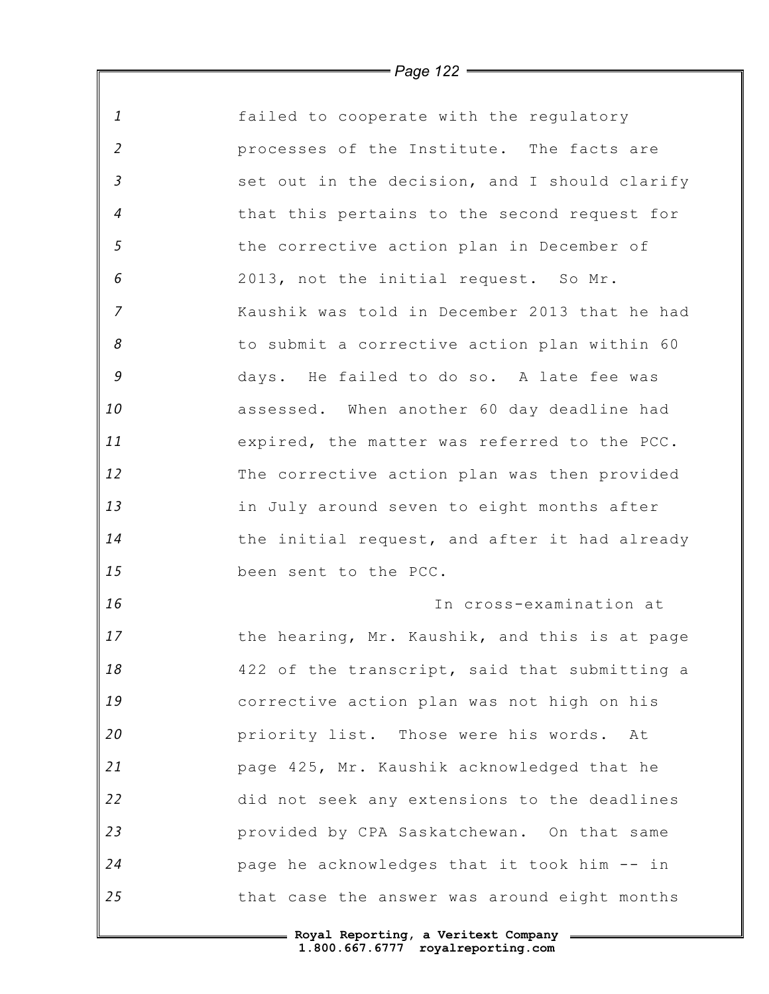*1 2 3 4 5 6 7 8 9 10 11 12 13 14 15 16 17 18 19 20 21 22 23 24 25* failed to cooperate with the regulatory processes of the Institute. The facts are set out in the decision, and I should clarify that this pertains to the second request for the corrective action plan in December of 2013, not the initial request. So Mr. Kaushik was told in December 2013 that he had to submit a corrective action plan within 60 days. He failed to do so. A late fee was assessed. When another 60 day deadline had expired, the matter was referred to the PCC. The corrective action plan was then provided in July around seven to eight months after the initial request, and after it had already been sent to the PCC. In cross-examination at the hearing, Mr. Kaushik, and this is at page 422 of the transcript, said that submitting a corrective action plan was not high on his priority list. Those were his words. At page 425, Mr. Kaushik acknowledged that he did not seek any extensions to the deadlines provided by CPA Saskatchewan. On that same page he acknowledges that it took him -- in that case the answer was around eight months

*Page 122*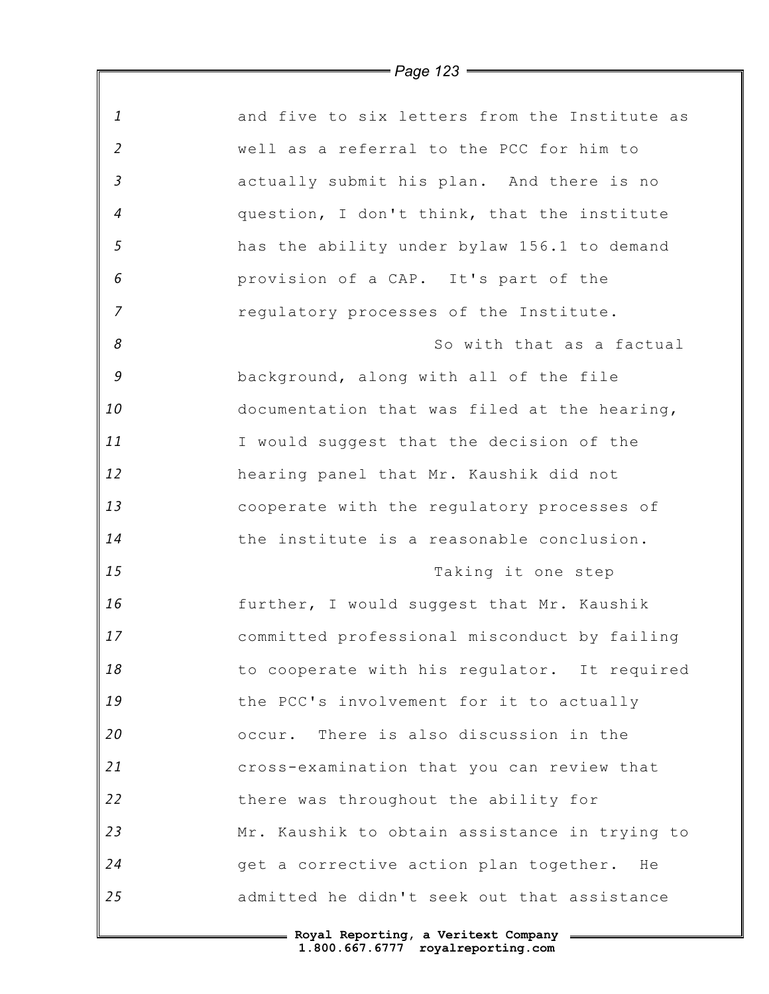|                | <i>Faye 125</i>                               |
|----------------|-----------------------------------------------|
| 1              | and five to six letters from the Institute as |
| $\overline{2}$ | well as a referral to the PCC for him to      |
| $\mathfrak{Z}$ | actually submit his plan. And there is no     |
| $\overline{a}$ | question, I don't think, that the institute   |
| 5              | has the ability under bylaw 156.1 to demand   |
| 6              | provision of a CAP. It's part of the          |
| $\overline{z}$ | regulatory processes of the Institute.        |
| 8              | So with that as a factual                     |
| 9              | background, along with all of the file        |
| 10             | documentation that was filed at the hearing,  |
| 11             | I would suggest that the decision of the      |
| 12             | hearing panel that Mr. Kaushik did not        |
| 13             | cooperate with the regulatory processes of    |
| 14             | the institute is a reasonable conclusion.     |
| 15             | Taking it one step                            |
| 16             | further, I would suggest that Mr. Kaushik     |
| 17             | committed professional misconduct by failing  |
| 18             | to cooperate with his regulator. It required  |
| 19             | the PCC's involvement for it to actually      |
| 20             | occur. There is also discussion in the        |
| 21             | cross-examination that you can review that    |
| 22             | there was throughout the ability for          |
| 23             | Mr. Kaushik to obtain assistance in trying to |
| 24             | get a corrective action plan together. He     |
| 25             | admitted he didn't seek out that assistance   |
|                | - Roval Reporting, a Veritext Company         |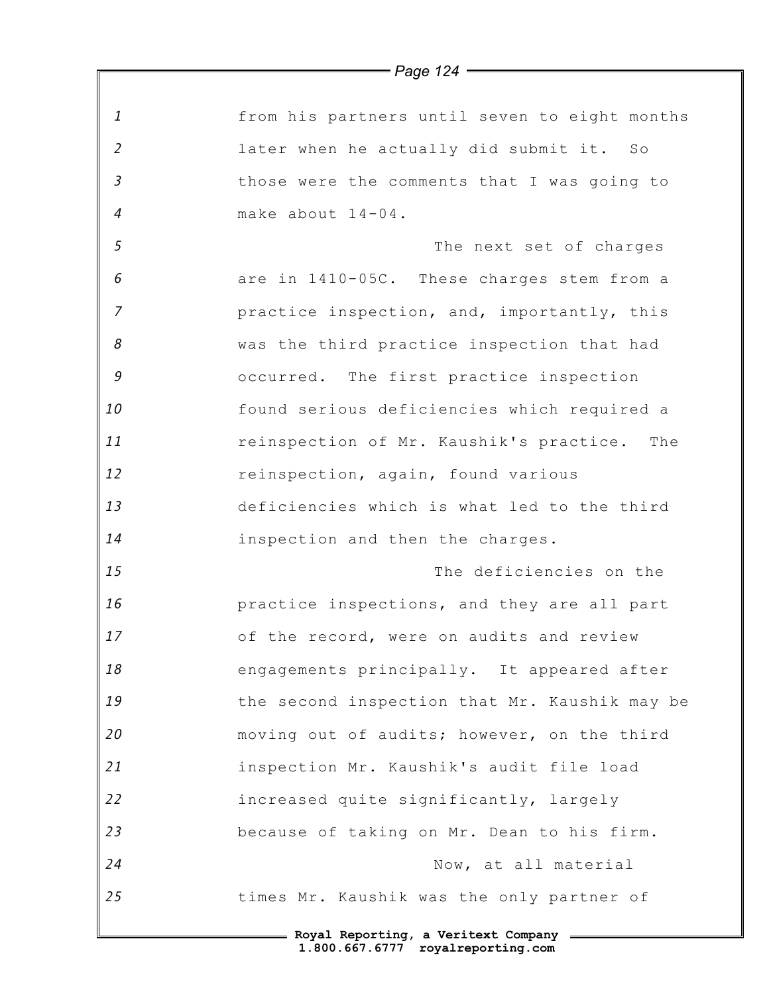|                | $=$ Page 124 $=$                               |
|----------------|------------------------------------------------|
|                |                                                |
| 1              | from his partners until seven to eight months  |
| $\overline{2}$ | later when he actually did submit it. So       |
| $\mathfrak{Z}$ | those were the comments that I was going to    |
| $\overline{4}$ | make about 14-04.                              |
| 5              | The next set of charges                        |
| 6              | are in 1410-05C. These charges stem from a     |
| $\overline{z}$ | practice inspection, and, importantly, this    |
| 8              | was the third practice inspection that had     |
| $\mathcal G$   | occurred. The first practice inspection        |
| 10             | found serious deficiencies which required a    |
| 11             | reinspection of Mr. Kaushik's practice.<br>The |
| 12             | reinspection, again, found various             |
| 13             | deficiencies which is what led to the third    |
| 14             | inspection and then the charges.               |
| 15             | The deficiencies on the                        |
| 16             | practice inspections, and they are all part    |
| 17             | of the record, were on audits and review       |
| 18             | engagements principally. It appeared after     |
| 19             | the second inspection that Mr. Kaushik may be  |
| 20             | moving out of audits; however, on the third    |
| 21             | inspection Mr. Kaushik's audit file load       |
| 22             | increased quite significantly, largely         |
| 23             | because of taking on Mr. Dean to his firm.     |
| 24             | Now, at all material                           |
| 25             | times Mr. Kaushik was the only partner of      |
|                | = Royal Reporting, a Veritext Company =        |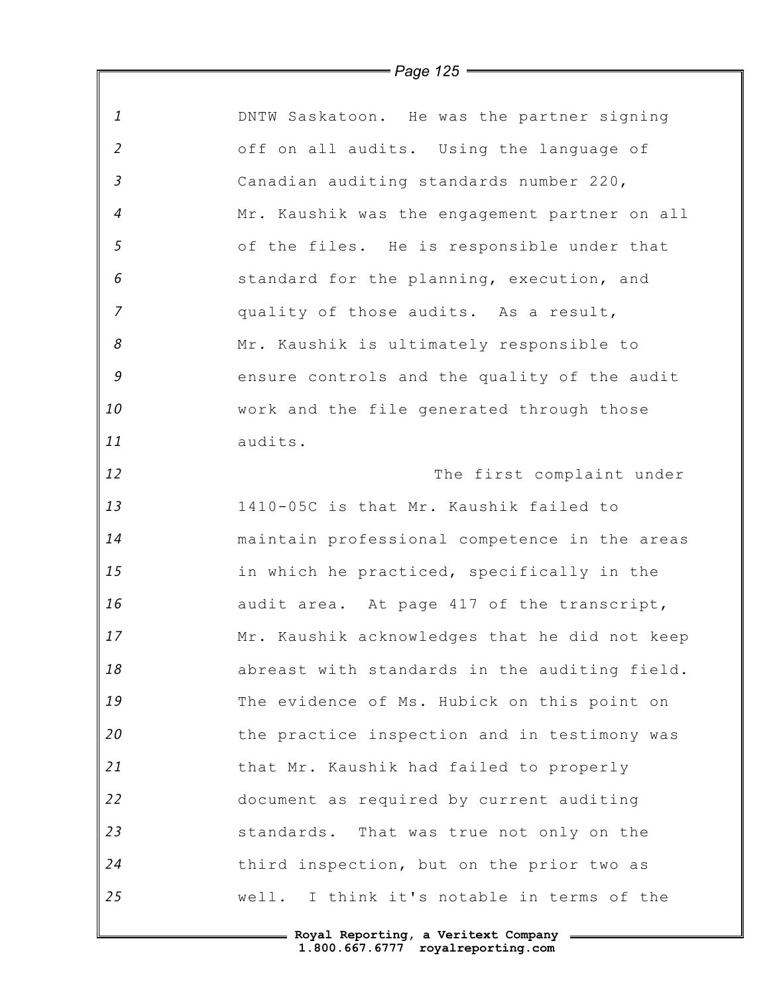|                            | $\equiv$ Page 125 $\equiv$                    |
|----------------------------|-----------------------------------------------|
|                            |                                               |
| $\mathbf{1}$               | DNTW Saskatoon. He was the partner signing    |
| $\overline{2}$             | off on all audits. Using the language of      |
| $\overline{3}$             | Canadian auditing standards number 220,       |
| $\overline{4}$             | Mr. Kaushik was the engagement partner on all |
| 5                          | of the files. He is responsible under that    |
| 6                          | standard for the planning, execution, and     |
| $\overline{7}$             | quality of those audits. As a result,         |
| $\boldsymbol{\mathcal{S}}$ | Mr. Kaushik is ultimately responsible to      |
| $\mathcal G$               | ensure controls and the quality of the audit  |
| 10                         | work and the file generated through those     |
| 11                         | audits.                                       |
| 12                         | The first complaint under                     |
| 13                         | 1410-05C is that Mr. Kaushik failed to        |
| 14                         | maintain professional competence in the areas |
| 15                         | in which he practiced, specifically in the    |
| 16                         | audit area. At page 417 of the transcript,    |
| 17                         | Mr. Kaushik acknowledges that he did not keep |
| 18                         | abreast with standards in the auditing field. |
| 19                         | The evidence of Ms. Hubick on this point on   |
| 20                         | the practice inspection and in testimony was  |
| 21                         | that Mr. Kaushik had failed to properly       |
| 22                         | document as required by current auditing      |
| 23                         | standards. That was true not only on the      |
| 24                         | third inspection, but on the prior two as     |
| 25                         | well. I think it's notable in terms of the    |
|                            |                                               |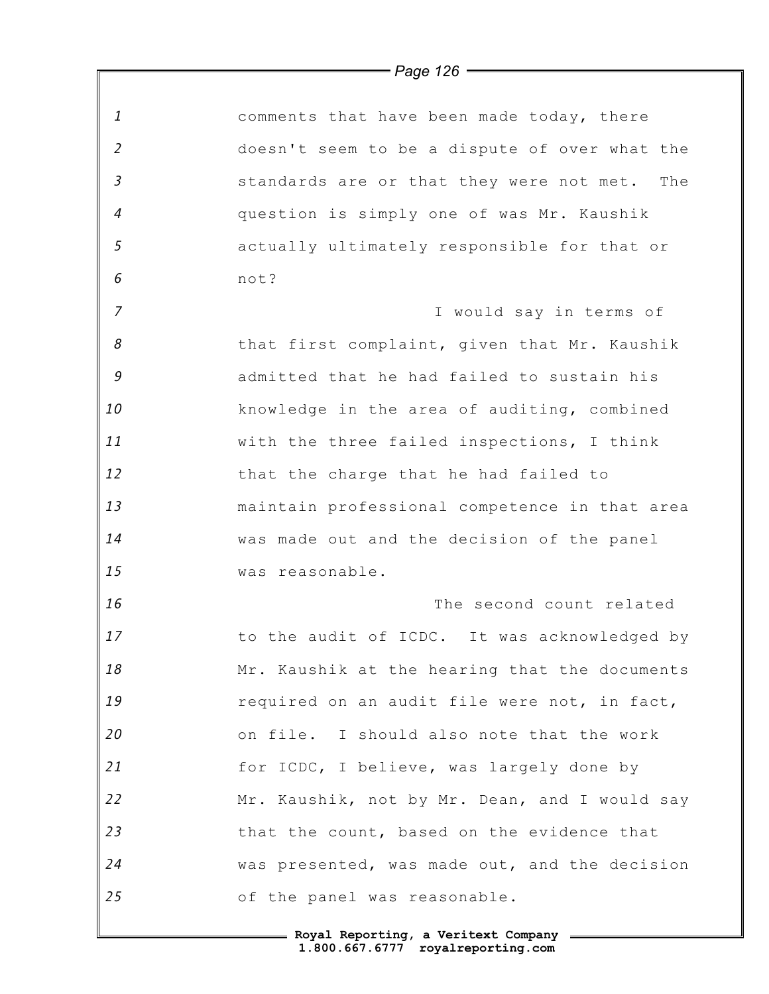| $\mathbf{1}$   | comments that have been made today, there     |
|----------------|-----------------------------------------------|
| $\overline{2}$ | doesn't seem to be a dispute of over what the |
| $\mathfrak{Z}$ | standards are or that they were not met. The  |
| $\overline{4}$ | question is simply one of was Mr. Kaushik     |
| $\mathfrak{s}$ | actually ultimately responsible for that or   |
| 6              | not?                                          |
| $\overline{7}$ | I would say in terms of                       |
| 8              | that first complaint, given that Mr. Kaushik  |
| 9              | admitted that he had failed to sustain his    |
| 10             | knowledge in the area of auditing, combined   |
| 11             | with the three failed inspections, I think    |
| 12             | that the charge that he had failed to         |
| 13             | maintain professional competence in that area |
| 14             | was made out and the decision of the panel    |
| 15             | was reasonable.                               |
| 16             | The second count related                      |
| 17             | to the audit of ICDC. It was acknowledged by  |
| 18             | Mr. Kaushik at the hearing that the documents |
| 19             | required on an audit file were not, in fact,  |
| 20             | on file. I should also note that the work     |
| 21             | for ICDC, I believe, was largely done by      |
| 22             | Mr. Kaushik, not by Mr. Dean, and I would say |
| 23             | that the count, based on the evidence that    |
| 24             | was presented, was made out, and the decision |
| 25             | of the panel was reasonable.                  |

## *Page 126*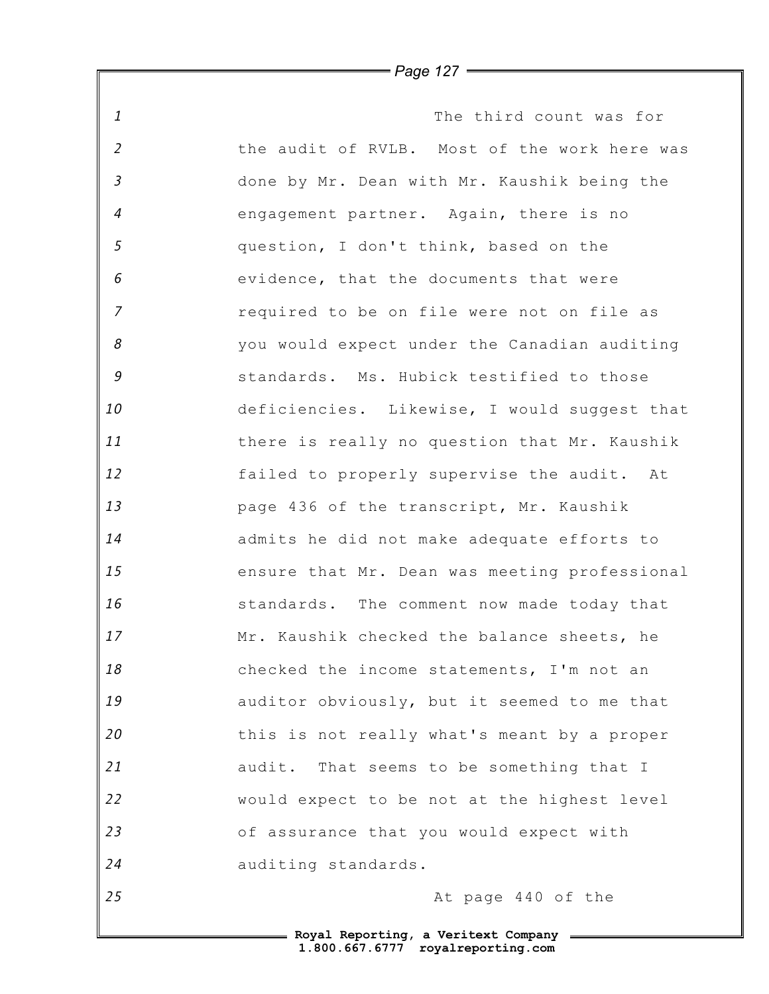*1 2 3 4 5 6 7 8 9 10 11 12 13 14 15 16 17 18 19 20 21 22 23 24 25* The third count was for the audit of RVLB. Most of the work here was done by Mr. Dean with Mr. Kaushik being the engagement partner. Again, there is no question, I don't think, based on the evidence, that the documents that were required to be on file were not on file as you would expect under the Canadian auditing standards. Ms. Hubick testified to those deficiencies. Likewise, I would suggest that there is really no question that Mr. Kaushik failed to properly supervise the audit. At page 436 of the transcript, Mr. Kaushik admits he did not make adequate efforts to ensure that Mr. Dean was meeting professional standards. The comment now made today that Mr. Kaushik checked the balance sheets, he checked the income statements, I'm not an auditor obviously, but it seemed to me that this is not really what's meant by a proper audit. That seems to be something that I would expect to be not at the highest level of assurance that you would expect with auditing standards. At page 440 of the

*Page 127*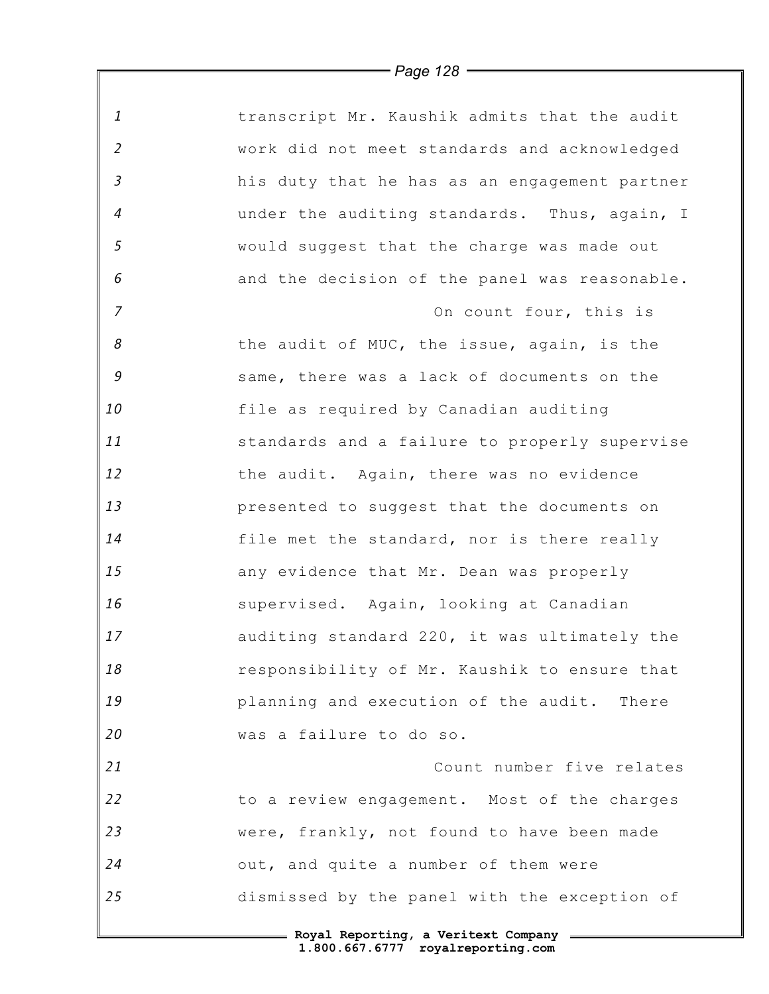| $\mathbf{1}$   | transcript Mr. Kaushik admits that the audit  |
|----------------|-----------------------------------------------|
| $\overline{2}$ | work did not meet standards and acknowledged  |
| $\mathfrak{Z}$ | his duty that he has as an engagement partner |
| $\overline{4}$ | under the auditing standards. Thus, again, I  |
| 5              | would suggest that the charge was made out    |
| 6              | and the decision of the panel was reasonable. |
| $\overline{z}$ | On count four, this is                        |
| 8              | the audit of MUC, the issue, again, is the    |
| 9              | same, there was a lack of documents on the    |
| 10             | file as required by Canadian auditing         |
| 11             | standards and a failure to properly supervise |
| 12             | the audit. Again, there was no evidence       |
| 13             | presented to suggest that the documents on    |
| 14             | file met the standard, nor is there really    |
| 15             | any evidence that Mr. Dean was properly       |
| 16             | supervised. Again, looking at Canadian        |
| 17             | auditing standard 220, it was ultimately the  |
| 18             | responsibility of Mr. Kaushik to ensure that  |
| 19             | planning and execution of the audit. There    |
| 20             | was a failure to do so.                       |
| 21             | Count number five relates                     |
| 22             | to a review engagement. Most of the charges   |
| 23             | were, frankly, not found to have been made    |
| 24             | out, and quite a number of them were          |
| 25             | dismissed by the panel with the exception of  |
|                | = Royal Reporting, a Veritext Company =       |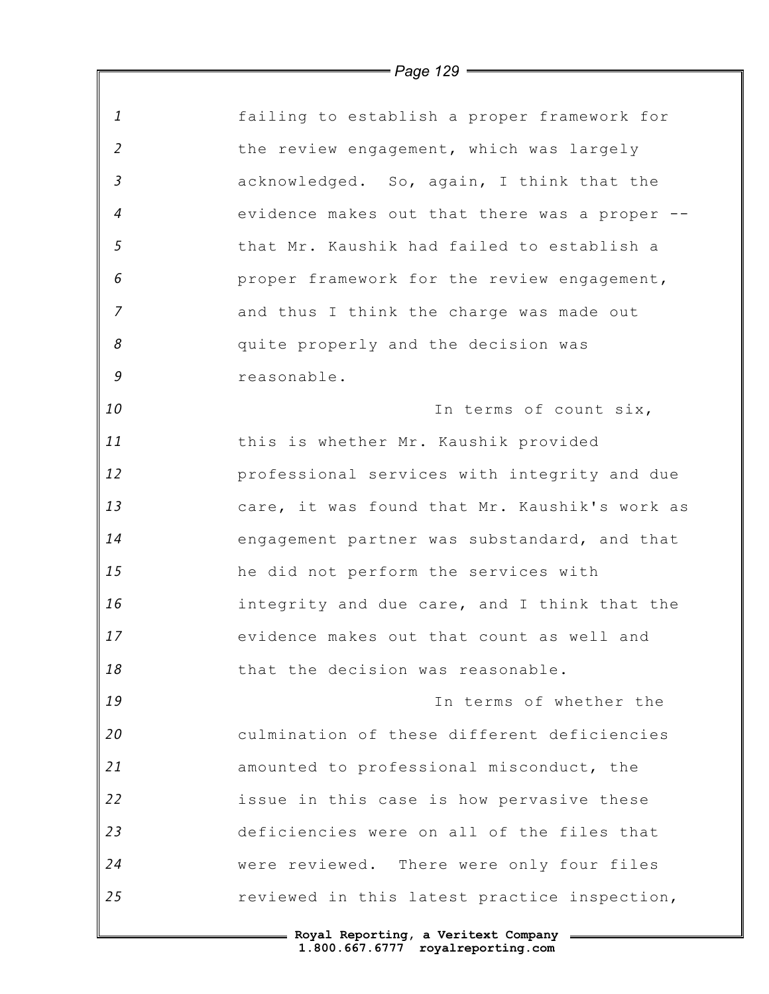|                | $=$ Page 129 $=$                              |
|----------------|-----------------------------------------------|
|                |                                               |
| $\mathbf{1}$   | failing to establish a proper framework for   |
| $\overline{2}$ | the review engagement, which was largely      |
| $\mathfrak{Z}$ | acknowledged. So, again, I think that the     |
| $\overline{4}$ | evidence makes out that there was a proper    |
| $\mathfrak{s}$ | that Mr. Kaushik had failed to establish a    |
| 6              | proper framework for the review engagement,   |
| $\overline{7}$ | and thus I think the charge was made out      |
| 8              | quite properly and the decision was           |
| 9              | reasonable.                                   |
| 10             | In terms of count six,                        |
| 11             | this is whether Mr. Kaushik provided          |
| 12             | professional services with integrity and due  |
| 13             | care, it was found that Mr. Kaushik's work as |
| 14             | engagement partner was substandard, and that  |
| 15             | he did not perform the services with          |
| 16             | integrity and due care, and I think that the  |
| 17             | evidence makes out that count as well and     |
| 18             | that the decision was reasonable.             |
| 19             | In terms of whether the                       |
| 20             | culmination of these different deficiencies   |
| 21             | amounted to professional misconduct, the      |
| 22             | issue in this case is how pervasive these     |
| 23             | deficiencies were on all of the files that    |
| 24             | were reviewed. There were only four files     |
| 25             | reviewed in this latest practice inspection,  |
|                |                                               |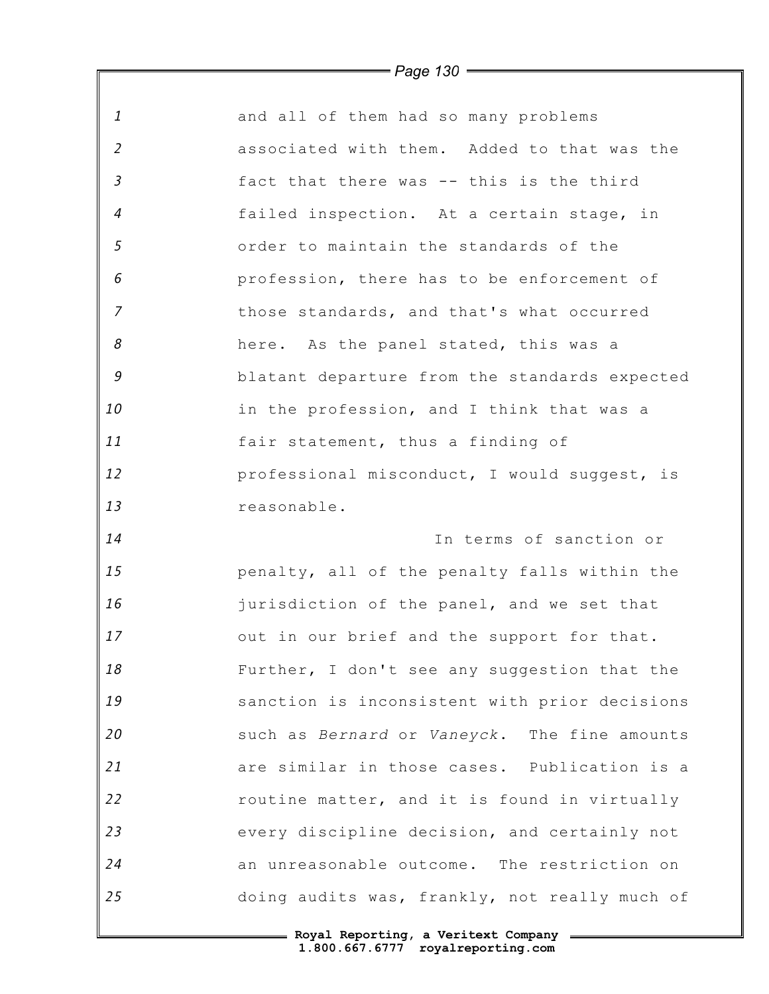|                | = Page 130 <del>=====</del>                   |
|----------------|-----------------------------------------------|
| $\mathbf{1}$   | and all of them had so many problems          |
| $\overline{2}$ | associated with them. Added to that was the   |
| $\mathfrak{Z}$ | fact that there was -- this is the third      |
| $\overline{4}$ | failed inspection. At a certain stage, in     |
| 5              | order to maintain the standards of the        |
| 6              | profession, there has to be enforcement of    |
| $\overline{7}$ | those standards, and that's what occurred     |
| 8              | here. As the panel stated, this was a         |
| 9              | blatant departure from the standards expected |
| 10             | in the profession, and I think that was a     |
| 11             | fair statement, thus a finding of             |
| 12             | professional misconduct, I would suggest, is  |
| 13             | reasonable.                                   |
| 14             | In terms of sanction or                       |
| 15             | penalty, all of the penalty falls within the  |
| 16             | jurisdiction of the panel, and we set that    |
| 17             | out in our brief and the support for that.    |
| 18             | Further, I don't see any suggestion that the  |
| 19             | sanction is inconsistent with prior decisions |
| 20             | such as Bernard or Vaneyck. The fine amounts  |
| 21             | are similar in those cases. Publication is a  |
| 22             | routine matter, and it is found in virtually  |
| 23             | every discipline decision, and certainly not  |
| 24             | an unreasonable outcome. The restriction on   |
| 25             | doing audits was, frankly, not really much of |

*Page 130*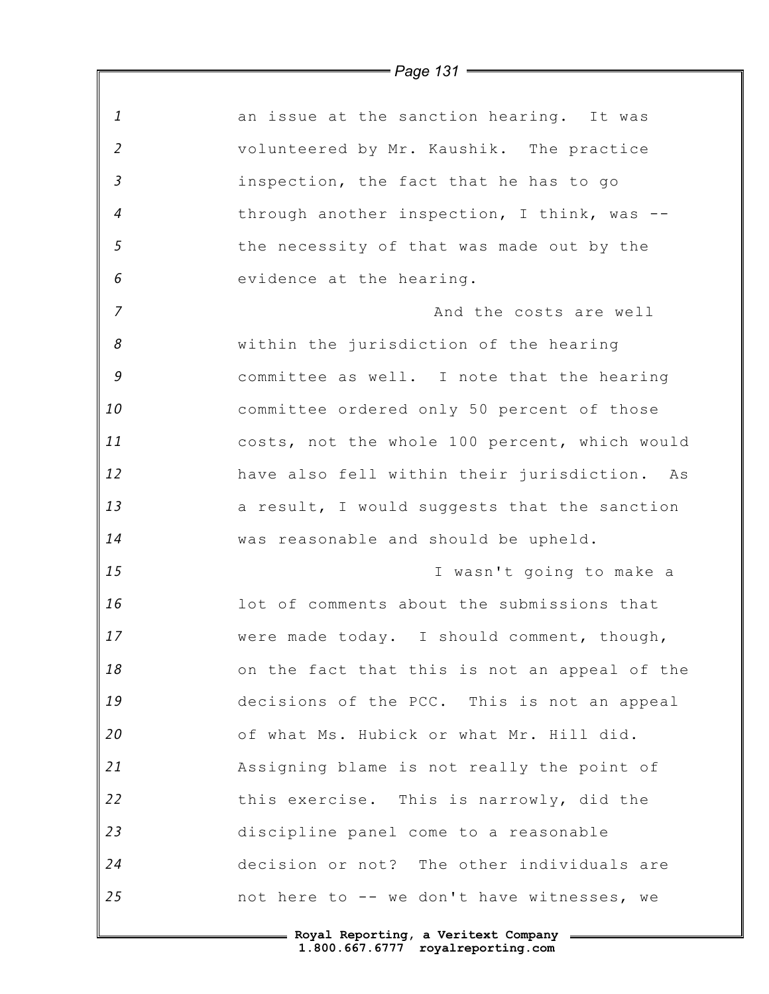|                            | , ago ,o,                                     |
|----------------------------|-----------------------------------------------|
| $\mathbf{1}$               | an issue at the sanction hearing. It was      |
| $\overline{2}$             | volunteered by Mr. Kaushik. The practice      |
| $\mathfrak{Z}$             | inspection, the fact that he has to go        |
| $\overline{4}$             | through another inspection, I think, was --   |
| $\sqrt{5}$                 | the necessity of that was made out by the     |
| 6                          | evidence at the hearing.                      |
| $\overline{7}$             | And the costs are well                        |
| $\boldsymbol{\mathcal{S}}$ | within the jurisdiction of the hearing        |
| 9                          | committee as well. I note that the hearing    |
| 10                         | committee ordered only 50 percent of those    |
| 11                         | costs, not the whole 100 percent, which would |
| 12                         | have also fell within their jurisdiction. As  |
| 13                         | a result, I would suggests that the sanction  |
| 14                         | was reasonable and should be upheld.          |
| 15                         | I wasn't going to make a                      |
| 16                         | lot of comments about the submissions that    |
| 17                         | were made today. I should comment, though,    |
| 18                         | on the fact that this is not an appeal of the |
| 19                         | decisions of the PCC. This is not an appeal   |
| 20                         | of what Ms. Hubick or what Mr. Hill did.      |
| 21                         | Assigning blame is not really the point of    |
| 22                         | this exercise. This is narrowly, did the      |
| 23                         | discipline panel come to a reasonable         |
| 24                         | decision or not? The other individuals are    |
| 25                         | not here to -- we don't have witnesses, we    |
|                            |                                               |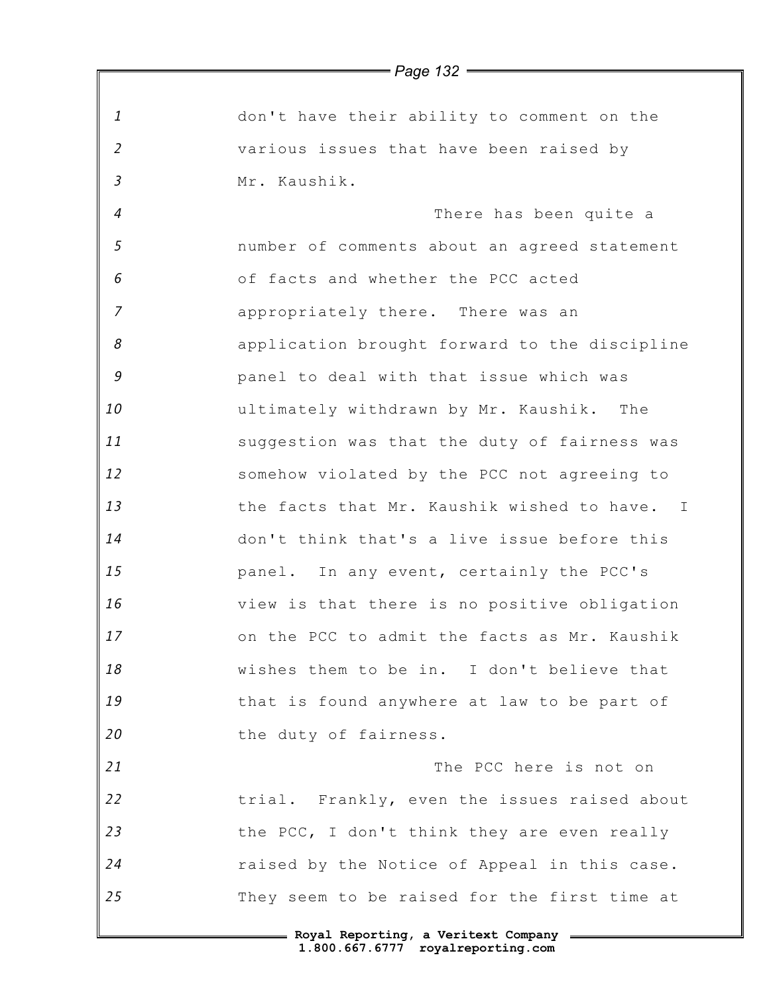|                | $-$ raye is $-$                               |
|----------------|-----------------------------------------------|
| $\mathbf{1}$   | don't have their ability to comment on the    |
| $\overline{2}$ | various issues that have been raised by       |
| $\mathfrak{Z}$ | Mr. Kaushik.                                  |
| $\overline{4}$ | There has been quite a                        |
| 5              | number of comments about an agreed statement  |
| 6              | of facts and whether the PCC acted            |
| $\overline{7}$ | appropriately there. There was an             |
| 8              | application brought forward to the discipline |
| 9              | panel to deal with that issue which was       |
| 10             | ultimately withdrawn by Mr. Kaushik. The      |
| 11             | suggestion was that the duty of fairness was  |
| 12             | somehow violated by the PCC not agreeing to   |
| 13             | the facts that Mr. Kaushik wished to have. I  |
| 14             | don't think that's a live issue before this   |
| 15             | panel. In any event, certainly the PCC's      |
| 16             | view is that there is no positive obligation  |
| 17             | on the PCC to admit the facts as Mr. Kaushik  |
| 18             | wishes them to be in. I don't believe that    |
| 19             | that is found anywhere at law to be part of   |
| 20             | the duty of fairness.                         |
| 21             | The PCC here is not on                        |
| 22             | trial. Frankly, even the issues raised about  |
| 23             | the PCC, I don't think they are even really   |
| 24             | raised by the Notice of Appeal in this case.  |
| 25             | They seem to be raised for the first time at  |
|                | - Royal Reporting, a Veritext Company         |

*Page 132*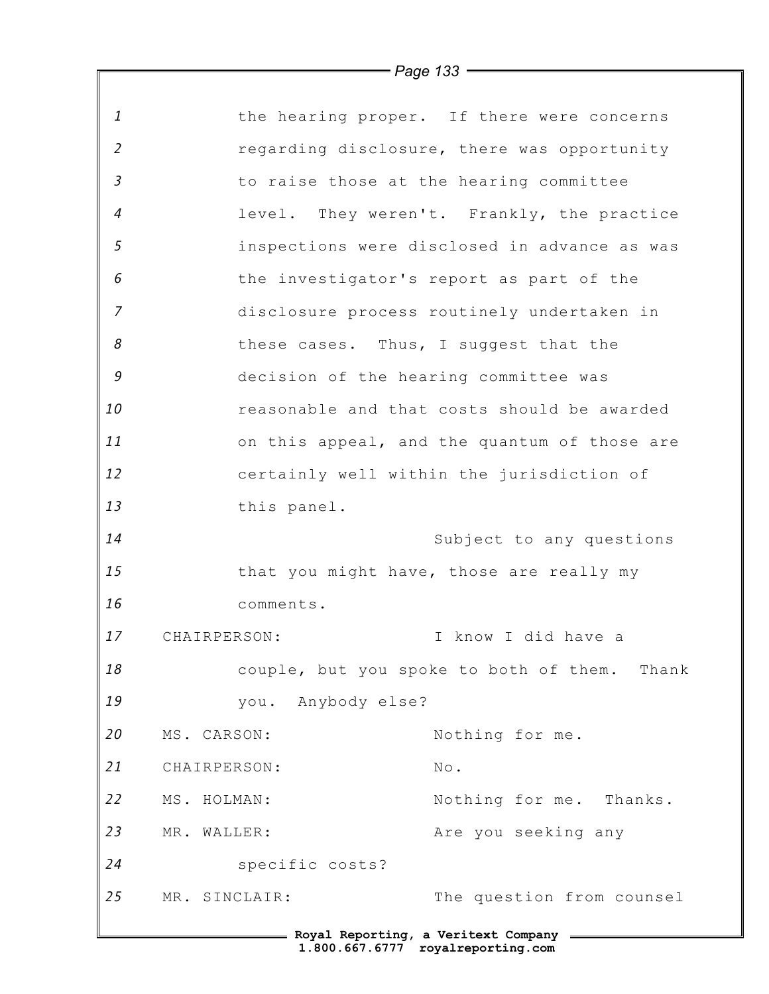*1 2 3 4 5 6 7 8 9 10 11 12 13 14 15 16 17 18 19 20 21 22 23 24 25* **Royal Reporting, a Veritext Company** the hearing proper. If there were concerns regarding disclosure, there was opportunity to raise those at the hearing committee level. They weren't. Frankly, the practice inspections were disclosed in advance as was the investigator's report as part of the disclosure process routinely undertaken in these cases. Thus, I suggest that the decision of the hearing committee was reasonable and that costs should be awarded on this appeal, and the quantum of those are certainly well within the jurisdiction of this panel. Subject to any questions that you might have, those are really my comments. CHAIRPERSON: I know I did have a couple, but you spoke to both of them. Thank you. Anybody else? MS. CARSON: Nothing for me. CHAIRPERSON: No. MS. HOLMAN: Nothing for me. Thanks. MR. WALLER: The you seeking any specific costs? MR. SINCLAIR: The question from counsel

*Page 133*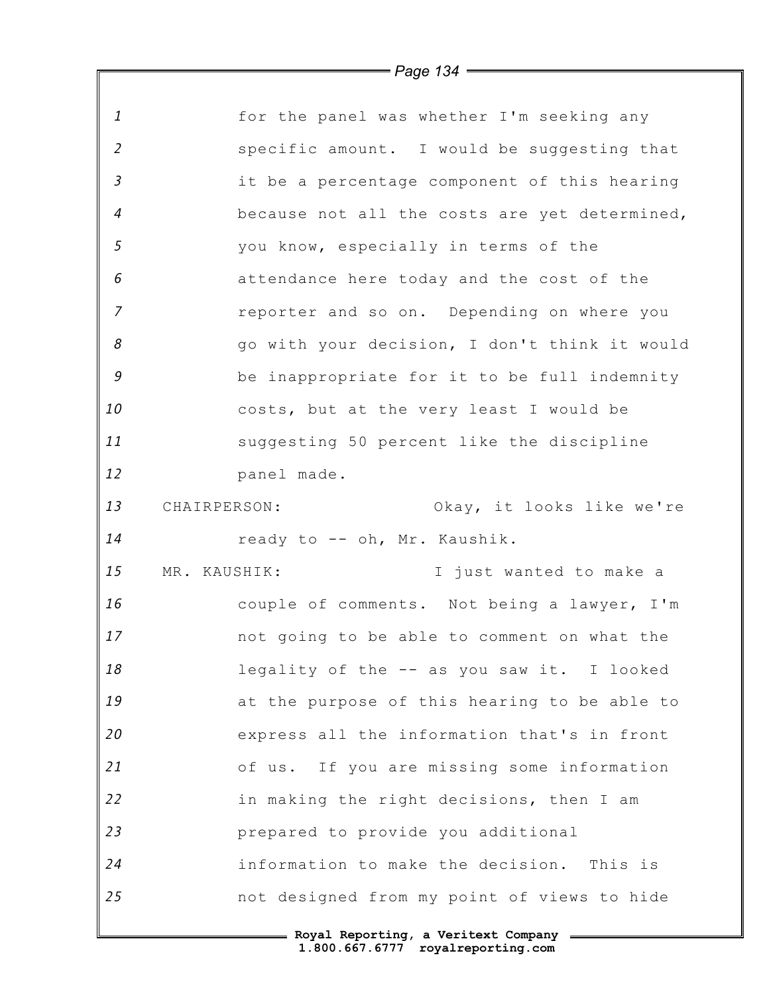|                | $\longrightarrow$ Page 134 $\longrightarrow$  |
|----------------|-----------------------------------------------|
|                |                                               |
| $\mathbf{1}$   | for the panel was whether I'm seeking any     |
| 2              | specific amount. I would be suggesting that   |
| $\mathfrak{Z}$ | it be a percentage component of this hearing  |
| $\overline{4}$ | because not all the costs are yet determined, |
| 5              | you know, especially in terms of the          |
| 6              | attendance here today and the cost of the     |
| $\overline{z}$ | reporter and so on. Depending on where you    |
| 8              | go with your decision, I don't think it would |
| 9              | be inappropriate for it to be full indemnity  |
| 10             | costs, but at the very least I would be       |
| 11             | suggesting 50 percent like the discipline     |
| 12             | panel made.                                   |
| 13             | CHAIRPERSON:<br>Okay, it looks like we're     |
| 14             | ready to -- oh, Mr. Kaushik.                  |
| 15             | MR. KAUSHIK:<br>I just wanted to make a       |
| 16             | couple of comments. Not being a lawyer, I'm   |
| 17             | not going to be able to comment on what the   |
| 18             | legality of the -- as you saw it. I looked    |
| 19             | at the purpose of this hearing to be able to  |
| 20             | express all the information that's in front   |
| 21             | of us. If you are missing some information    |
| 22             | in making the right decisions, then I am      |
| 23             | prepared to provide you additional            |
| 24             | information to make the decision. This is     |
| 25             | not designed from my point of views to hide   |
|                |                                               |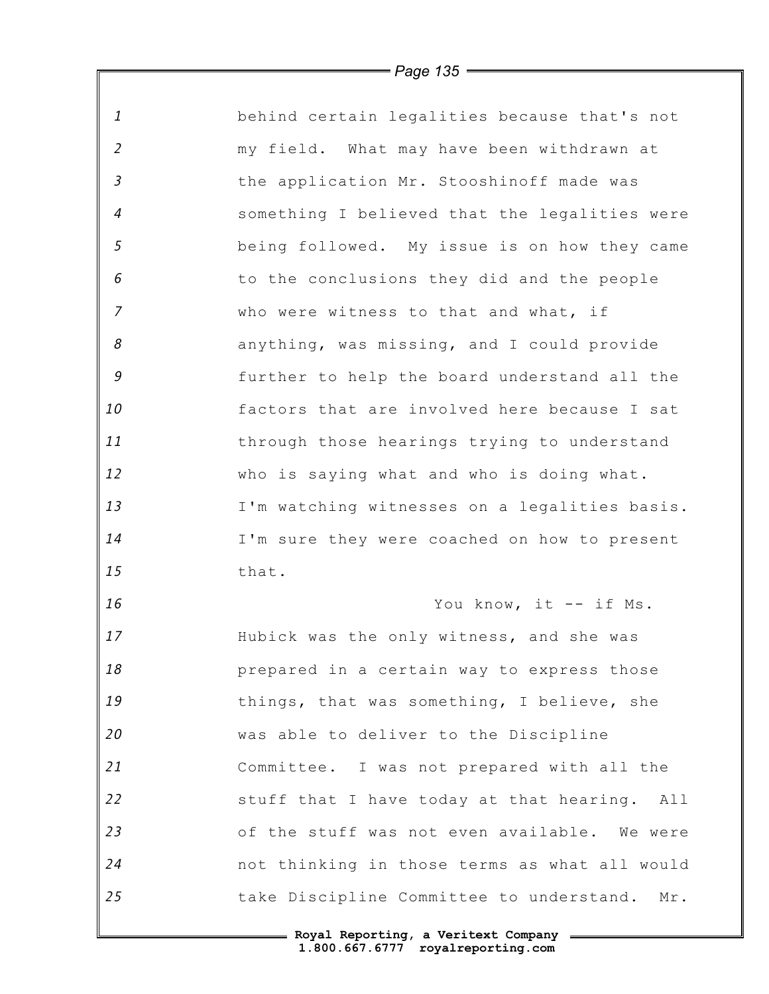| 1              | behind certain legalities because that's not  |
|----------------|-----------------------------------------------|
| $\overline{2}$ | my field. What may have been withdrawn at     |
| $\mathfrak{Z}$ | the application Mr. Stooshinoff made was      |
| $\overline{4}$ | something I believed that the legalities were |
| 5              | being followed. My issue is on how they came  |
| 6              | to the conclusions they did and the people    |
| $\overline{7}$ | who were witness to that and what, if         |
| 8              | anything, was missing, and I could provide    |
| $\mathcal G$   | further to help the board understand all the  |
| 10             | factors that are involved here because I sat  |
| 11             | through those hearings trying to understand   |
| 12             | who is saying what and who is doing what.     |
| 13             | I'm watching witnesses on a legalities basis. |
| 14             | I'm sure they were coached on how to present  |
| 15             | that.                                         |
| 16             | You know, it -- if Ms.                        |
| 17             | Hubick was the only witness, and she was      |
| 18             | prepared in a certain way to express those    |
| 19             | things, that was something, I believe, she    |
| 20             | was able to deliver to the Discipline         |
| 21             | Committee. I was not prepared with all the    |
| 22             | stuff that I have today at that hearing. All  |
| 23             | of the stuff was not even available. We were  |
| 24             | not thinking in those terms as what all would |
| 25             | take Discipline Committee to understand. Mr.  |
|                |                                               |

 $\mathbb F$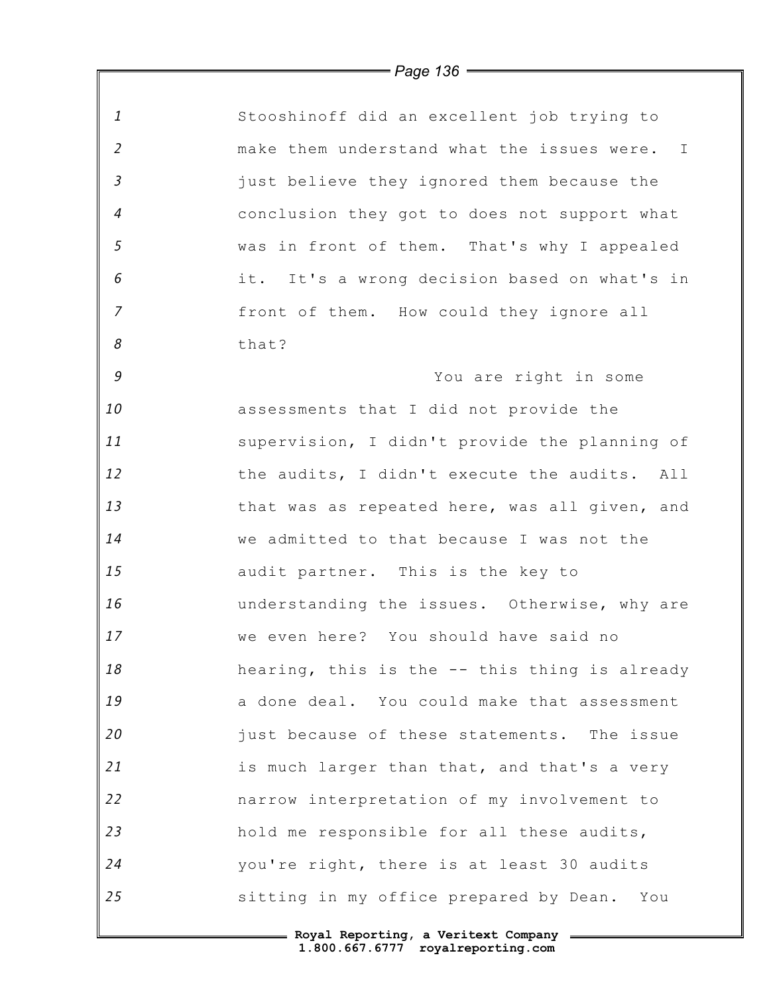|                            | = Page 136 <del>==</del>                      |
|----------------------------|-----------------------------------------------|
| $\mathbf{1}$               | Stooshinoff did an excellent job trying to    |
| $\overline{2}$             |                                               |
|                            | make them understand what the issues were. I  |
| $\mathfrak{Z}$             | just believe they ignored them because the    |
| $\overline{4}$             | conclusion they got to does not support what  |
| 5                          | was in front of them. That's why I appealed   |
| 6                          | it. It's a wrong decision based on what's in  |
| $\overline{7}$             | front of them. How could they ignore all      |
| $\boldsymbol{\mathcal{S}}$ | that?                                         |
| $\mathcal G$               | You are right in some                         |
| 10                         | assessments that I did not provide the        |
| 11                         | supervision, I didn't provide the planning of |
| 12                         | the audits, I didn't execute the audits. All  |
| 13                         | that was as repeated here, was all given, and |
| 14                         | we admitted to that because I was not the     |
| 15                         | audit partner. This is the key to             |
| 16                         | understanding the issues. Otherwise, why are  |
| 17                         | we even here? You should have said no         |
| 18                         | hearing, this is the -- this thing is already |
| 19                         | a done deal. You could make that assessment   |
| 20                         | just because of these statements. The issue   |
| 21                         | is much larger than that, and that's a very   |
| 22                         | narrow interpretation of my involvement to    |
| 23                         | hold me responsible for all these audits,     |
| 24                         | you're right, there is at least 30 audits     |
| 25                         | sitting in my office prepared by Dean. You    |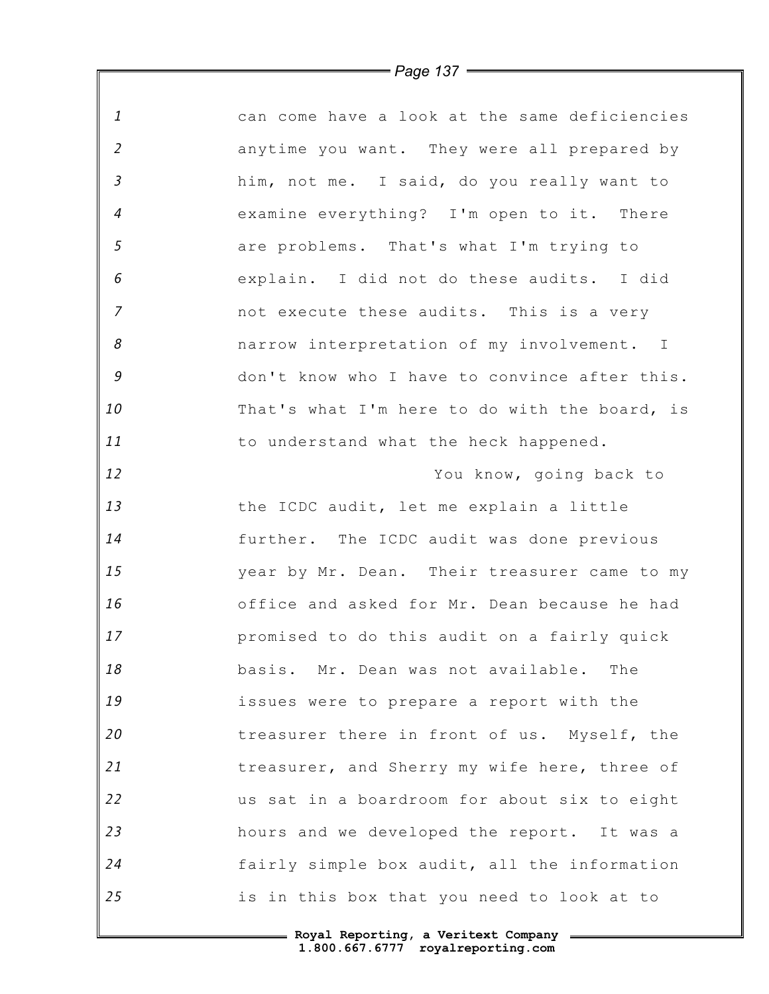| $\mathbf{1}$   | can come have a look at the same deficiencies |
|----------------|-----------------------------------------------|
| $\overline{2}$ | anytime you want. They were all prepared by   |
| $\mathfrak{Z}$ | him, not me. I said, do you really want to    |
| $\overline{4}$ | examine everything? I'm open to it. There     |
| 5              | are problems. That's what I'm trying to       |
| 6              | explain. I did not do these audits. I did     |
| $\overline{7}$ | not execute these audits. This is a very      |
| 8              | narrow interpretation of my involvement. I    |
| $\mathcal G$   | don't know who I have to convince after this. |
| 10             | That's what I'm here to do with the board, is |
| 11             | to understand what the heck happened.         |
| 12             | You know, going back to                       |
| 13             | the ICDC audit, let me explain a little       |
| 14             | further. The ICDC audit was done previous     |
| 15             | year by Mr. Dean. Their treasurer came to my  |
| 16             | office and asked for Mr. Dean because he had  |
| 17             | promised to do this audit on a fairly quick   |
| 18             | basis. Mr. Dean was not available. The        |
| 19             | issues were to prepare a report with the      |
| 20             | treasurer there in front of us. Myself, the   |
| 21             | treasurer, and Sherry my wife here, three of  |
| 22             | us sat in a boardroom for about six to eight  |
| 23             | hours and we developed the report. It was a   |
| 24             | fairly simple box audit, all the information  |
| 25             | is in this box that you need to look at to    |

 $\mathbb F$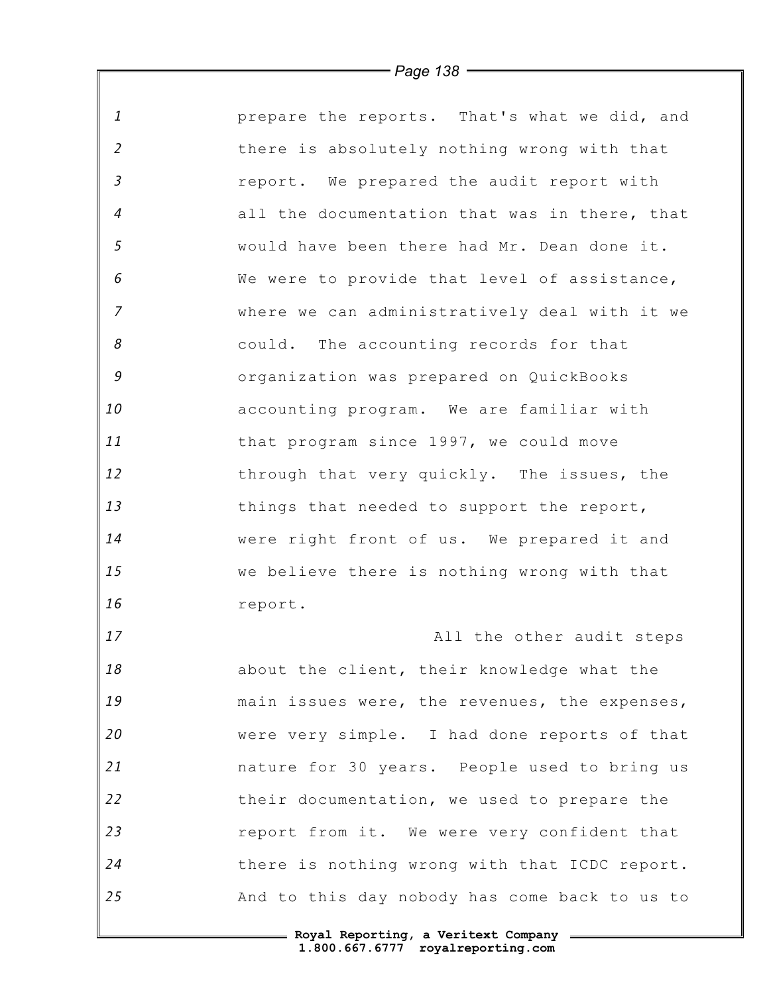| $\mathbf{1}$   | prepare the reports. That's what we did, and  |
|----------------|-----------------------------------------------|
| $\overline{2}$ | there is absolutely nothing wrong with that   |
| $\mathfrak{Z}$ | report. We prepared the audit report with     |
| $\overline{4}$ | all the documentation that was in there, that |
| 5              | would have been there had Mr. Dean done it.   |
| 6              | We were to provide that level of assistance,  |
| $\overline{7}$ | where we can administratively deal with it we |
| 8              | could. The accounting records for that        |
| 9              | organization was prepared on QuickBooks       |
| 10             | accounting program. We are familiar with      |
| 11             | that program since 1997, we could move        |
| 12             | through that very quickly. The issues, the    |
| 13             | things that needed to support the report,     |
| 14             | were right front of us. We prepared it and    |
| 15             | we believe there is nothing wrong with that   |
| 16             | report.                                       |
| 17             | All the other audit steps                     |
| 18             | about the client, their knowledge what the    |
| 19             | main issues were, the revenues, the expenses, |
| 20             | were very simple. I had done reports of that  |
| 21             | nature for 30 years. People used to bring us  |
| 22             | their documentation, we used to prepare the   |
| 23             | report from it. We were very confident that   |
| 24             | there is nothing wrong with that ICDC report. |
| 25             | And to this day nobody has come back to us to |
|                |                                               |

*Page 138*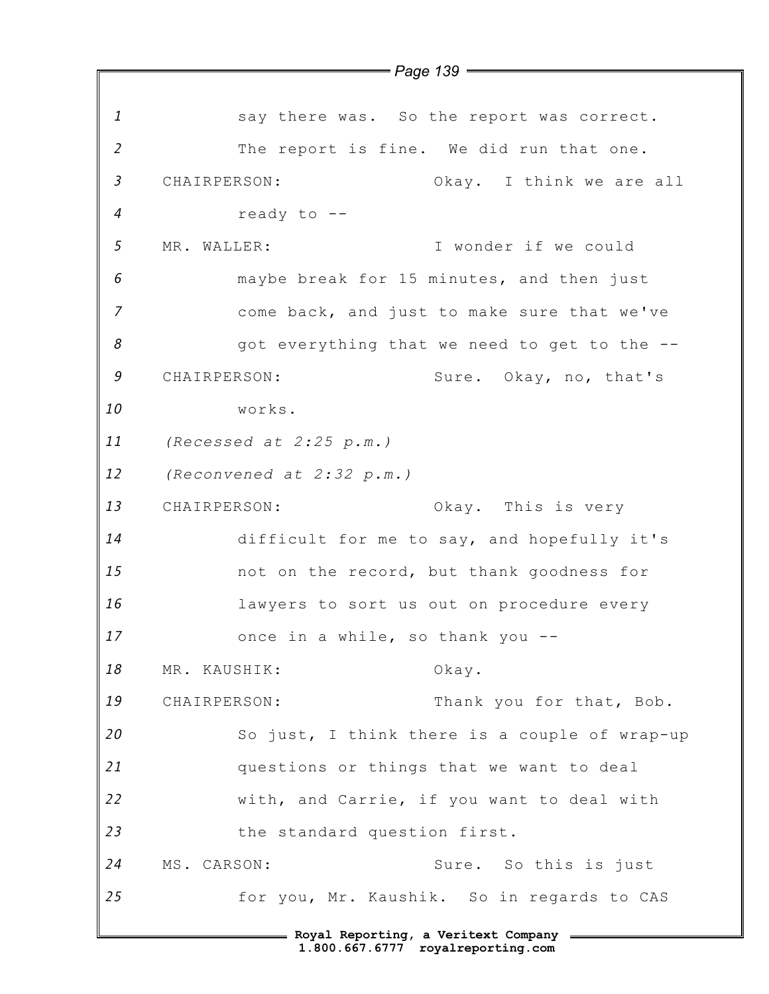*1 2 3 4 5 6 7 8 9 10 11 12 13 14 15 16 17 18 19 20 21 22 23 24 25* **Royal Reporting, a Veritext Company 1.800.667.6777 royalreporting.com** *Page 139* say there was. So the report was correct. The report is fine. We did run that one. CHAIRPERSON: Okay. I think we are all ready to -- MR. WALLER: I wonder if we could maybe break for 15 minutes, and then just come back, and just to make sure that we've got everything that we need to get to the -- CHAIRPERSON: Sure. Okay, no, that's works. *(Recessed at 2:25 p.m.) (Reconvened at 2:32 p.m.)* CHAIRPERSON: Okay. This is very difficult for me to say, and hopefully it's not on the record, but thank goodness for lawyers to sort us out on procedure every once in a while, so thank you -- MR. KAUSHIK: Okay. CHAIRPERSON: Thank you for that, Bob. So just, I think there is a couple of wrap-up questions or things that we want to deal with, and Carrie, if you want to deal with the standard question first. MS. CARSON: Sure. So this is just for you, Mr. Kaushik. So in regards to CAS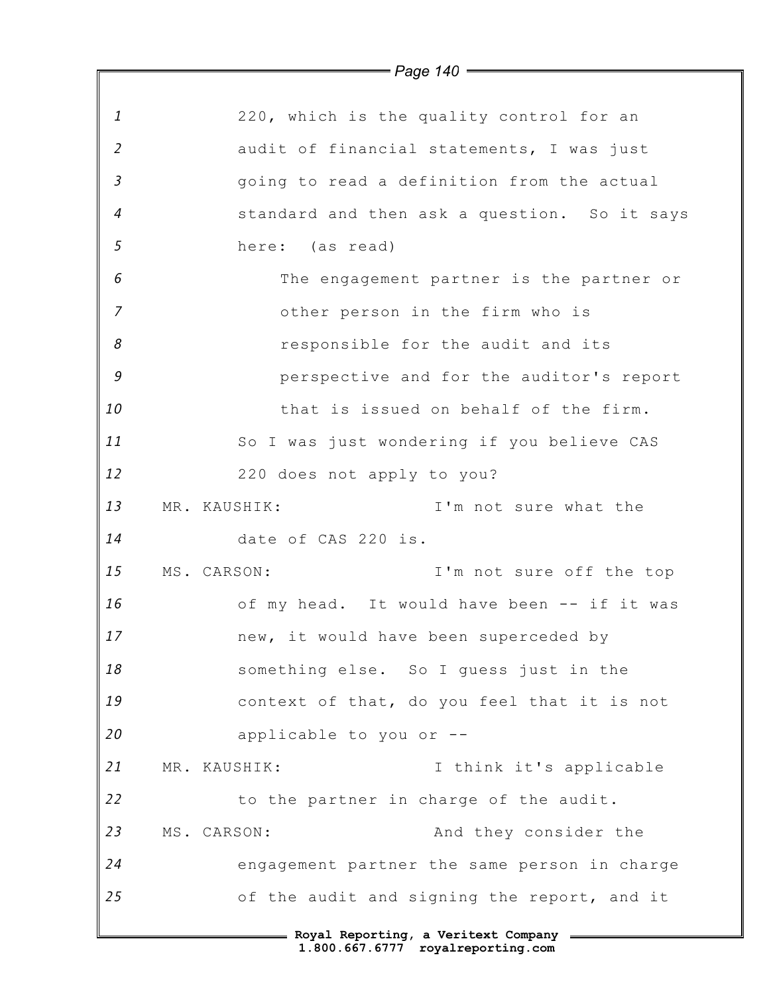|                | $\overline{\phantom{0}}$ Page 140 $\overline{\phantom{0}}$ |
|----------------|------------------------------------------------------------|
|                |                                                            |
| $\mathbf{1}$   | 220, which is the quality control for an                   |
| $\overline{2}$ | audit of financial statements, I was just                  |
| $\overline{3}$ | going to read a definition from the actual                 |
| $\overline{4}$ | standard and then ask a question. So it says               |
| 5              | here: (as read)                                            |
| 6              | The engagement partner is the partner or                   |
| $\overline{7}$ | other person in the firm who is                            |
| 8              | responsible for the audit and its                          |
| 9              | perspective and for the auditor's report                   |
| 10             | that is issued on behalf of the firm.                      |
| 11             | So I was just wondering if you believe CAS                 |
| 12             | 220 does not apply to you?                                 |
| 13             | I'm not sure what the<br>MR. KAUSHIK:                      |
| 14             | date of CAS 220 is.                                        |
| 15             | I'm not sure off the top<br>MS. CARSON:                    |
| 16             | of my head. It would have been -- if it was                |
| 17             | new, it would have been superceded by                      |
| 18             | something else. So I quess just in the                     |
| 19             | context of that, do you feel that it is not                |
| 20             | applicable to you or --                                    |
| 21             | I think it's applicable<br>MR. KAUSHIK:                    |
| 22             | to the partner in charge of the audit.                     |
| 23             | And they consider the<br>MS. CARSON:                       |
| 24             | engagement partner the same person in charge               |
| 25             | of the audit and signing the report, and it                |
|                | = Royal Reporting, a Veritext Company =                    |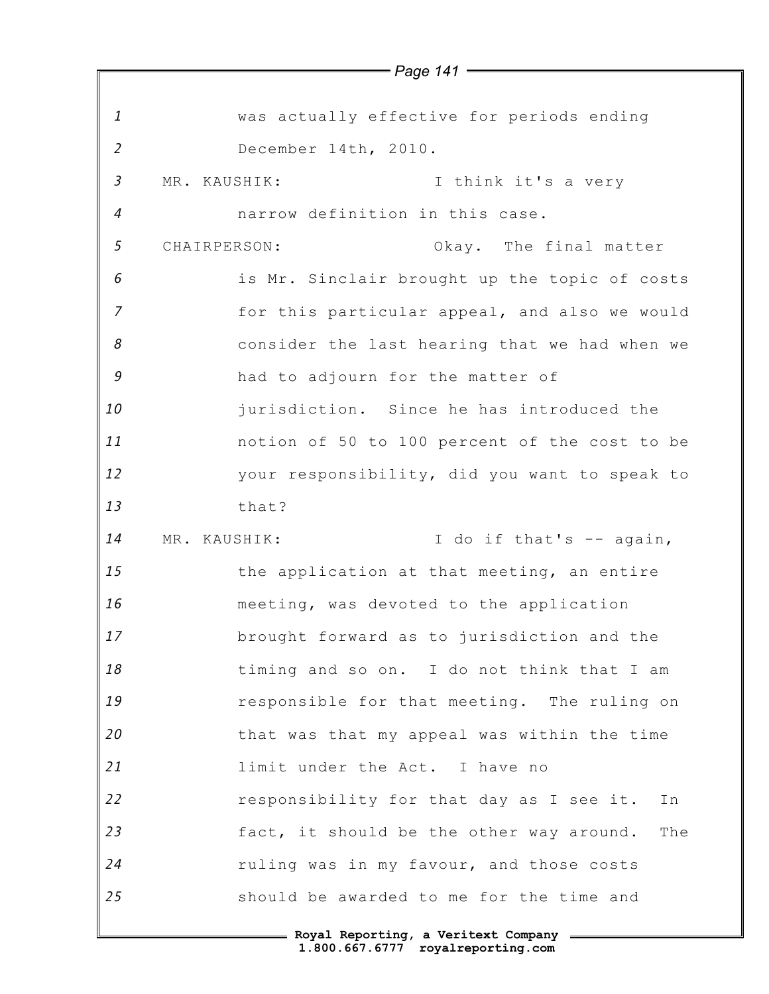|                |              | $=$ Page 141 $=$                                |
|----------------|--------------|-------------------------------------------------|
|                |              |                                                 |
| $\mathbf{1}$   |              | was actually effective for periods ending       |
| 2              |              | December 14th, 2010.                            |
| $\mathfrak{Z}$ | MR. KAUSHIK: | I think it's a very                             |
| $\overline{4}$ |              | narrow definition in this case.                 |
| 5              | CHAIRPERSON: | Okay. The final matter                          |
| 6              |              | is Mr. Sinclair brought up the topic of costs   |
| $\overline{7}$ |              | for this particular appeal, and also we would   |
| 8              |              | consider the last hearing that we had when we   |
| 9              |              | had to adjourn for the matter of                |
| 10             |              | jurisdiction. Since he has introduced the       |
| 11             |              | notion of 50 to 100 percent of the cost to be   |
| 12             |              | your responsibility, did you want to speak to   |
| 13             |              | that?                                           |
| 14             | MR. KAUSHIK: | I do if that's -- again,                        |
| 15             |              | the application at that meeting, an entire      |
| 16             |              | meeting, was devoted to the application         |
| 17             |              | brought forward as to jurisdiction and the      |
| 18             |              | timing and so on. I do not think that I am      |
| 19             |              | responsible for that meeting. The ruling on     |
| 20             |              | that was that my appeal was within the time     |
| 21             |              | limit under the Act. I have no                  |
| 22             |              | responsibility for that day as I see it.<br>In  |
| 23             |              | fact, it should be the other way around.<br>The |
| 24             |              | ruling was in my favour, and those costs        |
| 25             |              | should be awarded to me for the time and        |
|                |              |                                                 |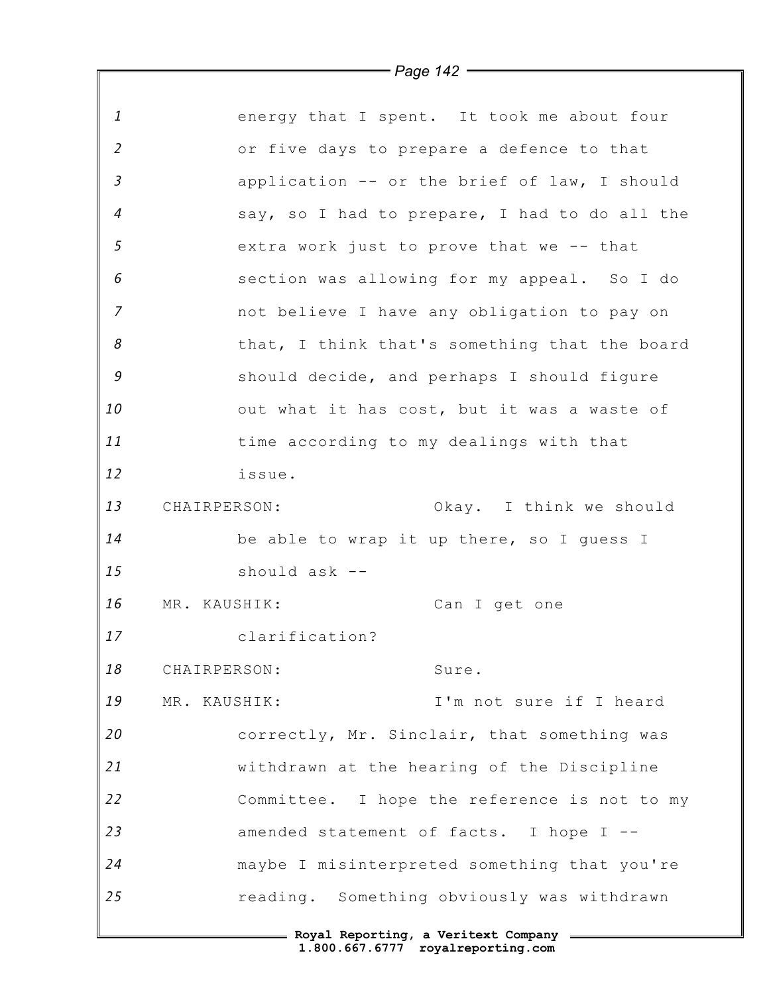|                | $\rule{1em}{0.15mm}$ Page 142 $\rule{1em}{0.15mm}$ |
|----------------|----------------------------------------------------|
|                |                                                    |
| $\mathbf{1}$   | energy that I spent. It took me about four         |
| 2              | or five days to prepare a defence to that          |
| $\mathfrak{Z}$ | application -- or the brief of law, I should       |
| $\overline{4}$ | say, so I had to prepare, I had to do all the      |
| $\mathfrak{s}$ | extra work just to prove that we -- that           |
| 6              | section was allowing for my appeal. So I do        |
| $\overline{z}$ | not believe I have any obligation to pay on        |
| 8              | that, I think that's something that the board      |
| 9              | should decide, and perhaps I should figure         |
| 10             | out what it has cost, but it was a waste of        |
| 11             | time according to my dealings with that            |
| 12             | issue.                                             |
| 13             | Okay. I think we should<br>CHAIRPERSON:            |
| 14             | be able to wrap it up there, so I guess I          |
| 15             | should ask --                                      |
| 16             | MR. KAUSHIK:<br>Can I get one                      |
| 17             | clarification?                                     |
| 18             | CHAIRPERSON:<br>Sure.                              |
| 19             | I'm not sure if I heard<br>MR. KAUSHIK:            |
| 20             | correctly, Mr. Sinclair, that something was        |
| 21             | withdrawn at the hearing of the Discipline         |
| 22             | Committee. I hope the reference is not to my       |
| 23             | amended statement of facts. I hope I --            |
| 24             | maybe I misinterpreted something that you're       |
| 25             | reading. Something obviously was withdrawn         |
|                | = Royal Reporting, a Veritext Company =            |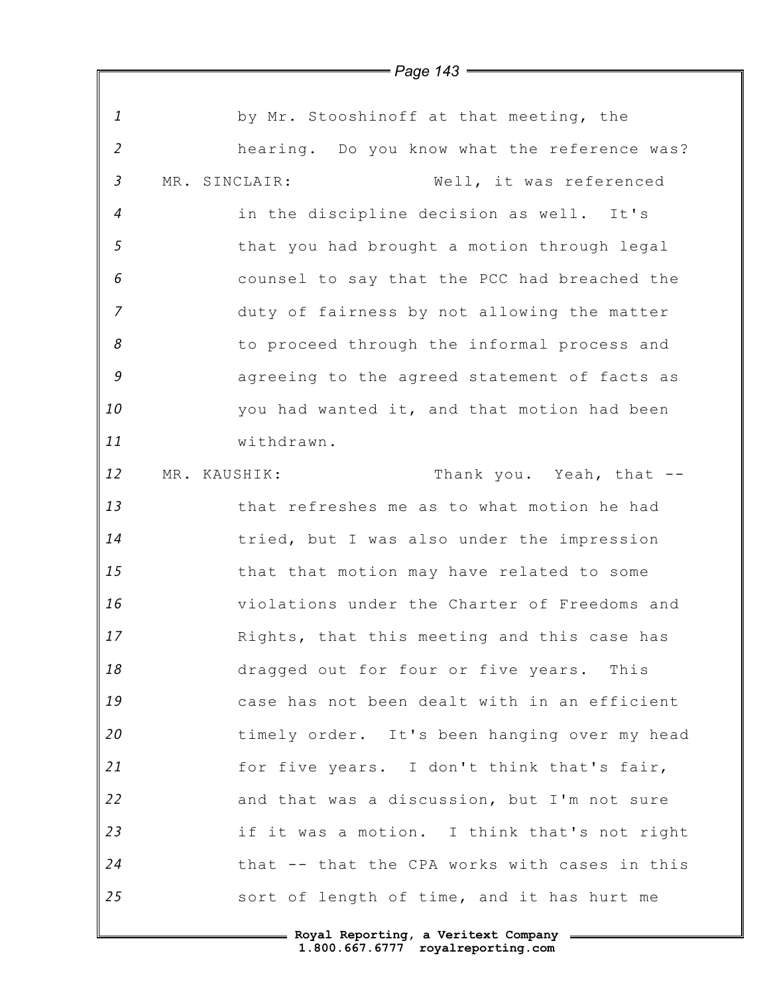|                | = Page 143 <del>—</del>                       |
|----------------|-----------------------------------------------|
|                |                                               |
| $\mathbf{1}$   | by Mr. Stooshinoff at that meeting, the       |
| $\overline{2}$ | hearing. Do you know what the reference was?  |
| $\mathfrak{Z}$ | Well, it was referenced<br>MR. SINCLAIR:      |
| $\overline{4}$ | in the discipline decision as well. It's      |
| 5              | that you had brought a motion through legal   |
| 6              | counsel to say that the PCC had breached the  |
| $\overline{7}$ | duty of fairness by not allowing the matter   |
| 8              | to proceed through the informal process and   |
| 9              | agreeing to the agreed statement of facts as  |
| 10             | you had wanted it, and that motion had been   |
| 11             | withdrawn.                                    |
| 12             | Thank you. Yeah, that --<br>MR. KAUSHIK:      |
| 13             | that refreshes me as to what motion he had    |
| 14             | tried, but I was also under the impression    |
| 15             | that that motion may have related to some     |
| 16             | violations under the Charter of Freedoms and  |
| 17             | Rights, that this meeting and this case has   |
| 18             | dragged out for four or five years. This      |
| 19             | case has not been dealt with in an efficient  |
| 20             | timely order. It's been hanging over my head  |
| 21             | for five years. I don't think that's fair,    |
| 22             | and that was a discussion, but I'm not sure   |
| 23             | if it was a motion. I think that's not right  |
| 24             | that -- that the CPA works with cases in this |
| 25             | sort of length of time, and it has hurt me    |

## *Page 143*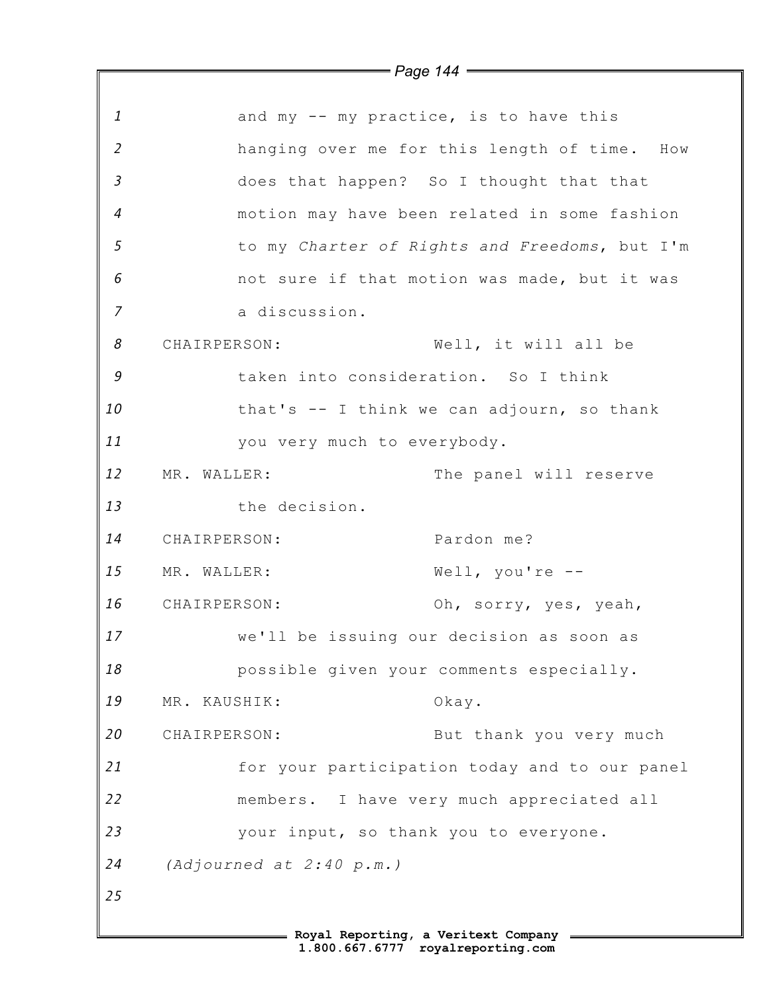*1 2 3 4 5 6 7 8 9 10 11 12 13 14 15 16 17 18 19 20 21 22 23 24 25 Page 144* and my -- my practice, is to have this hanging over me for this length of time. How does that happen? So I thought that that motion may have been related in some fashion to my *Charter of Rights and Freedoms*, but I'm not sure if that motion was made, but it was a discussion. CHAIRPERSON: Well, it will all be taken into consideration. So I think that's -- I think we can adjourn, so thank you very much to everybody. MR. WALLER: The panel will reserve the decision. CHAIRPERSON: Pardon me? MR. WALLER: Well, you're --CHAIRPERSON: Oh, sorry, yes, yeah, we'll be issuing our decision as soon as possible given your comments especially. MR. KAUSHIK: Okay. CHAIRPERSON: But thank you very much for your participation today and to our panel members. I have very much appreciated all your input, so thank you to everyone. *(Adjourned at 2:40 p.m.)*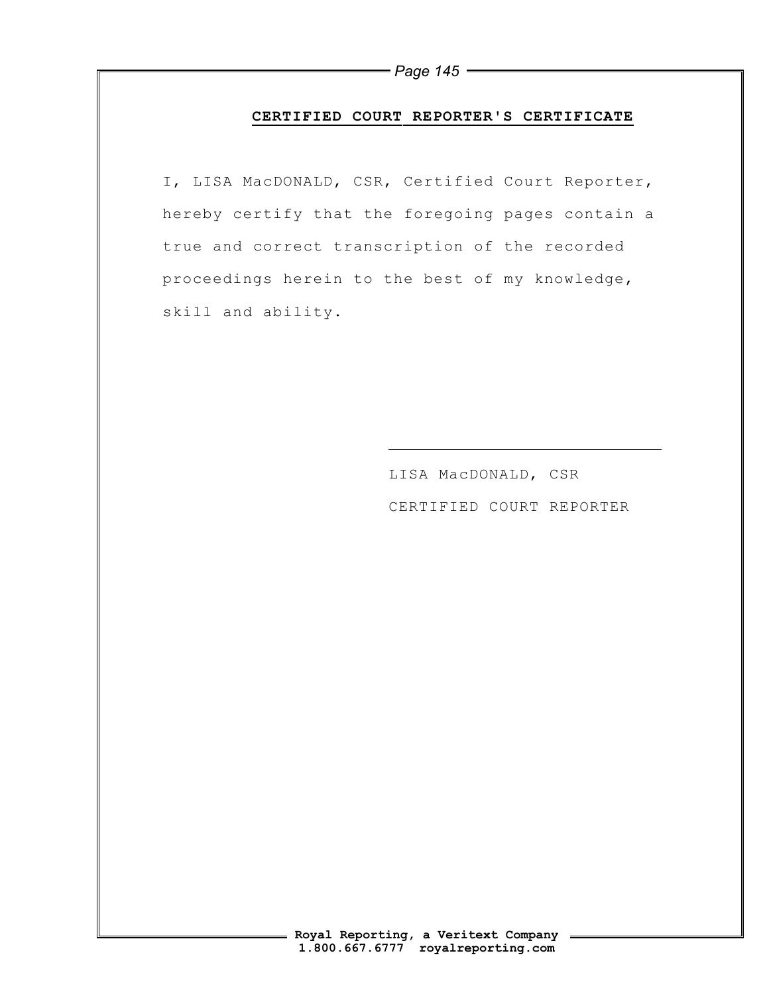### **CERTIFIED COURT REPORTER'S CERTIFICATE**

I, LISA MacDONALD, CSR, Certified Court Reporter, hereby certify that the foregoing pages contain a true and correct transcription of the recorded proceedings herein to the best of my knowledge, skill and ability.

 $\overline{a}$ 

LISA MacDONALD, CSR CERTIFIED COURT REPORTER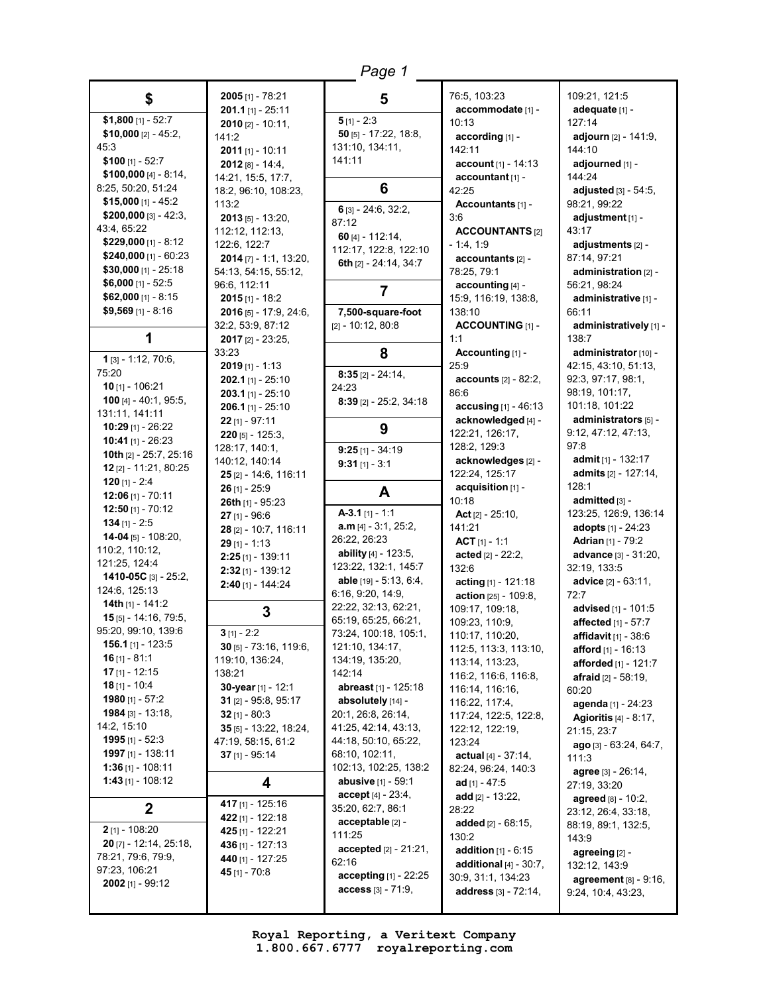| Page 1                                          |                                           |                                                      |                                                   |                                                   |
|-------------------------------------------------|-------------------------------------------|------------------------------------------------------|---------------------------------------------------|---------------------------------------------------|
| \$                                              | 2005 [1] - 78:21<br>$201.1$ [1] - 25:11   | 5                                                    | 76:5, 103:23<br>accommodate [1] -                 | 109:21, 121:5<br>adequate [1] -                   |
| $$1,800$ [1] - 52:7                             | $2010$ [2] - 10:11,                       | $5$ [1] - 2:3                                        | 10:13                                             | 127:14                                            |
| $$10,000$ [2] - 45:2,                           | 141:2                                     | $50$ [5] - 17:22, 18:8,                              | according [1] -                                   | adjourn [2] - 141:9,                              |
| 45:3                                            | $2011$ [1] - 10:11                        | 131:10, 134:11,                                      | 142:11                                            | 144:10                                            |
| $$100$ [1] - 52:7                               | $2012$ [8] - 14:4,                        | 141:11                                               | <b>account</b> $[1] - 14:13$                      | adjourned [1] -                                   |
| \$100,000 $[4] - 8:14$                          | 14:21, 15:5, 17:7,                        |                                                      | accountant [1] -                                  | 144:24                                            |
| 8:25, 50:20, 51:24                              | 18:2, 96:10, 108:23,                      | 6                                                    | 42:25                                             | adjusted $[3] - 54:5$ ,                           |
| $$15,000$ [1] - 45:2                            | 113:2                                     | $6$ [3] - 24:6, 32:2,                                | Accountants [1] -                                 | 98:21, 99:22                                      |
| \$200,000 [3] - 42:3,                           | $2013$ [5] - 13:20,                       | 87:12                                                | 3:6                                               | adjustment [1] -                                  |
| 43:4, 65:22                                     | 112:12, 112:13,                           | 60 $[4] - 112:14$ ,                                  | <b>ACCOUNTANTS [2]</b>                            | 43:17                                             |
| \$229,000 $[1] - 8:12$                          | 122:6, 122:7                              | 112:17, 122:8, 122:10                                | - 1:4, 1:9                                        | adjustments [2] -                                 |
| $$240,000$ [1] - 60:23<br>$$30,000$ [1] - 25:18 | $2014$ [7] - 1:1, 13:20,                  | 6th [2] - 24:14, 34:7                                | $accountants$ [2] -                               | 87:14, 97:21                                      |
| \$6,000 $[1] - 52:5$                            | 54:13, 54:15, 55:12,                      |                                                      | 78:25, 79:1                                       | administration [2] -                              |
| $$62,000$ [1] - 8:15                            | 96:6, 112:11                              | 7                                                    | accounting [4] -                                  | 56:21, 98:24                                      |
| $$9,569$ [1] - 8:16                             | 2015 [1] - 18:2<br>2016 [5] - 17:9, 24:6, | 7,500-square-foot                                    | 15:9, 116:19, 138:8,<br>138:10                    | administrative [1] -<br>66:11                     |
|                                                 | 32:2, 53:9, 87:12                         | $[2] - 10:12, 80:8$                                  | <b>ACCOUNTING [1] -</b>                           | administratively [1] -                            |
| 1                                               | 2017 [2] - 23:25,                         |                                                      | 1:1                                               | 138:7                                             |
|                                                 | 33:23                                     | 8                                                    | Accounting [1] -                                  | administrator [10] -                              |
| 1 [3] - 1:12, 70:6,                             | $2019$ [1] - 1:13                         |                                                      | 25:9                                              | 42:15, 43:10, 51:13,                              |
| 75:20                                           | $202.1$ [1] - 25:10                       | $8:35$ [2] - 24:14,                                  | <b>accounts</b> $[2] - 82:2$ ,                    | 92:3, 97:17, 98:1,                                |
| 10 $[1] - 106:21$                               | $203.1$ [1] - 25:10                       | 24:23                                                | 86:6                                              | 98:19, 101:17,                                    |
| 100 [4] - 40:1, 95:5,                           | $206.1$ [1] - 25:10                       | $8:39$ [2] - 25:2, 34:18                             | accusing [1] - 46:13                              | 101:18, 101:22                                    |
| 131:11, 141:11<br>10:29 [1] - 26:22             | $22$ [1] - 97:11                          |                                                      | acknowledged [4] -                                | administrators [5] -                              |
| 10:41 [1] - 26:23                               | $220$ [5] - 125:3,                        | 9                                                    | 122:21, 126:17,                                   | 9:12, 47:12, 47:13,                               |
| 10th [2] - 25:7, 25:16                          | 128:17, 140:1,                            | $9:25$ [1] - 34:19                                   | 128:2, 129:3                                      | 97:8                                              |
| 12 $[2] - 11:21, 80:25$                         | 140:12, 140:14                            | $9:31$ [1] - 3:1                                     | acknowledges [2] -                                | admit [1] - 132:17                                |
| 120 $[1] - 2:4$                                 | 25 [2] - 14:6, 116:11                     |                                                      | 122:24, 125:17                                    | admits [2] - 127:14,                              |
|                                                 | $26$ [1] - 25:9                           |                                                      | acquisition [1] -                                 | 128:1                                             |
|                                                 |                                           | A                                                    |                                                   |                                                   |
| 12:06 [1] - $70:11$                             | 26th [1] - 95:23                          |                                                      | 10:18                                             | admitted [3] -                                    |
| 12:50 [1] - $70:12$                             | $27$ [1] - 96:6                           | $A-3.1$ [1] - 1:1                                    | Act $[2] - 25:10$ ,                               | 123:25, 126:9, 136:14                             |
| $134$ [1] - 2:5<br>$14-04$ [5] - 108:20,        | 28 [2] - 10:7, 116:11                     | $a.m$ [4] - 3:1, 25:2,                               | 141:21                                            | adopts $[1] - 24:23$                              |
| 110:2, 110:12,                                  | $29$ [1] - 1:13                           | 26:22, 26:23                                         | $ACT [1] - 1:1$                                   | <b>Adrian</b> [1] - 79:2                          |
| 121:25, 124:4                                   | $2:25$ [1] - 139:11                       | ability $[4] - 123:5$ ,                              | acted $[2] - 22:2$ ,                              | advance [3] - 31:20,                              |
| 1410-05C [3] - 25:2,                            | $2:32$ [1] - 139:12                       | 123:22, 132:1, 145:7                                 | 132:6                                             | 32:19, 133:5                                      |
| 124:6, 125:13                                   | $2:40$ [1] - 144:24                       | able [19] - 5:13, 6:4,<br>6:16, 9:20, 14:9,          | acting [1] - 121:18                               | advice [2] - 63:11,<br>72:7                       |
| 14th $[1] - 141:2$                              |                                           | 22:22, 32:13, 62:21,                                 | action [25] - 109:8,                              |                                                   |
| 15 [5] - 14:16, 79:5,                           | 3                                         | 65:19, 65:25, 66:21,                                 | 109:17, 109:18,<br>109:23, 110:9,                 | advised [1] - 101:5<br><b>affected</b> [1] - 57:7 |
| 95:20, 99:10, 139:6                             | $3$ [1] - 2:2                             | 73:24, 100:18, 105:1,                                | 110:17, 110:20,                                   | <b>affidavit</b> $[1] - 38:6$                     |
| <b>156.1</b> [1] - 123:5                        | 30 [5] - 73:16, 119:6,                    | 121:10, 134:17,                                      | 112:5, 113:3, 113:10,                             | <b>afford</b> [1] - 16:13                         |
| $16$ [1] - 81:1                                 | 119:10, 136:24,                           | 134:19, 135:20,                                      | 113:14, 113:23,                                   | afforded [1] - 121:7                              |
| <b>17</b> [1] - 12:15                           | 138:21                                    | 142:14                                               | 116:2, 116:6, 116:8,                              | <b>afraid</b> [2] - 58:19,                        |
| $18$ [1] - 10:4                                 | 30-year [1] - 12:1                        | <b>abreast</b> [1] - 125:18                          | 116:14, 116:16,                                   | 60:20                                             |
| 1980 $[1] - 57:2$                               | 31 $[2] - 95:8, 95:17$                    | absolutely [14] -                                    | 116:22, 117:4,                                    | agenda [1] - 24:23                                |
| <b>1984</b> [3] - 13:18,                        | $32$ [1] - 80:3                           | 20:1, 26:8, 26:14,                                   | 117:24, 122:5, 122:8,                             | <b>Agioritis</b> [4] - 8:17,                      |
| 14:2, 15:10                                     | 35 [5] - 13:22, 18:24,                    | 41:25, 42:14, 43:13,                                 | 122:12, 122:19,                                   | 21:15, 23:7                                       |
| 1995 [1] - 52:3                                 | 47:19, 58:15, 61:2                        | 44:18, 50:10, 65:22,                                 | 123:24                                            | $aggo$ [3] - 63:24, 64:7,                         |
| 1997 [1] - 138:11<br>$1:36$ [1] - 108:11        | $37$ [1] - 95:14                          | 68:10, 102:11,<br>102:13, 102:25, 138:2              | actual $[4] - 37:14$ ,                            | 111:3                                             |
| 1:43 $[1]$ - 108:12                             |                                           | abusive [1] - 59:1                                   | 82:24, 96:24, 140:3<br>ad $[1] - 47:5$            | agree [3] - 26:14,                                |
|                                                 | 4                                         | $accept[4] - 23:4,$                                  |                                                   | 27:19, 33:20                                      |
| $\mathbf{2}$                                    | 417 [1] - 125:16                          | 35:20, 62:7, 86:1                                    | add $[2] - 13:22$ ,<br>28:22                      | <b>agreed</b> [8] - 10:2,                         |
|                                                 | 422 [1] - 122:18                          | $acceptable$ [2] -                                   | added $[2] - 68:15$ ,                             | 23:12, 26:4, 33:18,<br>88:19, 89:1, 132:5,        |
| 2 [1] - 108:20                                  | 425 [1] - 122:21                          | 111:25                                               | 130:2                                             | 143:9                                             |
| 20 [7] - 12:14, 25:18,                          | 436 [1] - 127:13                          | <b>accepted</b> $[2] - 21:21$ ,                      | <b>addition</b> $[1] - 6:15$                      | agreeing [2] -                                    |
| 78:21, 79:6, 79:9,                              | 440 [1] - 127:25                          | 62:16                                                | additional $[4] - 30:7$ ,                         | 132:12, 143:9                                     |
| 97:23, 106:21<br>2002 [1] - 99:12               | 45 $[1] - 70:8$                           | accepting $[1]$ - 22:25<br><b>access</b> [3] - 71:9, | 30:9, 31:1, 134:23<br><b>address</b> [3] - 72:14, | agreement $[8] - 9:16$ ,                          |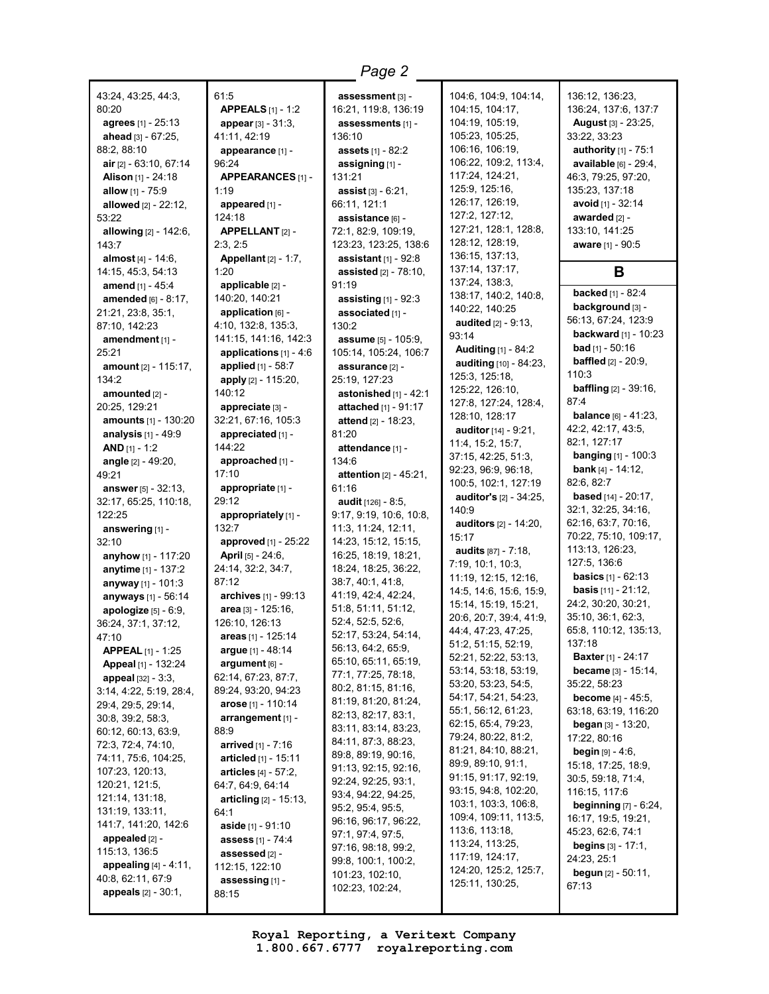43:24, 43:25, 44:3, 80:20 **agrees** [1] - 25:13 **ahead** [3] - 67:25, 88:2, 88:10 **air** [2] - 63:10, 67:14 **Alison** [1] - 24:18 **allow** [1] - 75:9 **allowed** [2] - 22:12, 53:22 **allowing** [2] - 142:6, 143:7 **almost** [4] - 14:6, 14:15, 45:3, 54:13 **amend** [1] - 45:4 **amended** [6] - 8:17, 21:21, 23:8, 35:1, 87:10, 142:23 **amendment** [1] - 25:21 **amount** [2] - 115:17, 134:2 **amounted** [2] - 20:25, 129:21 **amounts** [1] - 130:20 **analysis** [1] - 49:9 **AND** [1] - 1:2 **angle** [2] - 49:20, 49:21 **answer** [5] - 32:13, 32:17, 65:25, 110:18, 122:25 **answering** [1] -  $32:10$ **anyhow** [1] - 117:20 **anytime** [1] - 137:2 **anyway** [1] - 101:3 **anyways** [1] - 56:14 **apologize** [5] - 6:9, 36:24, 37:1, 37:12,  $47:10$ **APPEAL** [1] - 1:25 **Appeal** [1] - 132:24 **appeal** [32] - 3:3, 3:14, 4:22, 5:19, 28:4, 29:4, 29:5, 29:14, 30:8, 39:2, 58:3, 60:12, 60:13, 63:9, 72:3, 72:4, 74:10, 74:11, 75:6, 104:25, 107:23, 120:13, 120:21, 121:5, 121:14, 131:18, 131:19, 133:11, 141:7, 141:20, 142:6 **appealed** [2] - 115:13, 136:5 **appealing** [4] - 4:11, 40:8, 62:11, 67:9 **appeals** [2] - 30:1,

#### 61:5 **APPEALS** [1] - 1:2 **appear** [3] - 31:3, 41:11, 42:19 **appearance** [1] - 96:24 **APPEARANCES** [1] - 1:19 **appeared** [1] - 124:18 **APPELLANT** [2] - 2:3, 2:5 **Appellant** [2] - 1:7, 1:20 **applicable** [2] - 140:20, 140:21 **application** [6] - 4:10, 132:8, 135:3, 141:15, 141:16, 142:3 **applications** [1] - 4:6 **applied** [1] - 58:7 **apply** [2] - 115:20, 140:12 **appreciate** [3] - 32:21, 67:16, 105:3 **appreciated** [1] - 144:22 **approached** [1] - 17:10 **appropriate** [1] - 29:12 **appropriately** [1] - 132:7 **approved** [1] - 25:22 **April** [5] - 24:6, 24:14, 32:2, 34:7, 87:12 **archives** [1] - 99:13 **area** [3] - 125:16, 126:10, 126:13 **areas** [1] - 125:14 **argue** [1] - 48:14 **argument** [6] - 62:14, 67:23, 87:7, 89:24, 93:20, 94:23 **arose** [1] - 110:14 **arrangement** [1] - 88:9 **arrived** [1] - 7:16 **articled** [1] - 15:11 **articles** [4] - 57:2, 64:7, 64:9, 64:14 **articling** [2] - 15:13, 64:1 **aside** [1] - 91:10 **assess** [1] - 74:4 **assessed** [2] - 112:15, 122:10 **assessing** [1] - 88:15

**assessment** [3] - 16:21, 119:8, 136:19 **assessments** [1] - 136:10 **assets** [1] - 82:2 **assigning** [1] - 131:21 **assist** [3] - 6:21, 66:11, 121:1 **assistance** [6] - 72:1, 82:9, 109:19, 123:23, 123:25, 138:6 **assistant** [1] - 92:8 **assisted** [2] - 78:10, 91:19 **assisting** [1] - 92:3 **associated** [1] - 130:2 **assume** [5] - 105:9, 105:14, 105:24, 106:7 **assurance** [2] - 25:19, 127:23 **astonished** [1] - 42:1 **attached** [1] - 91:17 **attend** [2] - 18:23, 81:20 **attendance** [1] - 134:6 **attention** [2] - 45:21, 61:16 **audit** [126] - 8:5, 9:17, 9:19, 10:6, 10:8, 11:3, 11:24, 12:11, 14:23, 15:12, 15:15, 16:25, 18:19, 18:21, 18:24, 18:25, 36:22, 38:7, 40:1, 41:8, 41:19, 42:4, 42:24, 51:8, 51:11, 51:12, 52:4, 52:5, 52:6, 52:17, 53:24, 54:14, 56:13, 64:2, 65:9, 65:10, 65:11, 65:19, 77:1, 77:25, 78:18, 80:2, 81:15, 81:16, 81:19, 81:20, 81:24, 82:13, 82:17, 83:1, 83:11, 83:14, 83:23, 84:11, 87:3, 88:23, 89:8, 89:19, 90:16, 91:13, 92:15, 92:16, 92:24, 92:25, 93:1, 93:4, 94:22, 94:25, 95:2, 95:4, 95:5, 96:16, 96:17, 96:22, 97:1, 97:4, 97:5, 97:16, 98:18, 99:2, 99:8, 100:1, 100:2, 101:23, 102:10, 102:23, 102:24,

*Page 2*

104:6, 104:9, 104:14, 104:15, 104:17, 104:19, 105:19, 105:23, 105:25, 106:16, 106:19, 106:22, 109:2, 113:4, 117:24, 124:21, 125:9, 125:16, 126:17, 126:19, 127:2, 127:12, 127:21, 128:1, 128:8, 128:12, 128:19, 136:15, 137:13, 137:14, 137:17, 137:24, 138:3, 138:17, 140:2, 140:8, 140:22, 140:25 **audited** [2] - 9:13, 93:14 **Auditing** [1] - 84:2 **auditing** [10] - 84:23, 125:3, 125:18, 125:22, 126:10, 127:8, 127:24, 128:4, 128:10, 128:17 **auditor** [14] - 9:21, 11:4, 15:2, 15:7, 37:15, 42:25, 51:3, 92:23, 96:9, 96:18, 100:5, 102:1, 127:19 **auditor's** [2] - 34:25, 140:9 **auditors** [2] - 14:20, 15:17 **audits** [87] - 7:18, 7:19, 10:1, 10:3, 11:19, 12:15, 12:16, 14:5, 14:6, 15:6, 15:9, 15:14, 15:19, 15:21, 20:6, 20:7, 39:4, 41:9, 44:4, 47:23, 47:25, 51:2, 51:15, 52:19, 52:21, 52:22, 53:13, 53:14, 53:18, 53:19, 53:20, 53:23, 54:5, 54:17, 54:21, 54:23, 55:1, 56:12, 61:23, 62:15, 65:4, 79:23, 79:24, 80:22, 81:2, 81:21, 84:10, 88:21, 89:9, 89:10, 91:1, 91:15, 91:17, 92:19, 93:15, 94:8, 102:20, 103:1, 103:3, 106:8, 109:4, 109:11, 113:5, 113:6, 113:18, 113:24, 113:25, 117:19, 124:17, 124:20, 125:2, 125:7, 125:11, 130:25,

136:12, 136:23, 136:24, 137:6, 137:7 **August** [3] - 23:25, 33:22, 33:23 **authority** [1] - 75:1 **available** [6] - 29:4, 46:3, 79:25, 97:20, 135:23, 137:18 **avoid** [1] - 32:14 **awarded** [2] - 133:10, 141:25 **aware** [1] - 90:5 **B backed** [1] - 82:4 **background** [3] - 56:13, 67:24, 123:9 **backward** [1] - 10:23 **bad** [1] - 50:16 **baffled** [2] - 20:9, 110:3 **baffling** [2] - 39:16, 87:4 **balance** [6] - 41:23, 42:2, 42:17, 43:5, 82:1, 127:17 **banging** [1] - 100:3 **bank** [4] - 14:12, 82:6, 82:7 **based** [14] - 20:17, 32:1, 32:25, 34:16, 62:16, 63:7, 70:16, 70:22, 75:10, 109:17, 113:13, 126:23, 127:5, 136:6 **basics** [1] - 62:13 **basis** [11] - 21:12, 24:2, 30:20, 30:21, 35:10, 36:1, 62:3, 65:8, 110:12, 135:13, 137:18 **Baxter** [1] - 24:17 **became** [3] - 15:14, 35:22, 58:23 **become** [4] - 45:5, 63:18, 63:19, 116:20 **began** [3] - 13:20, 17:22, 80:16 **begin** [9] - 4:6, 15:18, 17:25, 18:9, 30:5, 59:18, 71:4, 116:15, 117:6 **beginning** [7] - 6:24,

16:17, 19:5, 19:21, 45:23, 62:6, 74:1 **begins** [3] - 17:1, 24:23, 25:1 **begun** [2] - 50:11,

67:13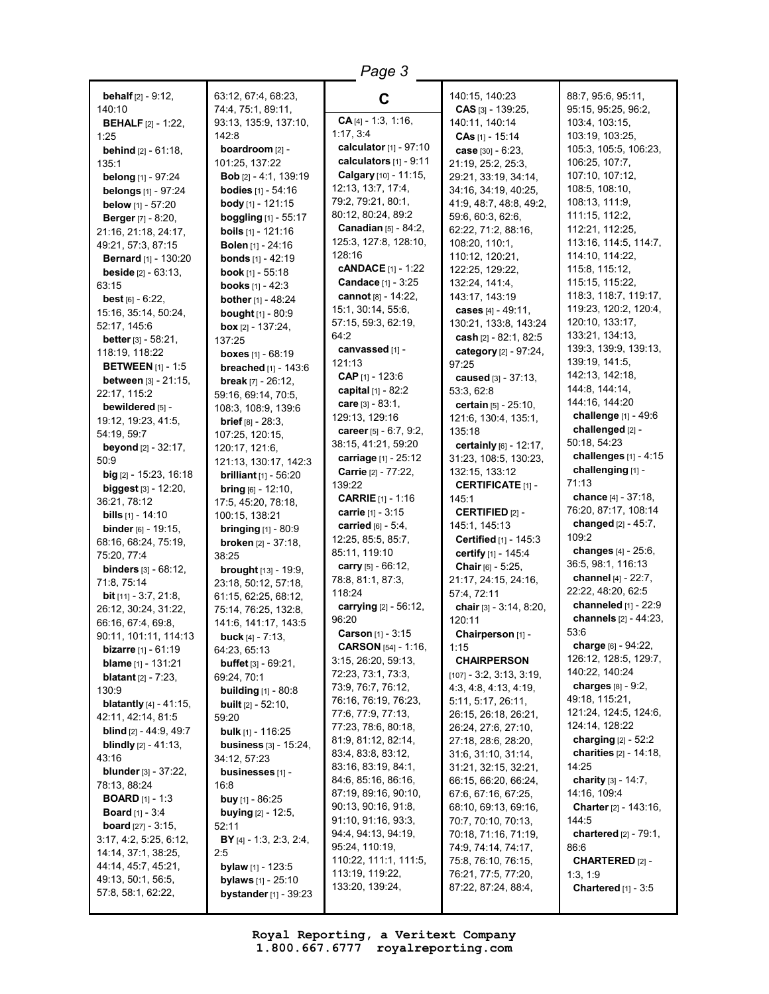| Page 3                                                      |                                                       |                                               |                                              |                                          |
|-------------------------------------------------------------|-------------------------------------------------------|-----------------------------------------------|----------------------------------------------|------------------------------------------|
| <b>behalf</b> $[2] - 9:12$ ,                                | 63:12, 67:4, 68:23,                                   | C                                             | 140:15, 140:23                               | 88:7, 95:6, 95:11,                       |
| 140:10                                                      | 74:4, 75:1, 89:11,                                    |                                               | $CAS$ [3] - 139:25,                          | 95:15, 95:25, 96:2,                      |
| <b>BEHALF</b> [2] - 1:22,                                   | 93:13, 135:9, 137:10,                                 | $CA[4] - 1:3, 1:16,$<br>1:17, 3:4             | 140:11, 140:14                               | 103:4, 103:15,                           |
| 1:25                                                        | 142:8                                                 | calculator [1] - 97:10                        | $CAs$ [1] - 15:14                            | 103:19, 103:25,                          |
| <b>behind</b> $[2] - 61:18$ ,                               | boardroom [2] -                                       | calculators $[1] - 9:11$                      | case $[30] - 6:23$ ,                         | 105:3, 105:5, 106:23,                    |
| 135:1                                                       | 101:25, 137:22                                        | Calgary [10] - 11:15,                         | 21:19, 25:2, 25:3,                           | 106:25, 107:7,<br>107:10, 107:12,        |
| <b>belong</b> [1] - 97:24                                   | <b>Bob</b> $[2] - 4:1, 139:19$                        | 12:13, 13:7, 17:4,                            | 29:21, 33:19, 34:14,<br>34:16, 34:19, 40:25, | 108:5, 108:10,                           |
| <b>belongs</b> [1] - 97:24                                  | <b>bodies</b> [1] - 54:16<br><b>body</b> [1] - 121:15 | 79:2, 79:21, 80:1,                            | 41:9, 48:7, 48:8, 49:2,                      | 108:13, 111:9,                           |
| below [1] - 57:20                                           | boggling [1] - 55:17                                  | 80:12, 80:24, 89:2                            | 59:6, 60:3, 62:6,                            | 111:15, 112:2,                           |
| <b>Berger</b> [7] - 8:20,<br>21:16, 21:18, 24:17,           | <b>boils</b> $[1]$ - 121:16                           | Canadian [5] - 84:2,                          | 62:22, 71:2, 88:16,                          | 112:21, 112:25,                          |
| 49:21, 57:3, 87:15                                          | <b>Bolen</b> $[1]$ - 24:16                            | 125:3, 127:8, 128:10,                         | 108:20, 110:1,                               | 113:16, 114:5, 114:7,                    |
| <b>Bernard</b> [1] - 130:20                                 | <b>bonds</b> $[1] - 42:19$                            | 128:16                                        | 110:12, 120:21,                              | 114:10, 114:22,                          |
| <b>beside</b> $[2] - 63:13$ ,                               | <b>book</b> $[1]$ - 55:18                             | <b>CANDACE</b> $[1]$ - 1:22                   | 122:25, 129:22,                              | 115:8, 115:12,                           |
| 63:15                                                       | <b>books</b> $[1] - 42:3$                             | <b>Candace</b> [1] - 3:25                     | 132:24, 141:4,                               | 115:15, 115:22,                          |
| <b>best</b> $[6] - 6:22$ ,                                  | <b>bother</b> $[1] - 48:24$                           | cannot [8] - 14:22,                           | 143:17, 143:19                               | 118:3, 118:7, 119:17,                    |
| 15:16, 35:14, 50:24,                                        | bought [1] - 80:9                                     | 15:1, 30:14, 55:6,                            | cases $[4] - 49:11$ ,                        | 119:23, 120:2, 120:4,                    |
| 52:17, 145:6                                                | box $[2] - 137:24$ ,                                  | 57:15, 59:3, 62:19,                           | 130:21, 133:8, 143:24                        | 120:10, 133:17,                          |
| better [3] - 58:21,                                         | 137:25                                                | 64:2                                          | cash [2] - 82:1, 82:5                        | 133:21, 134:13,                          |
| 118:19, 118:22                                              | boxes $[1] - 68:19$                                   | canvassed [1] -                               | category [2] - 97:24,                        | 139:3, 139:9, 139:13,                    |
| <b>BETWEEN</b> [1] - 1:5                                    | breached [1] - 143:6                                  | 121:13                                        | 97:25                                        | 139:19, 141:5,                           |
| <b>between</b> [3] - 21:15,                                 | <b>break</b> $[7] - 26:12$ ,                          | CAP $[1]$ - 123:6                             | caused [3] - 37:13.                          | 142:13, 142:18,                          |
| 22:17, 115:2                                                | 59:16, 69:14, 70:5,                                   | capital [1] - 82:2                            | 53:3,62:8                                    | 144:8, 144:14,                           |
| bewildered [5] -                                            | 108:3, 108:9, 139:6                                   | care $[3] - 83:1$ ,                           | certain [5] - 25:10,                         | 144:16, 144:20                           |
| 19:12, 19:23, 41:5,                                         | $brief [8] - 28:3,$                                   | 129:13, 129:16                                | 121:6, 130:4, 135:1,                         | challenge [1] - 49:6<br>challenged [2] - |
| 54:19, 59:7                                                 | 107:25, 120:15,                                       | career $[5] - 6:7, 9:2,$                      | 135:18                                       | 50:18, 54:23                             |
| <b>beyond</b> $[2] - 32:17$ ,                               | 120:17, 121:6,                                        | 38:15, 41:21, 59:20<br>carriage $[1]$ - 25:12 | certainly [6] - 12:17,                       | challenges [1] - 4:15                    |
| 50:9                                                        | 121:13, 130:17, 142:3                                 | <b>Carrie</b> $[2] - 77:22$                   | 31:23, 108:5, 130:23,<br>132:15, 133:12      | challenging [1] -                        |
| big [2] - 15:23, 16:18                                      | <b>brilliant</b> [1] - 56:20                          | 139:22                                        | <b>CERTIFICATE [1] -</b>                     | 71:13                                    |
| biggest [3] - 12:20,                                        | <b>bring</b> $[6] - 12:10$ ,                          | <b>CARRIE</b> $[1] - 1:16$                    | 145:1                                        | chance [4] - 37:18,                      |
| 36:21, 78:12                                                | 17:5, 45:20, 78:18,                                   | carrie [1] - 3:15                             | <b>CERTIFIED</b> [2] -                       | 76:20, 87:17, 108:14                     |
| <b>bills</b> $[1]$ - 14:10<br><b>binder</b> $[6] - 19:15$ , | 100:15, 138:21<br><b>bringing</b> $[1] - 80:9$        | carried $[6] - 5:4$ ,                         | 145:1, 145:13                                | changed [2] - 45:7,                      |
| 68:16, 68:24, 75:19,                                        | <b>broken</b> [2] - 37:18,                            | 12:25, 85:5, 85:7,                            | Certified [1] - 145:3                        | 109:2                                    |
| 75:20, 77:4                                                 | 38:25                                                 | 85:11, 119:10                                 | certify [1] - 145:4                          | changes [4] - 25:6,                      |
| <b>binders</b> $[3] - 68:12$ ,                              | <b>brought</b> $[13] - 19:9$ ,                        | carry $[5] - 66:12$ ,                         | Chair [6] - 5:25,                            | 36:5, 98:1, 116:13                       |
| 71:8, 75:14                                                 | 23:18, 50:12, 57:18,                                  | 78:8, 81:1, 87:3,                             | 21:17, 24:15, 24:16,                         | channel [4] - 22:7,                      |
| <b>bit</b> [11] - $3:7, 21:8$ ,                             | 61:15, 62:25, 68:12,                                  | 118:24                                        | 57:4, 72:11                                  | 22:22, 48:20, 62:5                       |
| 26:12, 30:24, 31:22,                                        | 75:14, 76:25, 132:8,                                  | carrying [2] - 56:12,                         | chair [3] - 3:14, 8:20,                      | channeled [1] - 22:9                     |
| 66:16, 67:4, 69:8,                                          | 141:6, 141:17, 143:5                                  | 96:20                                         | 120:11                                       | channels [2] - 44:23,                    |
| 90:11, 101:11, 114:13                                       | <b>buck</b> $[4] - 7:13$ ,                            | Carson [1] - 3:15                             | Chairperson [1] -                            | 53:6                                     |
| <b>bizarre</b> [1] - 61:19                                  | 64:23, 65:13                                          | <b>CARSON</b> $[54] - 1:16$ ,                 | 1:15                                         | charge [6] - 94:22,                      |
| <b>blame</b> [1] - $131:21$                                 | <b>buffet</b> $[3] - 69:21$ ,                         | 3:15, 26:20, 59:13,                           | <b>CHAIRPERSON</b>                           | 126:12, 128:5, 129:7,<br>140:22, 140:24  |
| <b>blatant</b> $[2] - 7:23$ ,                               | 69:24, 70:1                                           | 72:23, 73:1, 73:3,<br>73:9, 76:7, 76:12,      | $[107] - 3:2, 3:13, 3:19,$                   | charges $[8] - 9:2$ ,                    |
| 130:9                                                       | <b>building</b> $[1] - 80:8$                          | 76:16, 76:19, 76:23,                          | 4:3, 4:8, 4:13, 4:19,<br>5:11, 5:17, 26:11,  | 49:18, 115:21,                           |
| <b>blatantly</b> $[4] - 41:15$ ,                            | <b>built</b> $[2] - 52:10$                            | 77:6, 77:9, 77:13,                            | 26:15, 26:18, 26:21,                         | 121:24, 124:5, 124:6,                    |
| 42:11, 42:14, 81:5                                          | 59:20                                                 | 77:23, 78:6, 80:18,                           | 26:24, 27:6, 27:10,                          | 124:14, 128:22                           |
| <b>blind</b> $[2] - 44:9, 49:7$                             | <b>bulk</b> [1] - 116:25                              | 81:9, 81:12, 82:14,                           | 27:18, 28:6, 28:20,                          | charging $[2] - 52:2$                    |
| <b>blindly</b> $[2] - 41:13$ ,<br>43:16                     | <b>business</b> $[3] - 15:24$ ,<br>34:12, 57:23       | 83:4, 83:8, 83:12,                            | 31:6, 31:10, 31:14,                          | charities [2] - 14:18,                   |
| <b>blunder</b> $[3] - 37:22$ ,                              |                                                       | 83:16, 83:19, 84:1,                           | 31:21, 32:15, 32:21,                         | 14:25                                    |
| 78:13, 88:24                                                | businesses [1] -<br>16:8                              | 84:6, 85:16, 86:16,                           | 66:15, 66:20, 66:24,                         | charity $[3] - 14:7$ ,                   |
| <b>BOARD</b> [1] - 1:3                                      | <b>buy</b> [1] - 86:25                                | 87:19, 89:16, 90:10,                          | 67:6, 67:16, 67:25,                          | 14:16, 109:4                             |
| <b>Board</b> [1] - $3:4$                                    | <b>buying</b> $[2] - 12:5$ ,                          | 90:13, 90:16, 91:8,                           | 68:10, 69:13, 69:16,                         | Charter [2] - 143:16,                    |
| <b>board</b> $[27] - 3:15$ ,                                | 52:11                                                 | 91:10, 91:16, 93:3,                           | 70:7, 70:10, 70:13,                          | 144:5                                    |
| 3:17, 4:2, 5:25, 6:12,                                      | BY [4] - 1:3, 2:3, 2:4,                               | 94:4, 94:13, 94:19,                           | 70:18, 71:16, 71:19,                         | <b>chartered</b> $[2] - 79:1$ ,          |
| 14:14, 37:1, 38:25,                                         | 2:5                                                   | 95:24, 110:19,                                | 74:9, 74:14, 74:17,                          | 86:6                                     |
| 44:14, 45:7, 45:21,                                         | <b>bylaw</b> [1] - 123:5                              | 110:22, 111:1, 111:5,                         | 75:8, 76:10, 76:15,                          | <b>CHARTERED [2] -</b>                   |
| 49:13, 50:1, 56:5,                                          | <b>bylaws</b> $[1] - 25:10$                           | 113:19, 119:22,                               | 76:21, 77:5, 77:20,                          | 1:3, 1:9                                 |
| 57:8, 58:1, 62:22,                                          | <b>bystander</b> $[1] - 39:23$                        | 133:20, 139:24,                               | 87:22, 87:24, 88:4,                          | <b>Chartered</b> $[1] - 3:5$             |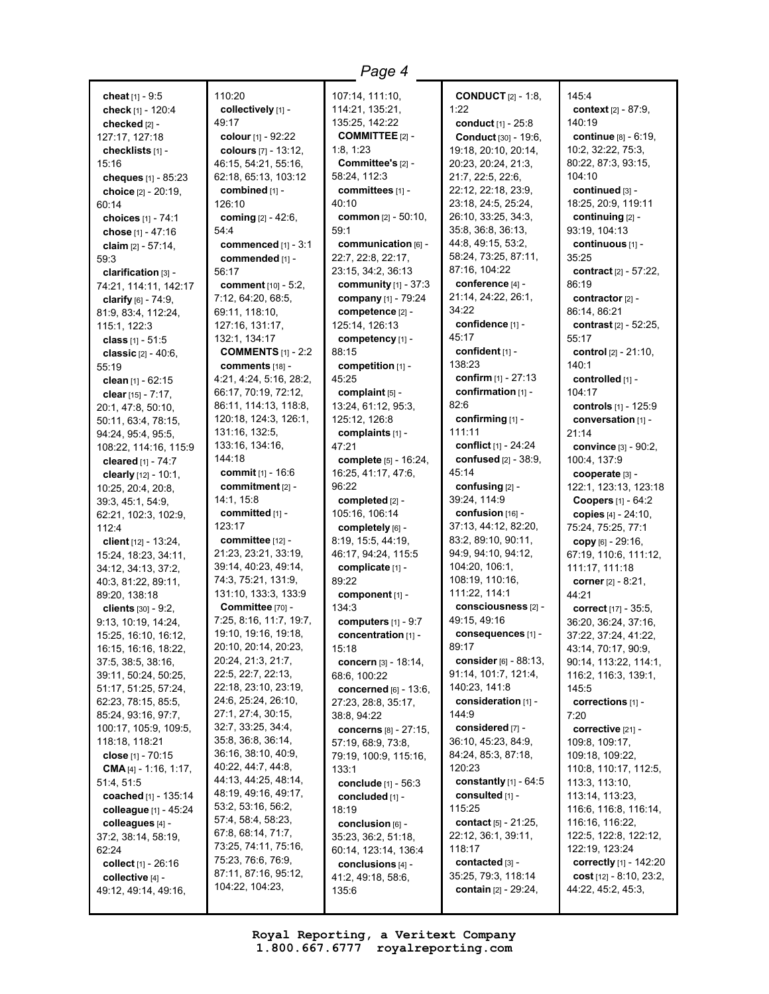**cheat** [1] - 9:5 **check** [1] - 120:4 **checked** [2] - 127:17, 127:18 **checklists** [1] - 15:16 **cheques** [1] - 85:23 **choice** [2] - 20:19, 60:14 **choices** [1] - 74:1 **chose** [1] - 47:16 **claim** [2] - 57:14, 59:3 **clarification** [3] -74:21, 114:11, 142:17 **clarify** [6] - 74:9, 81:9, 83:4, 112:24, 115:1, 122:3 **class** [1] - 51:5 **classic** [2] - 40:6, 55:19 **clean** [1] - 62:15 **clear** [15] - 7:17, 20:1, 47:8, 50:10, 50:11, 63:4, 78:15, 94:24, 95:4, 95:5, 108:22, 114:16, 115:9 **cleared** [1] - 74:7 **clearly** [12] - 10:1, 10:25, 20:4, 20:8, 39:3, 45:1, 54:9, 62:21, 102:3, 102:9, 112:4 **client** [12] - 13:24, 15:24, 18:23, 34:11, 34:12, 34:13, 37:2, 40:3, 81:22, 89:11, 89:20, 138:18 **clients** [30] - 9:2, 9:13, 10:19, 14:24, 15:25, 16:10, 16:12, 16:15, 16:16, 18:22, 37:5, 38:5, 38:16, 39:11, 50:24, 50:25, 51:17, 51:25, 57:24, 62:23, 78:15, 85:5, 85:24, 93:16, 97:7, 100:17, 105:9, 109:5, 118:18, 118:21 **close** [1] - 70:15 **CMA** [4] - 1:16, 1:17, 51:4, 51:5 **coached** [1] - 135:14 **colleague** [1] - 45:24 **colleagues** [4] - 37:2, 38:14, 58:19, 62:24 **collect** [1] - 26:16 **collective** [4] - 49:12, 49:14, 49:16,

110:20 **collectively** [1] - 49:17 **colour** [1] - 92:22 **colours** [7] - 13:12, 46:15, 54:21, 55:16, 62:18, 65:13, 103:12 **combined** [1] - 126:10 **coming** [2] - 42:6, 54:4 **commenced** [1] - 3:1 **commended** [1] - 56:17 **comment** [10] - 5:2, 7:12, 64:20, 68:5, 69:11, 118:10, 127:16, 131:17, 132:1, 134:17 **COMMENTS** [1] - 2:2 **comments** [18] - 4:21, 4:24, 5:16, 28:2, 66:17, 70:19, 72:12, 86:11, 114:13, 118:8, 120:18, 124:3, 126:1, 131:16, 132:5, 133:16, 134:16, 144:18 **commit** [1] - 16:6 **commitment** [2] - 14:1, 15:8 **committed** [1] - 123:17 **committee** [12] - 21:23, 23:21, 33:19, 39:14, 40:23, 49:14, 74:3, 75:21, 131:9, 131:10, 133:3, 133:9 **Committee** [70] - 7:25, 8:16, 11:7, 19:7, 19:10, 19:16, 19:18, 20:10, 20:14, 20:23, 20:24, 21:3, 21:7, 22:5, 22:7, 22:13, 22:18, 23:10, 23:19, 24:6, 25:24, 26:10, 27:1, 27:4, 30:15, 32:7, 33:25, 34:4, 35:8, 36:8, 36:14, 36:16, 38:10, 40:9, 40:22, 44:7, 44:8, 44:13, 44:25, 48:14, 48:19, 49:16, 49:17, 53:2, 53:16, 56:2, 57:4, 58:4, 58:23, 67:8, 68:14, 71:7, 73:25, 74:11, 75:16, 75:23, 76:6, 76:9, 87:11, 87:16, 95:12, 104:22, 104:23,

107:14, 111:10, 114:21, 135:21, 135:25, 142:22 **COMMITTEE** [2] - 1:8, 1:23 **Committee's** [2] - 58:24, 112:3 **committees** [1] - 40:10 **common** [2] - 50:10, 59:1 **communication** [6] - 22:7, 22:8, 22:17, 23:15, 34:2, 36:13 **community** [1] - 37:3 **company** [1] - 79:24 **competence** [2] - 125:14, 126:13 **competency** [1] - 88:15 **competition** [1] - 45:25 **complaint** [5] - 13:24, 61:12, 95:3, 125:12, 126:8 **complaints** [1] - 47:21 **complete** [5] - 16:24, 16:25, 41:17, 47:6, 96:22 **completed** [2] - 105:16, 106:14 **completely** [6] - 8:19, 15:5, 44:19, 46:17, 94:24, 115:5 **complicate** [1] - 89:22 **component** [1] - 134:3 **computers** [1] - 9:7 **concentration** [1] - 15:18 **concern** [3] - 18:14, 68:6, 100:22 **concerned** [6] - 13:6, 27:23, 28:8, 35:17, 38:8, 94:22 **concerns** [8] - 27:15, 57:19, 68:9, 73:8, 79:19, 100:9, 115:16, 133:1 **conclude** [1] - 56:3 **concluded** [1] - 18:19 **conclusion** [6] - 35:23, 36:2, 51:18, 60:14, 123:14, 136:4 **conclusions** [4] - 41:2, 49:18, 58:6, 135:6

**CONDUCT** [2] - 1:8,  $1:22$ **conduct** [1] - 25:8 **Conduct** [30] - 19:6, 19:18, 20:10, 20:14, 20:23, 20:24, 21:3, 21:7, 22:5, 22:6, 22:12, 22:18, 23:9, 23:18, 24:5, 25:24, 26:10, 33:25, 34:3, 35:8, 36:8, 36:13, 44:8, 49:15, 53:2, 58:24, 73:25, 87:11, 87:16, 104:22 **conference** [4] - 21:14, 24:22, 26:1, 34:22 **confidence** [1] - 45:17 **confident** [1] - 138:23 **confirm** [1] - 27:13 **confirmation** [1] - 82:6 **confirming** [1] - 111:11 **conflict** [1] - 24:24 **confused** [2] - 38:9, 45:14 **confusing** [2] - 39:24, 114:9 **confusion** [16] -37:13, 44:12, 82:20, 83:2, 89:10, 90:11, 94:9, 94:10, 94:12, 104:20, 106:1, 108:19, 110:16, 111:22, 114:1 **consciousness** [2] - 49:15, 49:16 **consequences** [1] - 89:17 **consider** [6] - 88:13, 91:14, 101:7, 121:4, 140:23, 141:8 **consideration** [1] - 144:9 **considered** [7] - 36:10, 45:23, 84:9, 84:24, 85:3, 87:18, 120:23 **constantly** [1] - 64:5 **consulted** [1] - 115:25 **contact** [5] - 21:25, 22:12, 36:1, 39:11, 118:17 **contacted** [3] - 35:25, 79:3, 118:14 **contain** [2] - 29:24,

145:4 **context** [2] - 87:9, 140:19 **continue** [8] - 6:19, 10:2, 32:22, 75:3, 80:22, 87:3, 93:15, 104:10 **continued** [3] - 18:25, 20:9, 119:11 **continuing** [2] - 93:19, 104:13 **continuous** [1] - 35:25 **contract** [2] - 57:22, 86:19 **contractor** [2] - 86:14, 86:21 **contrast** [2] - 52:25, 55:17 **control** [2] - 21:10,  $140.1$ **controlled** [1] - 104:17 **controls** [1] - 125:9 **conversation** [1] - 21:14 **convince** [3] - 90:2, 100:4, 137:9 **cooperate** [3] - 122:1, 123:13, 123:18 **Coopers** [1] - 64:2 **copies** [4] - 24:10, 75:24, 75:25, 77:1 **copy** [6] - 29:16, 67:19, 110:6, 111:12, 111:17, 111:18 **corner** [2] - 8:21, 44:21 **correct** [17] - 35:5, 36:20, 36:24, 37:16, 37:22, 37:24, 41:22, 43:14, 70:17, 90:9, 90:14, 113:22, 114:1, 116:2, 116:3, 139:1, 145:5 **corrections** [1] -  $7.20$ **corrective** [21] - 109:8, 109:17, 109:18, 109:22, 110:8, 110:17, 112:5, 113:3, 113:10, 113:14, 113:23, 116:6, 116:8, 116:14, 116:16, 116:22, 122:5, 122:8, 122:12, 122:19, 123:24 **correctly** [1] - 142:20 **cost** [12] - 8:10, 23:2, 44:22, 45:2, 45:3,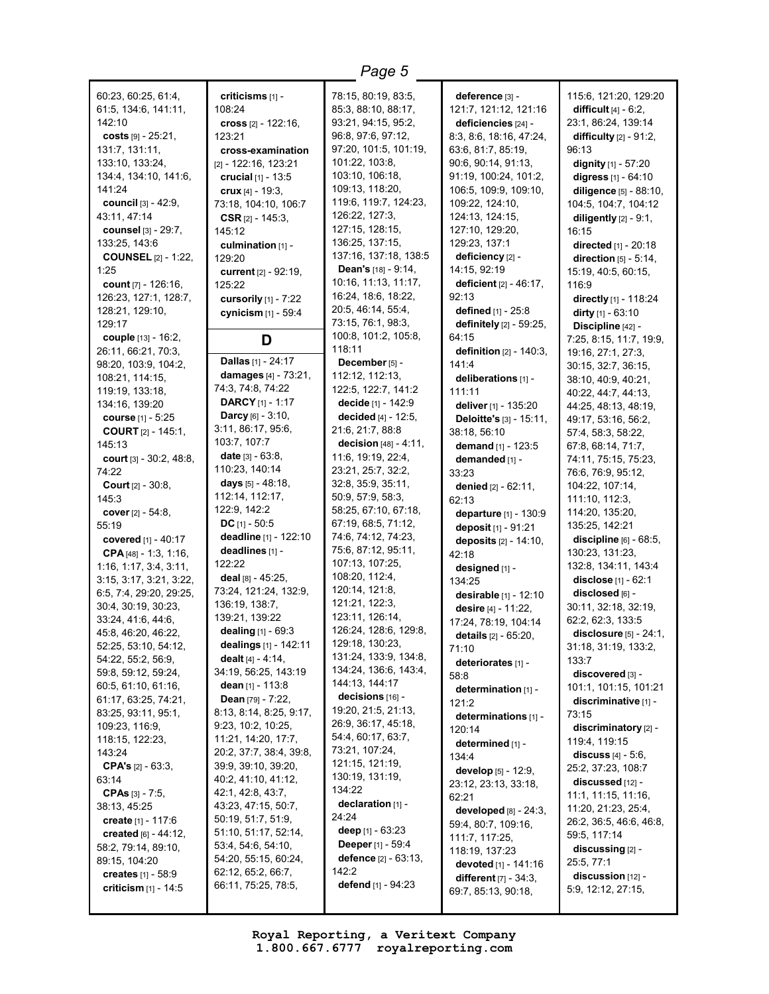| 60:23, 60:25, 61:4,            | criticisms [1] -                         | 78:15, 80:19, 83:5,           | deference [3] -                   | 115:6, 121:20, 129:20         |
|--------------------------------|------------------------------------------|-------------------------------|-----------------------------------|-------------------------------|
| 61:5, 134:6, 141:11,           | 108:24                                   | 85:3, 88:10, 88:17,           | 121:7, 121:12, 121:16             | difficult $[4] - 6:2$ ,       |
| 142:10                         | cross $[2] - 122:16$ ,                   | 93:21, 94:15, 95:2,           | deficiencies [24] -               | 23:1, 86:24, 139:14           |
| costs $[9] - 25:21$ ,          | 123:21                                   | 96:8, 97:6, 97:12,            | 8:3, 8:6, 18:16, 47:24,           | difficulty $[2] - 91:2$ ,     |
| 131:7, 131:11,                 | cross-examination                        | 97:20, 101:5, 101:19,         | 63:6, 81:7, 85:19,                | 96:13                         |
| 133:10, 133:24,                |                                          | 101:22, 103:8,                |                                   |                               |
|                                | [2] - 122:16, 123:21                     | 103:10, 106:18,               | 90:6, 90:14, 91:13,               | dignity [1] - 57:20           |
| 134:4, 134:10, 141:6,          | crucial $[1] - 13:5$                     |                               | 91:19, 100:24, 101:2,             | digress [1] - 64:10           |
| 141:24                         | crux $[4] - 19:3$ ,                      | 109:13, 118:20,               | 106:5, 109:9, 109:10,             | diligence [5] - 88:10,        |
| council [3] - 42:9,            | 73:18, 104:10, 106:7                     | 119:6, 119:7, 124:23,         | 109:22, 124:10,                   | 104:5, 104:7, 104:12          |
| 43:11, 47:14                   | <b>CSR</b> $[2] - 145:3$                 | 126:22, 127:3,                | 124:13, 124:15,                   | diligently $[2] - 9:1$ ,      |
| counsel [3] - 29:7,            | 145:12                                   | 127:15, 128:15,               | 127:10, 129:20,                   | 16:15                         |
| 133:25, 143:6                  | culmination [1] -                        | 136:25, 137:15,               | 129:23, 137:1                     | directed [1] - 20:18          |
| <b>COUNSEL</b> [2] - 1:22,     | 129:20                                   | 137:16, 137:18, 138:5         | deficiency [2] -                  | direction $[5] - 5:14$ .      |
| 1:25                           | current $[2] - 92:19$ ,                  | <b>Dean's</b> $[18] - 9:14$ , | 14:15, 92:19                      | 15:19, 40:5, 60:15,           |
| count [7] - 126:16,            | 125:22                                   | 10:16, 11:13, 11:17,          | deficient $[2] - 46:17$ ,         | 116:9                         |
| 126:23, 127:1, 128:7,          | cursorily [1] - 7:22                     | 16:24, 18:6, 18:22,           | 92:13                             | directly [1] - 118:24         |
| 128:21, 129:10,                | cynicism [1] - 59:4                      | 20:5, 46:14, 55:4,            | defined $[1] - 25:8$              | dirty $[1]$ - 63:10           |
| 129:17                         |                                          | 73:15, 76:1, 98:3,            | definitely [2] - 59:25,           | Discipline [42] -             |
| couple [13] - 16:2,            | D                                        | 100:8, 101:2, 105:8,          | 64:15                             | 7:25, 8:15, 11:7, 19:9,       |
| 26:11, 66:21, 70:3,            |                                          | 118:11                        | <b>definition</b> $[2] - 140:3$ , | 19:16, 27:1, 27:3,            |
| 98:20, 103:9, 104:2,           | <b>Dallas</b> [1] - 24:17                | December $[5]$ -              | 141:4                             | 30:15, 32:7, 36:15,           |
| 108:21, 114:15,                | damages [4] - 73:21,                     | 112:12, 112:13,               | deliberations [1] -               | 38:10, 40:9, 40:21,           |
| 119:19, 133:18,                | 74:3, 74:8, 74:22                        | 122:5, 122:7, 141:2           | 111:11                            | 40:22, 44:7, 44:13,           |
| 134:16, 139:20                 | <b>DARCY</b> [1] - 1:17                  | decide [1] - 142:9            | deliver [1] - 135:20              | 44:25, 48:13, 48:19,          |
| course [1] - 5:25              | <b>Darcy</b> [6] - $3:10$ ,              | decided [4] - 12:5,           | Deloitte's [3] - 15:11,           | 49:17, 53:16, 56:2,           |
| <b>COURT</b> $[2] - 145:1$     | 3:11, 86:17, 95:6,                       | 21:6, 21:7, 88:8              | 38:18, 56:10                      | 57:4, 58:3, 58:22,            |
| 145:13                         | 103:7, 107:7                             | decision $[48] - 4:11$ ,      | demand [1] - 123:5                | 67:8, 68:14, 71:7,            |
| court $[3] - 30:2, 48:8,$      | <b>date</b> $[3] - 63:8$                 | 11:6, 19:19, 22:4,            | demanded [1] -                    | 74:11, 75:15, 75:23,          |
| 74:22                          | 110:23, 140:14                           | 23:21, 25:7, 32:2,            | 33:23                             | 76:6, 76:9, 95:12,            |
| <b>Court</b> $[2] - 30:8$ ,    | <b>days</b> $[5] - 48:18$ ,              | 32:8, 35:9, 35:11,            | <b>denied</b> $[2] - 62:11$ ,     | 104:22, 107:14,               |
| 145:3                          | 112:14, 112:17,                          | 50:9, 57:9, 58:3,             | 62:13                             | 111:10, 112:3,                |
| cover [2] - 54:8,              | 122:9, 142:2                             | 58:25, 67:10, 67:18,          | departure [1] - 130:9             | 114:20, 135:20,               |
| 55:19                          | DC $[1] - 50:5$                          | 67:19, 68:5, 71:12,           | deposit [1] - 91:21               | 135:25, 142:21                |
| covered [1] - 40:17            | deadline [1] - 122:10                    | 74:6, 74:12, 74:23,           | deposits $[2] - 14:10$ ,          | discipline $[6] - 68:5$ ,     |
| CPA $[48] - 1:3, 1:16$         | deadlines [1] -                          | 75:6, 87:12, 95:11,           | 42:18                             | 130:23, 131:23,               |
| 1:16, 1:17, 3:4, 3:11,         | 122:22                                   | 107:13, 107:25,               |                                   | 132:8, 134:11, 143:4          |
| 3:15, 3:17, 3:21, 3:22,        | deal $[8] - 45:25$ ,                     | 108:20, 112:4,                | designed [1] -                    | <b>disclose</b> $[1] - 62:1$  |
| 6:5, 7:4, 29:20, 29:25,        | 73:24, 121:24, 132:9,                    | 120:14, 121:8,                | 134:25                            | disclosed [6] -               |
| 30:4, 30:19, 30:23,            | 136:19, 138:7,                           | 121:21, 122:3,                | desirable [1] - 12:10             | 30:11, 32:18, 32:19,          |
| 33:24, 41:6, 44:6,             | 139:21, 139:22                           | 123:11, 126:14,               | desire [4] - 11:22,               | 62:2, 62:3, 133:5             |
| 45:8, 46:20, 46:22,            | <b>dealing</b> $[1] - 69:3$              | 126:24, 128:6, 129:8,         | 17:24, 78:19, 104:14              | disclosure $[5] - 24:1$ ,     |
| 52:25, 53:10, 54:12,           | dealings $[1]$ - 142:11                  | 129:18, 130:23,               | details [2] - 65:20,              | 31:18, 31:19, 133:2,          |
| 54:22, 55:2, 56:9,             | dealt $[4] - 4:14$ .                     | 131:24, 133:9, 134:8,         | 71:10                             | 133:7                         |
| 59:8, 59:12, 59:24,            | 34:19, 56:25, 143:19                     | 134:24, 136:6, 143:4,         | deteriorates [1] -                | discovered [3] -              |
| 60:5, 61:10, 61:16,            | dean [1] - 113:8                         | 144:13, 144:17                | 58:8                              | 101:1, 101:15, 101:21         |
| 61:17, 63:25, 74:21,           | <b>Dean</b> $[79] - 7:22$                | decisions [16] -              | determination [1] -               |                               |
| 83:25, 93:11, 95:1,            | 8:13, 8:14, 8:25, 9:17,                  | 19:20, 21:5, 21:13,           | 121:2                             | discriminative [1] -<br>73:15 |
| 109:23, 116:9,                 | 9:23, 10:2, 10:25,                       | 26:9, 36:17, 45:18,           | determinations [1] -              |                               |
| 118:15, 122:23,                | 11:21, 14:20, 17:7,                      | 54:4, 60:17, 63:7,            | 120:14                            | discriminatory [2] -          |
| 143:24                         | 20:2, 37:7, 38:4, 39:8,                  | 73:21, 107:24,                | determined [1] -                  | 119:4, 119:15                 |
| <b>CPA's</b> $[2] - 63:3$      | 39:9, 39:10, 39:20,                      | 121:15, 121:19,               | 134:4                             | discuss $[4] - 5.6$ ,         |
|                                |                                          | 130:19, 131:19,               | develop [5] - 12:9,               | 25:2, 37:23, 108:7            |
| 63:14                          | 40:2, 41:10, 41:12,<br>42:1, 42:8, 43:7, | 134:22                        | 23:12, 23:13, 33:18,              | discussed [12] -              |
| <b>CPAs</b> $[3] - 7:5$ ,      |                                          | declaration [1] -             | 62:21                             | 11:1, 11:15, 11:16,           |
| 38:13, 45:25                   | 43:23, 47:15, 50:7,                      | 24:24                         | developed $[8] - 24:3$ ,          | 11:20, 21:23, 25:4,           |
| create [1] - 117:6             | 50:19, 51:7, 51:9,                       | deep $[1]$ - 63:23            | 59:4, 80:7, 109:16,               | 26:2, 36:5, 46:6, 46:8,       |
| <b>created</b> $[6] - 44:12$ , | 51:10, 51:17, 52:14,                     | <b>Deeper</b> [1] - 59:4      | 111:7, 117:25,                    | 59:5, 117:14                  |
| 58:2, 79:14, 89:10,            | 53:4, 54:6, 54:10,                       | <b>defence</b> [2] - 63:13,   | 118:19, 137:23                    | $discussing$ [2] -            |
| 89:15, 104:20                  | 54:20, 55:15, 60:24,                     |                               | devoted [1] - 141:16              | 25:5, 77:1                    |
| creates $[1] - 58.9$           | 62:12, 65:2, 66:7,                       | 142:2                         | <b>different</b> $[7] - 34:3$ ,   | discussion [12] -             |
| criticism [1] - 14:5           | 66:11, 75:25, 78:5,                      | <b>defend</b> $[1]$ - 94:23   | 69:7, 85:13, 90:18,               | 5:9, 12:12, 27:15,            |
|                                |                                          |                               |                                   |                               |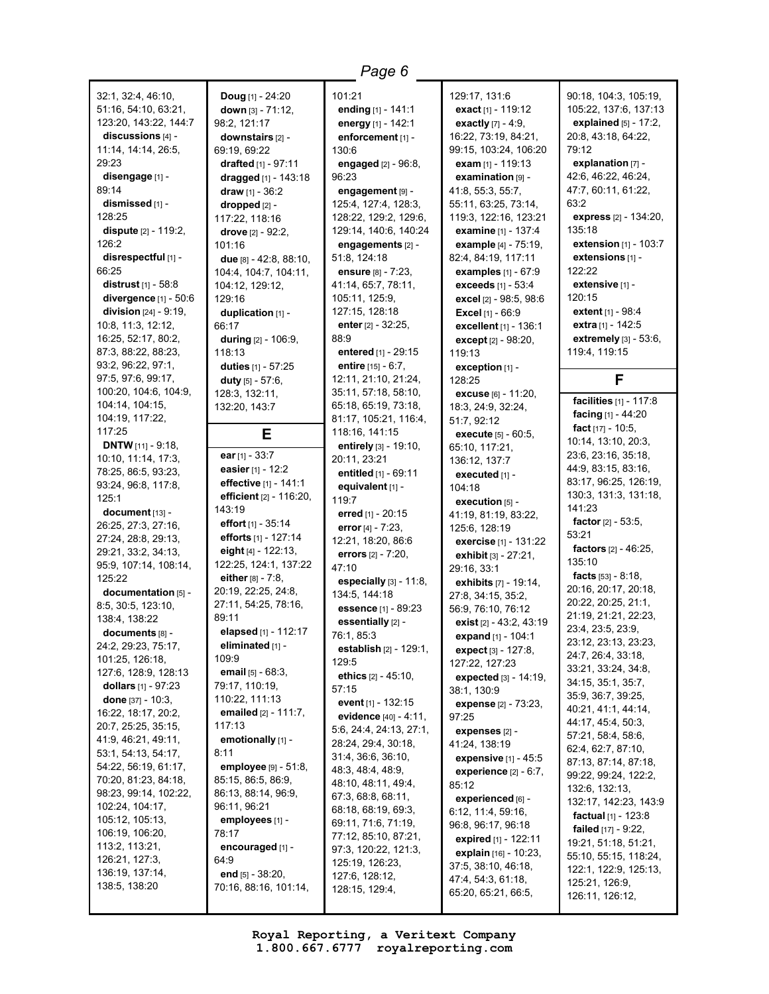32:1, 32:4, 46:10, 51:16, 54:10, 63:21, 123:20, 143:22, 144:7 **discussions** [4] - 11:14, 14:14, 26:5, 29:23 **disengage** [1] - 89:14 **dismissed** [1] - 128:25 **dispute** [2] - 119:2, 126:2 **disrespectful** [1] - 66:25 **distrust** [1] - 58:8 **divergence** [1] - 50:6 **division** [24] - 9:19, 10:8, 11:3, 12:12, 16:25, 52:17, 80:2, 87:3, 88:22, 88:23, 93:2, 96:22, 97:1, 97:5, 97:6, 99:17, 100:20, 104:6, 104:9,  $104.14$ ,  $104.15$ 104:19, 117:22, 117:25 **DNTW** [11] - 9:18, 10:10, 11:14, 17:3, 78:25, 86:5, 93:23, 93:24, 96:8, 117:8, 125:1 **document** [13] - 26:25, 27:3, 27:16, 27:24, 28:8, 29:13, 29:21, 33:2, 34:13, 95:9, 107:14, 108:14, 125:22 **documentation** [5] - 8:5, 30:5, 123:10, 138:4, 138:22 **documents** [8] - 24:2, 29:23, 75:17, 101:25, 126:18, 127:6, 128:9, 128:13 **dollars** [1] - 97:23 **done** [37] - 10:3, 16:22, 18:17, 20:2, 20:7, 25:25, 35:15, 41:9, 46:21, 49:11, 53:1, 54:13, 54:17, 54:22, 56:19, 61:17, 70:20, 81:23, 84:18, 98:23, 99:14, 102:22, 102:24, 104:17, 105:12, 105:13, 106:19, 106:20, 113:2, 113:21, 126:21, 127:3, 136:19, 137:14,

138:5, 138:20

**Doug** [1] - 24:20 **down** [3] - 71:12, 98:2, 121:17 **downstairs** [2] - 69:19, 69:22 **drafted** [1] - 97:11 **dragged** [1] - 143:18 **draw** [1] - 36:2 **dropped** [2] - 117:22, 118:16 **drove** [2] - 92:2, 101:16 **due** [8] - 42:8, 88:10, 104:4, 104:7, 104:11, 104:12, 129:12, 129:16 **duplication** [1] - 66:17 **during** [2] - 106:9, 118:13 **duties** [1] - 57:25 **duty** [5] - 57:6, 128:3, 132:11, 132:20, 143:7 **E ear** [1] - 33:7 **easier** [1] - 12:2 **effective** [1] - 141:1 **efficient** [2] - 116:20, 143:19 **effort** [1] - 35:14 **efforts** [1] - 127:14 **eight** [4] - 122:13, 122:25, 124:1, 137:22 **either** [8] - 7:8, 20:19, 22:25, 24:8, 27:11, 54:25, 78:16, 89:11 **elapsed** [1] - 112:17 **eliminated** [1] - 109:9 **email** [5] - 68:3, 79:17, 110:19, 110:22, 111:13 **emailed** [2] - 111:7, 117:13 **emotionally** [1] - 8:11 **employee** [9] - 51:8, 85:15, 86:5, 86:9, 86:13, 88:14, 96:9, 96:11, 96:21 **employees** [1] - 78:17 **encouraged** [1] - 64:9 **end** [5] - 38:20, 70:16, 88:16, 101:14,

101:21 **ending** [1] - 141:1 **energy** [1] - 142:1 **enforcement** [1] - 130:6 **engaged** [2] - 96:8, 96:23 **engagement** [9] - 125:4, 127:4, 128:3, 128:22, 129:2, 129:6, 129:14, 140:6, 140:24 **engagements** [2] - 51:8, 124:18 **ensure** [8] - 7:23, 41:14, 65:7, 78:11, 105:11, 125:9, 127:15, 128:18 **enter** [2] - 32:25, 88:9 **entered** [1] - 29:15 **entire** [15] - 6:7, 12:11, 21:10, 21:24, 35:11, 57:18, 58:10, 65:18, 65:19, 73:18, 81:17, 105:21, 116:4, 118:16, 141:15 **entirely** [3] - 19:10, 20:11, 23:21 **entitled** [1] - 69:11 **equivalent** [1] - 119:7 **erred** [1] - 20:15 **error** [4] - 7:23, 12:21, 18:20, 86:6 **errors** [2] - 7:20, 47:10 **especially** [3] - 11:8, 134:5, 144:18 **essence** [1] - 89:23 **essentially** [2] - 76:1, 85:3 **establish** [2] - 129:1, 129:5 **ethics** [2] - 45:10, 57:15 **event** [1] - 132:15 **evidence** [40] - 4:11, 5:6, 24:4, 24:13, 27:1, 28:24, 29:4, 30:18, 31:4, 36:6, 36:10, 48:3, 48:4, 48:9, 48:10, 48:11, 49:4, 67:3, 68:8, 68:11, 68:18, 68:19, 69:3, 69:11, 71:6, 71:19, 77:12, 85:10, 87:21, 97:3, 120:22, 121:3, 125:19, 126:23, 127:6, 128:12, 128:15, 129:4,

*Page 6*

129:17, 131:6 **exact** [1] - 119:12 **exactly** [7] - 4:9, 16:22, 73:19, 84:21, 99:15, 103:24, 106:20 **exam** [1] - 119:13 **examination** [9] - 41:8, 55:3, 55:7, 55:11, 63:25, 73:14, 119:3, 122:16, 123:21 **examine** [1] - 137:4 **example** [4] - 75:19, 82:4, 84:19, 117:11 **examples** [1] - 67:9 **exceeds** [1] - 53:4 **excel** [2] - 98:5, 98:6 **Excel** [1] - 66:9 **excellent** [1] - 136:1 **except** [2] - 98:20, 119:13 **exception** [1] - 128:25 **excuse** [6] - 11:20, 18:3, 24:9, 32:24, 51:7, 92:12 **execute** [5] - 60:5, 65:10, 117:21, 136:12, 137:7 **executed** [1] - 104:18 **execution** [5] - 41:19, 81:19, 83:22, 125:6, 128:19 **exercise** [1] - 131:22 **exhibit** [3] - 27:21, 29:16, 33:1 **exhibits** [7] - 19:14, 27:8, 34:15, 35:2, 56:9, 76:10, 76:12 **exist** [2] - 43:2, 43:19 **expand** [1] - 104:1 **expect** [3] - 127:8, 127:22, 127:23 **expected** [3] - 14:19, 38:1, 130:9 **expense** [2] - 73:23, 97:25 **expenses** [2] - 41:24, 138:19 **expensive** [1] - 45:5 **experience** [2] - 6:7, 85:12 **experienced** [6] - 6:12, 11:4, 59:16, 96:8, 96:17, 96:18 **expired** [1] - 122:11 **explain** [16] - 10:23, 37:5, 38:10, 46:18, 47:4, 54:3, 61:18, 65:20, 65:21, 66:5,

90:18, 104:3, 105:19, 105:22, 137:6, 137:13 **explained** [5] - 17:2, 20:8, 43:18, 64:22, 79:12 **explanation** [7] - 42:6, 46:22, 46:24, 47:7, 60:11, 61:22, 63:2 **express** [2] - 134:20, 135:18 **extension** [1] - 103:7 **extensions** [1] - 122:22 **extensive** [1] - 120:15 **extent** [1] - 98:4 **extra** [1] - 142:5 **extremely** [3] - 53:6, 119:4, 119:15 **F facilities** [1] - 117:8 **facing** [1] - 44:20 **fact** [17] - 10:5, 10:14, 13:10, 20:3, 23:6, 23:16, 35:18, 44:9, 83:15, 83:16, 83:17, 96:25, 126:19, 130:3, 131:3, 131:18, 141:23 **factor** [2] - 53:5, 53:21 **factors** [2] - 46:25, 135:10 **facts** [53] - 8:18, 20:16, 20:17, 20:18, 20:22, 20:25, 21:1, 21:19, 21:21, 22:23, 23:4, 23:5, 23:9, 23:12, 23:13, 23:23, 24:7, 26:4, 33:18, 33:21, 33:24, 34:8, 34:15, 35:1, 35:7, 35:9, 36:7, 39:25, 40:21, 41:1, 44:14, 44:17, 45:4, 50:3, 57:21, 58:4, 58:6, 62:4, 62:7, 87:10, 87:13, 87:14, 87:18, 99:22, 99:24, 122:2, 132:6, 132:13, 132:17, 142:23, 143:9 **factual** [1] - 123:8 **failed** [17] - 9:22, 19:21, 51:18, 51:21, 55:10, 55:15, 118:24, 122:1, 122:9, 125:13, 125:21, 126:9, 126:11, 126:12,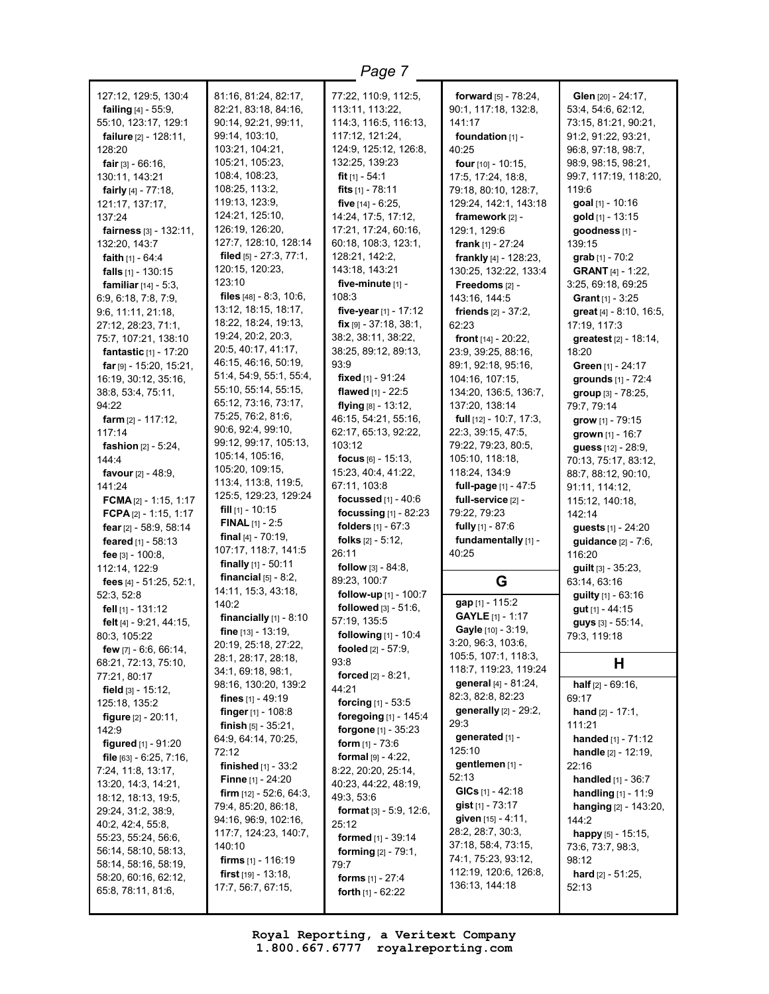| 127:12, 129:5, 130:4<br><b>failing</b> $[4] - 55:9$ ,<br>55:10, 123:17, 129:1<br>failure [2] - 128:11,<br>128:20<br><b>fair</b> [3] - $66:16$ ,<br>130:11, 143:21<br><b>fairly</b> $[4] - 77:18$ ,<br>121:17, 137:17,<br>137:24<br>fairness $[3] - 132:11$ ,<br>132:20, 143:7<br><b>faith</b> $[1] - 64:4$<br><b>falls</b> $[1] - 130:15$<br>familiar [14] - 5:3,<br>6:9, 6:18, 7:8, 7:9,<br>9:6, 11:11, 21:18,<br>27:12, 28:23, 71:1,<br>75:7, 107:21, 138:10<br>fantastic [1] - 17:20<br>$far$ [9] - 15:20, 15:21,<br>16:19, 30:12, 35:16,<br>38:8, 53:4, 75:11,<br>94:22<br>farm $[2] - 117:12$ ,<br>117:14<br><b>fashion</b> $[2] - 5:24$ ,<br>144:4<br>favour [2] - 48:9,<br>141:24<br>FCMA $[2] - 1:15, 1:17$ | 81:16, 81:24, 82:17,<br>82:21, 83:18, 84:16,<br>90:14, 92:21, 99:11,<br>99:14, 103:10,<br>103:21, 104:21,<br>105:21, 105:23,<br>108:4, 108:23,<br>108:25, 113:2,<br>119:13, 123:9,<br>124:21, 125:10,<br>126:19, 126:20,<br>127:7, 128:10, 128:14<br>filed $[5] - 27:3, 77:1,$<br>120:15, 120:23,<br>123:10<br>files [48] - 8:3, 10:6,<br>13:12, 18:15, 18:17,<br>18:22, 18:24, 19:13,<br>19:24, 20:2, 20:3,<br>20:5, 40:17, 41:17,<br>46:15, 46:16, 50:19,<br>51:4, 54:9, 55:1, 55:4,<br>55:10, 55:14, 55:15,<br>65:12, 73:16, 73:17,<br>75:25, 76:2, 81:6,<br>90:6, 92:4, 99:10,<br>99:12, 99:17, 105:13,<br>105:14, 105:16,<br>105:20, 109:15,<br>113:4, 113:8, 119:5,<br>125:5, 129:23, 129:24<br><b>fill</b> $[1]$ - 10:15 | 77:22, 110:9, 112:5,<br>113:11, 113:22,<br>114:3, 116:5, 116:13,<br>117:12, 121:24,<br>124:9, 125:12, 126:8,<br>132:25, 139:23<br>fit $[1] - 54:1$<br>fits $[1] - 78:11$<br>five $[14] - 6:25$ ,<br>14:24, 17:5, 17:12,<br>17:21, 17:24, 60:16,<br>60:18, 108:3, 123:1,<br>128:21, 142:2,<br>143:18, 143:21<br>five-minute [1] -<br>108:3<br>five-year $[1]$ - 17:12<br>$fix$ [9] - 37:18, 38:1,<br>38:2, 38:11, 38:22,<br>38:25, 89:12, 89:13,<br>93:9<br><b>fixed</b> [1] - 91:24<br>flawed [1] - 22:5<br>flying $[8] - 13:12$ ,<br>46:15, 54:21, 55:16,<br>62:17, 65:13, 92:22,<br>103:12<br>focus $[6] - 15:13$ ,<br>15:23, 40:4, 41:22,<br>67:11, 103:8<br>focussed $[1] - 40.6$ | <b>forward</b> $[5] - 78:24$ ,<br>90:1, 117:18, 132:8,<br>141:17<br>foundation [1] -<br>40:25<br>four $[10] - 10:15$ ,<br>17:5, 17:24, 18:8,<br>79:18, 80:10, 128:7,<br>129:24, 142:1, 143:18<br>framework [2] -<br>129:1, 129:6<br>frank $[1] - 27:24$<br><b>frankly</b> $[4] - 128:23$<br>130:25, 132:22, 133:4<br>Freedoms [2] -<br>143:16, 144:5<br><b>friends</b> $[2] - 37:2$ ,<br>62:23<br>front $[14] - 20:22$ ,<br>23:9, 39:25, 88:16,<br>89:1, 92:18, 95:16,<br>104:16, 107:15,<br>134:20, 136:5, 136:7,<br>137:20, 138:14<br><b>full</b> $[12] - 10:7, 17:3,$<br>22:3, 39:15, 47:5,<br>79:22, 79:23, 80:5,<br>105:10, 118:18,<br>118:24, 134:9<br>full-page [1] - 47:5<br>full-service [2] - | Glen [20] - 24:17,<br>53:4, 54:6, 62:12,<br>73:15, 81:21, 90:21,<br>91:2, 91:22, 93:21,<br>96:8, 97:18, 98:7,<br>98:9, 98:15, 98:21,<br>99:7, 117:19, 118:20,<br>119:6<br>goal [1] - 10:16<br>gold [1] - 13:15<br>qoodness [1] -<br>139:15<br>grab [1] - 70:2<br><b>GRANT</b> [4] - 1:22,<br>3:25, 69:18, 69:25<br><b>Grant</b> $[1]$ - 3:25<br>great [4] - 8:10, 16:5,<br>17:19, 117:3<br>greatest [2] - 18:14,<br>18:20<br>Green [1] - 24:17<br>grounds [1] - 72:4<br>group [3] - 78:25,<br>79:7, 79:14<br>grow $[1]$ - 79:15<br>grown $[1] - 16:7$<br>guess [12] - 28:9,<br>70:13, 75:17, 83:12,<br>88:7, 88:12, 90:10,<br>91:11, 114:12,<br>115:12, 140:18, |
|---------------------------------------------------------------------------------------------------------------------------------------------------------------------------------------------------------------------------------------------------------------------------------------------------------------------------------------------------------------------------------------------------------------------------------------------------------------------------------------------------------------------------------------------------------------------------------------------------------------------------------------------------------------------------------------------------------------------|---------------------------------------------------------------------------------------------------------------------------------------------------------------------------------------------------------------------------------------------------------------------------------------------------------------------------------------------------------------------------------------------------------------------------------------------------------------------------------------------------------------------------------------------------------------------------------------------------------------------------------------------------------------------------------------------------------------------------------|---------------------------------------------------------------------------------------------------------------------------------------------------------------------------------------------------------------------------------------------------------------------------------------------------------------------------------------------------------------------------------------------------------------------------------------------------------------------------------------------------------------------------------------------------------------------------------------------------------------------------------------------------------------------------------------|---------------------------------------------------------------------------------------------------------------------------------------------------------------------------------------------------------------------------------------------------------------------------------------------------------------------------------------------------------------------------------------------------------------------------------------------------------------------------------------------------------------------------------------------------------------------------------------------------------------------------------------------------------------------------------------------------------|-----------------------------------------------------------------------------------------------------------------------------------------------------------------------------------------------------------------------------------------------------------------------------------------------------------------------------------------------------------------------------------------------------------------------------------------------------------------------------------------------------------------------------------------------------------------------------------------------------------------------------------------------------------------|
| FCPA $[2] - 1:15, 1:17$<br>fear [2] - 58:9, 58:14<br>feared [1] - 58:13                                                                                                                                                                                                                                                                                                                                                                                                                                                                                                                                                                                                                                             | <b>FINAL</b> $[1]$ - 2:5<br>final $[4] - 70:19$ ,<br>107:17, 118:7, 141:5                                                                                                                                                                                                                                                                                                                                                                                                                                                                                                                                                                                                                                                       | focussing [1] - 82:23<br>folders [1] - 67:3<br><b>folks</b> $[2] - 5:12$ ,                                                                                                                                                                                                                                                                                                                                                                                                                                                                                                                                                                                                            | 79:22, 79:23<br>fully [1] - 87:6<br>fundamentally [1] -                                                                                                                                                                                                                                                                                                                                                                                                                                                                                                                                                                                                                                                 | 142:14<br>guests [1] - 24:20<br>guidance [2] - 7:6,                                                                                                                                                                                                                                                                                                                                                                                                                                                                                                                                                                                                             |
| fee $[3] - 100.8$ ,<br>112:14, 122:9                                                                                                                                                                                                                                                                                                                                                                                                                                                                                                                                                                                                                                                                                | <b>finally</b> $[1]$ - 50:11                                                                                                                                                                                                                                                                                                                                                                                                                                                                                                                                                                                                                                                                                                    | 26:11<br><b>follow</b> $[3] - 84:8$ ,                                                                                                                                                                                                                                                                                                                                                                                                                                                                                                                                                                                                                                                 | 40:25                                                                                                                                                                                                                                                                                                                                                                                                                                                                                                                                                                                                                                                                                                   | 116:20<br>$g$ uilt [3] - 35:23,                                                                                                                                                                                                                                                                                                                                                                                                                                                                                                                                                                                                                                 |
| fees [4] - 51:25, 52:1,<br>52:3, 52:8                                                                                                                                                                                                                                                                                                                                                                                                                                                                                                                                                                                                                                                                               | financial $[5] - 8:2$ ,<br>14:11, 15:3, 43:18,                                                                                                                                                                                                                                                                                                                                                                                                                                                                                                                                                                                                                                                                                  | 89:23, 100:7<br>follow-up $[1]$ - 100:7                                                                                                                                                                                                                                                                                                                                                                                                                                                                                                                                                                                                                                               | G                                                                                                                                                                                                                                                                                                                                                                                                                                                                                                                                                                                                                                                                                                       | 63:14, 63:16<br>guilty [1] - 63:16                                                                                                                                                                                                                                                                                                                                                                                                                                                                                                                                                                                                                              |
| fell $[1]$ - 131:12<br>felt [4] - 9:21, 44:15,<br>80:3, 105:22<br>few $[7] - 6.6, 66.14,$                                                                                                                                                                                                                                                                                                                                                                                                                                                                                                                                                                                                                           | 140:2<br>financially $[1]$ - 8:10<br>fine $[13] - 13:19$ ,<br>20:19, 25:18, 27:22,                                                                                                                                                                                                                                                                                                                                                                                                                                                                                                                                                                                                                                              | <b>followed</b> $[3] - 51:6$ ,<br>57:19, 135:5<br><b>following</b> $[1] - 10:4$<br>fooled $[2] - 57:9$ ,                                                                                                                                                                                                                                                                                                                                                                                                                                                                                                                                                                              | gap [1] - 115:2<br>GAYLE [1] - 1:17<br>Gayle [10] - 3:19,<br>3:20, 96:3, 103:6,                                                                                                                                                                                                                                                                                                                                                                                                                                                                                                                                                                                                                         | gut [1] - 44:15<br>guys [3] - 55:14,<br>79:3, 119:18                                                                                                                                                                                                                                                                                                                                                                                                                                                                                                                                                                                                            |
| 68:21, 72:13, 75:10,                                                                                                                                                                                                                                                                                                                                                                                                                                                                                                                                                                                                                                                                                                | 28:1, 28:17, 28:18,<br>34:1, 69:18, 98:1,                                                                                                                                                                                                                                                                                                                                                                                                                                                                                                                                                                                                                                                                                       | 93:8<br><b>forced</b> $[2] - 8:21$ ,                                                                                                                                                                                                                                                                                                                                                                                                                                                                                                                                                                                                                                                  | 105:5, 107:1, 118:3,<br>118:7, 119:23, 119:24                                                                                                                                                                                                                                                                                                                                                                                                                                                                                                                                                                                                                                                           | Н                                                                                                                                                                                                                                                                                                                                                                                                                                                                                                                                                                                                                                                               |
| 77:21, 80:17<br>field [3] - 15:12,<br>125:18, 135:2<br><b>figure</b> $[2] - 20:11$ ,<br>142:9<br>figured [1] - 91:20<br>file [63] - 6:25, 7:16,<br>7:24, 11:8, 13:17,<br>13:20, 14:3, 14:21,<br>18:12, 18:13, 19:5,<br>29:24, 31:2, 38:9,<br>40:2, 42:4, 55:8,<br>55:23, 55:24, 56:6,<br>56:14, 58:10, 58:13,<br>58:14, 58:16, 58:19,<br>58:20, 60:16, 62:12,<br>65:8, 78:11, 81:6,                                                                                                                                                                                                                                                                                                                                 | 98:16, 130:20, 139:2<br>fines [1] - 49:19<br>finger $[1] - 108.8$<br><b>finish</b> $[5] - 35:21$ ,<br>64:9, 64:14, 70:25,<br>72:12<br><b>finished</b> $[1] - 33:2$<br><b>Finne</b> $[1]$ - 24:20<br><b>firm</b> $[12] - 52:6, 64:3,$<br>79:4, 85:20, 86:18,<br>94:16, 96:9, 102:16,<br>117:7, 124:23, 140:7,<br>140:10<br><b>firms</b> $[1] - 116:19$<br><b>first</b> $[19] - 13:18$ ,<br>17:7, 56:7, 67:15,                                                                                                                                                                                                                                                                                                                    | 44:21<br><b>forcing</b> $[1] - 53:5$<br>foregoing [1] - 145:4<br><b>forgone</b> $[1] - 35:23$<br><b>form</b> $[1] - 73:6$<br><b>formal</b> $[9] - 4:22$ ,<br>8:22, 20:20, 25:14,<br>40:23, 44:22, 48:19,<br>49:3, 53:6<br><b>format</b> $[3] - 5:9, 12:6,$<br>25:12<br><b>formed</b> $[1] - 39:14$<br><b>forming</b> $[2] - 79:1$ ,<br>79:7<br><b>forms</b> $[1] - 27:4$<br><b>forth</b> $[1]$ - 62:22                                                                                                                                                                                                                                                                                | general [4] - 81:24,<br>82:3, 82:8, 82:23<br>generally [2] - 29:2,<br>29:3<br>generated [1] -<br>125:10<br>gentlemen [1] -<br>52:13<br>GICs $[1]$ - 42:18<br>gist [1] - 73:17<br>given [15] - 4:11,<br>28:2, 28:7, 30:3,<br>37:18, 58:4, 73:15,<br>74:1, 75:23, 93:12,<br>112:19, 120:6, 126:8,<br>136:13, 144:18                                                                                                                                                                                                                                                                                                                                                                                       | half [2] - 69:16,<br>69:17<br>hand $[2] - 17:1$ ,<br>111:21<br>handed [1] - 71:12<br><b>handle</b> $[2] - 12:19$ ,<br>22:16<br>handled [1] - 36:7<br><b>handling</b> $[1] - 11:9$<br><b>hanging</b> $[2] - 143:20$ ,<br>144:2<br>happy [5] - 15:15,<br>73:6, 73:7, 98:3,<br>98:12<br><b>hard</b> $[2] - 51:25$ ,<br>52:13                                                                                                                                                                                                                                                                                                                                       |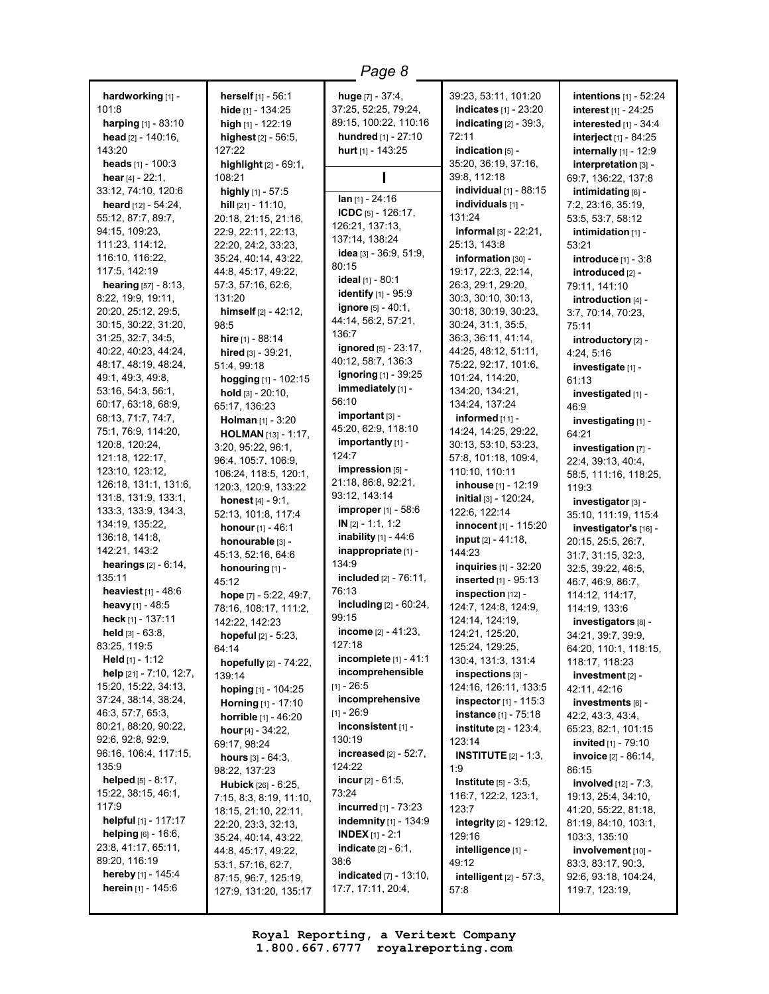**hardworking** [1] -  $101.8$ **harping** [1] - 83:10 **head** [2] - 140:16, 143:20 **heads** [1] - 100:3 **hear** [4] - 22:1, 33:12, 74:10, 120:6 **heard** [12] - 54:24, 55:12, 87:7, 89:7, 94:15, 109:23, 111:23, 114:12, 116:10, 116:22, 117:5, 142:19 **hearing** [57] - 8:13, 8:22, 19:9, 19:11, 20:20, 25:12, 29:5, 30:15, 30:22, 31:20, 31:25, 32:7, 34:5, 40:22, 40:23, 44:24, 48:17, 48:19, 48:24, 49:1, 49:3, 49:8, 53:16, 54:3, 56:1, 60:17, 63:18, 68:9, 68:13, 71:7, 74:7, 75:1, 76:9, 114:20, 120:8, 120:24, 121:18, 122:17, 123:10, 123:12, 126:18, 131:1, 131:6, 131:8, 131:9, 133:1, 133:3, 133:9, 134:3, 134:19, 135:22, 136:18, 141:8, 142:21, 143:2 **hearings** [2] - 6:14, 135:11 **heaviest** [1] - 48:6 **heavy** [1] - 48:5 **heck** [1] - 137:11 **held** [3] - 63:8, 83:25, 119:5 **Held** [1] - 1:12 **help** [21] - 7:10, 12:7, 15:20, 15:22, 34:13, 37:24, 38:14, 38:24, 46:3, 57:7, 65:3, 80:21, 88:20, 90:22, 92:6, 92:8, 92:9, 96:16, 106:4, 117:15, 135:9 **helped** [5] - 8:17, 15:22, 38:15, 46:1, 117:9 **helpful** [1] - 117:17 **helping** [6] - 16:6, 23:8, 41:17, 65:11, 89:20, 116:19 **hereby** [1] - 145:4 **herein** [1] - 145:6

**herself** [1] - 56:1 **hide** [1] - 134:25 **high** [1] - 122:19 **highest** [2] - 56:5, 127:22 **highlight** [2] - 69:1, 108:21 **highly** [1] - 57:5 **hill** [21] - 11:10, 20:18, 21:15, 21:16, 22:9, 22:11, 22:13, 22:20, 24:2, 33:23, 35:24, 40:14, 43:22, 44:8, 45:17, 49:22, 57:3, 57:16, 62:6, 131:20 **himself** [2] - 42:12, 98:5 **hire** [1] - 88:14 **hired** [3] - 39:21, 51:4, 99:18 **hogging** [1] - 102:15 **hold** [3] - 20:10, 65:17, 136:23 **Holman** [1] - 3:20 **HOLMAN** [13] - 1:17, 3:20, 95:22, 96:1, 96:4, 105:7, 106:9, 106:24, 118:5, 120:1, 120:3, 120:9, 133:22 **honest** [4] - 9:1, 52:13, 101:8, 117:4 **honour**[1] - 46:1 **honourable** [3] - 45:13, 52:16, 64:6 **honouring** [1] - 45:12 **hope** [7] - 5:22, 49:7, 78:16, 108:17, 111:2, 142:22, 142:23 **hopeful** [2] - 5:23, 64:14 **hopefully** [2] - 74:22, 139:14 **hoping** [1] - 104:25 **Horning** [1] - 17:10 **horrible** [1] - 46:20 **hour** [4] - 34:22, 69:17, 98:24 **hours** [3] - 64:3, 98:22, 137:23 **Hubick** [26] - 6:25, 7:15, 8:3, 8:19, 11:10, 18:15, 21:10, 22:11, 22:20, 23:3, 32:13, 35:24, 40:14, 43:22, 44:8, 45:17, 49:22, 53:1, 57:16, 62:7, 87:15, 96:7, 125:19, 127:9, 131:20, 135:17

**huge** [7] - 37:4, 37:25, 52:25, 79:24, 89:15, 100:22, 110:16 **hundred** [1] - 27:10 **hurt** [1] - 143:25 **I Ian** [1] - 24:16 **ICDC** [5] - 126:17, 126:21, 137:13, 137:14, 138:24 **idea** [3] - 36:9, 51:9, 80:15 **ideal** [1] - 80:1 **identify** [1] - 95:9 **ignore** [5] - 40:1, 44:14, 56:2, 57:21, 136:7 **ignored** [5] - 23:17, 40:12, 58:7, 136:3 **ignoring** [1] - 39:25 **immediately** [1] - 56:10 **important** [3] - 45:20, 62:9, 118:10 **importantly** [1] - 124:7 **impression** [5] - 21:18, 86:8, 92:21, 93:12, 143:14 **improper** [1] - 58:6 **IN** [2] - 1:1, 1:2 **inability** [1] - 44:6 **inappropriate** [1] - 134:9 **included** [2] - 76:11, 76:13 **including** [2] - 60:24, 99:15 **income** [2] - 41:23, 127:18 **incomplete** [1] - 41:1 **incomprehensible**  $[11 - 26:5]$ **incomprehensive**  $[1] - 26:9$ **inconsistent** [1] - 130:19 **increased** [2] - 52:7, 124:22 **incur** [2] - 61:5, 73:24 **incurred** [1] - 73:23 **indemnity** [1] - 134:9 **INDEX** [1] - 2:1 **indicate** [2] - 6:1, 38:6 **indicated** [7] - 13:10, 17:7, 17:11, 20:4,

39:23, 53:11, 101:20 **indicates** [1] - 23:20 **indicating** [2] - 39:3, 72:11 **indication** [5] - 35:20, 36:19, 37:16, 39:8, 112:18 **individual** [1] - 88:15 **individuals** [1] - 131:24 **informal** [3] - 22:21, 25:13, 143:8 **information** [30] -19:17, 22:3, 22:14, 26:3, 29:1, 29:20, 30:3, 30:10, 30:13, 30:18, 30:19, 30:23, 30:24, 31:1, 35:5, 36:3, 36:11, 41:14, 44:25, 48:12, 51:11, 75:22, 92:17, 101:6, 101:24, 114:20, 134:20, 134:21, 134:24, 137:24 **informed** [11] -14:24, 14:25, 29:22, 30:13, 53:10, 53:23, 57:8, 101:18, 109:4, 110:10, 110:11 **inhouse** [1] - 12:19 **initial** [3] - 120:24, 122:6, 122:14 **innocent** [1] - 115:20 **input** [2] - 41:18, 144:23 **inquiries** [1] - 32:20 **inserted** [1] - 95:13 **inspection** [12] - 124:7, 124:8, 124:9, 124:14, 124:19, 124:21, 125:20, 125:24, 129:25, 130:4, 131:3, 131:4 **inspections** [3] - 124:16, 126:11, 133:5 **inspector** [1] - 115:3 **instance** [1] - 75:18 **institute** [2] - 123:4, 123:14 **INSTITUTE** [2] - 1:3, 1:9 **Institute** [5] - 3:5, 116:7, 122:2, 123:1, 123:7 **integrity** [2] - 129:12, 129:16 **intelligence** [1] - 49:12 **intelligent** [2] - 57:3, 57:8

**intentions** [1] - 52:24 **interest** [1] - 24:25 **interested** [1] - 34:4 **interject** [1] - 84:25 **internally** [1] - 12:9 **interpretation** [3] - 69:7, 136:22, 137:8 **intimidating** [6] - 7:2, 23:16, 35:19, 53:5, 53:7, 58:12 **intimidation** [1] - 53:21 **introduce** [1] - 3:8 **introduced** [2] -79:11, 141:10 **introduction** [4] - 3:7, 70:14, 70:23, 75:11 **introductory** [2] - 4:24, 5:16 **investigate** [1] - 61:13 **investigated** [1] - 46:9 **investigating** [1] - 64:21 **investigation** [7] - 22:4, 39:13, 40:4, 58:5, 111:16, 118:25, 119:3 **investigator** [3] - 35:10, 111:19, 115:4 **investigator's** [16] - 20:15, 25:5, 26:7, 31:7, 31:15, 32:3, 32:5, 39:22, 46:5, 46:7, 46:9, 86:7, 114:12, 114:17, 114:19, 133:6 **investigators** [8] - 34:21, 39:7, 39:9, 64:20, 110:1, 118:15, 118:17, 118:23 **investment** [2] - 42:11, 42:16 **investments** [6] - 42:2, 43:3, 43:4, 65:23, 82:1, 101:15 **invited** [1] - 79:10 **invoice** [2] - 86:14, 86:15 **involved** [12] - 7:3, 19:13, 25:4, 34:10, 41:20, 55:22, 81:18, 81:19, 84:10, 103:1, 103:3, 135:10 **involvement** [10] - 83:3, 83:17, 90:3, 92:6, 93:18, 104:24, 119:7, 123:19,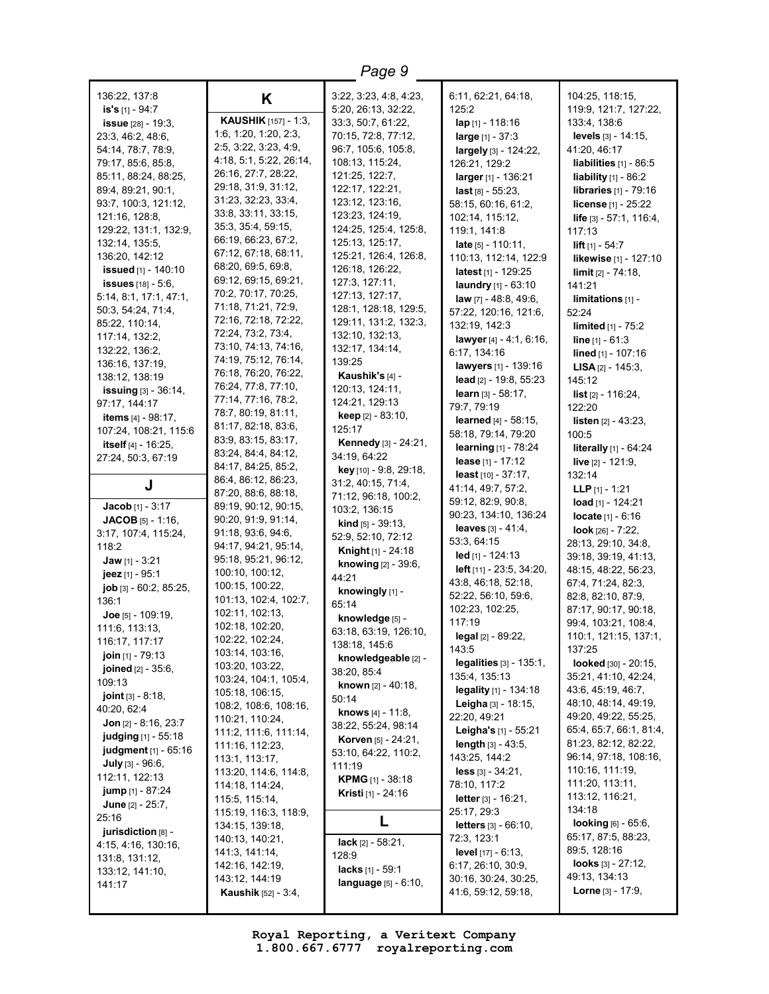| Page 9                                            |                                             |                                |                                                          |                                            |
|---------------------------------------------------|---------------------------------------------|--------------------------------|----------------------------------------------------------|--------------------------------------------|
| 136:22, 137:8                                     | K                                           | 3:22, 3:23, 4:8, 4:23,         | 6:11, 62:21, 64:18,                                      | 104:25, 118:15,                            |
| is's [1] - 94:7                                   |                                             | 5:20, 26:13, 32:22,            | 125:2                                                    | 119:9, 121:7, 127:22,                      |
| <b>issue</b> [28] - 19:3,                         | <b>KAUSHIK</b> [157] - 1:3,                 | 33:3, 50:7, 61:22,             | $\ln p_{[1]}$ - 118:16                                   | 133:4, 138:6                               |
| 23:3, 46:2, 48:6,                                 | 1:6, 1:20, 1:20, 2:3,                       | 70:15, 72:8, 77:12,            | large $[1] - 37:3$                                       | levels [3] - 14:15,                        |
| 54:14, 78:7, 78:9,                                | 2:5, 3:22, 3:23, 4:9,                       | 96:7, 105:6, 105:8,            | largely [3] - 124:22,                                    | 41:20, 46:17                               |
| 79:17, 85:6, 85:8,                                | 4:18, 5:1, 5:22, 26:14,                     | 108:13, 115:24,                | 126:21, 129:2                                            | liabilities $[1]$ - 86:5                   |
| 85:11, 88:24, 88:25,                              | 26:16, 27:7, 28:22,                         | 121:25, 122:7,                 | larger [1] - 136:21                                      | liability $[1]$ - 86:2                     |
| 89:4, 89:21, 90:1,                                | 29:18, 31:9, 31:12,                         | 122:17, 122:21,                | $last$ [8] - 55:23,                                      | <b>libraries</b> [1] - 79:16               |
| 93:7, 100:3, 121:12,                              | 31:23, 32:23, 33:4,                         | 123:12, 123:16,                | 58:15, 60:16, 61:2,                                      | license [1] - 25:22                        |
| 121:16, 128:8,                                    | 33:8, 33:11, 33:15,                         | 123:23, 124:19,                | 102:14, 115:12,                                          | life [3] - 57:1, 116:4,                    |
| 129:22, 131:1, 132:9,                             | 35:3, 35:4, 59:15,                          | 124:25, 125:4, 125:8,          | 119:1, 141:8                                             | 117:13                                     |
| 132:14, 135:5,                                    | 66:19, 66:23, 67:2,                         | 125:13, 125:17,                | <b>late</b> $[5] - 110:11$ ,                             | lift $[1] - 54:7$                          |
| 136:20, 142:12                                    | 67:12, 67:18, 68:11,                        | 125:21, 126:4, 126:8,          | 110:13, 112:14, 122:9                                    | likewise [1] - 127:10                      |
| issued [1] - 140:10                               | 68:20, 69:5, 69:8,                          | 126:18, 126:22,                | <b>latest</b> $[1]$ - 129:25                             | $\lim$ it $[2] - 74:18$ ,                  |
| <b>issues</b> $[18] - 5:6$ ,                      | 69:12, 69:15, 69:21,                        | 127:3, 127:11,                 | <b>laundry</b> $[1] - 63:10$                             | 141:21                                     |
| 5:14, 8:1, 17:1, 47:1,                            | 70:2, 70:17, 70:25,                         | 127:13, 127:17,                | <b>law</b> $[7] - 48:8, 49:6,$                           | $limits_{[1]}$ -                           |
| 50:3, 54:24, 71:4,                                | 71:18, 71:21, 72:9,<br>72:16, 72:18, 72:22, | 128:1, 128:18, 129:5,          | 57:22, 120:16, 121:6,                                    | 52:24                                      |
| 85:22, 110:14,                                    | 72:24, 73:2, 73:4,                          | 129:11, 131:2, 132:3,          | 132:19, 142:3                                            | <b>limited</b> $[1] - 75:2$                |
| 117:14, 132:2,                                    | 73:10, 74:13, 74:16,                        | 132:10, 132:13,                | lawyer [4] - 4:1, 6:16,                                  | <b>line</b> $[1] - 61:3$                   |
| 132:22, 136:2,                                    | 74:19, 75:12, 76:14,                        | 132:17, 134:14,                | 6:17, 134:16                                             | lined [1] - 107:16                         |
| 136:16, 137:19,                                   | 76:18, 76:20, 76:22,                        | 139:25                         | lawyers [1] - 139:16                                     | <b>LISA</b> $[2] - 145:3$                  |
| 138:12, 138:19                                    | 76:24, 77:8, 77:10,                         | Kaushik's [4] -                | lead $[2] - 19.8, 55.23$                                 | 145:12                                     |
| <b>issuing</b> $[3] - 36:14$ ,                    | 77:14, 77:16, 78:2,                         | 120:13, 124:11,                | learn [3] - 58:17.                                       | <b>list</b> $[2] - 116:24$ ,               |
| 97:17, 144:17                                     | 78:7, 80:19, 81:11,                         | 124:21, 129:13                 | 79:7, 79:19                                              | 122:20                                     |
| <b>items</b> $[4] - 98:17$ ,                      | 81:17, 82:18, 83:6,                         | keep [2] - 83:10,<br>125:17    | learned [4] - 58:15.                                     | <b>listen</b> $[2] - 43:23$ ,              |
| 107:24, 108:21, 115:6                             | 83:9, 83:15, 83:17,                         | <b>Kennedy</b> [3] - 24:21,    | 58:18, 79:14, 79:20                                      | 100:5                                      |
| itself $[4] - 16:25$ ,                            | 83:24, 84:4, 84:12,                         | 34:19, 64:22                   | <b>learning</b> [1] - 78:24                              | literally [1] - 64:24                      |
| 27:24, 50:3, 67:19                                | 84:17, 84:25, 85:2,                         | key [10] - 9:8, 29:18,         | lease [1] - 17:12                                        | live $[2] - 121:9$ ,                       |
|                                                   | 86:4, 86:12, 86:23,                         | 31:2, 40:15, 71:4,             | least $[10] - 37:17$ ,                                   | 132:14                                     |
| J                                                 | 87:20, 88:6, 88:18,                         | 71:12, 96:18, 100:2,           | 41:14, 49:7, 57:2,                                       | <b>LLP</b> $[1]$ - 1:21                    |
| <b>Jacob</b> [1] - $3:17$                         | 89:19, 90:12, 90:15,                        | 103:2, 136:15                  | 59:12, 82:9, 90:8,                                       | load $[1]$ - 124:21                        |
| <b>JACOB</b> $[5] - 1:16$ ,                       | 90:20, 91:9, 91:14,                         | <b>kind</b> $[5] - 39:13$ ,    | 90:23, 134:10, 136:24                                    | <b>locate</b> $[1] - 6:16$                 |
| 3:17, 107:4, 115:24,                              | 91:18, 93:6, 94:6,                          | 52:9, 52:10, 72:12             | leaves $[3] - 41:4,$                                     | look $[26] - 7:22$ ,                       |
| 118:2                                             | 94:17, 94:21, 95:14,                        | Knight [1] - 24:18             | 53:3, 64:15                                              | 28:13, 29:10, 34:8,                        |
| Jaw $[1] - 3:21$                                  | 95:18, 95:21, 96:12,                        | knowing [2] - 39:6,            | $led$ [1] - 124:13                                       | 39:18, 39:19, 41:13,                       |
| jeez [1] - 95:1                                   | 100:10, 100:12,                             | 44:21                          | <b>left</b> $[11] - 23:5, 34:20,$<br>43:8, 46:18, 52:18, | 48:15, 48:22, 56:23,<br>67:4, 71:24, 82:3, |
| job [3] - 60:2, 85:25,                            | 100:15, 100:22,                             | knowingly [1] -                | 52:22, 56:10, 59:6,                                      | 82:8, 82:10, 87:9,                         |
| 136:1                                             | 101:13, 102:4, 102:7,                       | 65:14                          | 102:23, 102:25,                                          | 87:17, 90:17, 90:18,                       |
| Joe $[5] - 109:19$ ,                              | 102:11, 102:13,                             | knowledge [5] -                | 117:19                                                   | 99:4. 103:21. 108:4.                       |
| 111:6, 113:13,                                    | 102:18, 102:20,                             | 63:18, 63:19, 126:10,          | legal [2] - 89:22,                                       | 110:1, 121:15, 137:1,                      |
| 116:17, 117:17                                    | 102:22, 102:24,<br>103:14, 103:16,          | 138:18, 145:6                  | 143:5                                                    | 137:25                                     |
| join $[1] - 79:13$                                | 103:20, 103:22,                             | knowledgeable [2] -            | legalities $[3] - 135:1$ ,                               | looked [30] - 20:15,                       |
| <b>joined</b> $[2] - 35:6$ ,                      | 103:24, 104:1, 105:4,                       | 38:20, 85:4                    | 135:4, 135:13                                            | 35:21, 41:10, 42:24,                       |
| 109:13                                            | 105:18, 106:15,                             | <b>known</b> $[2] - 40:18$     | legality $[1] - 134:18$                                  | 43:6, 45:19, 46:7,                         |
| joint [3] - 8:18,                                 | 108:2, 108:6, 108:16,                       | 50:14                          | <b>Leigha</b> $[3] - 18:15$ ,                            | 48:10, 48:14, 49:19,                       |
| 40:20, 62:4<br>Jon $[2] - 8:16, 23:7$             | 110:21, 110:24,                             | <b>knows</b> $[4] - 11:8$ ,    | 22:20, 49:21                                             | 49:20, 49:22, 55:25,                       |
|                                                   | 111:2, 111:6, 111:14,                       | 38:22, 55:24, 98:14            | Leigha's [1] - 55:21                                     | 65:4, 65:7, 66:1, 81:4,                    |
| <b>judging</b> [1] - 55:18                        | 111:16, 112:23,                             | Korven [5] - 24:21,            | length $[3] - 43:5$ ,                                    | 81:23, 82:12, 82:22,                       |
| judgment [1] - 65:16<br><b>July</b> $[3] - 96:6,$ | 113:1, 113:17,                              | 53:10, 64:22, 110:2,           | 143:25, 144:2                                            | 96:14, 97:18, 108:16,                      |
| 112:11, 122:13                                    | 113:20, 114:6, 114:8,                       | 111:19                         | $less$ [3] - 34:21,                                      | 110:16, 111:19,                            |
| <b>jump</b> [1] - 87:24                           | 114:18, 114:24,                             | <b>KPMG</b> $[1]$ - 38:18      | 78:10, 117:2                                             | 111:20, 113:11,                            |
| <b>June</b> $[2] - 25:7,$                         | 115:5, 115:14,                              | <b>Kristi</b> [1] - 24:16      | <b>letter</b> $[3] - 16:21$ ,                            | 113:12, 116:21,                            |
| 25:16                                             | 115:19, 116:3, 118:9,                       |                                | 25:17, 29:3                                              | 134:18                                     |
| jurisdiction [8] -                                | 134:15, 139:18,                             | L                              | letters [3] - 66:10,                                     | <b>looking</b> $[6] - 65:6$ ,              |
| 4:15, 4:16, 130:16,                               | 140:13, 140:21,                             | <b>lack</b> $[2] - 58:21$ ,    | 72:3, 123:1                                              | 65:17, 87:5, 88:23,                        |
| 131:8, 131:12,                                    | 141:3, 141:14,                              | 128:9                          | <b>level</b> $[17] - 6:13$ ,                             | 89:5, 128:16                               |
| 133:12, 141:10,                                   | 142:16, 142:19,                             | lacks [1] - 59:1               | 6:17, 26:10, 30:9,                                       | looks $[3] - 27:12$ ,                      |
| 141:17                                            | 143:12, 144:19                              | <b>language</b> $[5] - 6:10$ , | 30:16, 30:24, 30:25,                                     | 49:13, 134:13                              |
|                                                   | <b>Kaushik</b> [52] - 3:4,                  |                                | 41:6, 59:12, 59:18,                                      | <b>Lorne</b> [3] - $17:9$ ,                |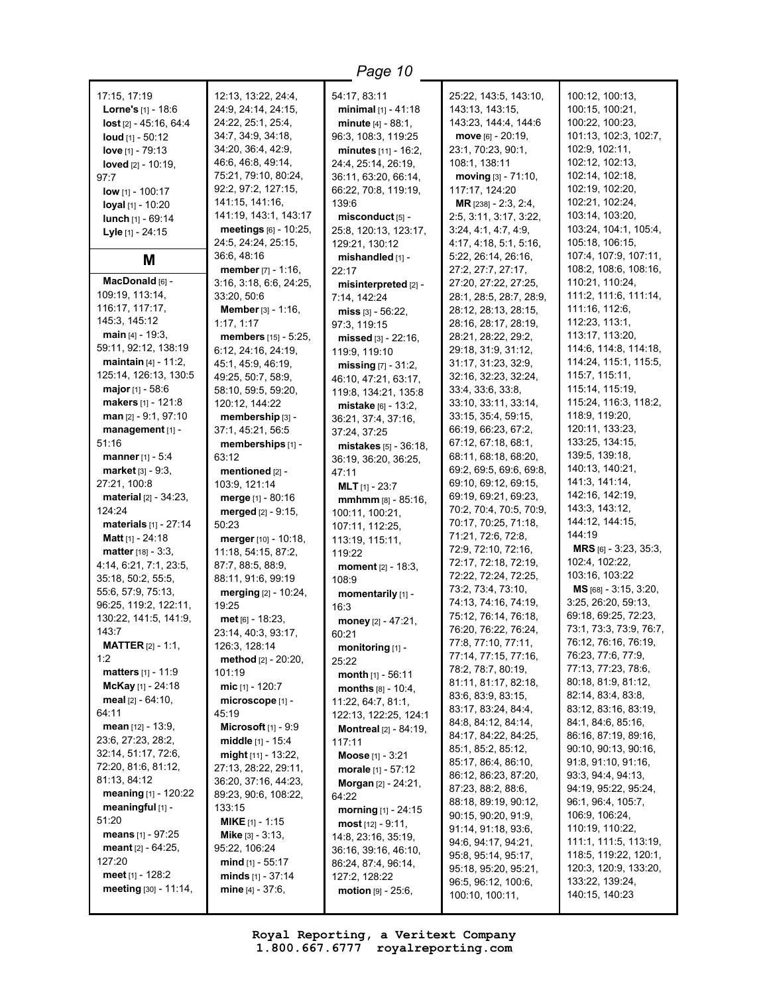$\overline{\phantom{a}}$ 

| 17:15, 17:19<br>Lorne's [1] - 18:6            | 12:13, 13:22, 24:4,<br>24:9, 24:14, 24:15,   | 54:17, 83:11<br>minimal $[1] - 41:18$        | 25:22, 143:5, 143:10,<br>143:13, 143:15,    | 100:12, 100:13,<br>100:15, 100:21,             |
|-----------------------------------------------|----------------------------------------------|----------------------------------------------|---------------------------------------------|------------------------------------------------|
| lost [2] - 45:16, 64:4                        | 24:22, 25:1, 25:4,                           | <b>minute</b> $[4] - 88:1$ ,                 | 143:23, 144:4, 144:6                        | 100:22, 100:23,                                |
| loud $[1] - 50:12$                            | 34:7, 34:9, 34:18,                           | 96:3, 108:3, 119:25                          | move $[6] - 20:19$ ,                        | 101:13, 102:3, 102:7,                          |
| love $[1] - 79:13$                            | 34:20, 36:4, 42:9,<br>46:6, 46:8, 49:14,     | minutes $[11] - 16:2$ ,                      | 23:1, 70:23, 90:1,                          | 102:9, 102:11,                                 |
| loved $[2] - 10:19$ ,                         | 75:21, 79:10, 80:24,                         | 24:4, 25:14, 26:19,<br>36:11, 63:20, 66:14,  | 108:1, 138:11<br>moving [3] - 71:10,        | 102:12, 102:13,<br>102:14, 102:18,             |
| 97:7<br><b>low</b> [1] - 100:17               | 92:2, 97:2, 127:15,                          | 66:22, 70:8, 119:19,                         | 117:17, 124:20                              | 102:19, 102:20,                                |
| loyal [1] - 10:20                             | 141:15, 141:16,                              | 139:6                                        | MR [238] - 2:3, 2:4,                        | 102:21, 102:24,                                |
| lunch $[1] - 69:14$                           | 141:19, 143:1, 143:17                        | misconduct [5] -                             | 2:5, 3:11, 3:17, 3:22,                      | 103:14, 103:20,                                |
| Lyle [1] - 24:15                              | meetings [6] - 10:25,                        | 25:8, 120:13, 123:17,                        | 3:24, 4:1, 4:7, 4:9                         | 103:24, 104:1, 105:4,                          |
|                                               | 24:5, 24:24, 25:15,                          | 129:21, 130:12                               | 4:17, 4:18, 5:1, 5:16,                      | 105:18, 106:15,                                |
| M                                             | 36:6, 48:16<br>member $[7] - 1:16$ ,         | mishandled [1] -<br>22:17                    | 5:22, 26:14, 26:16,<br>27:2, 27:7, 27:17,   | 107:4, 107:9, 107:11,<br>108:2, 108:6, 108:16, |
| MacDonald [6] -                               | 3:16, 3:18, 6:6, 24:25,                      | misinterpreted [2] -                         | 27:20, 27:22, 27:25,                        | 110:21, 110:24,                                |
| 109:19, 113:14,                               | 33:20, 50:6                                  | 7:14, 142:24                                 | 28:1, 28:5, 28:7, 28:9,                     | 111:2, 111:6, 111:14,                          |
| 116:17, 117:17,                               | Member [3] - 1:16,                           | miss $[3] - 56:22$ ,                         | 28:12, 28:13, 28:15,                        | 111:16, 112:6,                                 |
| 145:3, 145:12                                 | 1:17, 1:17                                   | 97:3, 119:15                                 | 28:16, 28:17, 28:19,                        | 112:23, 113:1,                                 |
| main $[4] - 19:3$                             | members [15] - 5:25,                         | missed [3] - 22:16,                          | 28:21, 28:22, 29:2,                         | 113:17, 113:20,                                |
| 59:11, 92:12, 138:19                          | 6:12, 24:16, 24:19,                          | 119:9, 119:10                                | 29:18, 31:9, 31:12,                         | 114:6, 114:8, 114:18,                          |
| <b>maintain</b> $[4] - 11:2$ ,                | 45:1, 45:9, 46:19,                           | missing $[7] - 31:2$ ,                       | 31:17, 31:23, 32:9,                         | 114:24, 115:1, 115:5,                          |
| 125:14, 126:13, 130:5                         | 49:25, 50:7, 58:9,                           | 46:10, 47:21, 63:17,                         | 32:16, 32:23, 32:24,                        | 115:7, 115:11,<br>115:14, 115:19,              |
| <b>major</b> [1] - 58:6<br>makers [1] - 121:8 | 58:10, 59:5, 59:20,<br>120:12, 144:22        | 119:8, 134:21, 135:8                         | 33:4, 33:6, 33:8,<br>33:10, 33:11, 33:14,   | 115:24, 116:3, 118:2,                          |
| $man$ [2] - 9:1, 97:10                        | membership [3] -                             | mistake [6] - 13:2.                          | 33:15, 35:4, 59:15,                         | 118:9, 119:20,                                 |
| management [1] -                              | 37:1, 45:21, 56:5                            | 36:21, 37:4, 37:16,<br>37:24, 37:25          | 66:19, 66:23, 67:2,                         | 120:11, 133:23,                                |
| 51:16                                         | memberships [1] -                            | mistakes [5] - 36:18,                        | 67:12, 67:18, 68:1,                         | 133:25, 134:15,                                |
| manner $[1] - 5:4$                            | 63:12                                        | 36:19, 36:20, 36:25,                         | 68:11, 68:18, 68:20,                        | 139:5, 139:18,                                 |
| <b>market</b> $[3] - 9:3$ ,                   | mentioned [2] -                              | 47:11                                        | 69:2, 69:5, 69:6, 69:8,                     | 140:13, 140:21,                                |
| 27:21, 100:8                                  | 103:9, 121:14                                | <b>MLT</b> $[1]$ - 23:7                      | 69:10, 69:12, 69:15,                        | 141:3, 141:14,                                 |
| <b>material</b> $[2] - 34:23$ ,               | <b>merge</b> $[1] - 80:16$                   | mmhmm [8] - 85:16,                           | 69:19, 69:21, 69:23,                        | 142:16, 142:19,                                |
| 124:24                                        | <b>merged</b> $[2] - 9:15$ ,                 | 100:11, 100:21,                              | 70:2, 70:4, 70:5, 70:9,                     | 143:3, 143:12,                                 |
| <b>materials</b> $[1] - 27:14$                | 50:23                                        | 107:11, 112:25,                              | 70:17, 70:25, 71:18,                        | 144:12, 144:15,                                |
| <b>Matt</b> $[1] - 24:18$                     | merger [10] - 10:18,                         | 113:19, 115:11,                              | 71:21, 72:6, 72:8,                          | 144:19                                         |
| <b>matter</b> $[18] - 3:3$ ,                  | 11:18, 54:15, 87:2,                          | 119:22                                       | 72:9, 72:10, 72:16,<br>72:17, 72:18, 72:19, | <b>MRS</b> [6] - 3:23, 35:3,<br>102:4, 102:22, |
| 4:14, 6:21, 7:1, 23:5,                        | 87:7, 88:5, 88:9,                            | <b>moment</b> $[2] - 18:3$ ,                 | 72:22, 72:24, 72:25,                        | 103:16, 103:22                                 |
| 35:18, 50:2, 55:5,<br>55:6, 57:9, 75:13,      | 88:11, 91:6, 99:19                           | 108:9                                        | 73:2, 73:4, 73:10,                          | MS [68] - 3:15, 3:20,                          |
| 96:25, 119:2, 122:11,                         | merging [2] - 10:24,<br>19:25                | momentarily [1] -                            | 74:13, 74:16, 74:19,                        | 3:25, 26:20, 59:13,                            |
| 130:22, 141:5, 141:9,                         | $met_{[6]} - 18:23,$                         | 16:3<br>money $[2] - 47:21$ ,                | 75:12, 76:14, 76:18,                        | 69:18, 69:25, 72:23,                           |
| 143:7                                         | 23:14, 40:3, 93:17,                          | 60:21                                        | 76:20, 76:22, 76:24,                        | 73:1, 73:3, 73:9, 76:7,                        |
| <b>MATTER</b> $[2] - 1:1$ ,                   | 126:3, 128:14                                | monitoring [1] -                             | 77:8, 77:10, 77:11,                         | 76:12, 76:16, 76:19,                           |
| 1:2                                           | method [2] - 20:20,                          | 25:22                                        | 77:14, 77:15, 77:16,                        | 76:23, 77:6, 77:9,                             |
| <b>matters</b> $[1] - 11:9$                   | 101:19                                       | month $[1] - 56:11$                          | 78:2, 78:7, 80:19,                          | 77:13, 77:23, 78:6,                            |
| McKay [1] - 24:18                             | mic $[1] - 120:7$                            | months $[8] - 10:4,$                         | 81:11, 81:17, 82:18,                        | 80:18, 81:9, 81:12,                            |
| meal $[2] - 64:10$ ,                          | microscope [1] -                             | 11:22, 64:7, 81:1,                           | 83:6, 83:9, 83:15,                          | 82:14, 83:4, 83:8,                             |
| 64:11                                         | 45:19                                        | 122:13, 122:25, 124:1                        | 83:17, 83:24, 84:4,<br>84:8, 84:12, 84:14,  | 83:12, 83:16, 83:19,<br>84:1, 84:6, 85:16,     |
| <b>mean</b> $[12] - 13:9$                     | Microsoft $[1]$ - 9:9                        | <b>Montreal</b> $[2] - 84:19$ ,              | 84:17, 84:22, 84:25,                        | 86:16, 87:19, 89:16,                           |
| 23:6, 27:23, 28:2,                            | middle [1] - 15:4                            | 117:11                                       | 85:1, 85:2, 85:12,                          | 90:10, 90:13, 90:16,                           |
| 32:14, 51:17, 72:6,<br>72:20, 81:6, 81:12,    | might [11] - 13:22,                          | <b>Moose</b> $[1] - 3:21$                    | 85:17, 86:4, 86:10,                         | 91:8, 91:10, 91:16,                            |
| 81:13, 84:12                                  | 27:13, 28:22, 29:11,                         | morale $[1] - 57:12$                         | 86:12, 86:23, 87:20,                        | 93:3, 94:4, 94:13,                             |
| meaning [1] - 120:22                          | 36:20, 37:16, 44:23,<br>89:23, 90:6, 108:22, | Morgan [2] - 24:21,<br>64:22                 | 87:23, 88:2, 88:6,                          | 94:19, 95:22, 95:24,                           |
| meaningful [1] -                              | 133:15                                       |                                              | 88:18, 89:19, 90:12,                        | 96:1, 96:4, 105:7,                             |
| 51:20                                         | <b>MIKE</b> $[1]$ - 1:15                     | morning $[1] - 24:15$<br>$most [12] - 9:11,$ | 90:15, 90:20, 91:9,                         | 106:9, 106:24,                                 |
| means [1] - 97:25                             | <b>Mike</b> $[3] - 3:13$ ,                   | 14:8, 23:16, 35:19,                          | 91:14, 91:18, 93:6,                         | 110:19, 110:22,                                |
| <b>meant</b> $[2] - 64:25$ ,                  | 95:22, 106:24                                | 36:16, 39:16, 46:10,                         | 94:6, 94:17, 94:21,                         | 111:1, 111:5, 113:19,                          |
| 127:20                                        | <b>mind</b> $[1]$ - 55:17                    | 86:24, 87:4, 96:14,                          | 95:8, 95:14, 95:17,                         | 118:5, 119:22, 120:1,<br>120:3, 120:9, 133:20, |
| meet $[1]$ - 128:2                            | minds $[1] - 37:14$                          | 127:2, 128:22                                | 95:18, 95:20, 95:21,<br>96:5, 96:12, 100:6, | 133:22, 139:24,                                |
| meeting [30] - 11:14,                         | mine $[4] - 37:6$ ,                          | $motion [9] - 25:6,$                         | 100:10, 100:11,                             | 140:15, 140:23                                 |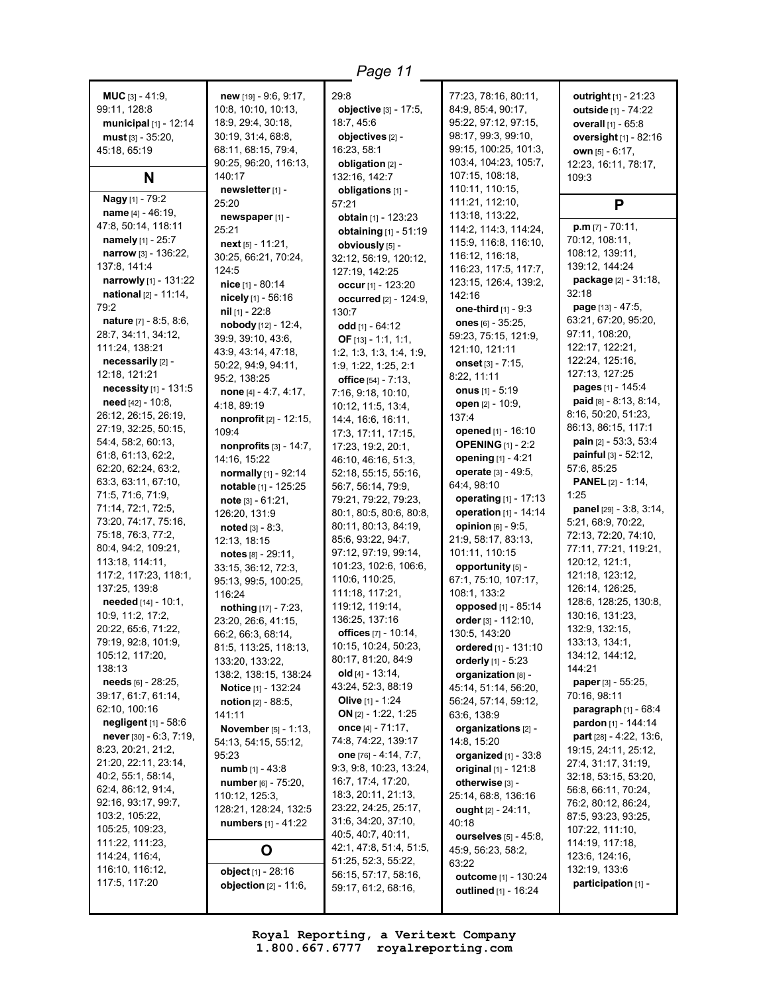| <b>MUC</b> $[3] - 41:9$ ,<br>99:11, 128:8<br>municipal [1] - 12:14<br>$must$ [3] - 35:20,<br>45:18, 65:19<br>N | $new$ [19] - 9:6, 9:17,<br>10:8, 10:10, 10:13,<br>18:9, 29:4, 30:18,<br>30:19, 31:4, 68:8,<br>68:11, 68:15, 79:4,<br>90:25, 96:20, 116:13,<br>140:17<br>newsletter [1] - | 29:8<br>objective [3] - 17:5,<br>18:7.45:6<br>objectives [2] -<br>16:23, 58:1<br>obligation [2] -<br>132:16, 142:7<br>obligations [1] - | 77:23, 78:16, 80:11,<br>84:9, 85:4, 90:17,<br>95:22, 97:12, 97:15,<br>98:17, 99:3, 99:10,<br>99:15, 100:25, 101:3,<br>103:4, 104:23, 105:7,<br>107:15, 108:18,<br>110:11, 110:15, | <b>outright</b> $[1] - 21:23$<br>outside [1] - 74:22<br>overall [1] - 65:8<br>oversight [1] - 82:16<br>own $[5] - 6:17$ ,<br>12:23, 16:11, 78:17,<br>109:3 |
|----------------------------------------------------------------------------------------------------------------|--------------------------------------------------------------------------------------------------------------------------------------------------------------------------|-----------------------------------------------------------------------------------------------------------------------------------------|-----------------------------------------------------------------------------------------------------------------------------------------------------------------------------------|------------------------------------------------------------------------------------------------------------------------------------------------------------|
| Nagy [1] - 79:2                                                                                                | 25:20                                                                                                                                                                    | 57:21                                                                                                                                   | 111:21, 112:10,                                                                                                                                                                   | P                                                                                                                                                          |
| name $[4] - 46:19$ ,<br>47:8, 50:14, 118:11                                                                    | newspaper [1] -                                                                                                                                                          | obtain [1] - 123:23                                                                                                                     | 113:18, 113:22,                                                                                                                                                                   | $p.m$ [7] - 70:11,                                                                                                                                         |
| namely [1] - 25:7                                                                                              | 25:21                                                                                                                                                                    | obtaining [1] - 51:19                                                                                                                   | 114:2, 114:3, 114:24,<br>115:9, 116:8, 116:10,                                                                                                                                    | 70:12, 108:11,                                                                                                                                             |
| narrow [3] - 136:22,                                                                                           | next $[5] - 11:21$ ,                                                                                                                                                     | obviously [5] -                                                                                                                         | 116:12, 116:18,                                                                                                                                                                   | 108:12, 139:11,                                                                                                                                            |
| 137:8, 141:4                                                                                                   | 30:25, 66:21, 70:24,<br>124:5                                                                                                                                            | 32:12, 56:19, 120:12,                                                                                                                   | 116:23, 117:5, 117:7,                                                                                                                                                             | 139:12, 144:24                                                                                                                                             |
| narrowly [1] - 131:22                                                                                          | nice [1] - 80:14                                                                                                                                                         | 127:19, 142:25<br>occur $[1] - 123:20$                                                                                                  | 123:15, 126:4, 139:2,                                                                                                                                                             | package [2] - 31:18,                                                                                                                                       |
| <b>national</b> $[2] - 11:14$ ,                                                                                | nicely [1] - 56:16                                                                                                                                                       | occurred [2] - 124:9,                                                                                                                   | 142:16                                                                                                                                                                            | 32:18                                                                                                                                                      |
| 79:2                                                                                                           | nil $[1]$ - 22:8                                                                                                                                                         | 130:7                                                                                                                                   | <b>one-third</b> $[1] - 9:3$                                                                                                                                                      | page [13] - 47:5,                                                                                                                                          |
| nature [7] - 8:5, 8:6,                                                                                         | nobody [12] - 12:4,                                                                                                                                                      | odd [1] - 64:12                                                                                                                         | ones $[6] - 35:25$ ,                                                                                                                                                              | 63:21, 67:20, 95:20,                                                                                                                                       |
| 28:7, 34:11, 34:12,                                                                                            | 39:9, 39:10, 43:6,                                                                                                                                                       | OF $[13] - 1:1, 1:1,$                                                                                                                   | 59:23, 75:15, 121:9,                                                                                                                                                              | 97:11, 108:20,                                                                                                                                             |
| 111:24, 138:21                                                                                                 | 43:9, 43:14, 47:18,                                                                                                                                                      | 1:2, 1:3, 1:3, 1:4, 1:9,                                                                                                                | 121:10, 121:11                                                                                                                                                                    | 122:17, 122:21,                                                                                                                                            |
| necessarily [2] -                                                                                              | 50:22, 94:9, 94:11,                                                                                                                                                      | 1:9, 1:22, 1:25, 2:1                                                                                                                    | onset [3] - 7:15,                                                                                                                                                                 | 122:24, 125:16,                                                                                                                                            |
| 12:18, 121:21                                                                                                  | 95:2, 138:25                                                                                                                                                             | office [54] - 7:13,                                                                                                                     | 8:22, 11:11                                                                                                                                                                       | 127:13, 127:25                                                                                                                                             |
| necessity [1] - 131:5                                                                                          | none [4] - 4:7, 4:17,                                                                                                                                                    | 7:16, 9:18, 10:10,                                                                                                                      | onus $[1] - 5:19$                                                                                                                                                                 | pages [1] - 145:4                                                                                                                                          |
| need [42] - 10:8,                                                                                              | 4:18, 89:19                                                                                                                                                              | 10:12, 11:5, 13:4,                                                                                                                      | open [2] - 10:9,                                                                                                                                                                  | paid [8] - 8:13, 8:14,                                                                                                                                     |
| 26:12, 26:15, 26:19,                                                                                           | nonprofit [2] - 12:15,                                                                                                                                                   | 14:4, 16:6, 16:11,                                                                                                                      | 137:4                                                                                                                                                                             | 8:16, 50:20, 51:23,                                                                                                                                        |
| 27:19, 32:25, 50:15,                                                                                           | 109:4                                                                                                                                                                    | 17:3, 17:11, 17:15,                                                                                                                     | opened [1] - 16:10                                                                                                                                                                | 86:13, 86:15, 117:1                                                                                                                                        |
| 54:4, 58:2, 60:13,                                                                                             | nonprofits $[3] - 14:7$ ,                                                                                                                                                | 17:23, 19:2, 20:1,                                                                                                                      | <b>OPENING</b> [1] - 2:2                                                                                                                                                          | <b>pain</b> [2] - 53:3, 53:4                                                                                                                               |
| 61:8, 61:13, 62:2,                                                                                             | 14:16, 15:22                                                                                                                                                             | 46:10, 46:16, 51:3,                                                                                                                     | opening [1] - 4:21                                                                                                                                                                | <b>painful</b> $[3] - 52:12$ ,<br>57:6, 85:25                                                                                                              |
| 62:20, 62:24, 63:2,<br>63:3, 63:11, 67:10,                                                                     | normally [1] - 92:14                                                                                                                                                     | 52:18, 55:15, 55:16,                                                                                                                    | operate [3] - 49:5,                                                                                                                                                               | <b>PANEL</b> $[2] - 1:14$ ,                                                                                                                                |
| 71:5, 71:6, 71:9,                                                                                              | notable [1] - 125:25                                                                                                                                                     | 56:7, 56:14, 79:9,                                                                                                                      | 64:4, 98:10                                                                                                                                                                       | 1:25                                                                                                                                                       |
| 71:14, 72:1, 72:5,                                                                                             | <b>note</b> $[3] - 61:21$ ,                                                                                                                                              | 79:21, 79:22, 79:23,                                                                                                                    | operating [1] - 17:13                                                                                                                                                             | <b>panel</b> [29] - 3:8, 3:14,                                                                                                                             |
| 73:20, 74:17, 75:16,                                                                                           | 126:20, 131:9                                                                                                                                                            | 80:1, 80:5, 80:6, 80:8,                                                                                                                 | operation [1] - 14:14                                                                                                                                                             | 5:21, 68:9, 70:22,                                                                                                                                         |
| 75:18, 76:3, 77:2,                                                                                             | $\boldsymbol{\mathsf{noted}}$ [3] - 8:3,                                                                                                                                 | 80:11, 80:13, 84:19,                                                                                                                    | opinion $[6] - 9.5$ ,                                                                                                                                                             | 72:13, 72:20, 74:10,                                                                                                                                       |
| 80:4, 94:2, 109:21,                                                                                            | 12:13, 18:15                                                                                                                                                             | 85:6, 93:22, 94:7,                                                                                                                      | 21:9, 58:17, 83:13,                                                                                                                                                               | 77:11, 77:21, 119:21,                                                                                                                                      |
| 113:18, 114:11,                                                                                                | notes [8] - 29:11,                                                                                                                                                       | 97:12, 97:19, 99:14,                                                                                                                    | 101:11, 110:15                                                                                                                                                                    | 120:12, 121:1,                                                                                                                                             |
| 117:2, 117:23, 118:1,                                                                                          | 33:15, 36:12, 72:3,                                                                                                                                                      | 101:23, 102:6, 106:6,<br>110:6, 110:25,                                                                                                 | opportunity [5] -                                                                                                                                                                 | 121:18, 123:12,                                                                                                                                            |
| 137:25, 139:8                                                                                                  | 95:13, 99:5, 100:25,                                                                                                                                                     | 111:18, 117:21,                                                                                                                         | 67:1, 75:10, 107:17,<br>108:1, 133:2                                                                                                                                              | 126:14, 126:25,                                                                                                                                            |
| <b>needed</b> $[14] - 10:1$ ,                                                                                  | 116:24<br>nothing [17] - 7:23,                                                                                                                                           | 119:12, 119:14,                                                                                                                         | opposed [1] - 85:14                                                                                                                                                               | 128:6, 128:25, 130:8,                                                                                                                                      |
| 10:9, 11:2, 17:2,                                                                                              | 23:20, 26:6, 41:15,                                                                                                                                                      | 136:25, 137:16                                                                                                                          | order [3] - 112:10,                                                                                                                                                               | 130:16, 131:23,                                                                                                                                            |
| 20:22, 65:6, 71:22,                                                                                            | 66:2, 66:3, 68:14,                                                                                                                                                       | offices [7] - 10:14,                                                                                                                    | 130:5, 143:20                                                                                                                                                                     | 132:9, 132:15,                                                                                                                                             |
| 79:19, 92:8, 101:9,                                                                                            | 81:5, 113:25, 118:13,                                                                                                                                                    | 10:15, 10:24, 50:23,                                                                                                                    | ordered [1] - 131:10                                                                                                                                                              | 133:13, 134:1,                                                                                                                                             |
| 105:12, 117:20,                                                                                                | 133:20, 133:22,                                                                                                                                                          | 80:17, 81:20, 84:9                                                                                                                      | orderly $[1]$ - 5:23                                                                                                                                                              | 134:12, 144:12,                                                                                                                                            |
| 138:13                                                                                                         | 138:2, 138:15, 138:24                                                                                                                                                    | old $[4] - 13:14$ ,                                                                                                                     | organization [8] -                                                                                                                                                                | 144:21                                                                                                                                                     |
| needs [6] - 28:25,                                                                                             | <b>Notice</b> [1] - 132:24                                                                                                                                               | 43:24, 52:3, 88:19                                                                                                                      | 45:14, 51:14, 56:20,                                                                                                                                                              | paper [3] - 55:25,                                                                                                                                         |
| 39:17, 61:7, 61:14,                                                                                            | <b>notion</b> $[2] - 88:5$ ,                                                                                                                                             | <b>Olive</b> [1] - 1:24                                                                                                                 | 56:24, 57:14, 59:12,                                                                                                                                                              | 70:16, 98:11                                                                                                                                               |
| 62:10, 100:16                                                                                                  | 141:11                                                                                                                                                                   | ON $[2] - 1:22, 1:25$                                                                                                                   | 63:6, 138:9                                                                                                                                                                       | <b>paragraph</b> [1] - 68:4                                                                                                                                |
| negligent [1] - 58:6                                                                                           | <b>November</b> [5] - 1:13,                                                                                                                                              | once $[4] - 71:17$ ,                                                                                                                    | organizations [2] -                                                                                                                                                               | pardon [1] - 144:14                                                                                                                                        |
| <b>never</b> [30] $-6:3$ , $7:19$ ,                                                                            | 54:13, 54:15, 55:12,                                                                                                                                                     | 74:8, 74:22, 139:17                                                                                                                     | 14:8, 15:20                                                                                                                                                                       | <b>part</b> [28] - 4:22, 13:6,                                                                                                                             |
| 8:23, 20:21, 21:2,<br>21:20, 22:11, 23:14,                                                                     | 95:23                                                                                                                                                                    | one [76] - 4:14, 7:7,                                                                                                                   | organized $[1]$ - 33:8                                                                                                                                                            | 19:15, 24:11, 25:12,                                                                                                                                       |
| 40:2, 55:1, 58:14,                                                                                             | numb [1] - 43:8                                                                                                                                                          | 9:3, 9:8, 10:23, 13:24,                                                                                                                 | original [1] - 121:8                                                                                                                                                              | 27:4, 31:17, 31:19,<br>32:18, 53:15, 53:20,                                                                                                                |
| 62:4, 86:12, 91:4,                                                                                             | number [6] - 75:20,                                                                                                                                                      | 16:7, 17:4, 17:20,                                                                                                                      | otherwise [3] -                                                                                                                                                                   | 56:8, 66:11, 70:24,                                                                                                                                        |
| 92:16, 93:17, 99:7,                                                                                            | 110:12, 125:3,                                                                                                                                                           | 18:3, 20:11, 21:13,                                                                                                                     | 25:14, 68:8, 136:16                                                                                                                                                               | 76:2, 80:12, 86:24,                                                                                                                                        |
| 103:2, 105:22,                                                                                                 | 128:21, 128:24, 132:5                                                                                                                                                    | 23:22, 24:25, 25:17,                                                                                                                    | ought $[2] - 24:11$ ,                                                                                                                                                             | 87:5, 93:23, 93:25,                                                                                                                                        |
| 105:25, 109:23,                                                                                                | numbers [1] - 41:22                                                                                                                                                      | 31:6, 34:20, 37:10,                                                                                                                     | 40:18                                                                                                                                                                             | 107:22, 111:10,                                                                                                                                            |
| 111:22, 111:23,                                                                                                |                                                                                                                                                                          | 40:5, 40:7, 40:11,                                                                                                                      | ourselves [5] - 45:8,                                                                                                                                                             | 114:19, 117:18,                                                                                                                                            |
| 114:24, 116:4,                                                                                                 | O                                                                                                                                                                        | 42:1, 47:8, 51:4, 51:5,                                                                                                                 | 45:9, 56:23, 58:2,                                                                                                                                                                | 123:6, 124:16,                                                                                                                                             |
| 116:10, 116:12,                                                                                                | object [1] - 28:16                                                                                                                                                       | 51:25, 52:3, 55:22,<br>56:15, 57:17, 58:16,                                                                                             | 63:22                                                                                                                                                                             | 132:19, 133:6                                                                                                                                              |
| 117:5, 117:20                                                                                                  | <b>objection</b> $[2] - 11:6$ ,                                                                                                                                          | 59:17, 61:2, 68:16,                                                                                                                     | outcome [1] - 130:24                                                                                                                                                              | participation [1] -                                                                                                                                        |
|                                                                                                                |                                                                                                                                                                          |                                                                                                                                         | outlined [1] - 16:24                                                                                                                                                              |                                                                                                                                                            |

 $\overline{a}$  . The contract of the contract of the contract of the contract of the contract of the contract of the contract of the contract of the contract of the contract of the contract of the contract of the contract of th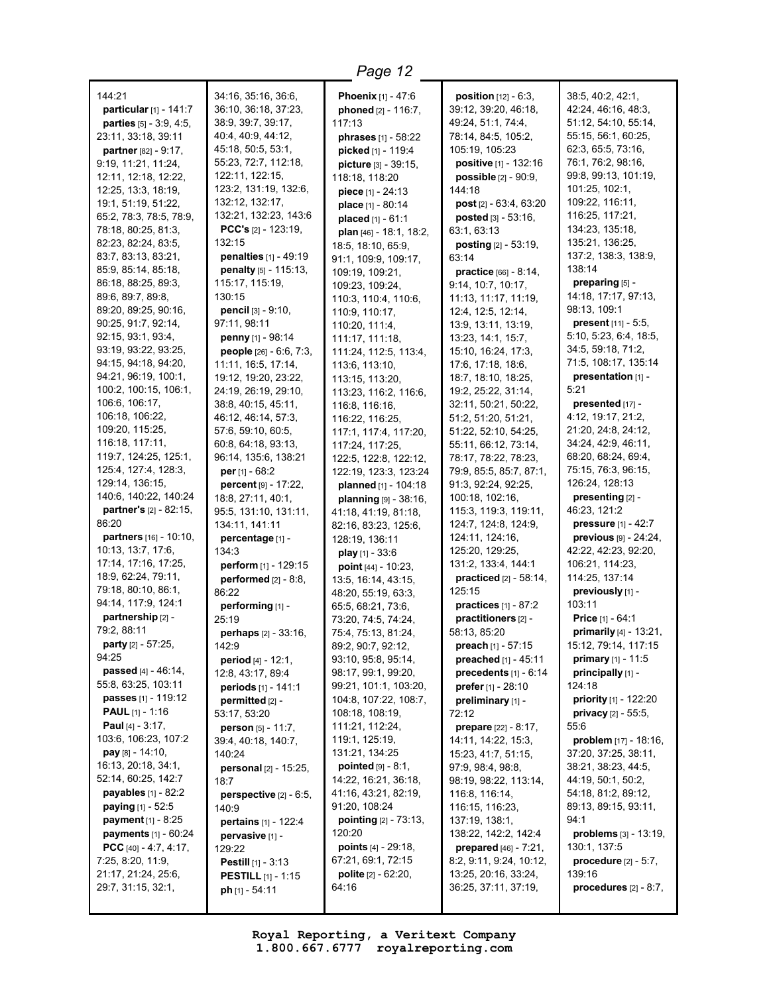| 144:21<br>particular [1] - 141:7<br>parties [5] - 3:9, 4:5,<br>23:11, 33:18, 39:11<br>partner [82] - 9:17,<br>9:19, 11:21, 11:24,<br>12:11, 12:18, 12:22,<br>12:25, 13:3, 18:19,<br>19:1, 51:19, 51:22,<br>65:2, 78:3, 78:5, 78:9,<br>78:18, 80:25, 81:3,<br>82:23, 82:24, 83:5,<br>83:7, 83:13, 83:21,<br>85:9, 85:14, 85:18,<br>86:18, 88:25, 89:3,<br>89:6, 89:7, 89:8,<br>89:20, 89:25, 90:16,<br>90:25, 91:7, 92:14,<br>92:15, 93:1, 93:4,<br>93:19, 93:22, 93:25,<br>94:15, 94:18, 94:20,<br>94:21, 96:19, 100:1,<br>100:2, 100:15, 106:1,<br>106:6, 106:17,<br>106:18, 106:22,<br>109:20, 115:25, | 34:16, 35:16, 36:6,<br>36:10, 36:18, 37:23,<br>38:9, 39:7, 39:17,<br>40:4, 40:9, 44:12,<br>45:18, 50:5, 53:1,<br>55:23, 72:7, 112:18,<br>122:11, 122:15,<br>123:2, 131:19, 132:6,<br>132:12, 132:17,<br>132:21, 132:23, 143:6<br>PCC's [2] - 123:19,<br>132:15<br>penalties [1] - 49:19<br>penalty [5] - 115:13,<br>115:17, 115:19,<br>130:15<br><b>pencil</b> $[3] - 9:10$ ,<br>97:11, 98:11<br>penny [1] - 98:14<br><b>people</b> $[26] - 6:6, 7:3,$<br>11:11, 16:5, 17:14,<br>19:12, 19:20, 23:22,<br>24:19, 26:19, 29:10,<br>38:8, 40:15, 45:11,<br>46:12, 46:14, 57:3,<br>57:6, 59:10, 60:5, | <b>Phoenix</b> $[1] - 47:6$<br>phoned [2] - 116:7,<br>117:13<br><b>phrases</b> [1] - 58:22<br>picked [1] - 119:4<br>picture [3] - 39:15,<br>118:18, 118:20<br>piece [1] - 24:13<br>place [1] - 80:14<br>placed $[1] - 61:1$<br>plan [46] - 18:1, 18:2,<br>18:5, 18:10, 65:9,<br>91:1, 109:9, 109:17,<br>109:19, 109:21,<br>109:23, 109:24,<br>110:3, 110:4, 110:6,<br>110:9, 110:17,<br>110:20, 111:4,<br>111:17, 111:18,<br>111:24, 112:5, 113:4,<br>113:6, 113:10,<br>113:15, 113:20,<br>113:23, 116:2, 116:6,<br>116:8, 116:16,<br>116:22, 116:25,<br>117:1, 117:4, 117:20, | <b>position</b> $[12] - 6:3$ ,<br>39:12, 39:20, 46:18,<br>49:24, 51:1, 74:4,<br>78:14, 84:5, 105:2,<br>105:19, 105:23<br>positive [1] - 132:16<br><b>possible</b> $[2] - 90:9$ ,<br>144:18<br>post [2] - 63:4, 63:20<br><b>posted</b> $[3] - 53:16$ ,<br>63:1, 63:13<br><b>posting</b> $[2] - 53:19$ ,<br>63:14<br>practice [66] - 8:14,<br>9:14, 10:7, 10:17,<br>11:13, 11:17, 11:19,<br>12:4, 12:5, 12:14,<br>13:9, 13:11, 13:19,<br>13:23, 14:1, 15:7,<br>15:10, 16:24, 17:3,<br>17:6, 17:18, 18:6,<br>18:7, 18:10, 18:25,<br>19:2, 25:22, 31:14,<br>32:11, 50:21, 50:22,<br>51:2, 51:20, 51:21,<br>51:22, 52:10, 54:25, | 38:5, 40:2, 42:1,<br>42:24, 46:16, 48:3,<br>51:12, 54:10, 55:14,<br>55:15, 56:1, 60:25,<br>62:3, 65:5, 73:16,<br>76:1, 76:2, 98:16,<br>99:8, 99:13, 101:19,<br>101:25, 102:1,<br>109:22, 116:11,<br>116:25, 117:21,<br>134:23, 135:18,<br>135:21, 136:25,<br>137:2, 138:3, 138:9,<br>138:14<br>preparing [5] -<br>14:18, 17:17, 97:13,<br>98:13, 109:1<br>present [11] - 5:5,<br>5:10, 5:23, 6:4, 18:5,<br>34:5, 59:18, 71:2,<br>71:5, 108:17, 135:14<br>presentation [1] -<br>5:21<br>presented [17] -<br>4:12, 19:17, 21:2,<br>21:20, 24:8, 24:12, |
|----------------------------------------------------------------------------------------------------------------------------------------------------------------------------------------------------------------------------------------------------------------------------------------------------------------------------------------------------------------------------------------------------------------------------------------------------------------------------------------------------------------------------------------------------------------------------------------------------------|---------------------------------------------------------------------------------------------------------------------------------------------------------------------------------------------------------------------------------------------------------------------------------------------------------------------------------------------------------------------------------------------------------------------------------------------------------------------------------------------------------------------------------------------------------------------------------------------------|--------------------------------------------------------------------------------------------------------------------------------------------------------------------------------------------------------------------------------------------------------------------------------------------------------------------------------------------------------------------------------------------------------------------------------------------------------------------------------------------------------------------------------------------------------------------------------|-----------------------------------------------------------------------------------------------------------------------------------------------------------------------------------------------------------------------------------------------------------------------------------------------------------------------------------------------------------------------------------------------------------------------------------------------------------------------------------------------------------------------------------------------------------------------------------------------------------------------------|------------------------------------------------------------------------------------------------------------------------------------------------------------------------------------------------------------------------------------------------------------------------------------------------------------------------------------------------------------------------------------------------------------------------------------------------------------------------------------------------------------------------------------------------------|
| 116:18, 117:11,<br>119:7, 124:25, 125:1,                                                                                                                                                                                                                                                                                                                                                                                                                                                                                                                                                                 | 60:8, 64:18, 93:13,<br>96:14, 135:6, 138:21                                                                                                                                                                                                                                                                                                                                                                                                                                                                                                                                                       | 117:24, 117:25,<br>122:5, 122:8, 122:12,                                                                                                                                                                                                                                                                                                                                                                                                                                                                                                                                       | 55:11, 66:12, 73:14,<br>78:17, 78:22, 78:23,                                                                                                                                                                                                                                                                                                                                                                                                                                                                                                                                                                                | 34:24, 42:9, 46:11,<br>68:20, 68:24, 69:4,                                                                                                                                                                                                                                                                                                                                                                                                                                                                                                           |
| 125:4, 127:4, 128:3,                                                                                                                                                                                                                                                                                                                                                                                                                                                                                                                                                                                     | per [1] - 68:2                                                                                                                                                                                                                                                                                                                                                                                                                                                                                                                                                                                    | 122:19, 123:3, 123:24                                                                                                                                                                                                                                                                                                                                                                                                                                                                                                                                                          | 79:9, 85:5, 85:7, 87:1,                                                                                                                                                                                                                                                                                                                                                                                                                                                                                                                                                                                                     | 75:15, 76:3, 96:15,                                                                                                                                                                                                                                                                                                                                                                                                                                                                                                                                  |
| 129:14, 136:15,<br>140:6, 140:22, 140:24                                                                                                                                                                                                                                                                                                                                                                                                                                                                                                                                                                 | percent [9] - 17:22,<br>18:8, 27:11, 40:1,                                                                                                                                                                                                                                                                                                                                                                                                                                                                                                                                                        | planned [1] - 104:18<br>planning [9] - 38:16,                                                                                                                                                                                                                                                                                                                                                                                                                                                                                                                                  | 91:3, 92:24, 92:25,<br>100:18, 102:16,                                                                                                                                                                                                                                                                                                                                                                                                                                                                                                                                                                                      | 126:24, 128:13<br>presenting [2] -                                                                                                                                                                                                                                                                                                                                                                                                                                                                                                                   |
| partner's [2] - 82:15,                                                                                                                                                                                                                                                                                                                                                                                                                                                                                                                                                                                   | 95:5, 131:10, 131:11,                                                                                                                                                                                                                                                                                                                                                                                                                                                                                                                                                                             | 41:18, 41:19, 81:18,                                                                                                                                                                                                                                                                                                                                                                                                                                                                                                                                                           | 115:3, 119:3, 119:11,                                                                                                                                                                                                                                                                                                                                                                                                                                                                                                                                                                                                       | 46:23, 121:2                                                                                                                                                                                                                                                                                                                                                                                                                                                                                                                                         |
| 86:20                                                                                                                                                                                                                                                                                                                                                                                                                                                                                                                                                                                                    | 134:11, 141:11                                                                                                                                                                                                                                                                                                                                                                                                                                                                                                                                                                                    | 82:16, 83:23, 125:6,                                                                                                                                                                                                                                                                                                                                                                                                                                                                                                                                                           | 124:7, 124:8, 124:9,                                                                                                                                                                                                                                                                                                                                                                                                                                                                                                                                                                                                        | <b>pressure</b> $[1] - 42:7$                                                                                                                                                                                                                                                                                                                                                                                                                                                                                                                         |
| partners [16] - 10:10,                                                                                                                                                                                                                                                                                                                                                                                                                                                                                                                                                                                   | percentage [1] -                                                                                                                                                                                                                                                                                                                                                                                                                                                                                                                                                                                  | 128:19, 136:11                                                                                                                                                                                                                                                                                                                                                                                                                                                                                                                                                                 | 124:11, 124:16,                                                                                                                                                                                                                                                                                                                                                                                                                                                                                                                                                                                                             | previous [9] - 24:24,                                                                                                                                                                                                                                                                                                                                                                                                                                                                                                                                |
| 10:13, 13:7, 17:6,<br>17:14, 17:16, 17:25,                                                                                                                                                                                                                                                                                                                                                                                                                                                                                                                                                               | 134:3                                                                                                                                                                                                                                                                                                                                                                                                                                                                                                                                                                                             | play $[1] - 33.6$                                                                                                                                                                                                                                                                                                                                                                                                                                                                                                                                                              | 125:20, 129:25,<br>131:2, 133:4, 144:1                                                                                                                                                                                                                                                                                                                                                                                                                                                                                                                                                                                      | 42:22, 42:23, 92:20,<br>106:21, 114:23,                                                                                                                                                                                                                                                                                                                                                                                                                                                                                                              |
| 18:9, 62:24, 79:11,                                                                                                                                                                                                                                                                                                                                                                                                                                                                                                                                                                                      | perform [1] - 129:15<br>performed $[2] - 8:8$ ,                                                                                                                                                                                                                                                                                                                                                                                                                                                                                                                                                   | point [44] - 10:23,<br>13:5, 16:14, 43:15,                                                                                                                                                                                                                                                                                                                                                                                                                                                                                                                                     | <b>practiced</b> $[2] - 58:14$ ,                                                                                                                                                                                                                                                                                                                                                                                                                                                                                                                                                                                            | 114:25, 137:14                                                                                                                                                                                                                                                                                                                                                                                                                                                                                                                                       |
| 79:18, 80:10, 86:1,                                                                                                                                                                                                                                                                                                                                                                                                                                                                                                                                                                                      | 86:22                                                                                                                                                                                                                                                                                                                                                                                                                                                                                                                                                                                             | 48:20, 55:19, 63:3,                                                                                                                                                                                                                                                                                                                                                                                                                                                                                                                                                            | 125:15                                                                                                                                                                                                                                                                                                                                                                                                                                                                                                                                                                                                                      | previously [1] -                                                                                                                                                                                                                                                                                                                                                                                                                                                                                                                                     |
| 94:14, 117:9, 124:1                                                                                                                                                                                                                                                                                                                                                                                                                                                                                                                                                                                      | performing [1] -                                                                                                                                                                                                                                                                                                                                                                                                                                                                                                                                                                                  | 65:5, 68:21, 73:6,                                                                                                                                                                                                                                                                                                                                                                                                                                                                                                                                                             | practices $[1] - 87:2$                                                                                                                                                                                                                                                                                                                                                                                                                                                                                                                                                                                                      | 103:11                                                                                                                                                                                                                                                                                                                                                                                                                                                                                                                                               |
| partnership [2] -                                                                                                                                                                                                                                                                                                                                                                                                                                                                                                                                                                                        | 25:19                                                                                                                                                                                                                                                                                                                                                                                                                                                                                                                                                                                             | 73:20, 74:5, 74:24,                                                                                                                                                                                                                                                                                                                                                                                                                                                                                                                                                            | practitioners [2] -                                                                                                                                                                                                                                                                                                                                                                                                                                                                                                                                                                                                         | <b>Price</b> [1] - 64:1                                                                                                                                                                                                                                                                                                                                                                                                                                                                                                                              |
| 79:2, 88:11                                                                                                                                                                                                                                                                                                                                                                                                                                                                                                                                                                                              | perhaps [2] - 33:16,                                                                                                                                                                                                                                                                                                                                                                                                                                                                                                                                                                              | 75:4, 75:13, 81:24,                                                                                                                                                                                                                                                                                                                                                                                                                                                                                                                                                            | 58:13, 85:20                                                                                                                                                                                                                                                                                                                                                                                                                                                                                                                                                                                                                | primarily [4] - 13:21,                                                                                                                                                                                                                                                                                                                                                                                                                                                                                                                               |
| party [2] - 57:25,                                                                                                                                                                                                                                                                                                                                                                                                                                                                                                                                                                                       | 142:9                                                                                                                                                                                                                                                                                                                                                                                                                                                                                                                                                                                             | 89:2, 90:7, 92:12,                                                                                                                                                                                                                                                                                                                                                                                                                                                                                                                                                             | preach [1] - 57:15                                                                                                                                                                                                                                                                                                                                                                                                                                                                                                                                                                                                          | 15:12, 79:14, 117:15                                                                                                                                                                                                                                                                                                                                                                                                                                                                                                                                 |
| 94:25                                                                                                                                                                                                                                                                                                                                                                                                                                                                                                                                                                                                    | period [4] - 12:1,                                                                                                                                                                                                                                                                                                                                                                                                                                                                                                                                                                                | 93:10, 95:8, 95:14,                                                                                                                                                                                                                                                                                                                                                                                                                                                                                                                                                            | preached [1] - 45:11                                                                                                                                                                                                                                                                                                                                                                                                                                                                                                                                                                                                        | <b>primary</b> $[1] - 11:5$                                                                                                                                                                                                                                                                                                                                                                                                                                                                                                                          |
| <b>passed</b> $[4] - 46:14$ ,<br>55:8, 63:25, 103:11                                                                                                                                                                                                                                                                                                                                                                                                                                                                                                                                                     | 12:8, 43:17, 89:4                                                                                                                                                                                                                                                                                                                                                                                                                                                                                                                                                                                 | 98:17, 99:1, 99:20,                                                                                                                                                                                                                                                                                                                                                                                                                                                                                                                                                            | precedents [1] - 6:14                                                                                                                                                                                                                                                                                                                                                                                                                                                                                                                                                                                                       | principally [1] -                                                                                                                                                                                                                                                                                                                                                                                                                                                                                                                                    |
| passes [1] - 119:12                                                                                                                                                                                                                                                                                                                                                                                                                                                                                                                                                                                      | periods [1] - 141:1                                                                                                                                                                                                                                                                                                                                                                                                                                                                                                                                                                               | 99:21, 101:1, 103:20,<br>104:8, 107:22, 108:7,                                                                                                                                                                                                                                                                                                                                                                                                                                                                                                                                 | prefer [1] - 28:10<br>preliminary [1] -                                                                                                                                                                                                                                                                                                                                                                                                                                                                                                                                                                                     | 124:18<br><b>priority</b> $[1]$ - 122:20                                                                                                                                                                                                                                                                                                                                                                                                                                                                                                             |
| <b>PAUL</b> [1] - 1:16                                                                                                                                                                                                                                                                                                                                                                                                                                                                                                                                                                                   | permitted [2] -<br>53:17, 53:20                                                                                                                                                                                                                                                                                                                                                                                                                                                                                                                                                                   | 108:18, 108:19,                                                                                                                                                                                                                                                                                                                                                                                                                                                                                                                                                                | 72:12                                                                                                                                                                                                                                                                                                                                                                                                                                                                                                                                                                                                                       | <b>privacy</b> $[2] - 55:5$ ,                                                                                                                                                                                                                                                                                                                                                                                                                                                                                                                        |
| <b>Paul</b> [4] - $3:17$ ,                                                                                                                                                                                                                                                                                                                                                                                                                                                                                                                                                                               | person [5] - 11:7,                                                                                                                                                                                                                                                                                                                                                                                                                                                                                                                                                                                | 111:21, 112:24,                                                                                                                                                                                                                                                                                                                                                                                                                                                                                                                                                                | prepare [22] - 8:17,                                                                                                                                                                                                                                                                                                                                                                                                                                                                                                                                                                                                        | 55:6                                                                                                                                                                                                                                                                                                                                                                                                                                                                                                                                                 |
| 103:6, 106:23, 107:2                                                                                                                                                                                                                                                                                                                                                                                                                                                                                                                                                                                     | 39:4, 40:18, 140:7,                                                                                                                                                                                                                                                                                                                                                                                                                                                                                                                                                                               | 119:1, 125:19,                                                                                                                                                                                                                                                                                                                                                                                                                                                                                                                                                                 | 14:11, 14:22, 15:3,                                                                                                                                                                                                                                                                                                                                                                                                                                                                                                                                                                                                         | problem [17] - 18:16,                                                                                                                                                                                                                                                                                                                                                                                                                                                                                                                                |
| <b>pay</b> $[8] - 14:10$ ,                                                                                                                                                                                                                                                                                                                                                                                                                                                                                                                                                                               | 140:24                                                                                                                                                                                                                                                                                                                                                                                                                                                                                                                                                                                            | 131:21, 134:25                                                                                                                                                                                                                                                                                                                                                                                                                                                                                                                                                                 | 15:23, 41:7, 51:15,                                                                                                                                                                                                                                                                                                                                                                                                                                                                                                                                                                                                         | 37:20, 37:25, 38:11,                                                                                                                                                                                                                                                                                                                                                                                                                                                                                                                                 |
| 16:13, 20:18, 34:1,                                                                                                                                                                                                                                                                                                                                                                                                                                                                                                                                                                                      | personal [2] - 15:25,                                                                                                                                                                                                                                                                                                                                                                                                                                                                                                                                                                             | <b>pointed</b> $[9] - 8:1$ ,                                                                                                                                                                                                                                                                                                                                                                                                                                                                                                                                                   | 97:9, 98:4, 98:8,                                                                                                                                                                                                                                                                                                                                                                                                                                                                                                                                                                                                           | 38:21, 38:23, 44:5,                                                                                                                                                                                                                                                                                                                                                                                                                                                                                                                                  |
| 52:14, 60:25, 142:7                                                                                                                                                                                                                                                                                                                                                                                                                                                                                                                                                                                      | 18:7                                                                                                                                                                                                                                                                                                                                                                                                                                                                                                                                                                                              | 14:22, 16:21, 36:18,                                                                                                                                                                                                                                                                                                                                                                                                                                                                                                                                                           | 98:19, 98:22, 113:14,                                                                                                                                                                                                                                                                                                                                                                                                                                                                                                                                                                                                       | 44:19, 50:1, 50:2,                                                                                                                                                                                                                                                                                                                                                                                                                                                                                                                                   |
| <b>payables</b> $[1] - 82:2$                                                                                                                                                                                                                                                                                                                                                                                                                                                                                                                                                                             | perspective [2] - 6:5,                                                                                                                                                                                                                                                                                                                                                                                                                                                                                                                                                                            | 41:16, 43:21, 82:19,                                                                                                                                                                                                                                                                                                                                                                                                                                                                                                                                                           | 116:8, 116:14,                                                                                                                                                                                                                                                                                                                                                                                                                                                                                                                                                                                                              | 54:18, 81:2, 89:12,                                                                                                                                                                                                                                                                                                                                                                                                                                                                                                                                  |
| paying [1] - 52:5                                                                                                                                                                                                                                                                                                                                                                                                                                                                                                                                                                                        | 140:9                                                                                                                                                                                                                                                                                                                                                                                                                                                                                                                                                                                             | 91:20, 108:24                                                                                                                                                                                                                                                                                                                                                                                                                                                                                                                                                                  | 116:15, 116:23,                                                                                                                                                                                                                                                                                                                                                                                                                                                                                                                                                                                                             | 89:13, 89:15, 93:11,                                                                                                                                                                                                                                                                                                                                                                                                                                                                                                                                 |
| payment [1] - 8:25<br>payments [1] - 60:24                                                                                                                                                                                                                                                                                                                                                                                                                                                                                                                                                               | pertains [1] - 122:4                                                                                                                                                                                                                                                                                                                                                                                                                                                                                                                                                                              | <b>pointing</b> $[2] - 73:13$ ,<br>120:20                                                                                                                                                                                                                                                                                                                                                                                                                                                                                                                                      | 137:19, 138:1,<br>138:22, 142:2, 142:4                                                                                                                                                                                                                                                                                                                                                                                                                                                                                                                                                                                      | 94:1<br>problems [3] - 13:19,                                                                                                                                                                                                                                                                                                                                                                                                                                                                                                                        |
| PCC $[40] - 4:7, 4:17,$                                                                                                                                                                                                                                                                                                                                                                                                                                                                                                                                                                                  | pervasive [1] -<br>129:22                                                                                                                                                                                                                                                                                                                                                                                                                                                                                                                                                                         | points [4] - 29:18,                                                                                                                                                                                                                                                                                                                                                                                                                                                                                                                                                            | prepared [46] - 7:21,                                                                                                                                                                                                                                                                                                                                                                                                                                                                                                                                                                                                       | 130:1, 137:5                                                                                                                                                                                                                                                                                                                                                                                                                                                                                                                                         |
| 7:25, 8:20, 11:9,                                                                                                                                                                                                                                                                                                                                                                                                                                                                                                                                                                                        | <b>Pestill</b> $[1]$ - 3:13                                                                                                                                                                                                                                                                                                                                                                                                                                                                                                                                                                       | 67:21, 69:1, 72:15                                                                                                                                                                                                                                                                                                                                                                                                                                                                                                                                                             | 8:2, 9:11, 9:24, 10:12,                                                                                                                                                                                                                                                                                                                                                                                                                                                                                                                                                                                                     | procedure $[2] - 5:7$ ,                                                                                                                                                                                                                                                                                                                                                                                                                                                                                                                              |
| 21:17, 21:24, 25:6,                                                                                                                                                                                                                                                                                                                                                                                                                                                                                                                                                                                      | <b>PESTILL</b> $[1] - 1:15$                                                                                                                                                                                                                                                                                                                                                                                                                                                                                                                                                                       | <b>polite</b> $[2] - 62:20$ ,                                                                                                                                                                                                                                                                                                                                                                                                                                                                                                                                                  | 13:25, 20:16, 33:24,                                                                                                                                                                                                                                                                                                                                                                                                                                                                                                                                                                                                        | 139:16                                                                                                                                                                                                                                                                                                                                                                                                                                                                                                                                               |
| 29:7, 31:15, 32:1,                                                                                                                                                                                                                                                                                                                                                                                                                                                                                                                                                                                       | ph $[1] - 54:11$                                                                                                                                                                                                                                                                                                                                                                                                                                                                                                                                                                                  | 64:16                                                                                                                                                                                                                                                                                                                                                                                                                                                                                                                                                                          | 36:25, 37:11, 37:19,                                                                                                                                                                                                                                                                                                                                                                                                                                                                                                                                                                                                        | procedures $[2] - 8:7$ ,                                                                                                                                                                                                                                                                                                                                                                                                                                                                                                                             |
|                                                                                                                                                                                                                                                                                                                                                                                                                                                                                                                                                                                                          |                                                                                                                                                                                                                                                                                                                                                                                                                                                                                                                                                                                                   |                                                                                                                                                                                                                                                                                                                                                                                                                                                                                                                                                                                |                                                                                                                                                                                                                                                                                                                                                                                                                                                                                                                                                                                                                             |                                                                                                                                                                                                                                                                                                                                                                                                                                                                                                                                                      |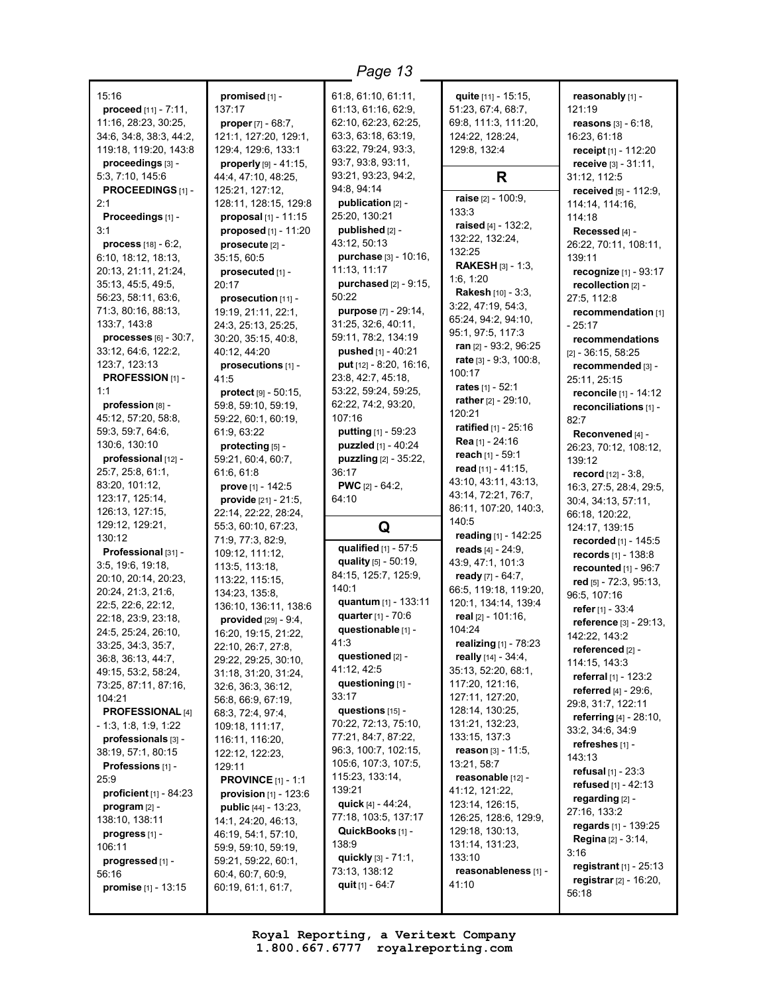| 15:16                               | promised [1] -                               | 61:8, 61:10, 61:11,                     | quite [11] - 15:15,                      | reasonably [1] -                            |
|-------------------------------------|----------------------------------------------|-----------------------------------------|------------------------------------------|---------------------------------------------|
| proceed [11] - 7:11,                | 137:17                                       | 61:13, 61:16, 62:9,                     | 51:23, 67:4, 68:7,                       | 121:19                                      |
| 11:16, 28:23, 30:25,                | <b>proper</b> $[7] - 68:7$ ,                 | 62:10, 62:23, 62:25,                    | 69:8, 111:3, 111:20,                     | <b>reasons</b> $[3] - 6:18$ ,               |
| 34:6, 34:8, 38:3, 44:2,             | 121:1, 127:20, 129:1,                        | 63:3, 63:18, 63:19,                     | 124:22, 128:24,                          | 16:23, 61:18                                |
| 119:18, 119:20, 143:8               | 129:4, 129:6, 133:1                          | 63:22, 79:24, 93:3,                     | 129:8, 132:4                             | receipt [1] - 112:20                        |
| proceedings [3] -                   | properly $[9] - 41:15$ ,                     | 93:7, 93:8, 93:11,                      |                                          | receive [3] - 31:11,                        |
| 5:3, 7:10, 145:6                    | 44:4, 47:10, 48:25,                          | 93:21, 93:23, 94:2,                     | R                                        | 31:12, 112:5                                |
| PROCEEDINGS [1] -                   | 125:21, 127:12,                              | 94:8, 94:14                             |                                          | received [5] - 112:9,                       |
| 2:1                                 | 128:11, 128:15, 129:8                        | publication [2] -                       | raise [2] - 100:9,                       | 114:14, 114:16,                             |
| Proceedings [1] -                   | proposal [1] - 11:15                         | 25:20, 130:21                           | 133:3<br>raised [4] - 132:2,             | 114:18                                      |
| 3:1                                 | proposed [1] - 11:20                         | published [2] -                         | 132:22, 132:24,                          | Recessed [4] -                              |
| <b>process</b> $[18] - 6:2$ ,       | prosecute [2] -                              | 43:12, 50:13                            | 132:25                                   | 26:22, 70:11, 108:11,                       |
| 6:10, 18:12, 18:13,                 | 35:15, 60:5                                  | purchase [3] - 10:16,                   | <b>RAKESH</b> $[3] - 1:3$                | 139:11                                      |
| 20:13, 21:11, 21:24,                | prosecuted [1] -                             | 11:13, 11:17                            | 1:6, 1:20                                | recognize [1] - 93:17                       |
| 35:13, 45:5, 49:5,                  | 20:17                                        | purchased [2] - 9:15,                   | Rakesh [10] - 3:3,                       | recollection [2] -                          |
| 56:23, 58:11, 63:6,                 | prosecution [11] -                           | 50:22                                   | 3:22, 47:19, 54:3,                       | 27:5, 112:8                                 |
| 71:3, 80:16, 88:13,                 | 19:19, 21:11, 22:1,                          | purpose [7] - 29:14,                    | 65:24, 94:2, 94:10,                      | recommendation [1]                          |
| 133:7, 143:8                        | 24:3, 25:13, 25:25,                          | 31:25, 32:6, 40:11,                     | 95:1, 97:5, 117:3                        | - 25:17                                     |
| processes $[6] - 30:7$ ,            | 30:20, 35:15, 40:8,                          | 59:11, 78:2, 134:19                     | <b>ran</b> $[2] - 93:2, 96:25$           | recommendations                             |
| 33:12, 64:6, 122:2,                 | 40:12, 44:20                                 | pushed [1] - 40:21                      | rate [3] - 9:3, 100:8,                   | $[2] - 36:15, 58:25$                        |
| 123:7, 123:13                       | prosecutions [1] -                           | put [12] - 8:20, 16:16,                 | 100:17                                   | recommended [3] -                           |
| PROFESSION [1] -                    | 41:5                                         | 23:8, 42:7, 45:18,                      | rates $[1] - 52:1$                       | 25:11, 25:15                                |
| 1:1                                 | protect [9] - 50:15,                         | 53:22, 59:24, 59:25,                    | rather [2] - 29:10,                      | reconcile [1] - 14:12                       |
| profession [8] -                    | 59:8, 59:10, 59:19,                          | 62:22, 74:2, 93:20,                     | 120:21                                   | reconciliations [1] -                       |
| 45:12, 57:20, 58:8,                 | 59:22, 60:1, 60:19,                          | 107:16                                  | ratified [1] - 25:16                     | 82:7                                        |
| 59:3, 59:7, 64:6,                   | 61:9, 63:22                                  | putting [1] - 59:23                     | Rea [1] - 24:16                          | Reconvened [4] -                            |
| 130:6, 130:10                       | protecting [5] -                             | puzzled [1] - 40:24                     | reach [1] - 59:1                         | 26:23, 70:12, 108:12,                       |
| professional [12] -                 | 59:21, 60:4, 60:7,                           | puzzling [2] - 35:22,                   | read $[11] - 41:15$ ,                    | 139:12                                      |
| 25:7, 25:8, 61:1,<br>83:20, 101:12, | 61:6, 61:8                                   | 36:17                                   | 43:10, 43:11, 43:13,                     | <b>record</b> $[12] - 3:8$ ,                |
| 123:17, 125:14,                     | prove [1] - 142:5                            | <b>PWC</b> $[2] - 64:2$ ,<br>64:10      | 43:14, 72:21, 76:7,                      | 16:3, 27:5, 28:4, 29:5,                     |
| 126:13, 127:15,                     | provide [21] - 21:5,<br>22:14, 22:22, 28:24, |                                         | 86:11, 107:20, 140:3,                    | 30:4, 34:13, 57:11,                         |
| 129:12, 129:21,                     | 55:3, 60:10, 67:23,                          |                                         | 140:5                                    | 66:18, 120:22,                              |
| 130:12                              | 71:9, 77:3, 82:9,                            | Q                                       | reading [1] - 142:25                     | 124:17, 139:15                              |
| Professional [31] -                 | 109:12, 111:12,                              | qualified [1] - 57:5                    | reads $[4] - 24:9,$                      | recorded [1] - 145:5<br>records [1] - 138:8 |
| 3:5, 19:6, 19:18,                   | 113:5, 113:18,                               | quality [5] - 50:19,                    | 43:9, 47:1, 101:3                        | recounted $[1]$ - $96:7$                    |
| 20:10, 20:14, 20:23,                | 113:22, 115:15,                              | 84:15, 125:7, 125:9,                    | ready [7] - 64:7,                        | red [5] - 72:3, 95:13,                      |
| 20:24, 21:3, 21:6,                  | 134:23, 135:8,                               | 140:1                                   | 66:5, 119:18, 119:20,                    | 96:5, 107:16                                |
| 22:5, 22:6, 22:12,                  | 136:10, 136:11, 138:6                        | quantum [1] - 133:11                    | 120:1, 134:14, 139:4                     | refer [1] - 33:4                            |
| 22:18, 23:9, 23:18,                 | provided [29] - 9:4,                         | quarter [1] - 70:6                      | real $[2] - 101:16$ ,                    | reference [3] - 29:13,                      |
| 24:5, 25:24, 26:10,                 | 16:20, 19:15, 21:22,                         | questionable [1] -                      | 104:24                                   | 142:22, 143:2                               |
| 33:25, 34:3, 35:7,                  | 22:10, 26:7, 27:8.                           | 41:3                                    | realizing [1] - 78:23                    | referenced [2] -                            |
| 36:8, 36:13, 44:7,                  | 29:22, 29:25, 30:10,                         | questioned [2] -                        | really [14] - 34:4,                      | 114:15, 143:3                               |
| 49:15, 53:2, 58:24,                 | 31:18, 31:20, 31:24,                         | 41:12, 42:5                             | 35:13, 52:20, 68:1,                      | referral [1] - 123:2                        |
| 73:25, 87:11, 87:16,                | 32:6, 36:3, 36:12,                           | questioning [1] -                       | 117:20, 121:16,                          | <b>referred</b> $[4] - 29:6$ ,              |
| 104:21                              | 56:8, 66:9, 67:19,                           | 33:17                                   | 127:11, 127:20,                          | 29:8, 31:7, 122:11                          |
| <b>PROFESSIONAL [4]</b>             | 68:3, 72:4, 97:4,                            | questions $[15]$ -                      | 128:14, 130:25,                          | referring [4] - 28:10,                      |
| $-1:3, 1:8, 1:9, 1:22$              | 109:18, 111:17,                              | 70:22, 72:13, 75:10,                    | 131:21, 132:23,                          | 33:2, 34:6, 34:9                            |
| professionals [3] -                 | 116:11, 116:20,                              | 77:21, 84:7, 87:22,                     | 133:15, 137:3                            | refreshes אן -                              |
| 38:19, 57:1, 80:15                  | 122:12, 122:23,                              | 96:3, 100:7, 102:15,                    | <b>reason</b> [3] - 11:5,                | 143:13                                      |
| Professions [1] -                   | 129:11                                       | 105:6, 107:3, 107:5,                    | 13:21, 58:7                              | <b>refusal</b> $[1] - 23:3$                 |
| 25:9                                | <b>PROVINCE</b> $[1] - 1:1$                  | 115:23, 133:14,                         | reasonable [12] -                        | refused [1] - 42:13                         |
| <b>proficient</b> $[1] - 84:23$     | <b>provision</b> $[1]$ - 123:6               | 139:21<br>quick [4] - 44:24,            | 41:12, 121:22,                           | regarding [2] -                             |
| $program [2] -$                     | <b>public</b> $[44] - 13:23$ ,               | 77:18, 103:5, 137:17                    | 123:14, 126:15,                          | 27:16, 133:2                                |
| 138:10, 138:11                      | 14:1, 24:20, 46:13,                          | QuickBooks [1] -                        | 126:25, 128:6, 129:9,<br>129:18, 130:13, | regards [1] - 139:25                        |
| progress [1] -                      | 46:19, 54:1, 57:10,                          | 138:9                                   | 131:14, 131:23,                          | <b>Regina</b> [2] - 3:14,                   |
| 106:11                              | 59:9, 59:10, 59:19,<br>59:21, 59:22, 60:1,   | quickly [3] - 71:1,                     | 133:10                                   | 3:16                                        |
| progressed [1] -<br>56:16           |                                              |                                         |                                          |                                             |
|                                     |                                              |                                         |                                          | registrant $[1] - 25:13$                    |
| promise [1] - 13:15                 | 60:4, 60:7, 60:9,<br>60:19, 61:1, 61:7,      | 73:13, 138:12<br><b>quit</b> [1] - 64:7 | reasonableness [1] -<br>41:10            | <b>registrar</b> $[2] - 16:20$ ,            |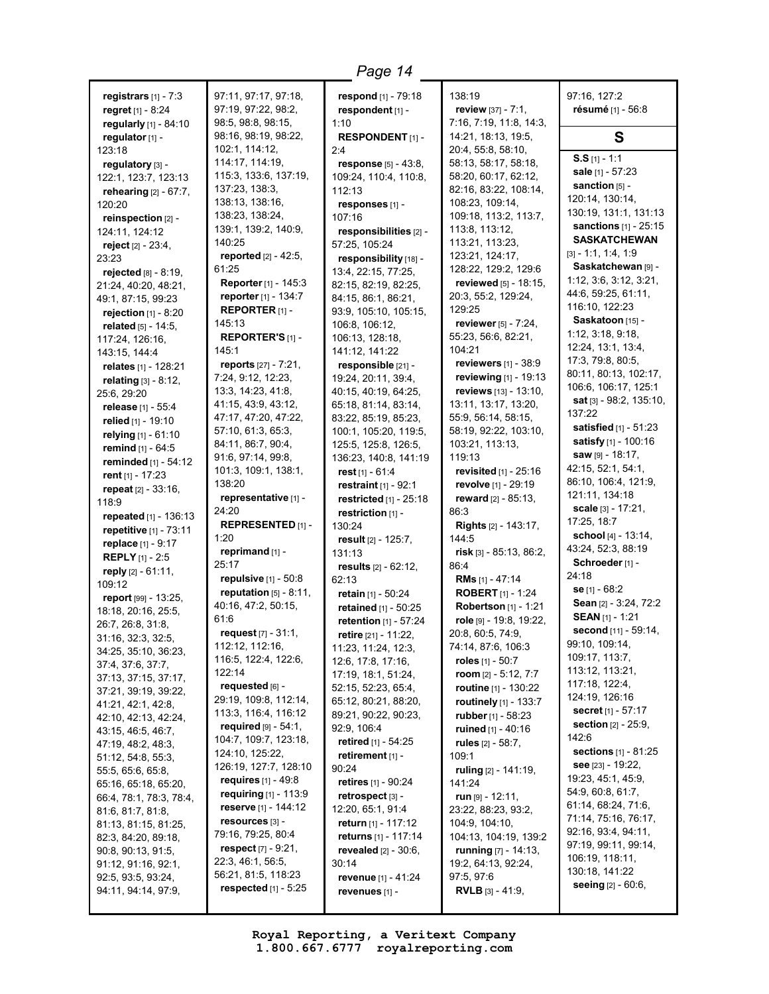**registrars** [1] - 7:3 **regret** [1] - 8:24 **regularly** [1] - 84:10 **regulator** [1] - 123:18 **regulatory** [3] - 122:1, 123:7, 123:13 **rehearing** [2] - 67:7, 120:20 **reinspection** [2] - 124:11, 124:12 **reject** [2] - 23:4, 23:23 **rejected** [8] - 8:19, 21:24, 40:20, 48:21, 49:1, 87:15, 99:23 **rejection** [1] - 8:20 **related** [5] - 14:5, 117:24, 126:16, 143:15, 144:4 **relates** [1] - 128:21 **relating** [3] - 8:12, 25:6, 29:20 **release** [1] - 55:4 **relied** [1] - 19:10 **relying** [1] - 61:10 **remind** [1] - 64:5 **reminded** [1] - 54:12 **rent** [1] - 17:23 **repeat** [2] - 33:16, 118:9 **repeated** [1] - 136:13 **repetitive** [1] - 73:11 **replace** [1] - 9:17 **REPLY** [1] - 2:5 **reply** [2] - 61:11, 109:12 **report** [99] - 13:25, 18:18, 20:16, 25:5, 26:7, 26:8, 31:8, 31:16, 32:3, 32:5, 34:25, 35:10, 36:23, 37:4, 37:6, 37:7, 37:13, 37:15, 37:17, 37:21, 39:19, 39:22, 41:21, 42:1, 42:8, 42:10, 42:13, 42:24, 43:15, 46:5, 46:7, 47:19, 48:2, 48:3, 51:12, 54:8, 55:3, 55:5, 65:6, 65:8, 65:16, 65:18, 65:20, 66:4, 78:1, 78:3, 78:4, 81:6, 81:7, 81:8, 81:13, 81:15, 81:25, 82:3, 84:20, 89:18, 90:8, 90:13, 91:5, 91:12, 91:16, 92:1, 92:5, 93:5, 93:24, 94:11, 94:14, 97:9,

97:11, 97:17, 97:18, 97:19, 97:22, 98:2, 98:5, 98:8, 98:15, 98:16, 98:19, 98:22, 102:1, 114:12, 114:17, 114:19, 115:3, 133:6, 137:19, 137:23, 138:3, 138:13, 138:16, 138:23, 138:24, 139:1, 139:2, 140:9, 140:25 **reported** [2] - 42:5, 61:25 **Reporter** [1] - 145:3 **reporter** [1] - 134:7 **REPORTER** [1] - 145:13 **REPORTER'S** [1] - 145:1 **reports** [27] - 7:21, 7:24, 9:12, 12:23, 13:3, 14:23, 41:8, 41:15, 43:9, 43:12, 47:17, 47:20, 47:22, 57:10, 61:3, 65:3, 84:11, 86:7, 90:4, 91:6, 97:14, 99:8, 101:3, 109:1, 138:1, 138:20 **representative** [1] - 24:20 **REPRESENTED** [1] - 1:20 **reprimand** [1] - 25:17 **repulsive** [1] - 50:8 **reputation** [5] - 8:11, 40:16, 47:2, 50:15, 61:6 **request** [7] - 31:1, 112:12, 112:16, 116:5, 122:4, 122:6, 122:14 **requested** [6] - 29:19, 109:8, 112:14, 113:3, 116:4, 116:12 **required** [9] - 54:1, 104:7, 109:7, 123:18, 124:10, 125:22, 126:19, 127:7, 128:10 **requires** [1] - 49:8 **requiring** [1] - 113:9 **reserve** [1] - 144:12 **resources** [3] - 79:16, 79:25, 80:4 **respect** [7] - 9:21, 22:3, 46:1, 56:5, 56:21, 81:5, 118:23 **respected** [1] - 5:25

**respond** [1] - 79:18 **respondent** [1] - 1:10 **RESPONDENT** [1] -  $2.4$ **response** [5] - 43:8, 109:24, 110:4, 110:8, 112:13 **responses** [1] - 107:16 **responsibilities** [2] - 57:25, 105:24 **responsibility** [18] - 13:4, 22:15, 77:25, 82:15, 82:19, 82:25, 84:15, 86:1, 86:21, 93:9, 105:10, 105:15, 106:8, 106:12, 106:13, 128:18, 141:12, 141:22 **responsible** [21] - 19:24, 20:11, 39:4, 40:15, 40:19, 64:25, 65:18, 81:14, 83:14, 83:22, 85:19, 85:23, 100:1, 105:20, 119:5, 125:5, 125:8, 126:5, 136:23, 140:8, 141:19 **rest** [1] - 61:4 **restraint** [1] - 92:1 **restricted** [1] - 25:18 **restriction** [1] - 130:24 **result** [2] - 125:7, 131:13 **results** [2] - 62:12, 62:13 **retain** [1] - 50:24 **retained** [1] - 50:25 **retention** [1] - 57:24 **retire** [21] - 11:22, 11:23, 11:24, 12:3, 12:6, 17:8, 17:16, 17:19, 18:1, 51:24, 52:15, 52:23, 65:4, 65:12, 80:21, 88:20, 89:21, 90:22, 90:23, 92:9, 106:4 **retired** [1] - 54:25 **retirement** [1] - 90:24 **retires** [1] - 90:24 **retrospect** [3] - 12:20, 65:1, 91:4 **return** [1] - 117:12 **returns** [1] - 117:14 **revealed** [2] - 30:6, 30:14 **revenue** [1] - 41:24 **revenues** [1] -

138:19 **review** [37] - 7:1, 7:16, 7:19, 11:8, 14:3, 14:21, 18:13, 19:5, 20:4, 55:8, 58:10, 58:13, 58:17, 58:18, 58:20, 60:17, 62:12, 82:16, 83:22, 108:14, 108:23, 109:14, 109:18, 113:2, 113:7, 113:8, 113:12, 113:21, 113:23, 123:21, 124:17, 128:22, 129:2, 129:6 **reviewed** [5] - 18:15, 20:3, 55:2, 129:24, 129:25 **reviewer** [5] - 7:24, 55:23, 56:6, 82:21, 104:21 **reviewers** [1] - 38:9 **reviewing** [1] - 19:13 **reviews** [13] - 13:10, 13:11, 13:17, 13:20, 55:9, 56:14, 58:15, 58:19, 92:22, 103:10, 103:21, 113:13, 119:13 **revisited** [1] - 25:16 **revolve** [1] - 29:19 **reward** [2] - 85:13, 86:3 **Rights** [2] - 143:17, 144:5 **risk** [3] - 85:13, 86:2, 86:4 **RMs** [1] - 47:14 **ROBERT** [1] - 1:24 **Robertson** [1] - 1:21 **role** [9] - 19:8, 19:22, 20:8, 60:5, 74:9, 74:14, 87:6, 106:3 **roles** [1] - 50:7 **room** [2] - 5:12, 7:7 **routine** [1] - 130:22 **routinely** [1] - 133:7 **rubber** [1] - 58:23 **ruined** [1] - 40:16 **rules** [2] - 58:7, 109:1 **ruling** [2] - 141:19, 141:24 **run** [9] - 12:11, 23:22, 88:23, 93:2, 104:9, 104:10, 104:13, 104:19, 139:2 **running** [7] - 14:13, 19:2, 64:13, 92:24, 97:5, 97:6 **RVLB** [3] - 41:9,

97:16, 127:2 **résumé** [1] - 56:8 **S S.S** [1] - 1:1 **sale** [1] - 57:23 **sanction** [5] - 120:14, 130:14, 130:19, 131:1, 131:13 **sanctions** [1] - 25:15 **SASKATCHEWAN** [3] - 1:1, 1:4, 1:9 **Saskatchewan** [9] - 1:12, 3:6, 3:12, 3:21, 44:6, 59:25, 61:11, 116:10, 122:23 **Saskatoon** [15] - 1:12, 3:18, 9:18, 12:24, 13:1, 13:4, 17:3, 79:8, 80:5, 80:11, 80:13, 102:17, 106:6, 106:17, 125:1 **sat** [3] - 98:2, 135:10, 137:22 **satisfied** [1] - 51:23 **satisfy** [1] - 100:16 **saw** [9] - 18:17, 42:15, 52:1, 54:1, 86:10, 106:4, 121:9, 121:11, 134:18 **scale** [3] - 17:21, 17:25, 18:7 **school** [4] - 13:14, 43:24, 52:3, 88:19 **Schroeder** [1] - 24:18 **se** [1] - 68:2 **Sean** [2] - 3:24, 72:2 **SEAN** [1] - 1:21 **second** [11] - 59:14, 99:10, 109:14, 109:17, 113:7, 113:12, 113:21, 117:18, 122:4, 124:19, 126:16 **secret** [1] - 57:17 **section** [2] - 25:9, 142:6 **sections** [1] - 81:25 **see** [23] - 19:22, 19:23, 45:1, 45:9, 54:9, 60:8, 61:7, 61:14, 68:24, 71:6, 71:14, 75:16, 76:17, 92:16, 93:4, 94:11, 97:19, 99:11, 99:14, 106:19, 118:11, 130:18, 141:22 **seeing** [2] - 60:6,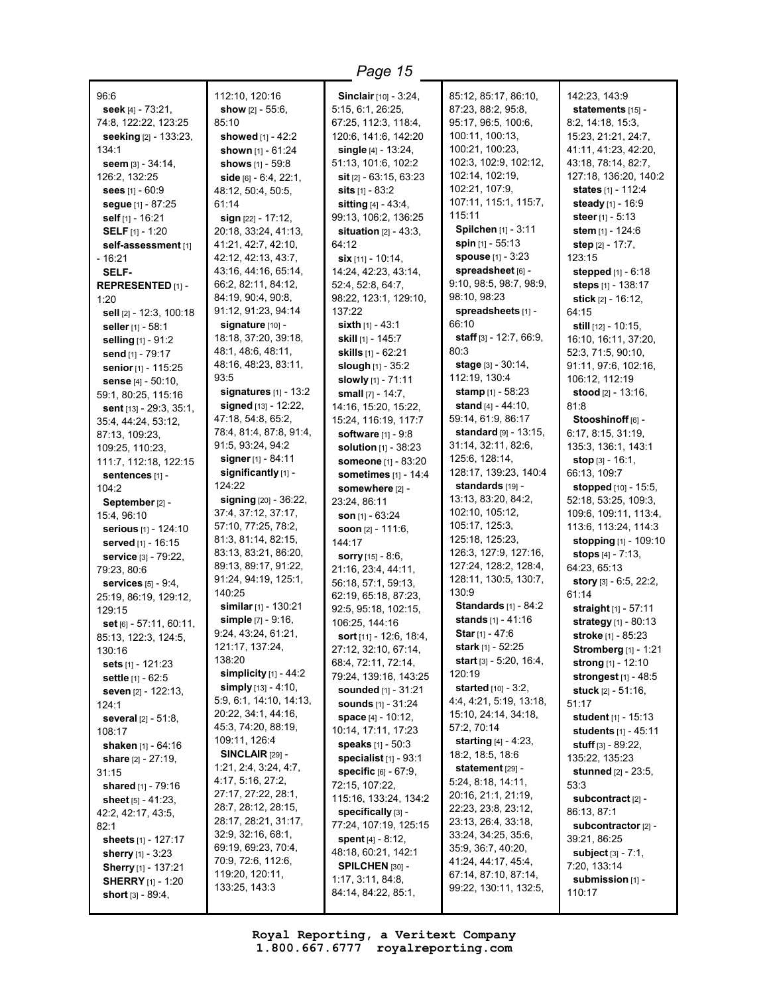96:6 **seek** [4] - 73:21, 74:8, 122:22, 123:25 **seeking** [2] - 133:23, 134:1 **seem** [3] - 34:14, 126:2, 132:25 **sees** [1] - 60:9 **segue** [1] - 87:25 **self** [1] - 16:21 **SELF** [1] - 1:20 **self-assessment** [1] - 16:21 **SELF-REPRESENTED** [1] - 1:20 **sell** [2] - 12:3, 100:18 **seller** [1] - 58:1 **selling** [1] - 91:2 **send** [1] - 79:17 **senior** [1] - 115:25 **sense** [4] - 50:10, 59:1, 80:25, 115:16 **sent** [13] - 29:3, 35:1, 35:4, 44:24, 53:12, 87:13, 109:23, 109:25, 110:23, 111:7, 112:18, 122:15 **sentences** [1] -  $104.2$ **September** [2] - 15:4, 96:10 **serious** [1] - 124:10 **served** [1] - 16:15 **service** [3] - 79:22, 79:23, 80:6 **services** [5] - 9:4, 25:19, 86:19, 129:12, 129:15 **set** [6] - 57:11, 60:11, 85:13, 122:3, 124:5, 130:16 **sets** [1] - 121:23 **settle** [1] - 62:5 **seven** [2] - 122:13, 124:1 **several** [2] - 51:8, 108:17 **shaken** [1] - 64:16 **share** [2] - 27:19, 31:15 **shared** [1] - 79:16 **sheet** [5] - 41:23, 42:2, 42:17, 43:5, 82:1 **sheets** [1] - 127:17 **sherry** [1] - 3:23 **Sherry** [1] - 137:21 **SHERRY** [1] - 1:20 **short** [3] - 89:4,

112:10, 120:16 **show** [2] - 55:6, 85:10 **showed** [1] - 42:2 **shown** [1] - 61:24 **shows** [1] - 59:8 **side** [6] - 6:4, 22:1, 48:12, 50:4, 50:5, 61:14 **sign** [22] - 17:12, 20:18, 33:24, 41:13, 41:21, 42:7, 42:10, 42:12, 42:13, 43:7, 43:16, 44:16, 65:14, 66:2, 82:11, 84:12, 84:19, 90:4, 90:8, 91:12, 91:23, 94:14 **signature** [10] - 18:18, 37:20, 39:18, 48:1, 48:6, 48:11, 48:16, 48:23, 83:11, 93:5 **signatures** [1] - 13:2 **signed** [13] - 12:22, 47:18, 54:8, 65:2, 78:4, 81:4, 87:8, 91:4, 91:5, 93:24, 94:2 **signer** [1] - 84:11 **significantly** [1] - 124:22 **signing** [20] - 36:22, 37:4, 37:12, 37:17, 57:10, 77:25, 78:2, 81:3, 81:14, 82:15, 83:13, 83:21, 86:20, 89:13, 89:17, 91:22, 91:24, 94:19, 125:1, 140:25 **similar** [1] - 130:21 **simple** [7] - 9:16, 9:24, 43:24, 61:21, 121:17, 137:24, 138:20 **simplicity** [1] - 44:2 **simply** [13] - 4:10, 5:9, 6:1, 14:10, 14:13, 20:22, 34:1, 44:16, 45:3, 74:20, 88:19, 109:11, 126:4 **SINCLAIR** [29] - 1:21, 2:4, 3:24, 4:7, 4:17, 5:16, 27:2, 27:17, 27:22, 28:1, 28:7, 28:12, 28:15, 28:17, 28:21, 31:17, 32:9, 32:16, 68:1, 69:19, 69:23, 70:4, 70:9, 72:6, 112:6, 119:20, 120:11, 133:25, 143:3

**Sinclair** [10] - 3:24, 5:15, 6:1, 26:25, 67:25, 112:3, 118:4, 120:6, 141:6, 142:20 **single** [4] - 13:24, 51:13, 101:6, 102:2 **sit** [2] - 63:15, 63:23 **sits** [1] - 83:2 **sitting** [4] - 43:4, 99:13, 106:2, 136:25 **situation** [2] - 43:3, 64:12 **six** [11] - 10:14, 14:24, 42:23, 43:14, 52:4, 52:8, 64:7, 98:22, 123:1, 129:10, 137:22 **sixth** [1] - 43:1 **skill** [1] - 145:7 **skills** [1] - 62:21 **slough** [1] - 35:2 **slowly** [1] - 71:11 **small** [7] - 14:7, 14:16, 15:20, 15:22, 15:24, 116:19, 117:7 **software** [1] - 9:8 **solution** [1] - 38:23 **someone** [1] - 83:20 **sometimes** [1] - 14:4 **somewhere** [2] - 23:24, 86:11 **son** [1] - 63:24 **soon** [2] - 111:6, 144:17 **sorry** [15] - 8:6, 21:16, 23:4, 44:11, 56:18, 57:1, 59:13, 62:19, 65:18, 87:23, 92:5, 95:18, 102:15, 106:25, 144:16 **sort** [11] - 12:6, 18:4, 27:12, 32:10, 67:14, 68:4, 72:11, 72:14, 79:24, 139:16, 143:25 **sounded** [1] - 31:21 **sounds** [1] - 31:24 **space** [4] - 10:12, 10:14, 17:11, 17:23 **speaks** [1] - 50:3 **specialist** [1] - 93:1 **specific** [6] - 67:9, 72:15, 107:22, 115:16, 133:24, 134:2 **specifically** [3] - 77:24, 107:19, 125:15 **spent** [4] - 8:12, 48:18, 60:21, 142:1 **SPILCHEN** [30] - 1:17, 3:11, 84:8, 84:14, 84:22, 85:1,

85:12, 85:17, 86:10, 87:23, 88:2, 95:8, 95:17, 96:5, 100:6, 100:11, 100:13, 100:21, 100:23, 102:3, 102:9, 102:12, 102:14, 102:19, 102:21, 107:9, 107:11, 115:1, 115:7, 115:11 **Spilchen** [1] - 3:11 **spin** [1] - 55:13 **spouse** [1] - 3:23 **spreadsheet** [6] - 9:10, 98:5, 98:7, 98:9, 98:10, 98:23 **spreadsheets** [1] - 66:10 **staff** [3] - 12:7, 66:9, 80:3 **stage** [3] - 30:14, 112:19, 130:4 **stamp** [1] - 58:23 **stand** [4] - 44:10, 59:14, 61:9, 86:17 **standard** [9] - 13:15, 31:14, 32:11, 82:6, 125:6, 128:14, 128:17, 139:23, 140:4 **standards** [19] - 13:13, 83:20, 84:2, 102:10, 105:12, 105:17, 125:3, 125:18, 125:23, 126:3, 127:9, 127:16, 127:24, 128:2, 128:4, 128:11, 130:5, 130:7, 130:9 **Standards** [1] - 84:2 **stands** [1] - 41:16 **Star** [1] - 47:6 **stark** [1] - 52:25 **start** [3] - 5:20, 16:4, 120:19 **started** [10] - 3:2, 4:4, 4:21, 5:19, 13:18, 15:10, 24:14, 34:18, 57:2, 70:14 **starting** [4] - 4:23, 18:2, 18:5, 18:6 **statement** [29] -5:24, 8:18, 14:11, 20:16, 21:1, 21:19, 22:23, 23:8, 23:12, 23:13, 26:4, 33:18, 33:24, 34:25, 35:6, 35:9, 36:7, 40:20, 41:24, 44:17, 45:4, 67:14, 87:10, 87:14, 99:22, 130:11, 132:5,

142:23, 143:9 **statements** [15] - 8:2, 14:18, 15:3, 15:23, 21:21, 24:7, 41:11, 41:23, 42:20, 43:18, 78:14, 82:7, 127:18, 136:20, 140:2 **states** [1] - 112:4 **steady** [1] - 16:9 **steer** [1] - 5:13 **stem** [1] - 124:6 **step** [2] - 17:7, 123:15 **stepped** [1] - 6:18 **steps** [1] - 138:17 **stick** [2] - 16:12, 64:15 **still** [12] - 10:15, 16:10, 16:11, 37:20, 52:3, 71:5, 90:10, 91:11, 97:6, 102:16, 106:12, 112:19 **stood** [2] - 13:16, 81:8 **Stooshinoff** [6] - 6:17, 8:15, 31:19, 135:3, 136:1, 143:1 **stop** [3] - 16:1, 66:13, 109:7 **stopped** [10] - 15:5, 52:18, 53:25, 109:3, 109:6, 109:11, 113:4, 113:6, 113:24, 114:3 **stopping** [1] - 109:10 **stops** [4] - 7:13, 64:23, 65:13 **story** [3] - 6:5, 22:2, 61:14 **straight** [1] - 57:11 **strategy** [1] - 80:13 **stroke** [1] - 85:23 **Stromberg** [1] - 1:21 **strong** [1] - 12:10 **strongest** [1] - 48:5 **stuck** [2] - 51:16, 51:17 **student** [1] - 15:13 **students** [1] - 45:11 **stuff** [3] - 89:22, 135:22, 135:23 **stunned** [2] - 23:5, 53:3 **subcontract** [2] - 86:13, 87:1 **subcontractor** [2] - 39:21, 86:25 **subject** [3] - 7:1, 7:20, 133:14 **submission** [1] - 110:17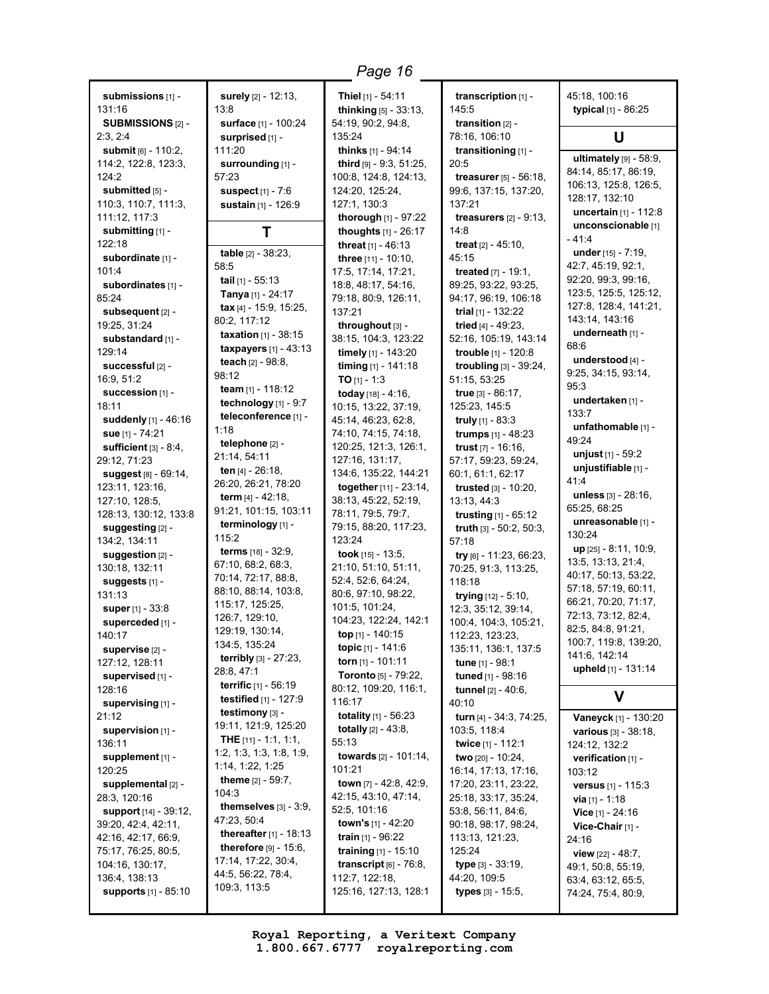**submissions** [1] - 131:16 **SUBMISSIONS** [2] - 2:3, 2:4 **submit** [6] - 110:2, 114:2, 122:8, 123:3, 124:2 **submitted** [5] -110:3, 110:7, 111:3, 111:12, 117:3 **submitting** [1] - 122:18 **subordinate** [1] - 101:4 **subordinates** [1] - 85:24 **subsequent** [2] - 19:25, 31:24 **substandard** [1] - 129:14 **successful** [2] - 16:9, 51:2 **succession** [1] - 18:11 **suddenly** [1] - 46:16 **sue** [1] - 74:21 **sufficient** [3] - 8:4, 29:12, 71:23 **suggest** [8] - 69:14, 123:11, 123:16, 127:10, 128:5, 128:13, 130:12, 133:8 **suggesting** [2] - 134:2, 134:11 **suggestion** [2] - 130:18, 132:11 **suggests** [1] - 131:13 **super** [1] - 33:8 **superceded** [1] - 140:17 **supervise** [2] - 127:12, 128:11 **supervised** [1] - 128:16 **supervising** [1] - 21:12 **supervision** [1] - 136:11 **supplement** [1] - 120:25 **supplemental** [2] - 28:3, 120:16 **support** [14] - 39:12, 39:20, 42:4, 42:11, 42:16, 42:17, 66:9, 75:17, 76:25, 80:5, 104:16, 130:17, 136:4, 138:13 **supports** [1] - 85:10 **surely** [2] - 12:13, 13:8 **surface** [1] - 100:24 **surprised** [1] - 111:20 **surrounding** [1] - 57:23 **suspect** [1] - 7:6 **sustain** [1] - 126:9 **T table** [2] - 38:23, 58:5 **tail** [1] - 55:13 **Tanya** [1] - 24:17 **tax** [4] - 15:9, 15:25, 80:2, 117:12 **taxation** [1] - 38:15 **taxpayers** [1] - 43:13 **teach** [2] - 98:8, 98:12 **team** [1] - 118:12 **technology** [1] - 9:7 **teleconference** [1] - 1:18 **telephone** [2] - 21:14, 54:11 **ten** [4] - 26:18, 26:20, 26:21, 78:20 **term** [4] - 42:18, 91:21, 101:15, 103:11 **terminology** [1] - 115:2 **terms** [18] - 32:9, 67:10, 68:2, 68:3, 70:14, 72:17, 88:8, 88:10, 88:14, 103:8, 115:17, 125:25, 126:7, 129:10, 129:19, 130:14, 134:5, 135:24 **terribly** [3] - 27:23, 28:8, 47:1 **terrific** [1] - 56:19 **testified** [1] - 127:9 **testimony** [3] - 19:11, 121:9, 125:20 **THE** [11] - 1:1, 1:1, 1:2, 1:3, 1:3, 1:8, 1:9, 1:14, 1:22, 1:25 **theme** [2] - 59:7,  $104:3$ **themselves** [3] - 3:9, 47:23, 50:4 **thereafter** [1] - 18:13 **therefore** [9] - 15:6, 17:14, 17:22, 30:4, 44:5, 56:22, 78:4, 109:3, 113:5 **Thiel** [1] - 54:11 **thinking** [5] - 33:13, 54:19, 90:2, 94:8, 135:24 **thinks** [1] - 94:14 **third** [9] - 9:3, 51:25, 100:8, 124:8, 124:13, 124:20, 125:24, 127:1, 130:3 **thorough** [1] - 97:22 **thoughts** [1] - 26:17 **threat** [1] - 46:13 **three** [11] - 10:10, 17:5, 17:14, 17:21, 18:8, 48:17, 54:16, 79:18, 80:9, 126:11, 137:21 **throughout** [3] - 38:15, 104:3, 123:22 **timely** [1] - 143:20 **timing** [1] - 141:18 **TO** [1] - 1:3 **today** [18] - 4:16, 10:15, 13:22, 37:19, 45:14, 46:23, 62:8, 74:10, 74:15, 74:18, 120:25, 121:3, 126:1, 127:16, 131:17, 134:6, 135:22, 144:21 **together** [11] - 23:14, 38:13, 45:22, 52:19, 78:11, 79:5, 79:7, 79:15, 88:20, 117:23, 123:24 **took** [15] - 13:5, 21:10, 51:10, 51:11, 52:4, 52:6, 64:24, 80:6, 97:10, 98:22, 101:5, 101:24, 104:23, 122:24, 142:1 **top** [1] - 140:15 **topic** [1] - 141:6 **torn** [1] - 101:11 **Toronto** [5] - 79:22, 80:12, 109:20, 116:1, 116:17 **totality** [1] - 56:23 **totally** [2] - 43:8, 55:13 **towards** [2] - 101:14, 101:21 **town** [7] - 42:8, 42:9, 42:15, 43:10, 47:14, 52:5, 101:16 **town's** [1] - 42:20 **train** [1] - 96:22 **training** [1] - 15:10 **transcript** [6] - 76:8, 112:7, 122:18, 125:16, 127:13, 128:1 **transcription** [1] - 145:5 **transition** [2] - 78:16, 106:10 **transitioning** [1] - 20:5 **treasurer** [5] - 56:18, 99:6, 137:15, 137:20, 137:21 **treasurers** [2] - 9:13, 14:8 **treat** [2] - 45:10, 45:15 **treated** [7] - 19:1, 89:25, 93:22, 93:25, 94:17, 96:19, 106:18 **trial** [1] - 132:22 **tried** [4] - 49:23, 52:16, 105:19, 143:14 **trouble** [1] - 120:8 **troubling** [3] - 39:24, 51:15, 53:25 **true** [3] - 86:17, 125:23, 145:5 **truly** [1] - 83:3 **trumps** [1] - 48:23 **trust** [7] - 16:16, 57:17, 59:23, 59:24, 60:1, 61:1, 62:17 **trusted** [3] - 10:20, 13:13, 44:3 **trusting** [1] - 65:12 **truth** [3] - 50:2, 50:3, 57:18 **try** [6] - 11:23, 66:23, 70:25, 91:3, 113:25, 118:18 **trying** [12] - 5:10, 12:3, 35:12, 39:14, 100:4, 104:3, 105:21, 112:23, 123:23, 135:11, 136:1, 137:5 **tune** [1] - 98:1 **tuned** [1] - 98:16 **tunnel** [2] - 40:6,  $40.10$ **turn** [4] - 34:3, 74:25, 103:5, 118:4 **twice** [1] - 112:1 **two** [20] - 10:24, 16:14, 17:13, 17:16, 17:20, 23:11, 23:22, 25:18, 33:17, 35:24, 53:8, 56:11, 84:6, 90:18, 98:17, 98:24, 113:13, 121:23, 125:24 **type** [3] - 33:19, 44:20, 109:5 **types** [3] - 15:5, *Page 16*

45:18, 100:16 **typical** [1] - 86:25 **U ultimately** [9] - 58:9, 84:14, 85:17, 86:19, 106:13, 125:8, 126:5, 128:17, 132:10 **uncertain** [1] - 112:8 **unconscionable** [1] - 41:4 **under** [15] - 7:19, 42:7, 45:19, 92:1, 92:20, 99:3, 99:16, 123:5, 125:5, 125:12, 127:8, 128:4, 141:21, 143:14, 143:16 **underneath** [1] - 68:6 **understood** [4] - 9:25, 34:15, 93:14, 95:3 **undertaken** [1] - 133:7 **unfathomable** [1] - 49:24 **unjust** [1] - 59:2 **unjustifiable** [1] - 41:4 **unless** [3] - 28:16, 65:25, 68:25 **unreasonable** [1] - 130:24 **up** [25] - 8:11, 10:9, 13:5, 13:13, 21:4, 40:17, 50:13, 53:22, 57:18, 57:19, 60:11, 66:21, 70:20, 71:17, 72:13, 73:12, 82:4, 82:5, 84:8, 91:21, 100:7, 119:8, 139:20, 141:6, 142:14 **upheld** [1] - 131:14 **V Vaneyck** [1] - 130:20 **various** [3] - 38:18, 124:12, 132:2 **verification** [1] - 103:12

**versus** [1] - 115:3 **via** [1] - 1:18 **Vice** [1] - 24:16 **Vice-Chair** [1] -

**view** [22] - 48:7, 49:1, 50:8, 55:19, 63:4, 63:12, 65:5, 74:24, 75:4, 80:9,

24:16